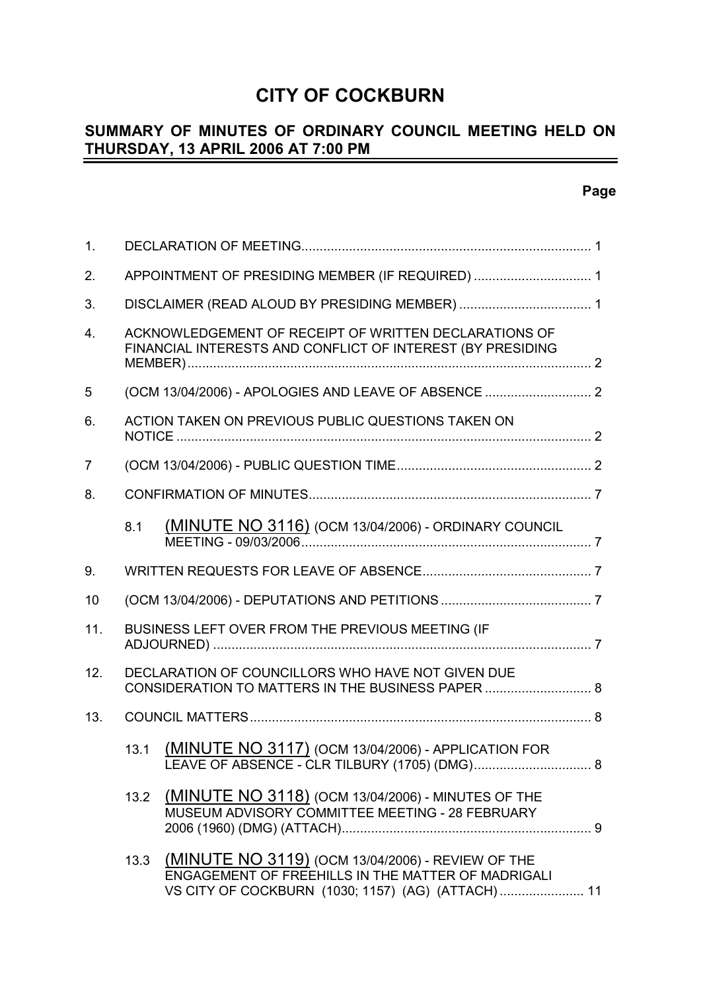# **CITY OF COCKBURN**

# **SUMMARY OF MINUTES OF ORDINARY COUNCIL MEETING HELD ON THURSDAY, 13 APRIL 2006 AT 7:00 PM**

| 1.             |                                                                                                                     |                                                                                                                                                              |  |
|----------------|---------------------------------------------------------------------------------------------------------------------|--------------------------------------------------------------------------------------------------------------------------------------------------------------|--|
| 2.             | APPOINTMENT OF PRESIDING MEMBER (IF REQUIRED)  1                                                                    |                                                                                                                                                              |  |
| 3.             |                                                                                                                     |                                                                                                                                                              |  |
| 4.             | ACKNOWLEDGEMENT OF RECEIPT OF WRITTEN DECLARATIONS OF<br>FINANCIAL INTERESTS AND CONFLICT OF INTEREST (BY PRESIDING |                                                                                                                                                              |  |
| 5              |                                                                                                                     |                                                                                                                                                              |  |
| 6.             |                                                                                                                     | ACTION TAKEN ON PREVIOUS PUBLIC QUESTIONS TAKEN ON                                                                                                           |  |
| $\overline{7}$ |                                                                                                                     |                                                                                                                                                              |  |
| 8.             |                                                                                                                     |                                                                                                                                                              |  |
|                | 8.1                                                                                                                 | (MINUTE NO 3116) (OCM 13/04/2006) - ORDINARY COUNCIL                                                                                                         |  |
| 9.             |                                                                                                                     |                                                                                                                                                              |  |
| 10             |                                                                                                                     |                                                                                                                                                              |  |
| 11.            |                                                                                                                     | BUSINESS LEFT OVER FROM THE PREVIOUS MEETING (IF                                                                                                             |  |
| 12.            |                                                                                                                     | DECLARATION OF COUNCILLORS WHO HAVE NOT GIVEN DUE<br>CONSIDERATION TO MATTERS IN THE BUSINESS PAPER  8                                                       |  |
| 13.            |                                                                                                                     |                                                                                                                                                              |  |
|                | 13.1                                                                                                                | (MINUTE NO 3117) (OCM 13/04/2006) - APPLICATION FOR                                                                                                          |  |
|                | 13.2                                                                                                                | <b>(MINUTE NO 3118)</b> (OCM 13/04/2006) - MINUTES OF THE<br>MUSEUM ADVISORY COMMITTEE MEETING - 28 FEBRUARY                                                 |  |
|                | 13.3                                                                                                                | (MINUTE NO 3119) (OCM 13/04/2006) - REVIEW OF THE<br>ENGAGEMENT OF FREEHILLS IN THE MATTER OF MADRIGALI<br>VS CITY OF COCKBURN (1030; 1157) (AG) (ATTACH) 11 |  |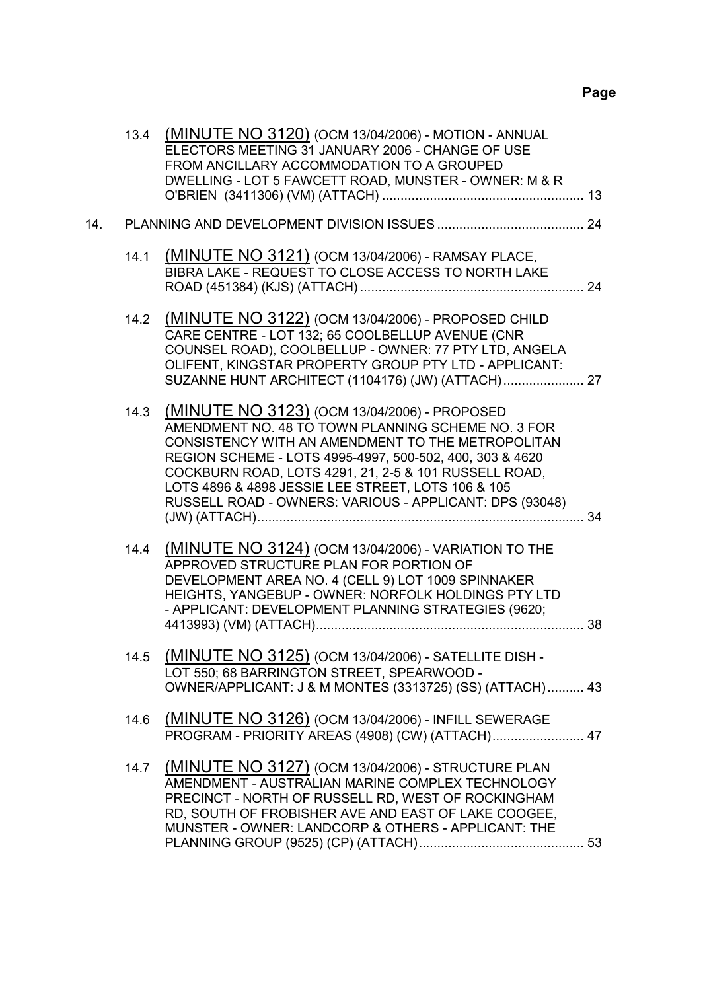|     |      | 13.4 (MINUTE NO 3120) (OCM 13/04/2006) - MOTION - ANNUAL<br>ELECTORS MEETING 31 JANUARY 2006 - CHANGE OF USE<br>FROM ANCILLARY ACCOMMODATION TO A GROUPED<br>DWELLING - LOT 5 FAWCETT ROAD, MUNSTER - OWNER: M & R                                                                                                                                                                            |
|-----|------|-----------------------------------------------------------------------------------------------------------------------------------------------------------------------------------------------------------------------------------------------------------------------------------------------------------------------------------------------------------------------------------------------|
| 14. |      |                                                                                                                                                                                                                                                                                                                                                                                               |
|     | 14.1 | (MINUTE NO 3121) (OCM 13/04/2006) - RAMSAY PLACE,<br>BIBRA LAKE - REQUEST TO CLOSE ACCESS TO NORTH LAKE                                                                                                                                                                                                                                                                                       |
|     | 14.2 | (MINUTE NO 3122) (OCM 13/04/2006) - PROPOSED CHILD<br>CARE CENTRE - LOT 132; 65 COOLBELLUP AVENUE (CNR<br>COUNSEL ROAD), COOLBELLUP - OWNER: 77 PTY LTD, ANGELA<br>OLIFENT, KINGSTAR PROPERTY GROUP PTY LTD - APPLICANT:<br>SUZANNE HUNT ARCHITECT (1104176) (JW) (ATTACH) 27                                                                                                                 |
|     | 14.3 | (MINUTE NO 3123) (OCM 13/04/2006) - PROPOSED<br>AMENDMENT NO. 48 TO TOWN PLANNING SCHEME NO. 3 FOR<br>CONSISTENCY WITH AN AMENDMENT TO THE METROPOLITAN<br>REGION SCHEME - LOTS 4995-4997, 500-502, 400, 303 & 4620<br>COCKBURN ROAD, LOTS 4291, 21, 2-5 & 101 RUSSELL ROAD,<br>LOTS 4896 & 4898 JESSIE LEE STREET, LOTS 106 & 105<br>RUSSELL ROAD - OWNERS: VARIOUS - APPLICANT: DPS (93048) |
|     | 14.4 | (MINUTE NO 3124) (OCM 13/04/2006) - VARIATION TO THE<br>APPROVED STRUCTURE PLAN FOR PORTION OF<br>DEVELOPMENT AREA NO. 4 (CELL 9) LOT 1009 SPINNAKER<br>HEIGHTS, YANGEBUP - OWNER: NORFOLK HOLDINGS PTY LTD<br>- APPLICANT: DEVELOPMENT PLANNING STRATEGIES (9620;                                                                                                                            |
|     | 14.5 | (MINUTE NO 3125) (OCM 13/04/2006) - SATELLITE DISH -<br>LOT 550; 68 BARRINGTON STREET, SPEARWOOD -<br>OWNER/APPLICANT: J & M MONTES (3313725) (SS) (ATTACH) 43                                                                                                                                                                                                                                |
|     | 14.6 | (MINUTE NO 3126) (OCM 13/04/2006) - INFILL SEWERAGE<br>PROGRAM - PRIORITY AREAS (4908) (CW) (ATTACH) 47                                                                                                                                                                                                                                                                                       |
|     | 14.7 | (MINUTE NO 3127) (OCM 13/04/2006) - STRUCTURE PLAN<br>AMENDMENT - AUSTRALIAN MARINE COMPLEX TECHNOLOGY<br>PRECINCT - NORTH OF RUSSELL RD, WEST OF ROCKINGHAM<br>RD, SOUTH OF FROBISHER AVE AND EAST OF LAKE COOGEE,<br>MUNSTER - OWNER: LANDCORP & OTHERS - APPLICANT: THE                                                                                                                    |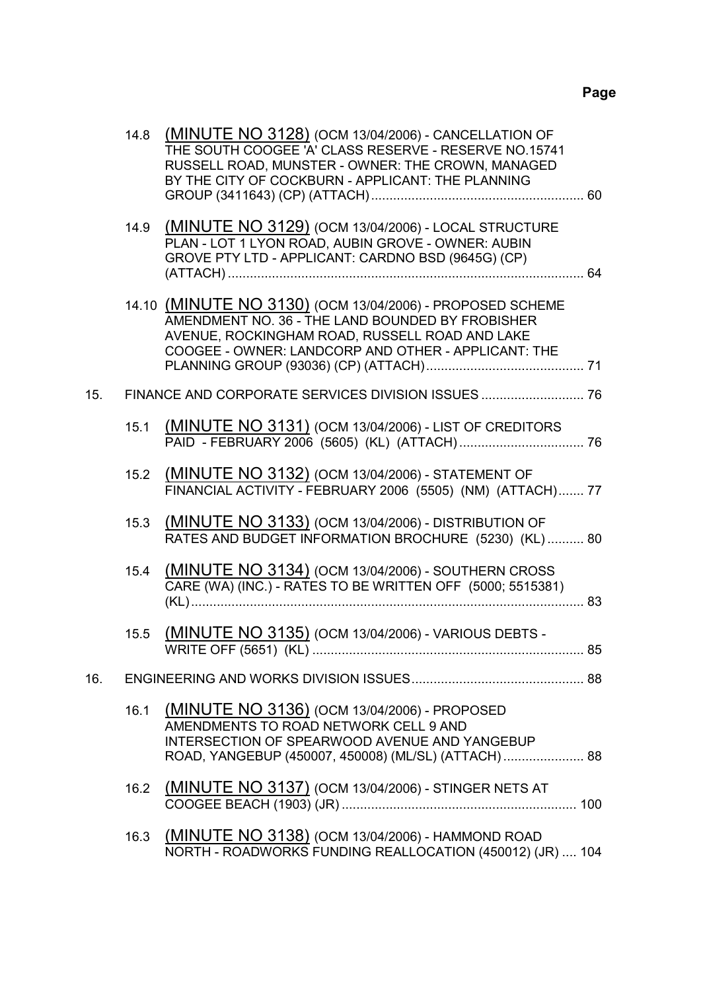|     | 14.8 | (MINUTE NO 3128) (OCM 13/04/2006) - CANCELLATION OF<br>THE SOUTH COOGEE 'A' CLASS RESERVE - RESERVE NO.15741<br>RUSSELL ROAD, MUNSTER - OWNER: THE CROWN, MANAGED<br>BY THE CITY OF COCKBURN - APPLICANT: THE PLANNING |  |
|-----|------|------------------------------------------------------------------------------------------------------------------------------------------------------------------------------------------------------------------------|--|
|     | 14.9 | (MINUTE NO 3129) (OCM 13/04/2006) - LOCAL STRUCTURE<br>PLAN - LOT 1 LYON ROAD, AUBIN GROVE - OWNER: AUBIN<br>GROVE PTY LTD - APPLICANT: CARDNO BSD (9645G) (CP)                                                        |  |
|     |      | 14.10 (MINUTE NO 3130) (OCM 13/04/2006) - PROPOSED SCHEME<br>AMENDMENT NO. 36 - THE LAND BOUNDED BY FROBISHER<br>AVENUE, ROCKINGHAM ROAD, RUSSELL ROAD AND LAKE<br>COOGEE - OWNER: LANDCORP AND OTHER - APPLICANT: THE |  |
| 15. |      |                                                                                                                                                                                                                        |  |
|     | 15.1 | (MINUTE NO 3131) (OCM 13/04/2006) - LIST OF CREDITORS                                                                                                                                                                  |  |
|     | 15.2 | (MINUTE NO 3132) (OCM 13/04/2006) - STATEMENT OF<br>FINANCIAL ACTIVITY - FEBRUARY 2006 (5505) (NM) (ATTACH) 77                                                                                                         |  |
|     | 15.3 | (MINUTE NO 3133) (OCM 13/04/2006) - DISTRIBUTION OF<br>RATES AND BUDGET INFORMATION BROCHURE (5230) (KL) 80                                                                                                            |  |
|     | 15.4 | (MINUTE NO 3134) (OCM 13/04/2006) - SOUTHERN CROSS<br>CARE (WA) (INC.) - RATES TO BE WRITTEN OFF (5000; 5515381)                                                                                                       |  |
|     | 15.5 | (MINUTE NO 3135) (OCM 13/04/2006) - VARIOUS DEBTS -                                                                                                                                                                    |  |
| 16. |      |                                                                                                                                                                                                                        |  |
|     | 16.1 | (MINUTE NO 3136) (OCM 13/04/2006) - PROPOSED<br>AMENDMENTS TO ROAD NETWORK CELL 9 AND<br>INTERSECTION OF SPEARWOOD AVENUE AND YANGEBUP<br>ROAD, YANGEBUP (450007, 450008) (ML/SL) (ATTACH)  88                         |  |
|     | 16.2 | <b>(MINUTE NO 3137)</b> (OCM 13/04/2006) - STINGER NETS AT                                                                                                                                                             |  |
|     | 16.3 | (MINUTE NO 3138) (OCM 13/04/2006) - HAMMOND ROAD<br>NORTH - ROADWORKS FUNDING REALLOCATION (450012) (JR)  104                                                                                                          |  |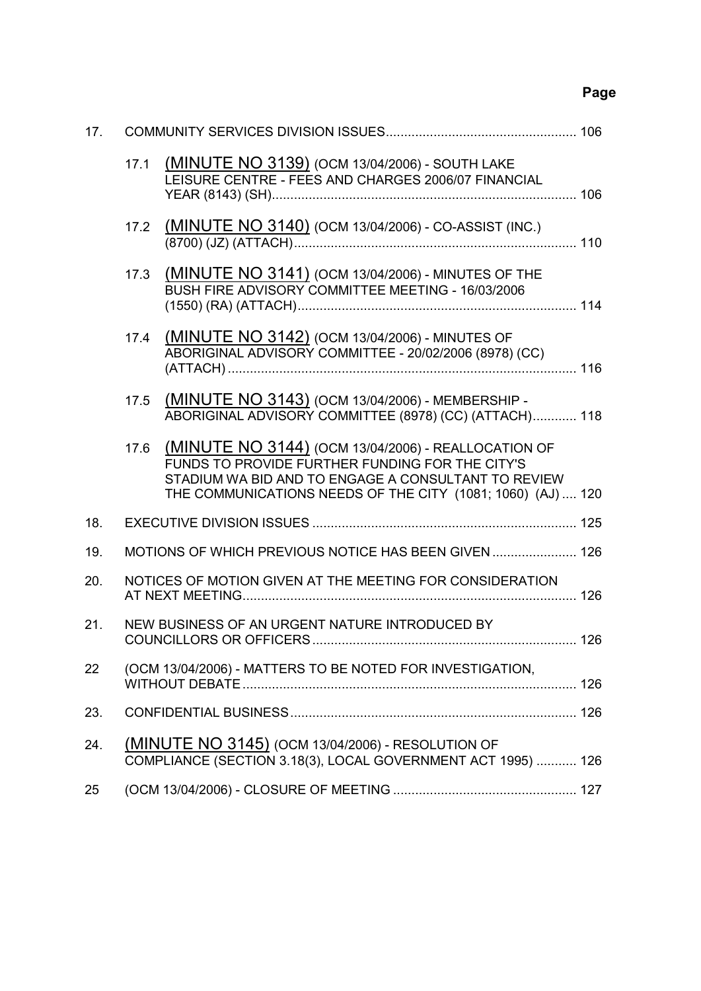# **Page**

| 17. |      |                                                                                                                                                                                                                              |  |
|-----|------|------------------------------------------------------------------------------------------------------------------------------------------------------------------------------------------------------------------------------|--|
|     | 17.1 | (MINUTE NO 3139) (OCM 13/04/2006) - SOUTH LAKE<br>LEISURE CENTRE - FEES AND CHARGES 2006/07 FINANCIAL                                                                                                                        |  |
|     |      | 17.2 (MINUTE NO 3140) (OCM 13/04/2006) - CO-ASSIST (INC.)                                                                                                                                                                    |  |
|     | 17.3 | (MINUTE NO 3141) (OCM 13/04/2006) - MINUTES OF THE<br>BUSH FIRE ADVISORY COMMITTEE MEETING - 16/03/2006                                                                                                                      |  |
|     | 17.4 | (MINUTE NO 3142) (OCM 13/04/2006) - MINUTES OF<br>ABORIGINAL ADVISORY COMMITTEE - 20/02/2006 (8978) (CC)                                                                                                                     |  |
|     | 17.5 | (MINUTE NO 3143) (OCM 13/04/2006) - MEMBERSHIP -<br>ABORIGINAL ADVISORY COMMITTEE (8978) (CC) (ATTACH) 118                                                                                                                   |  |
|     | 17.6 | (MINUTE NO 3144) (OCM 13/04/2006) - REALLOCATION OF<br>FUNDS TO PROVIDE FURTHER FUNDING FOR THE CITY'S<br>STADIUM WA BID AND TO ENGAGE A CONSULTANT TO REVIEW<br>THE COMMUNICATIONS NEEDS OF THE CITY (1081; 1060) (AJ)  120 |  |
| 18. |      |                                                                                                                                                                                                                              |  |
| 19. |      | MOTIONS OF WHICH PREVIOUS NOTICE HAS BEEN GIVEN  126                                                                                                                                                                         |  |
| 20. |      | NOTICES OF MOTION GIVEN AT THE MEETING FOR CONSIDERATION                                                                                                                                                                     |  |
| 21. |      | NEW BUSINESS OF AN URGENT NATURE INTRODUCED BY                                                                                                                                                                               |  |
| 22  |      | (OCM 13/04/2006) - MATTERS TO BE NOTED FOR INVESTIGATION,                                                                                                                                                                    |  |
| 23. |      |                                                                                                                                                                                                                              |  |
| 24. |      | (MINUTE NO 3145) (OCM 13/04/2006) - RESOLUTION OF<br>COMPLIANCE (SECTION 3.18(3), LOCAL GOVERNMENT ACT 1995)  126                                                                                                            |  |
| 25  |      |                                                                                                                                                                                                                              |  |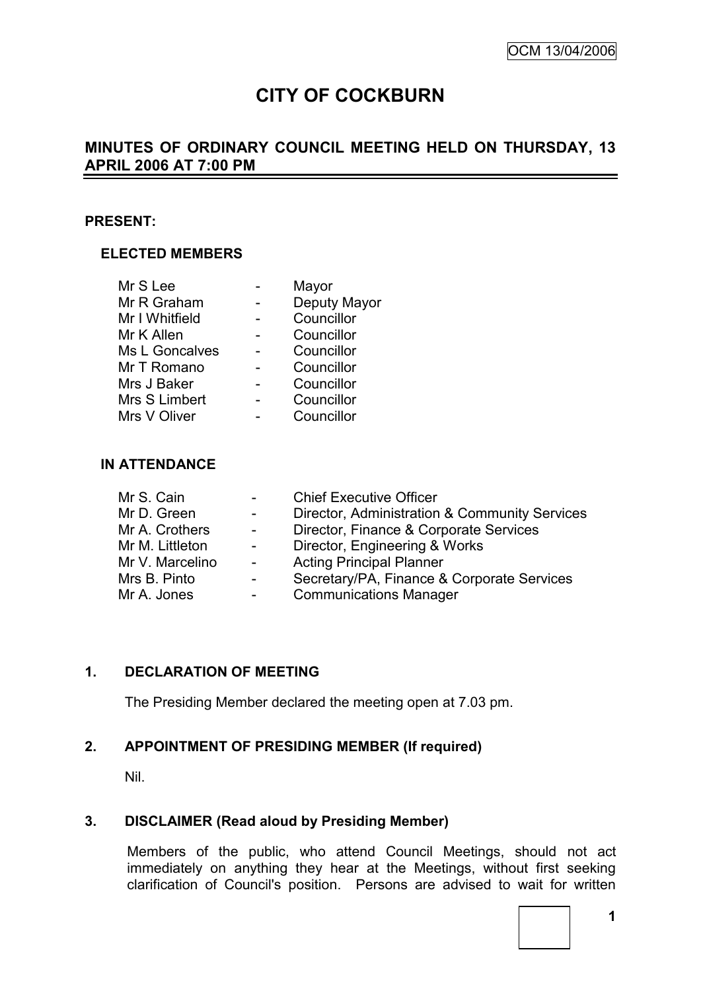# **CITY OF COCKBURN**

## **MINUTES OF ORDINARY COUNCIL MEETING HELD ON THURSDAY, 13 APRIL 2006 AT 7:00 PM**

### **PRESENT:**

### **ELECTED MEMBERS**

| Mr S Lee       | Mayor        |
|----------------|--------------|
| Mr R Graham    | Deputy Mayor |
| Mr I Whitfield | Councillor   |
| Mr K Allen     | Councillor   |
| Ms L Goncalves | Councillor   |
| Mr T Romano    | Councillor   |
| Mrs J Baker    | Councillor   |
| Mrs S Limbert  | Councillor   |
| Mrs V Oliver   | Councillor   |

### **IN ATTENDANCE**

| Mr S. Cain      | $\sim 100$      | <b>Chief Executive Officer</b>                |
|-----------------|-----------------|-----------------------------------------------|
| Mr D. Green     | $\sim 100$      | Director, Administration & Community Services |
| Mr A. Crothers  | $\sim 100$      | Director, Finance & Corporate Services        |
| Mr M. Littleton | $\sim 100$      | Director, Engineering & Works                 |
| Mr V. Marcelino | $\sim 10^{-10}$ | <b>Acting Principal Planner</b>               |
| Mrs B. Pinto    | $\sim$ 10 $\pm$ | Secretary/PA, Finance & Corporate Services    |
| Mr A. Jones     | -               | <b>Communications Manager</b>                 |

### **1. DECLARATION OF MEETING**

The Presiding Member declared the meeting open at 7.03 pm.

### **2. APPOINTMENT OF PRESIDING MEMBER (If required)**

Nil.

### **3. DISCLAIMER (Read aloud by Presiding Member)**

Members of the public, who attend Council Meetings, should not act immediately on anything they hear at the Meetings, without first seeking clarification of Council's position. Persons are advised to wait for written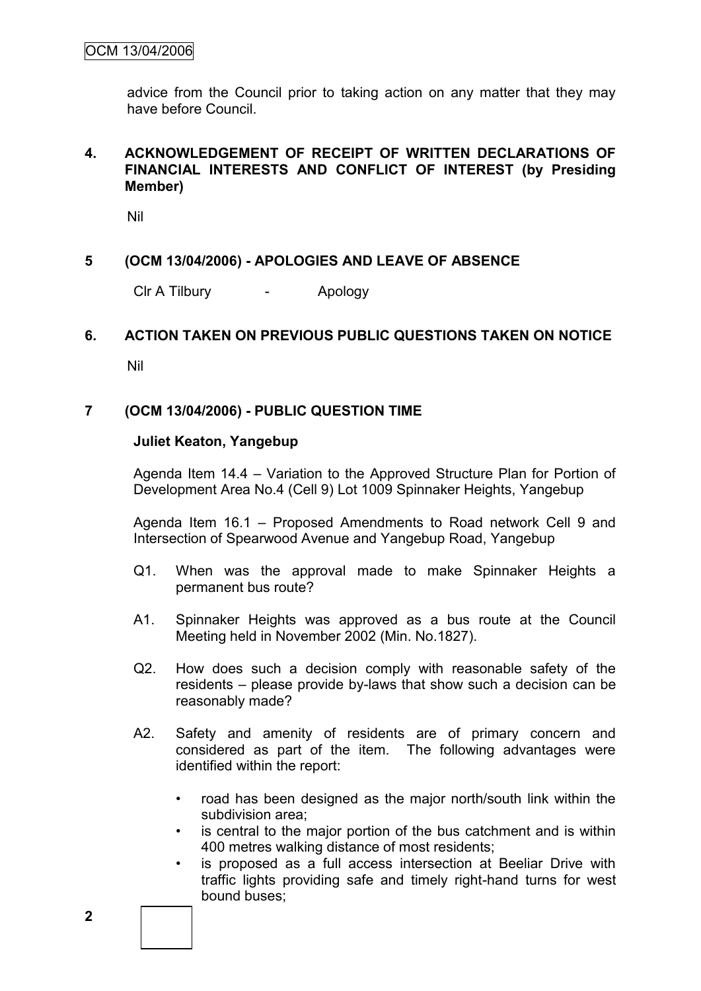advice from the Council prior to taking action on any matter that they may have before Council.

### **4. ACKNOWLEDGEMENT OF RECEIPT OF WRITTEN DECLARATIONS OF FINANCIAL INTERESTS AND CONFLICT OF INTEREST (by Presiding Member)**

Nil

### **5 (OCM 13/04/2006) - APOLOGIES AND LEAVE OF ABSENCE**

Clr A Tilbury - Apology

### **6. ACTION TAKEN ON PREVIOUS PUBLIC QUESTIONS TAKEN ON NOTICE**

Nil

### **7 (OCM 13/04/2006) - PUBLIC QUESTION TIME**

#### **Juliet Keaton, Yangebup**

Agenda Item 14.4 – Variation to the Approved Structure Plan for Portion of Development Area No.4 (Cell 9) Lot 1009 Spinnaker Heights, Yangebup

Agenda Item 16.1 – Proposed Amendments to Road network Cell 9 and Intersection of Spearwood Avenue and Yangebup Road, Yangebup

- Q1. When was the approval made to make Spinnaker Heights a permanent bus route?
- A1. Spinnaker Heights was approved as a bus route at the Council Meeting held in November 2002 (Min. No.1827).
- Q2. How does such a decision comply with reasonable safety of the residents – please provide by-laws that show such a decision can be reasonably made?
- A2. Safety and amenity of residents are of primary concern and considered as part of the item. The following advantages were identified within the report:
	- road has been designed as the major north/south link within the subdivision area;
	- is central to the major portion of the bus catchment and is within 400 metres walking distance of most residents;
	- is proposed as a full access intersection at Beeliar Drive with traffic lights providing safe and timely right-hand turns for west bound buses;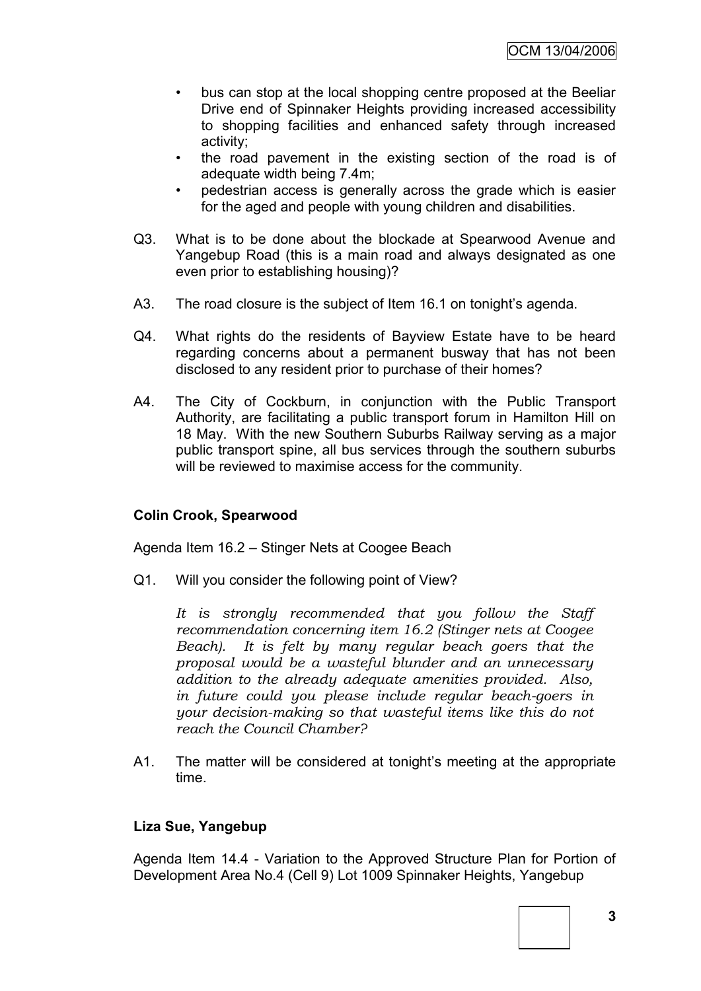- bus can stop at the local shopping centre proposed at the Beeliar Drive end of Spinnaker Heights providing increased accessibility to shopping facilities and enhanced safety through increased activity;
- the road pavement in the existing section of the road is of adequate width being 7.4m;
- pedestrian access is generally across the grade which is easier for the aged and people with young children and disabilities.
- Q3. What is to be done about the blockade at Spearwood Avenue and Yangebup Road (this is a main road and always designated as one even prior to establishing housing)?
- A3. The road closure is the subject of Item 16.1 on tonight's agenda.
- Q4. What rights do the residents of Bayview Estate have to be heard regarding concerns about a permanent busway that has not been disclosed to any resident prior to purchase of their homes?
- A4. The City of Cockburn, in conjunction with the Public Transport Authority, are facilitating a public transport forum in Hamilton Hill on 18 May. With the new Southern Suburbs Railway serving as a major public transport spine, all bus services through the southern suburbs will be reviewed to maximise access for the community.

### **Colin Crook, Spearwood**

Agenda Item 16.2 – Stinger Nets at Coogee Beach

Q1. Will you consider the following point of View?

*It is strongly recommended that you follow the Staff recommendation concerning item 16.2 (Stinger nets at Coogee Beach). It is felt by many regular beach goers that the proposal would be a wasteful blunder and an unnecessary addition to the already adequate amenities provided. Also, in future could you please include regular beach-goers in your decision-making so that wasteful items like this do not reach the Council Chamber?*

A1. The matter will be considered at tonight's meeting at the appropriate time.

### **Liza Sue, Yangebup**

Agenda Item 14.4 - Variation to the Approved Structure Plan for Portion of Development Area No.4 (Cell 9) Lot 1009 Spinnaker Heights, Yangebup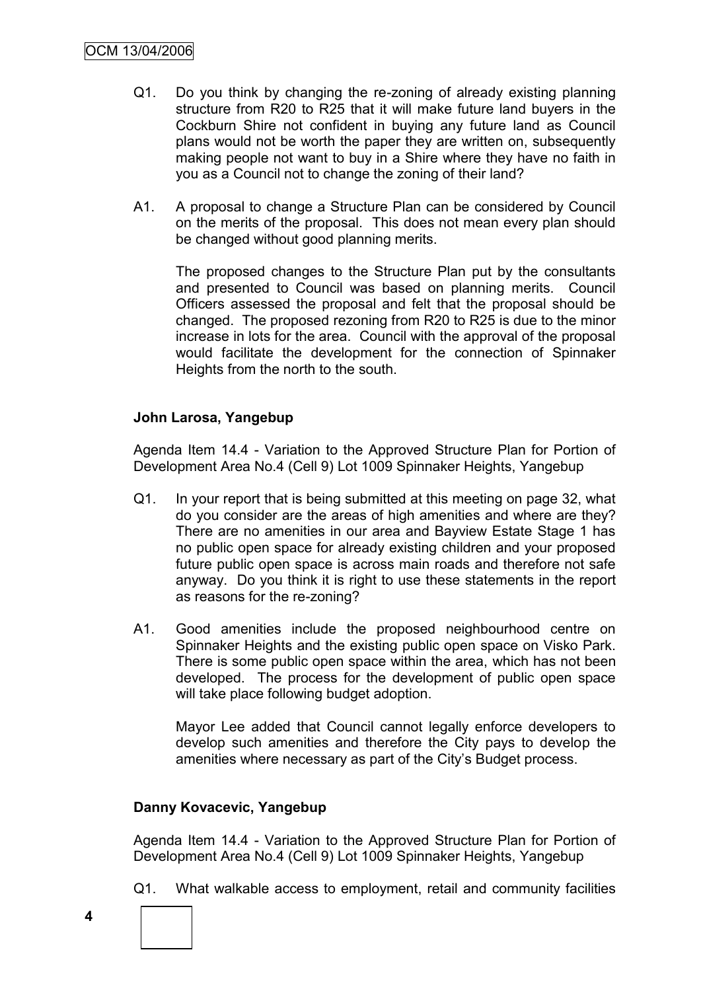- Q1. Do you think by changing the re-zoning of already existing planning structure from R20 to R25 that it will make future land buyers in the Cockburn Shire not confident in buying any future land as Council plans would not be worth the paper they are written on, subsequently making people not want to buy in a Shire where they have no faith in you as a Council not to change the zoning of their land?
- A1. A proposal to change a Structure Plan can be considered by Council on the merits of the proposal. This does not mean every plan should be changed without good planning merits.

The proposed changes to the Structure Plan put by the consultants and presented to Council was based on planning merits. Council Officers assessed the proposal and felt that the proposal should be changed. The proposed rezoning from R20 to R25 is due to the minor increase in lots for the area. Council with the approval of the proposal would facilitate the development for the connection of Spinnaker Heights from the north to the south.

### **John Larosa, Yangebup**

Agenda Item 14.4 - Variation to the Approved Structure Plan for Portion of Development Area No.4 (Cell 9) Lot 1009 Spinnaker Heights, Yangebup

- Q1. In your report that is being submitted at this meeting on page 32, what do you consider are the areas of high amenities and where are they? There are no amenities in our area and Bayview Estate Stage 1 has no public open space for already existing children and your proposed future public open space is across main roads and therefore not safe anyway. Do you think it is right to use these statements in the report as reasons for the re-zoning?
- A1. Good amenities include the proposed neighbourhood centre on Spinnaker Heights and the existing public open space on Visko Park. There is some public open space within the area, which has not been developed. The process for the development of public open space will take place following budget adoption.

Mayor Lee added that Council cannot legally enforce developers to develop such amenities and therefore the City pays to develop the amenities where necessary as part of the City"s Budget process.

### **Danny Kovacevic, Yangebup**

Agenda Item 14.4 - Variation to the Approved Structure Plan for Portion of Development Area No.4 (Cell 9) Lot 1009 Spinnaker Heights, Yangebup

- Q1. What walkable access to employment, retail and community facilities
- 

**4**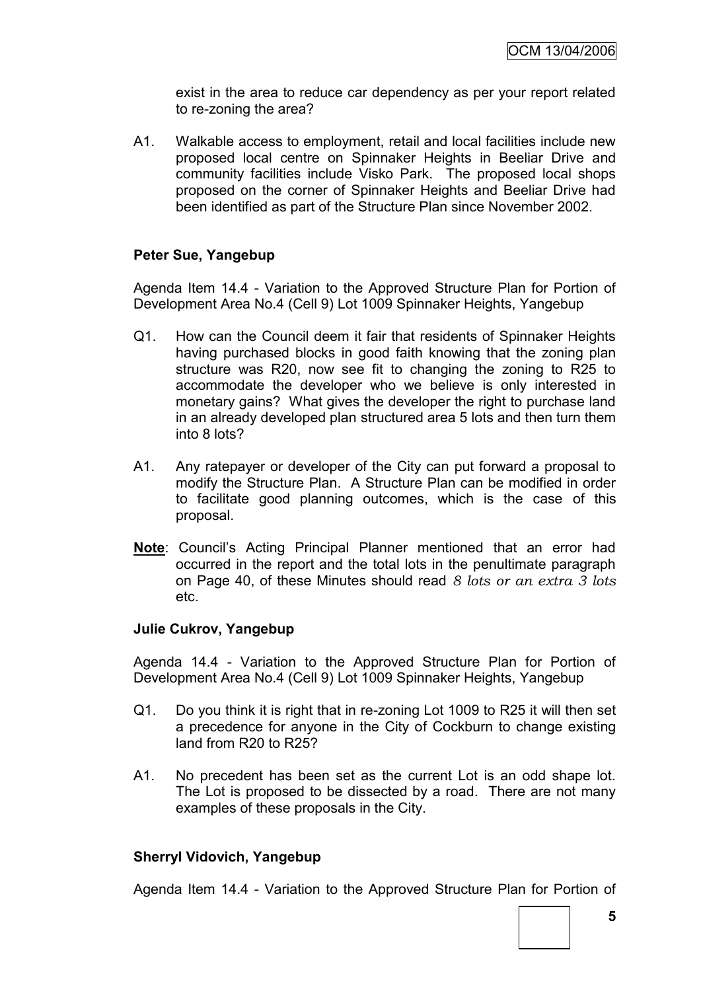exist in the area to reduce car dependency as per your report related to re-zoning the area?

A1. Walkable access to employment, retail and local facilities include new proposed local centre on Spinnaker Heights in Beeliar Drive and community facilities include Visko Park. The proposed local shops proposed on the corner of Spinnaker Heights and Beeliar Drive had been identified as part of the Structure Plan since November 2002.

#### **Peter Sue, Yangebup**

Agenda Item 14.4 - Variation to the Approved Structure Plan for Portion of Development Area No.4 (Cell 9) Lot 1009 Spinnaker Heights, Yangebup

- Q1. How can the Council deem it fair that residents of Spinnaker Heights having purchased blocks in good faith knowing that the zoning plan structure was R20, now see fit to changing the zoning to R25 to accommodate the developer who we believe is only interested in monetary gains? What gives the developer the right to purchase land in an already developed plan structured area 5 lots and then turn them into 8 lots?
- A1. Any ratepayer or developer of the City can put forward a proposal to modify the Structure Plan. A Structure Plan can be modified in order to facilitate good planning outcomes, which is the case of this proposal.
- **Note**: Council"s Acting Principal Planner mentioned that an error had occurred in the report and the total lots in the penultimate paragraph on Page 40, of these Minutes should read *8 lots or an extra 3 lots* etc.

#### **Julie Cukrov, Yangebup**

Agenda 14.4 - Variation to the Approved Structure Plan for Portion of Development Area No.4 (Cell 9) Lot 1009 Spinnaker Heights, Yangebup

- Q1. Do you think it is right that in re-zoning Lot 1009 to R25 it will then set a precedence for anyone in the City of Cockburn to change existing land from R20 to R25?
- A1. No precedent has been set as the current Lot is an odd shape lot. The Lot is proposed to be dissected by a road. There are not many examples of these proposals in the City.

#### **Sherryl Vidovich, Yangebup**

Agenda Item 14.4 - Variation to the Approved Structure Plan for Portion of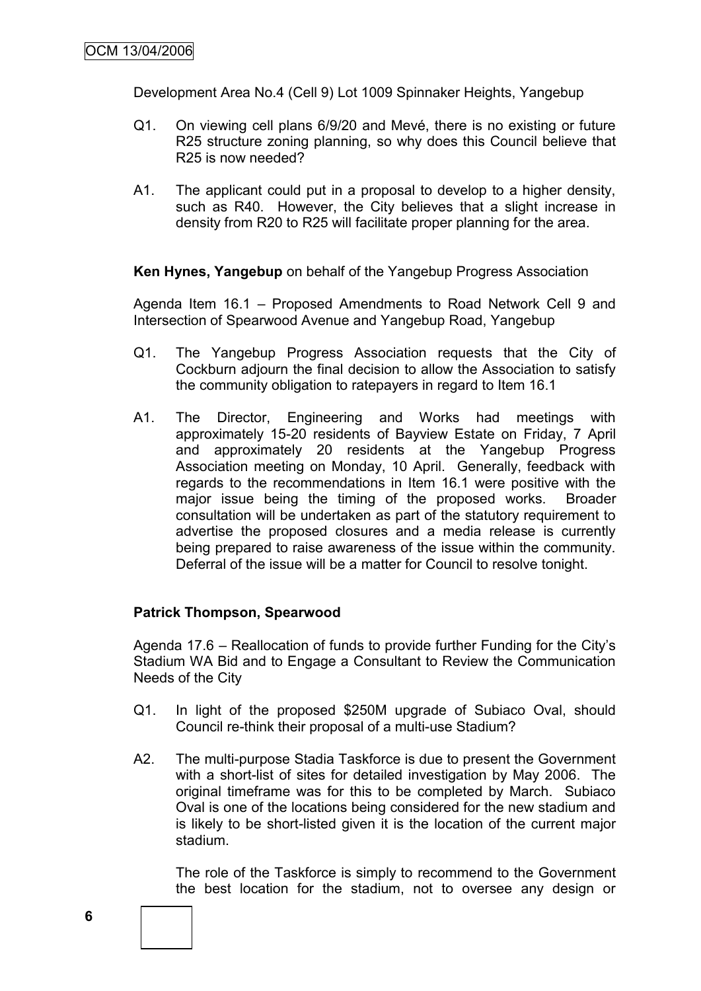Development Area No.4 (Cell 9) Lot 1009 Spinnaker Heights, Yangebup

- Q1. On viewing cell plans 6/9/20 and Mevé, there is no existing or future R25 structure zoning planning, so why does this Council believe that R25 is now needed?
- A1. The applicant could put in a proposal to develop to a higher density, such as R40. However, the City believes that a slight increase in density from R20 to R25 will facilitate proper planning for the area.

**Ken Hynes, Yangebup** on behalf of the Yangebup Progress Association

Agenda Item 16.1 – Proposed Amendments to Road Network Cell 9 and Intersection of Spearwood Avenue and Yangebup Road, Yangebup

- Q1. The Yangebup Progress Association requests that the City of Cockburn adjourn the final decision to allow the Association to satisfy the community obligation to ratepayers in regard to Item 16.1
- A1. The Director, Engineering and Works had meetings with approximately 15-20 residents of Bayview Estate on Friday, 7 April and approximately 20 residents at the Yangebup Progress Association meeting on Monday, 10 April. Generally, feedback with regards to the recommendations in Item 16.1 were positive with the major issue being the timing of the proposed works. Broader consultation will be undertaken as part of the statutory requirement to advertise the proposed closures and a media release is currently being prepared to raise awareness of the issue within the community. Deferral of the issue will be a matter for Council to resolve tonight.

### **Patrick Thompson, Spearwood**

Agenda 17.6 – Reallocation of funds to provide further Funding for the City"s Stadium WA Bid and to Engage a Consultant to Review the Communication Needs of the City

- Q1. In light of the proposed \$250M upgrade of Subiaco Oval, should Council re-think their proposal of a multi-use Stadium?
- A2. The multi-purpose Stadia Taskforce is due to present the Government with a short-list of sites for detailed investigation by May 2006. The original timeframe was for this to be completed by March. Subiaco Oval is one of the locations being considered for the new stadium and is likely to be short-listed given it is the location of the current major stadium.

The role of the Taskforce is simply to recommend to the Government the best location for the stadium, not to oversee any design or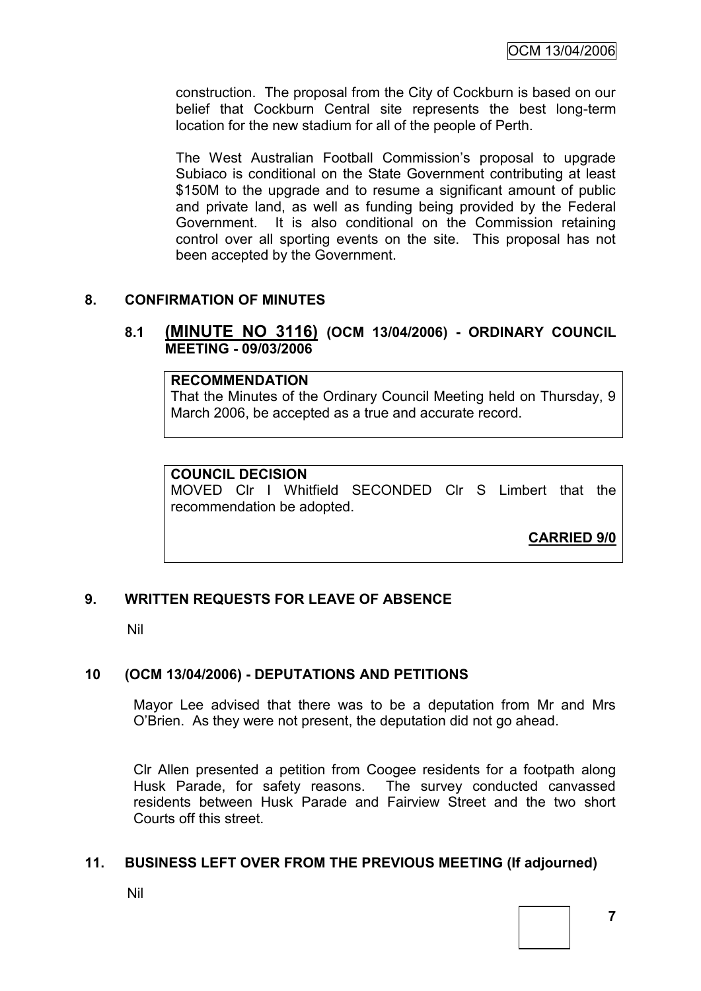construction. The proposal from the City of Cockburn is based on our belief that Cockburn Central site represents the best long-term location for the new stadium for all of the people of Perth.

The West Australian Football Commission"s proposal to upgrade Subiaco is conditional on the State Government contributing at least \$150M to the upgrade and to resume a significant amount of public and private land, as well as funding being provided by the Federal Government. It is also conditional on the Commission retaining control over all sporting events on the site. This proposal has not been accepted by the Government.

### **8. CONFIRMATION OF MINUTES**

#### **8.1 (MINUTE NO 3116) (OCM 13/04/2006) - ORDINARY COUNCIL MEETING - 09/03/2006**

#### **RECOMMENDATION**

That the Minutes of the Ordinary Council Meeting held on Thursday, 9 March 2006, be accepted as a true and accurate record.

#### **COUNCIL DECISION**

MOVED Clr I Whitfield SECONDED Clr S Limbert that the recommendation be adopted.

**CARRIED 9/0**

### **9. WRITTEN REQUESTS FOR LEAVE OF ABSENCE**

Nil

#### **10 (OCM 13/04/2006) - DEPUTATIONS AND PETITIONS**

Mayor Lee advised that there was to be a deputation from Mr and Mrs O"Brien. As they were not present, the deputation did not go ahead.

Clr Allen presented a petition from Coogee residents for a footpath along Husk Parade, for safety reasons. The survey conducted canvassed residents between Husk Parade and Fairview Street and the two short Courts off this street.

#### **11. BUSINESS LEFT OVER FROM THE PREVIOUS MEETING (If adjourned)**

Nil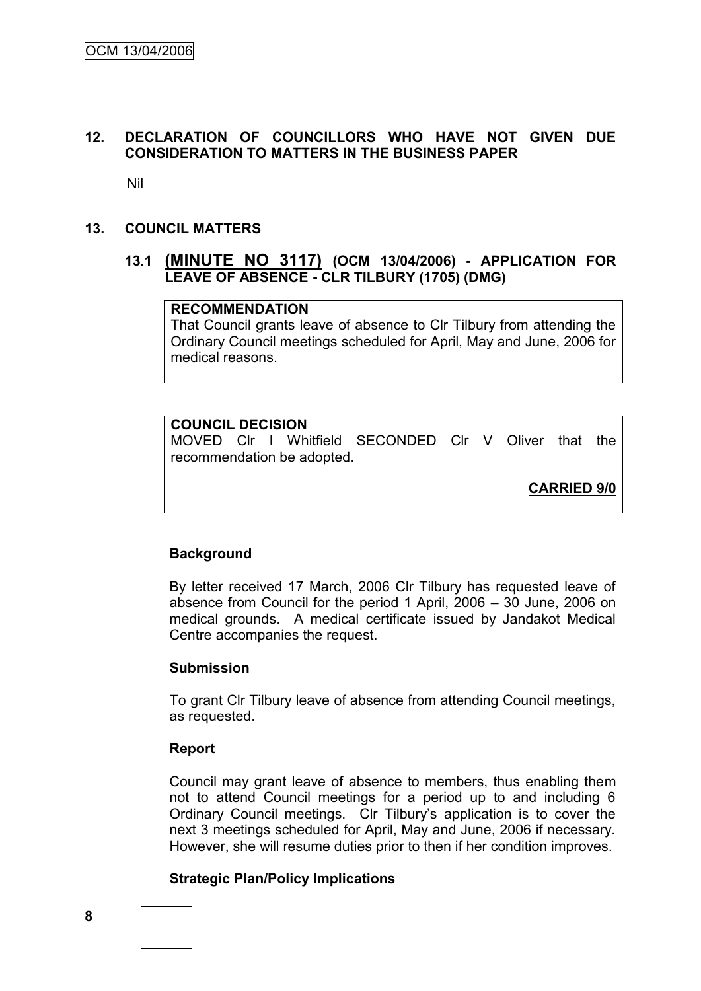### **12. DECLARATION OF COUNCILLORS WHO HAVE NOT GIVEN DUE CONSIDERATION TO MATTERS IN THE BUSINESS PAPER**

Nil

#### **13. COUNCIL MATTERS**

### **13.1 (MINUTE NO 3117) (OCM 13/04/2006) - APPLICATION FOR LEAVE OF ABSENCE - CLR TILBURY (1705) (DMG)**

### **RECOMMENDATION**

That Council grants leave of absence to Clr Tilbury from attending the Ordinary Council meetings scheduled for April, May and June, 2006 for medical reasons.

### **COUNCIL DECISION**

MOVED Clr I Whitfield SECONDED Clr V Oliver that the recommendation be adopted.

**CARRIED 9/0**

### **Background**

By letter received 17 March, 2006 Clr Tilbury has requested leave of absence from Council for the period 1 April, 2006 – 30 June, 2006 on medical grounds. A medical certificate issued by Jandakot Medical Centre accompanies the request.

#### **Submission**

To grant Clr Tilbury leave of absence from attending Council meetings, as requested.

#### **Report**

Council may grant leave of absence to members, thus enabling them not to attend Council meetings for a period up to and including 6 Ordinary Council meetings. Clr Tilbury"s application is to cover the next 3 meetings scheduled for April, May and June, 2006 if necessary. However, she will resume duties prior to then if her condition improves.

#### **Strategic Plan/Policy Implications**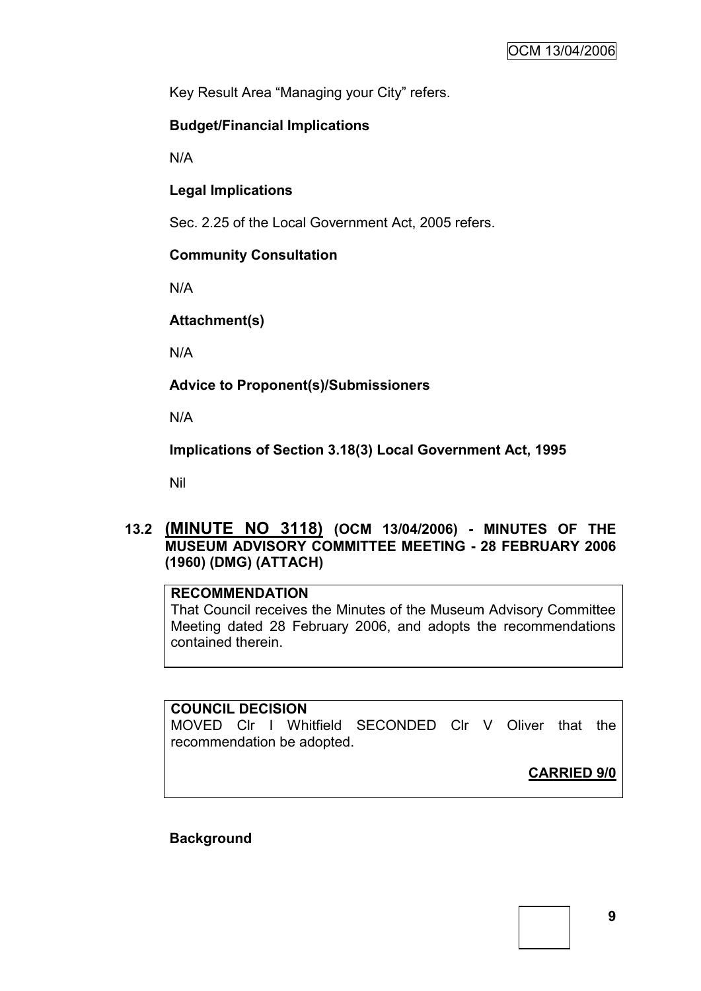Key Result Area "Managing your City" refers.

### **Budget/Financial Implications**

N/A

**Legal Implications**

Sec. 2.25 of the Local Government Act, 2005 refers.

### **Community Consultation**

N/A

**Attachment(s)**

N/A

**Advice to Proponent(s)/Submissioners**

N/A

**Implications of Section 3.18(3) Local Government Act, 1995**

Nil

### **13.2 (MINUTE NO 3118) (OCM 13/04/2006) - MINUTES OF THE MUSEUM ADVISORY COMMITTEE MEETING - 28 FEBRUARY 2006 (1960) (DMG) (ATTACH)**

### **RECOMMENDATION**

That Council receives the Minutes of the Museum Advisory Committee Meeting dated 28 February 2006, and adopts the recommendations contained therein.

### **COUNCIL DECISION**

MOVED Clr I Whitfield SECONDED Clr V Oliver that the recommendation be adopted.

**CARRIED 9/0**

**Background**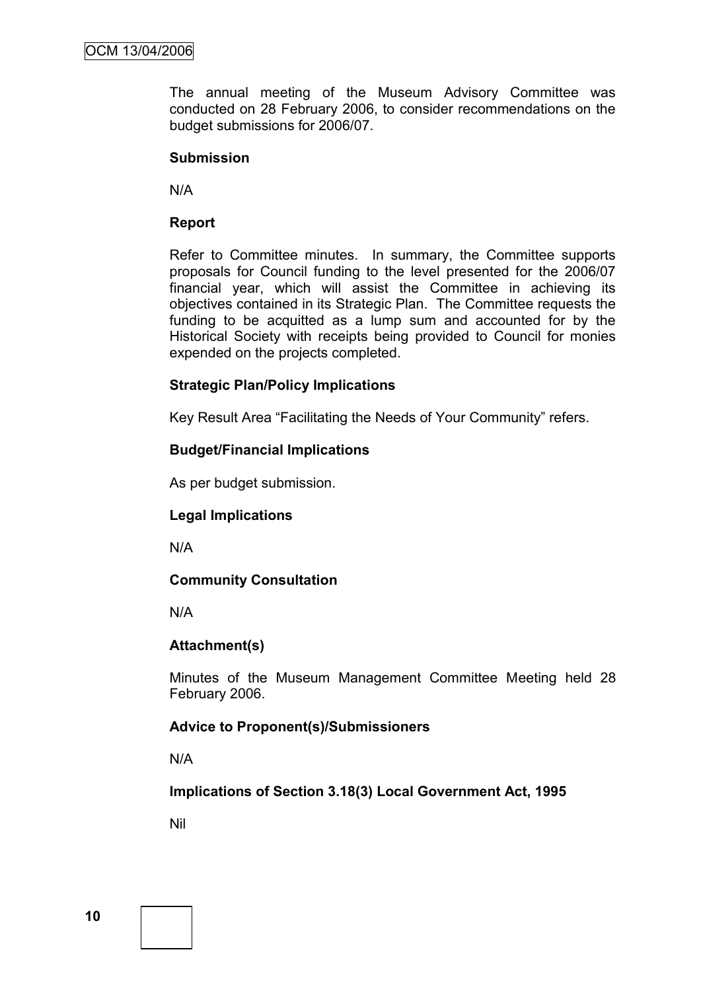The annual meeting of the Museum Advisory Committee was conducted on 28 February 2006, to consider recommendations on the budget submissions for 2006/07.

#### **Submission**

N/A

### **Report**

Refer to Committee minutes. In summary, the Committee supports proposals for Council funding to the level presented for the 2006/07 financial year, which will assist the Committee in achieving its objectives contained in its Strategic Plan. The Committee requests the funding to be acquitted as a lump sum and accounted for by the Historical Society with receipts being provided to Council for monies expended on the projects completed.

### **Strategic Plan/Policy Implications**

Key Result Area "Facilitating the Needs of Your Community" refers.

### **Budget/Financial Implications**

As per budget submission.

### **Legal Implications**

N/A

### **Community Consultation**

N/A

### **Attachment(s)**

Minutes of the Museum Management Committee Meeting held 28 February 2006.

### **Advice to Proponent(s)/Submissioners**

N/A

**Implications of Section 3.18(3) Local Government Act, 1995**

Nil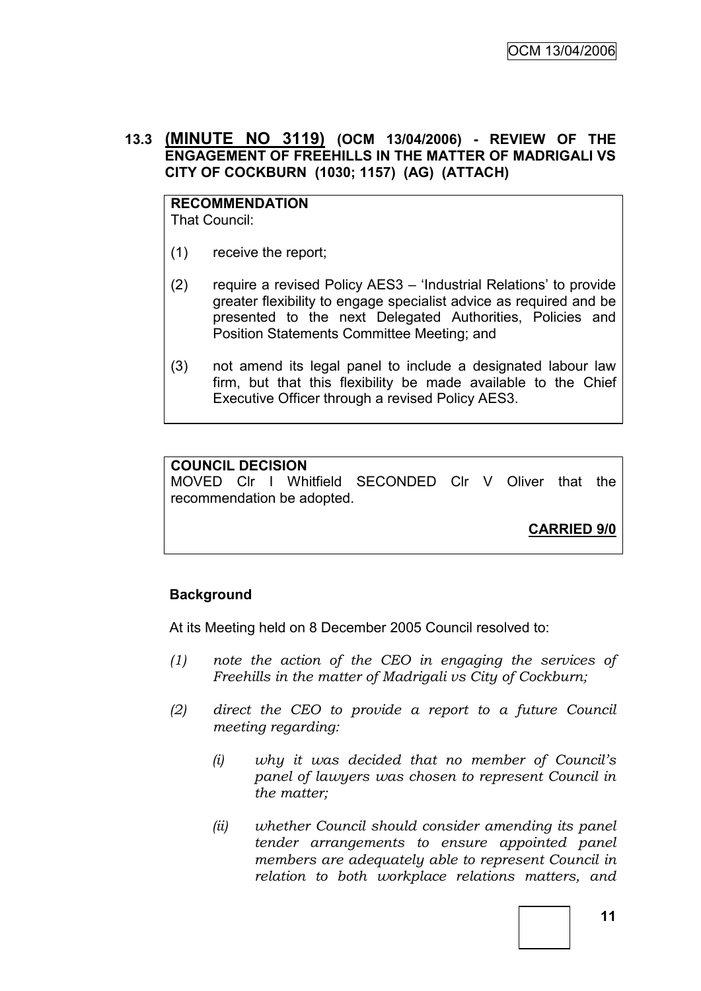### **13.3 (MINUTE NO 3119) (OCM 13/04/2006) - REVIEW OF THE ENGAGEMENT OF FREEHILLS IN THE MATTER OF MADRIGALI VS CITY OF COCKBURN (1030; 1157) (AG) (ATTACH)**

#### **RECOMMENDATION** That Council:

(1) receive the report;

- (2) require a revised Policy AES3 "Industrial Relations" to provide greater flexibility to engage specialist advice as required and be presented to the next Delegated Authorities, Policies and Position Statements Committee Meeting; and
- (3) not amend its legal panel to include a designated labour law firm, but that this flexibility be made available to the Chief Executive Officer through a revised Policy AES3.

### **COUNCIL DECISION**

MOVED Clr I Whitfield SECONDED Clr V Oliver that the recommendation be adopted.

**CARRIED 9/0**

# **Background**

At its Meeting held on 8 December 2005 Council resolved to:

- *(1) note the action of the CEO in engaging the services of Freehills in the matter of Madrigali vs City of Cockburn;*
- *(2) direct the CEO to provide a report to a future Council meeting regarding:*
	- *(i) why it was decided that no member of Council's panel of lawyers was chosen to represent Council in the matter;*
	- *(ii) whether Council should consider amending its panel tender arrangements to ensure appointed panel members are adequately able to represent Council in relation to both workplace relations matters, and*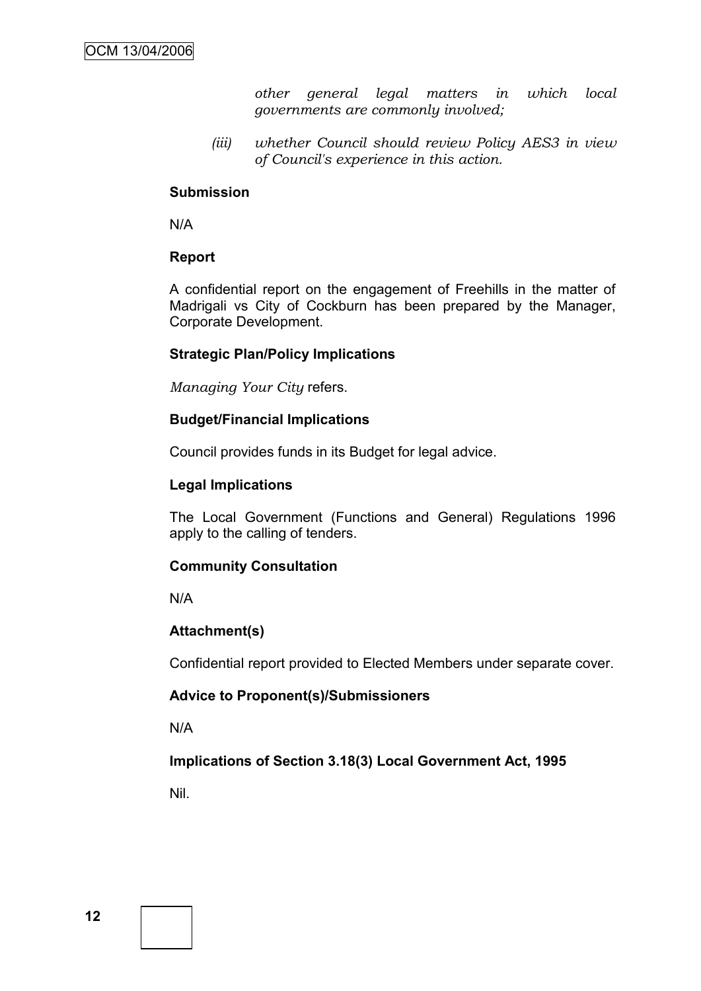*other general legal matters in which local governments are commonly involved;*

*(iii) whether Council should review Policy AES3 in view of Council's experience in this action.*

### **Submission**

N/A

### **Report**

A confidential report on the engagement of Freehills in the matter of Madrigali vs City of Cockburn has been prepared by the Manager, Corporate Development.

### **Strategic Plan/Policy Implications**

*Managing Your City* refers.

### **Budget/Financial Implications**

Council provides funds in its Budget for legal advice.

### **Legal Implications**

The Local Government (Functions and General) Regulations 1996 apply to the calling of tenders.

### **Community Consultation**

N/A

### **Attachment(s)**

Confidential report provided to Elected Members under separate cover.

### **Advice to Proponent(s)/Submissioners**

N/A

### **Implications of Section 3.18(3) Local Government Act, 1995**

Nil.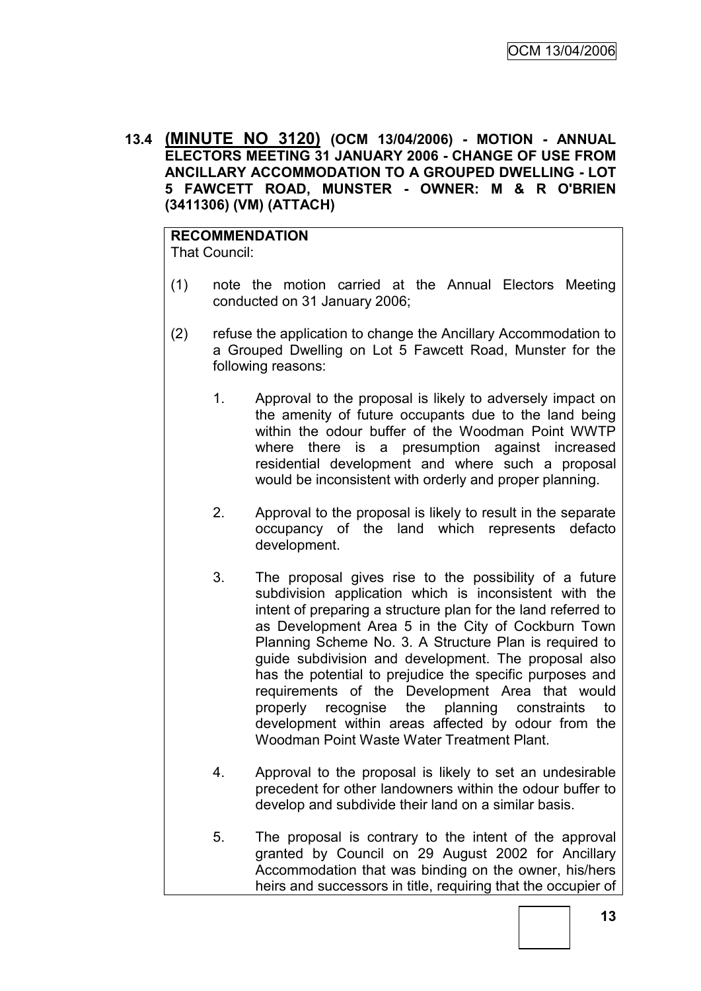**13.4 (MINUTE NO 3120) (OCM 13/04/2006) - MOTION - ANNUAL ELECTORS MEETING 31 JANUARY 2006 - CHANGE OF USE FROM ANCILLARY ACCOMMODATION TO A GROUPED DWELLING - LOT 5 FAWCETT ROAD, MUNSTER - OWNER: M & R O'BRIEN (3411306) (VM) (ATTACH)**

**RECOMMENDATION** That Council:

- (1) note the motion carried at the Annual Electors Meeting conducted on 31 January 2006;
- (2) refuse the application to change the Ancillary Accommodation to a Grouped Dwelling on Lot 5 Fawcett Road, Munster for the following reasons:
	- 1. Approval to the proposal is likely to adversely impact on the amenity of future occupants due to the land being within the odour buffer of the Woodman Point WWTP where there is a presumption against increased residential development and where such a proposal would be inconsistent with orderly and proper planning.
	- 2. Approval to the proposal is likely to result in the separate occupancy of the land which represents defacto development.
	- 3. The proposal gives rise to the possibility of a future subdivision application which is inconsistent with the intent of preparing a structure plan for the land referred to as Development Area 5 in the City of Cockburn Town Planning Scheme No. 3. A Structure Plan is required to guide subdivision and development. The proposal also has the potential to prejudice the specific purposes and requirements of the Development Area that would properly recognise the planning constraints to development within areas affected by odour from the Woodman Point Waste Water Treatment Plant.
	- 4. Approval to the proposal is likely to set an undesirable precedent for other landowners within the odour buffer to develop and subdivide their land on a similar basis.
	- 5. The proposal is contrary to the intent of the approval granted by Council on 29 August 2002 for Ancillary Accommodation that was binding on the owner, his/hers heirs and successors in title, requiring that the occupier of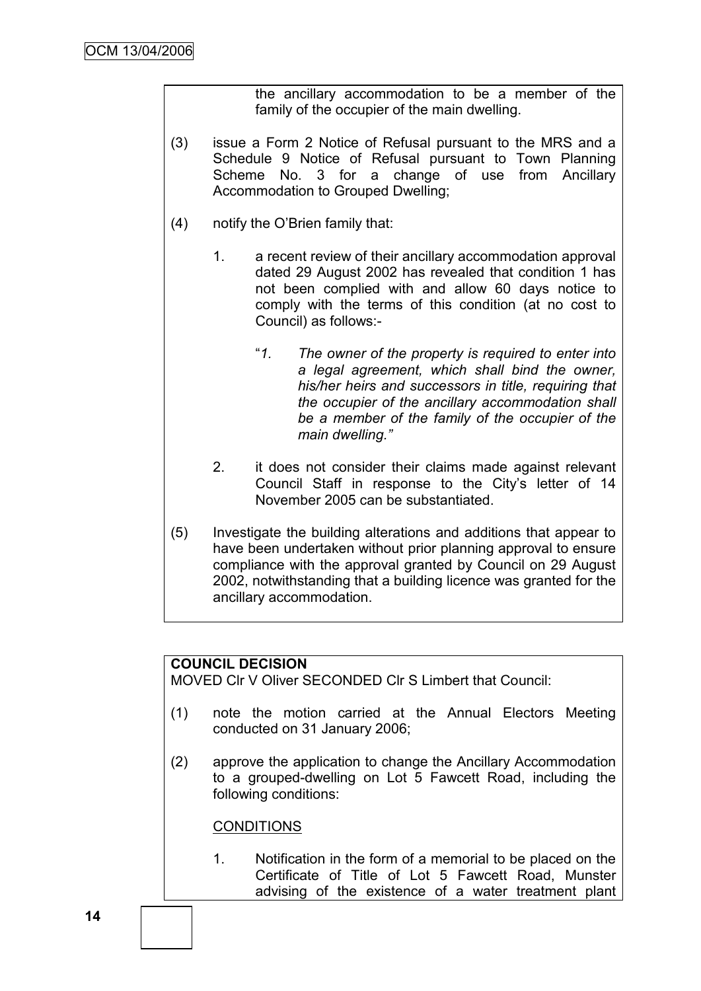the ancillary accommodation to be a member of the family of the occupier of the main dwelling.

- (3) issue a Form 2 Notice of Refusal pursuant to the MRS and a Schedule 9 Notice of Refusal pursuant to Town Planning Scheme No. 3 for a change of use from Ancillary Accommodation to Grouped Dwelling;
- (4) notify the O"Brien family that:
	- 1. a recent review of their ancillary accommodation approval dated 29 August 2002 has revealed that condition 1 has not been complied with and allow 60 days notice to comply with the terms of this condition (at no cost to Council) as follows:-
		- "*1. The owner of the property is required to enter into a legal agreement, which shall bind the owner, his/her heirs and successors in title, requiring that the occupier of the ancillary accommodation shall be a member of the family of the occupier of the main dwelling."*
	- 2. it does not consider their claims made against relevant Council Staff in response to the City"s letter of 14 November 2005 can be substantiated.
- (5) Investigate the building alterations and additions that appear to have been undertaken without prior planning approval to ensure compliance with the approval granted by Council on 29 August 2002, notwithstanding that a building licence was granted for the ancillary accommodation.

#### **COUNCIL DECISION**

MOVED Clr V Oliver SECONDED Clr S Limbert that Council:

- (1) note the motion carried at the Annual Electors Meeting conducted on 31 January 2006;
- (2) approve the application to change the Ancillary Accommodation to a grouped-dwelling on Lot 5 Fawcett Road, including the following conditions:

#### **CONDITIONS**

1. Notification in the form of a memorial to be placed on the Certificate of Title of Lot 5 Fawcett Road, Munster advising of the existence of a water treatment plant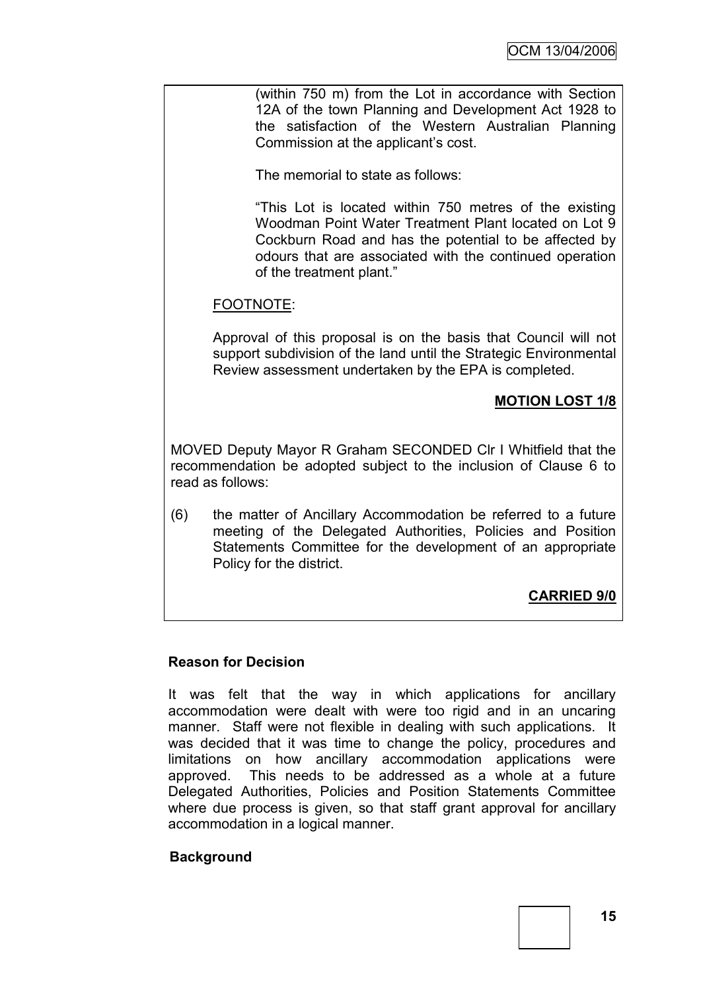(within 750 m) from the Lot in accordance with Section 12A of the town Planning and Development Act 1928 to the satisfaction of the Western Australian Planning Commission at the applicant"s cost.

The memorial to state as follows:

"This Lot is located within 750 metres of the existing Woodman Point Water Treatment Plant located on Lot 9 Cockburn Road and has the potential to be affected by odours that are associated with the continued operation of the treatment plant."

### FOOTNOTE:

Approval of this proposal is on the basis that Council will not support subdivision of the land until the Strategic Environmental Review assessment undertaken by the EPA is completed.

### **MOTION LOST 1/8**

MOVED Deputy Mayor R Graham SECONDED Clr I Whitfield that the recommendation be adopted subject to the inclusion of Clause 6 to read as follows:

(6) the matter of Ancillary Accommodation be referred to a future meeting of the Delegated Authorities, Policies and Position Statements Committee for the development of an appropriate Policy for the district.

# **CARRIED 9/0**

### **Reason for Decision**

It was felt that the way in which applications for ancillary accommodation were dealt with were too rigid and in an uncaring manner. Staff were not flexible in dealing with such applications. It was decided that it was time to change the policy, procedures and limitations on how ancillary accommodation applications were approved. This needs to be addressed as a whole at a future Delegated Authorities, Policies and Position Statements Committee where due process is given, so that staff grant approval for ancillary accommodation in a logical manner.

### **Background**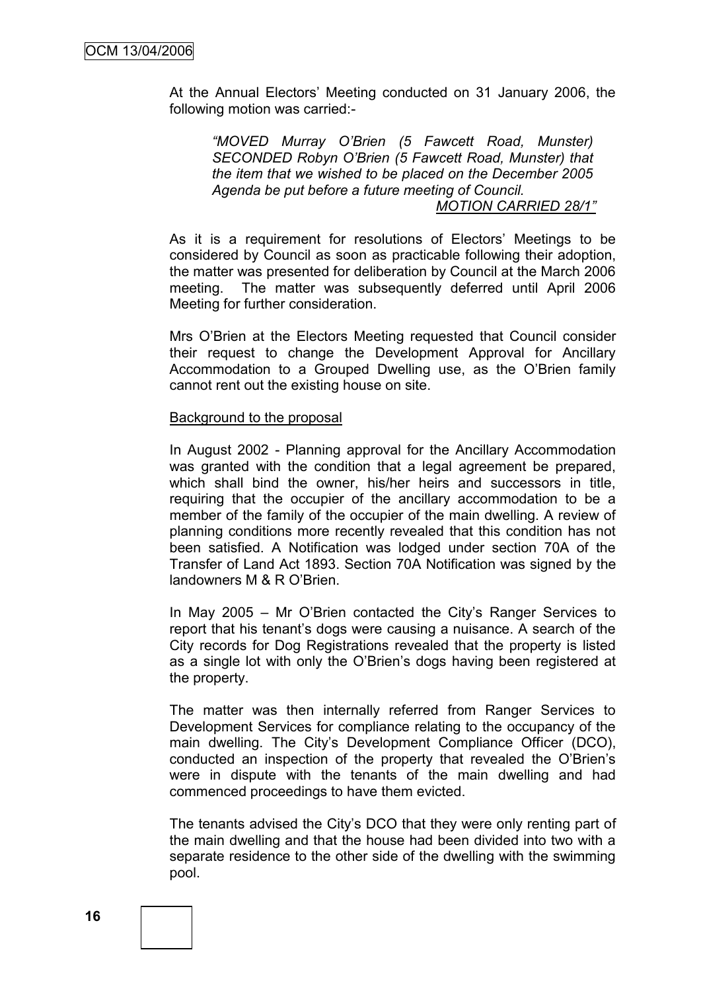At the Annual Electors" Meeting conducted on 31 January 2006, the following motion was carried:-

*"MOVED Murray O'Brien (5 Fawcett Road, Munster) SECONDED Robyn O'Brien (5 Fawcett Road, Munster) that the item that we wished to be placed on the December 2005 Agenda be put before a future meeting of Council. MOTION CARRIED 28/1"*

As it is a requirement for resolutions of Electors' Meetings to be considered by Council as soon as practicable following their adoption, the matter was presented for deliberation by Council at the March 2006 meeting. The matter was subsequently deferred until April 2006 Meeting for further consideration.

Mrs O"Brien at the Electors Meeting requested that Council consider their request to change the Development Approval for Ancillary Accommodation to a Grouped Dwelling use, as the O"Brien family cannot rent out the existing house on site.

#### Background to the proposal

In August 2002 - Planning approval for the Ancillary Accommodation was granted with the condition that a legal agreement be prepared, which shall bind the owner, his/her heirs and successors in title, requiring that the occupier of the ancillary accommodation to be a member of the family of the occupier of the main dwelling. A review of planning conditions more recently revealed that this condition has not been satisfied. A Notification was lodged under section 70A of the Transfer of Land Act 1893. Section 70A Notification was signed by the landowners M & R O"Brien.

In May 2005 – Mr O"Brien contacted the City"s Ranger Services to report that his tenant"s dogs were causing a nuisance. A search of the City records for Dog Registrations revealed that the property is listed as a single lot with only the O"Brien"s dogs having been registered at the property.

The matter was then internally referred from Ranger Services to Development Services for compliance relating to the occupancy of the main dwelling. The City"s Development Compliance Officer (DCO), conducted an inspection of the property that revealed the O"Brien"s were in dispute with the tenants of the main dwelling and had commenced proceedings to have them evicted.

The tenants advised the City"s DCO that they were only renting part of the main dwelling and that the house had been divided into two with a separate residence to the other side of the dwelling with the swimming pool.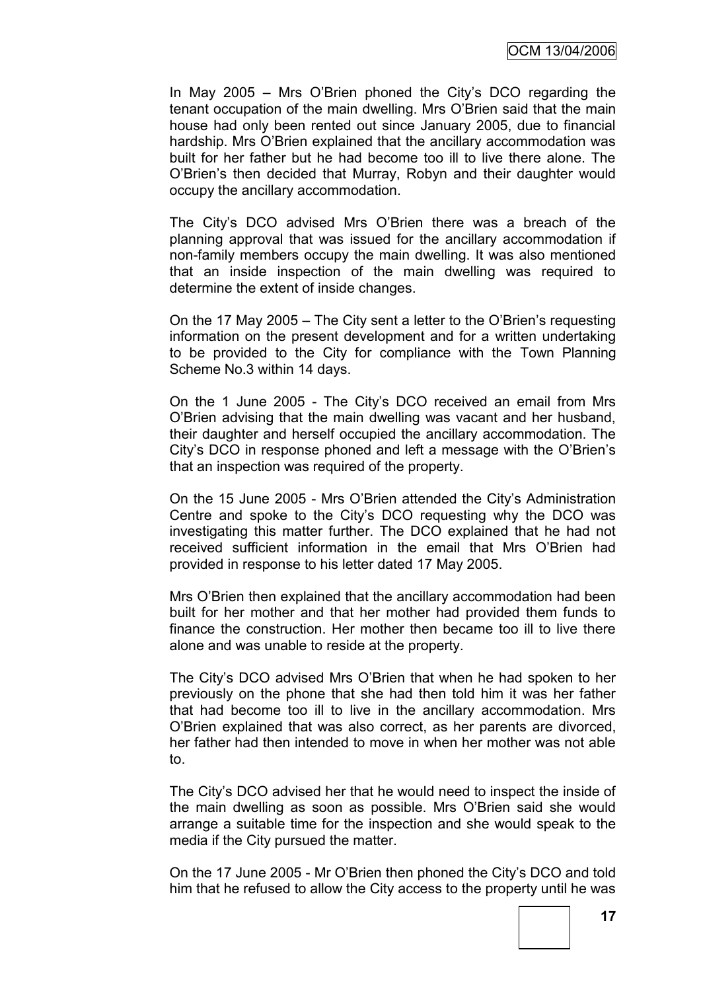In May 2005 – Mrs O"Brien phoned the City"s DCO regarding the tenant occupation of the main dwelling. Mrs O"Brien said that the main house had only been rented out since January 2005, due to financial hardship. Mrs O"Brien explained that the ancillary accommodation was built for her father but he had become too ill to live there alone. The O"Brien"s then decided that Murray, Robyn and their daughter would occupy the ancillary accommodation.

The City"s DCO advised Mrs O"Brien there was a breach of the planning approval that was issued for the ancillary accommodation if non-family members occupy the main dwelling. It was also mentioned that an inside inspection of the main dwelling was required to determine the extent of inside changes.

On the 17 May 2005 – The City sent a letter to the O"Brien"s requesting information on the present development and for a written undertaking to be provided to the City for compliance with the Town Planning Scheme No.3 within 14 days.

On the 1 June 2005 - The City"s DCO received an email from Mrs O"Brien advising that the main dwelling was vacant and her husband, their daughter and herself occupied the ancillary accommodation. The City"s DCO in response phoned and left a message with the O"Brien"s that an inspection was required of the property.

On the 15 June 2005 - Mrs O"Brien attended the City"s Administration Centre and spoke to the City"s DCO requesting why the DCO was investigating this matter further. The DCO explained that he had not received sufficient information in the email that Mrs O"Brien had provided in response to his letter dated 17 May 2005.

Mrs O"Brien then explained that the ancillary accommodation had been built for her mother and that her mother had provided them funds to finance the construction. Her mother then became too ill to live there alone and was unable to reside at the property.

The City"s DCO advised Mrs O"Brien that when he had spoken to her previously on the phone that she had then told him it was her father that had become too ill to live in the ancillary accommodation. Mrs O"Brien explained that was also correct, as her parents are divorced, her father had then intended to move in when her mother was not able to.

The City"s DCO advised her that he would need to inspect the inside of the main dwelling as soon as possible. Mrs O"Brien said she would arrange a suitable time for the inspection and she would speak to the media if the City pursued the matter.

On the 17 June 2005 - Mr O"Brien then phoned the City"s DCO and told him that he refused to allow the City access to the property until he was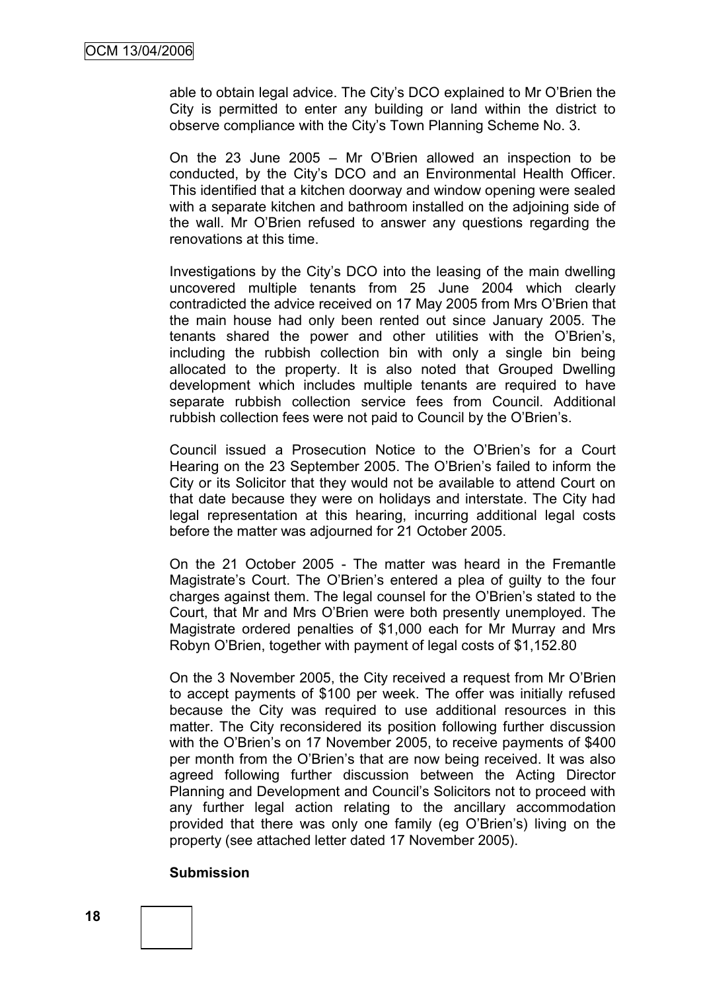able to obtain legal advice. The City"s DCO explained to Mr O"Brien the City is permitted to enter any building or land within the district to observe compliance with the City"s Town Planning Scheme No. 3.

On the 23 June 2005 – Mr O"Brien allowed an inspection to be conducted, by the City"s DCO and an Environmental Health Officer. This identified that a kitchen doorway and window opening were sealed with a separate kitchen and bathroom installed on the adjoining side of the wall. Mr O"Brien refused to answer any questions regarding the renovations at this time.

Investigations by the City"s DCO into the leasing of the main dwelling uncovered multiple tenants from 25 June 2004 which clearly contradicted the advice received on 17 May 2005 from Mrs O"Brien that the main house had only been rented out since January 2005. The tenants shared the power and other utilities with the O"Brien"s, including the rubbish collection bin with only a single bin being allocated to the property. It is also noted that Grouped Dwelling development which includes multiple tenants are required to have separate rubbish collection service fees from Council. Additional rubbish collection fees were not paid to Council by the O"Brien"s.

Council issued a Prosecution Notice to the O"Brien"s for a Court Hearing on the 23 September 2005. The O"Brien"s failed to inform the City or its Solicitor that they would not be available to attend Court on that date because they were on holidays and interstate. The City had legal representation at this hearing, incurring additional legal costs before the matter was adjourned for 21 October 2005.

On the 21 October 2005 - The matter was heard in the Fremantle Magistrate"s Court. The O"Brien"s entered a plea of guilty to the four charges against them. The legal counsel for the O"Brien"s stated to the Court, that Mr and Mrs O"Brien were both presently unemployed. The Magistrate ordered penalties of \$1,000 each for Mr Murray and Mrs Robyn O"Brien, together with payment of legal costs of \$1,152.80

On the 3 November 2005, the City received a request from Mr O"Brien to accept payments of \$100 per week. The offer was initially refused because the City was required to use additional resources in this matter. The City reconsidered its position following further discussion with the O'Brien's on 17 November 2005, to receive payments of \$400 per month from the O"Brien"s that are now being received. It was also agreed following further discussion between the Acting Director Planning and Development and Council's Solicitors not to proceed with any further legal action relating to the ancillary accommodation provided that there was only one family (eg O"Brien"s) living on the property (see attached letter dated 17 November 2005).

#### **Submission**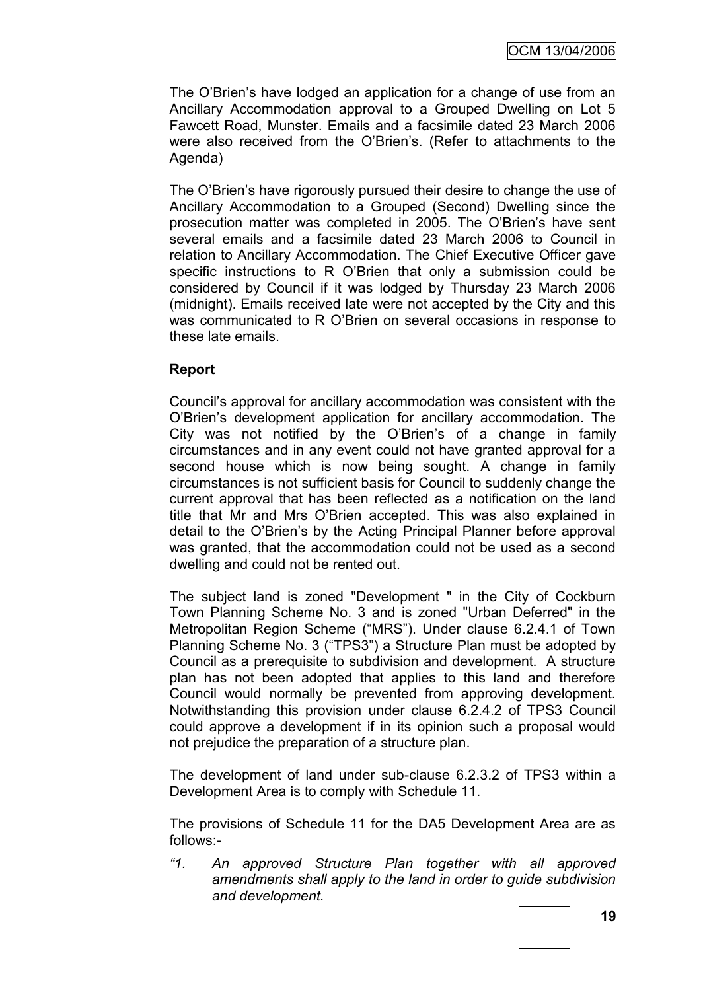The O'Brien's have lodged an application for a change of use from an Ancillary Accommodation approval to a Grouped Dwelling on Lot 5 Fawcett Road, Munster. Emails and a facsimile dated 23 March 2006 were also received from the O"Brien"s. (Refer to attachments to the Agenda)

The O"Brien"s have rigorously pursued their desire to change the use of Ancillary Accommodation to a Grouped (Second) Dwelling since the prosecution matter was completed in 2005. The O"Brien"s have sent several emails and a facsimile dated 23 March 2006 to Council in relation to Ancillary Accommodation. The Chief Executive Officer gave specific instructions to R O"Brien that only a submission could be considered by Council if it was lodged by Thursday 23 March 2006 (midnight). Emails received late were not accepted by the City and this was communicated to R O"Brien on several occasions in response to these late emails.

### **Report**

Council"s approval for ancillary accommodation was consistent with the O"Brien"s development application for ancillary accommodation. The City was not notified by the O"Brien"s of a change in family circumstances and in any event could not have granted approval for a second house which is now being sought. A change in family circumstances is not sufficient basis for Council to suddenly change the current approval that has been reflected as a notification on the land title that Mr and Mrs O"Brien accepted. This was also explained in detail to the O"Brien"s by the Acting Principal Planner before approval was granted, that the accommodation could not be used as a second dwelling and could not be rented out.

The subject land is zoned "Development " in the City of Cockburn Town Planning Scheme No. 3 and is zoned "Urban Deferred" in the Metropolitan Region Scheme ("MRS"). Under clause 6.2.4.1 of Town Planning Scheme No. 3 ("TPS3") a Structure Plan must be adopted by Council as a prerequisite to subdivision and development. A structure plan has not been adopted that applies to this land and therefore Council would normally be prevented from approving development. Notwithstanding this provision under clause 6.2.4.2 of TPS3 Council could approve a development if in its opinion such a proposal would not prejudice the preparation of a structure plan.

The development of land under sub-clause 6.2.3.2 of TPS3 within a Development Area is to comply with Schedule 11.

The provisions of Schedule 11 for the DA5 Development Area are as follows:-

*"1. An approved Structure Plan together with all approved amendments shall apply to the land in order to guide subdivision and development.*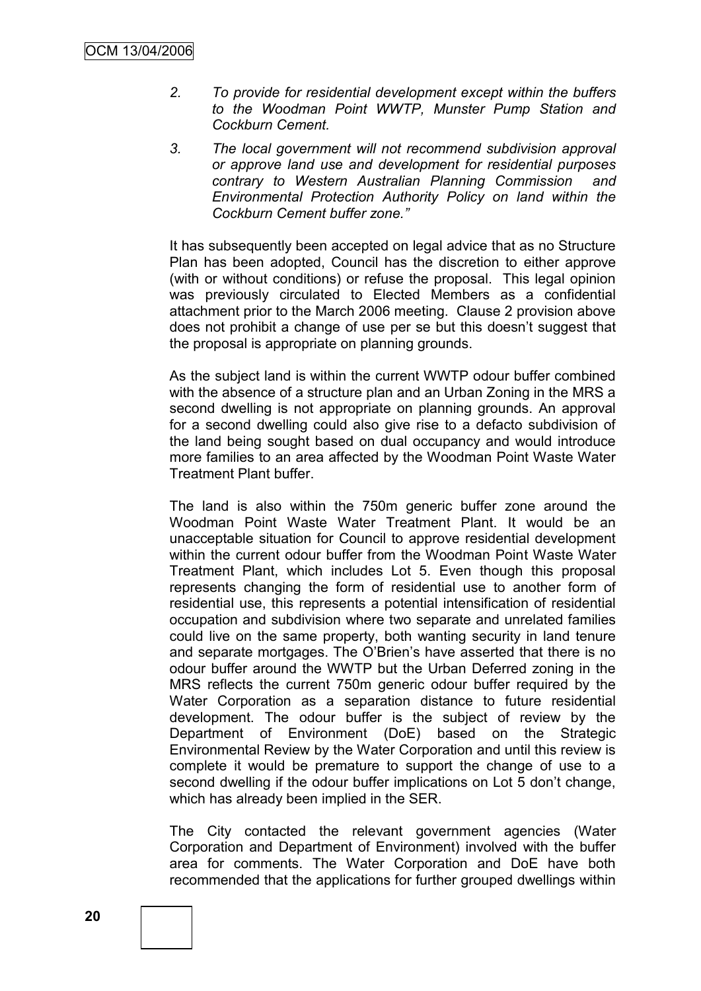- *2. To provide for residential development except within the buffers to the Woodman Point WWTP, Munster Pump Station and Cockburn Cement.*
- *3. The local government will not recommend subdivision approval or approve land use and development for residential purposes contrary to Western Australian Planning Commission and Environmental Protection Authority Policy on land within the Cockburn Cement buffer zone."*

It has subsequently been accepted on legal advice that as no Structure Plan has been adopted, Council has the discretion to either approve (with or without conditions) or refuse the proposal. This legal opinion was previously circulated to Elected Members as a confidential attachment prior to the March 2006 meeting. Clause 2 provision above does not prohibit a change of use per se but this doesn"t suggest that the proposal is appropriate on planning grounds.

As the subject land is within the current WWTP odour buffer combined with the absence of a structure plan and an Urban Zoning in the MRS a second dwelling is not appropriate on planning grounds. An approval for a second dwelling could also give rise to a defacto subdivision of the land being sought based on dual occupancy and would introduce more families to an area affected by the Woodman Point Waste Water Treatment Plant buffer.

The land is also within the 750m generic buffer zone around the Woodman Point Waste Water Treatment Plant. It would be an unacceptable situation for Council to approve residential development within the current odour buffer from the Woodman Point Waste Water Treatment Plant, which includes Lot 5. Even though this proposal represents changing the form of residential use to another form of residential use, this represents a potential intensification of residential occupation and subdivision where two separate and unrelated families could live on the same property, both wanting security in land tenure and separate mortgages. The O"Brien"s have asserted that there is no odour buffer around the WWTP but the Urban Deferred zoning in the MRS reflects the current 750m generic odour buffer required by the Water Corporation as a separation distance to future residential development. The odour buffer is the subject of review by the Department of Environment (DoE) based on the Strategic Environmental Review by the Water Corporation and until this review is complete it would be premature to support the change of use to a second dwelling if the odour buffer implications on Lot 5 don"t change, which has already been implied in the SER.

The City contacted the relevant government agencies (Water Corporation and Department of Environment) involved with the buffer area for comments. The Water Corporation and DoE have both recommended that the applications for further grouped dwellings within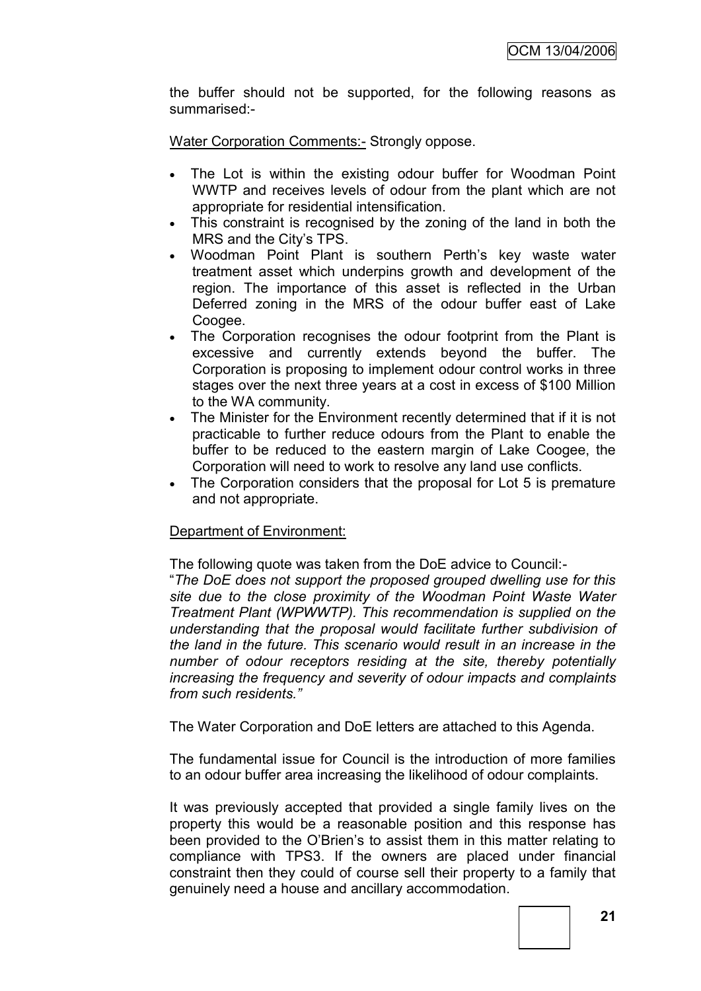the buffer should not be supported, for the following reasons as summarised:-

Water Corporation Comments: - Strongly oppose.

- The Lot is within the existing odour buffer for Woodman Point WWTP and receives levels of odour from the plant which are not appropriate for residential intensification.
- This constraint is recognised by the zoning of the land in both the MRS and the City"s TPS.
- Woodman Point Plant is southern Perth"s key waste water treatment asset which underpins growth and development of the region. The importance of this asset is reflected in the Urban Deferred zoning in the MRS of the odour buffer east of Lake Coogee.
- The Corporation recognises the odour footprint from the Plant is excessive and currently extends beyond the buffer. The Corporation is proposing to implement odour control works in three stages over the next three years at a cost in excess of \$100 Million to the WA community.
- The Minister for the Environment recently determined that if it is not practicable to further reduce odours from the Plant to enable the buffer to be reduced to the eastern margin of Lake Coogee, the Corporation will need to work to resolve any land use conflicts.
- The Corporation considers that the proposal for Lot 5 is premature and not appropriate.

### Department of Environment:

The following quote was taken from the DoE advice to Council:-

"*The DoE does not support the proposed grouped dwelling use for this site due to the close proximity of the Woodman Point Waste Water Treatment Plant (WPWWTP). This recommendation is supplied on the understanding that the proposal would facilitate further subdivision of the land in the future. This scenario would result in an increase in the number of odour receptors residing at the site, thereby potentially increasing the frequency and severity of odour impacts and complaints from such residents."*

The Water Corporation and DoE letters are attached to this Agenda.

The fundamental issue for Council is the introduction of more families to an odour buffer area increasing the likelihood of odour complaints.

It was previously accepted that provided a single family lives on the property this would be a reasonable position and this response has been provided to the O"Brien"s to assist them in this matter relating to compliance with TPS3. If the owners are placed under financial constraint then they could of course sell their property to a family that genuinely need a house and ancillary accommodation.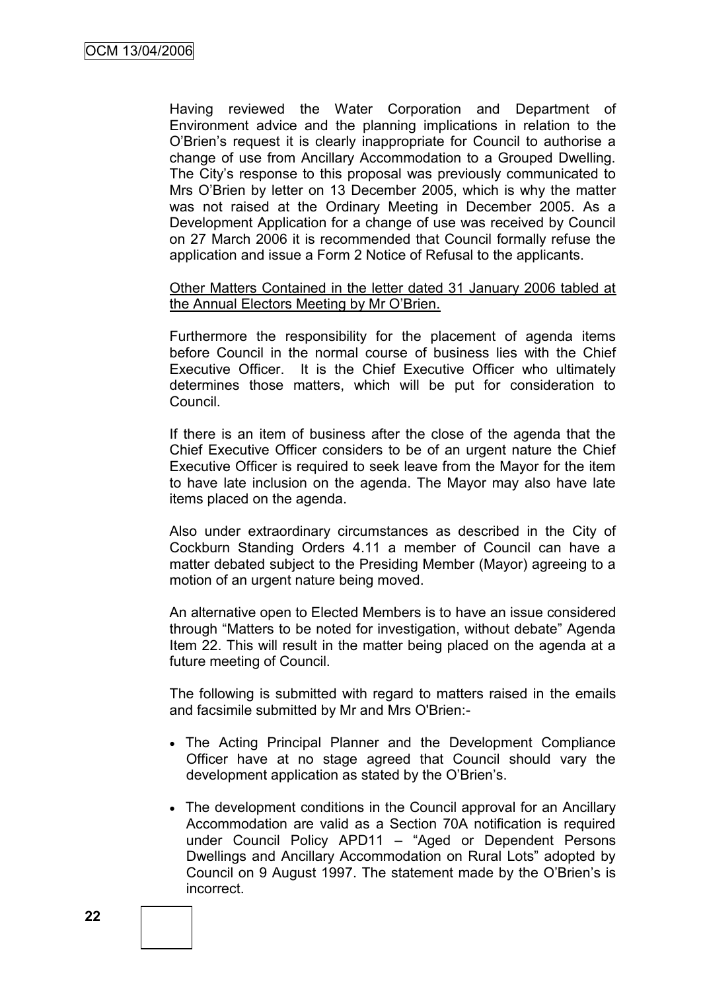Having reviewed the Water Corporation and Department of Environment advice and the planning implications in relation to the O"Brien"s request it is clearly inappropriate for Council to authorise a change of use from Ancillary Accommodation to a Grouped Dwelling. The City"s response to this proposal was previously communicated to Mrs O"Brien by letter on 13 December 2005, which is why the matter was not raised at the Ordinary Meeting in December 2005. As a Development Application for a change of use was received by Council on 27 March 2006 it is recommended that Council formally refuse the application and issue a Form 2 Notice of Refusal to the applicants.

#### Other Matters Contained in the letter dated 31 January 2006 tabled at the Annual Electors Meeting by Mr O"Brien.

Furthermore the responsibility for the placement of agenda items before Council in the normal course of business lies with the Chief Executive Officer. It is the Chief Executive Officer who ultimately determines those matters, which will be put for consideration to Council.

If there is an item of business after the close of the agenda that the Chief Executive Officer considers to be of an urgent nature the Chief Executive Officer is required to seek leave from the Mayor for the item to have late inclusion on the agenda. The Mayor may also have late items placed on the agenda.

Also under extraordinary circumstances as described in the City of Cockburn Standing Orders 4.11 a member of Council can have a matter debated subject to the Presiding Member (Mayor) agreeing to a motion of an urgent nature being moved.

An alternative open to Elected Members is to have an issue considered through "Matters to be noted for investigation, without debate" Agenda Item 22. This will result in the matter being placed on the agenda at a future meeting of Council.

The following is submitted with regard to matters raised in the emails and facsimile submitted by Mr and Mrs O'Brien:-

- The Acting Principal Planner and the Development Compliance Officer have at no stage agreed that Council should vary the development application as stated by the O'Brien's.
- The development conditions in the Council approval for an Ancillary Accommodation are valid as a Section 70A notification is required under Council Policy APD11 – "Aged or Dependent Persons Dwellings and Ancillary Accommodation on Rural Lots" adopted by Council on 9 August 1997. The statement made by the O"Brien"s is incorrect.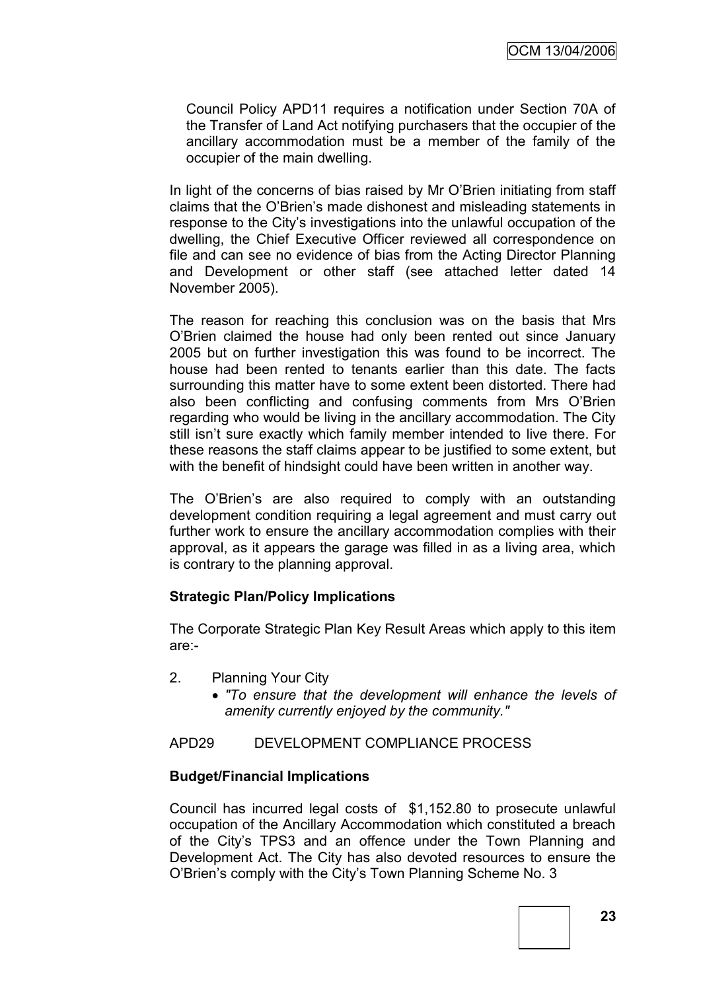Council Policy APD11 requires a notification under Section 70A of the Transfer of Land Act notifying purchasers that the occupier of the ancillary accommodation must be a member of the family of the occupier of the main dwelling.

In light of the concerns of bias raised by Mr O"Brien initiating from staff claims that the O"Brien"s made dishonest and misleading statements in response to the City"s investigations into the unlawful occupation of the dwelling, the Chief Executive Officer reviewed all correspondence on file and can see no evidence of bias from the Acting Director Planning and Development or other staff (see attached letter dated 14 November 2005).

The reason for reaching this conclusion was on the basis that Mrs O"Brien claimed the house had only been rented out since January 2005 but on further investigation this was found to be incorrect. The house had been rented to tenants earlier than this date. The facts surrounding this matter have to some extent been distorted. There had also been conflicting and confusing comments from Mrs O"Brien regarding who would be living in the ancillary accommodation. The City still isn't sure exactly which family member intended to live there. For these reasons the staff claims appear to be justified to some extent, but with the benefit of hindsight could have been written in another way.

The O'Brien's are also required to comply with an outstanding development condition requiring a legal agreement and must carry out further work to ensure the ancillary accommodation complies with their approval, as it appears the garage was filled in as a living area, which is contrary to the planning approval.

### **Strategic Plan/Policy Implications**

The Corporate Strategic Plan Key Result Areas which apply to this item are:-

- 2. Planning Your City
	- *"To ensure that the development will enhance the levels of amenity currently enjoyed by the community."*

APD29 DEVELOPMENT COMPLIANCE PROCESS

### **Budget/Financial Implications**

Council has incurred legal costs of \$1,152.80 to prosecute unlawful occupation of the Ancillary Accommodation which constituted a breach of the City"s TPS3 and an offence under the Town Planning and Development Act. The City has also devoted resources to ensure the O"Brien"s comply with the City"s Town Planning Scheme No. 3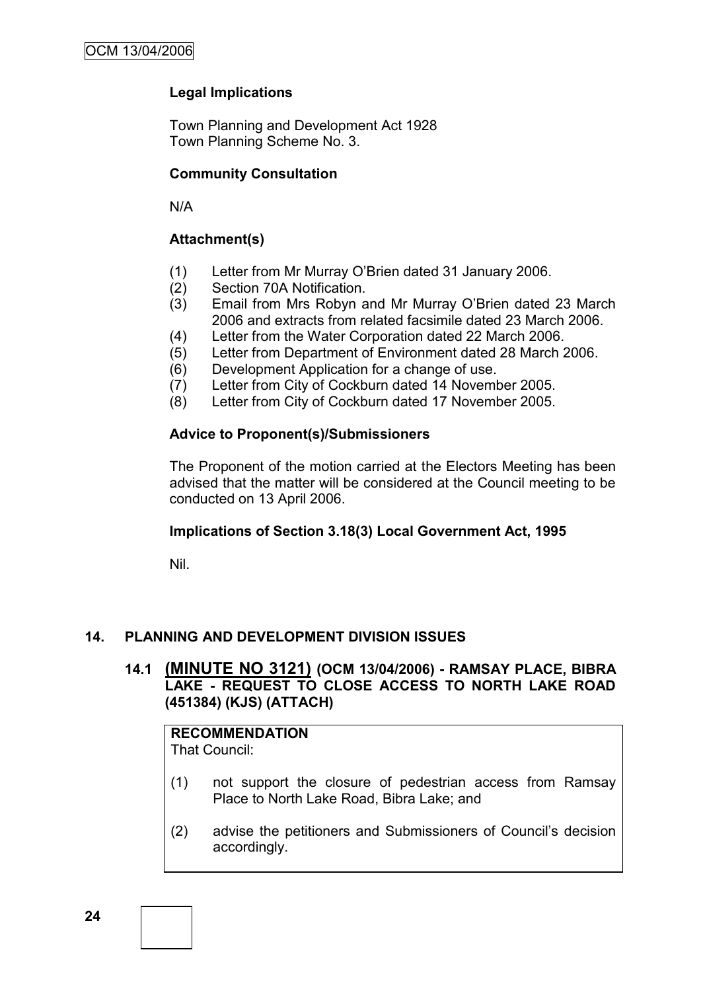### **Legal Implications**

Town Planning and Development Act 1928 Town Planning Scheme No. 3.

### **Community Consultation**

N/A

### **Attachment(s)**

- (1) Letter from Mr Murray O"Brien dated 31 January 2006.
- (2) Section 70A Notification.
- (3) Email from Mrs Robyn and Mr Murray O"Brien dated 23 March 2006 and extracts from related facsimile dated 23 March 2006.
- (4) Letter from the Water Corporation dated 22 March 2006.
- (5) Letter from Department of Environment dated 28 March 2006.
- (6) Development Application for a change of use.
- (7) Letter from City of Cockburn dated 14 November 2005.
- (8) Letter from City of Cockburn dated 17 November 2005.

### **Advice to Proponent(s)/Submissioners**

The Proponent of the motion carried at the Electors Meeting has been advised that the matter will be considered at the Council meeting to be conducted on 13 April 2006.

### **Implications of Section 3.18(3) Local Government Act, 1995**

Nil.

### **14. PLANNING AND DEVELOPMENT DIVISION ISSUES**

### **14.1 (MINUTE NO 3121) (OCM 13/04/2006) - RAMSAY PLACE, BIBRA LAKE - REQUEST TO CLOSE ACCESS TO NORTH LAKE ROAD (451384) (KJS) (ATTACH)**

# **RECOMMENDATION**

That Council:

- (1) not support the closure of pedestrian access from Ramsay Place to North Lake Road, Bibra Lake; and
- (2) advise the petitioners and Submissioners of Council"s decision accordingly.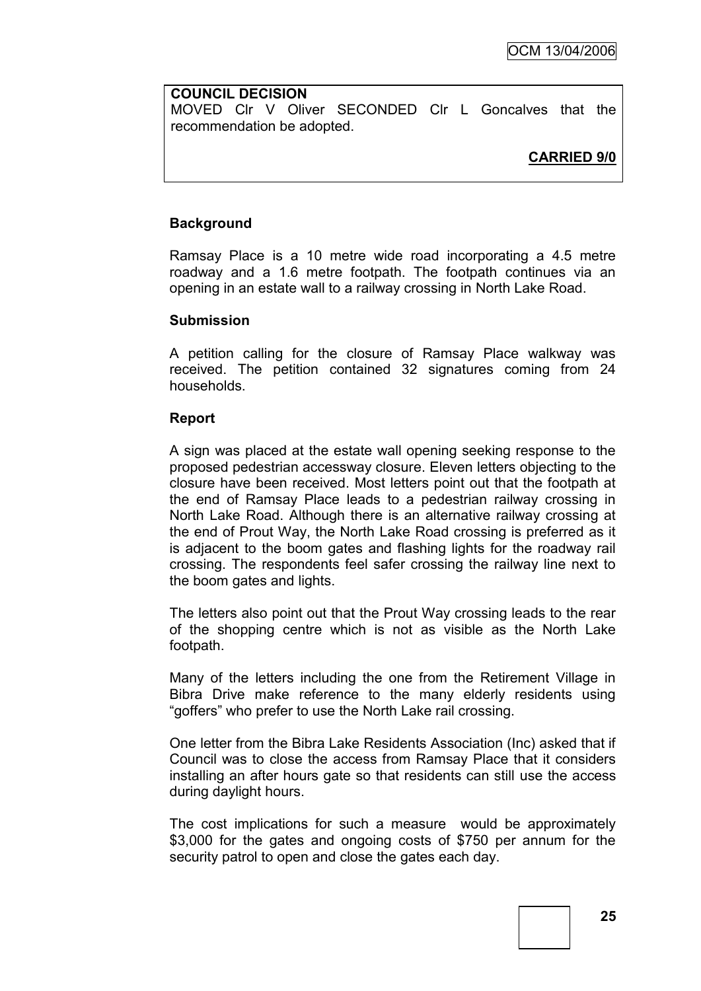#### **COUNCIL DECISION**

MOVED Clr V Oliver SECONDED Clr L Goncalves that the recommendation be adopted.

### **CARRIED 9/0**

#### **Background**

Ramsay Place is a 10 metre wide road incorporating a 4.5 metre roadway and a 1.6 metre footpath. The footpath continues via an opening in an estate wall to a railway crossing in North Lake Road.

#### **Submission**

A petition calling for the closure of Ramsay Place walkway was received. The petition contained 32 signatures coming from 24 households.

#### **Report**

A sign was placed at the estate wall opening seeking response to the proposed pedestrian accessway closure. Eleven letters objecting to the closure have been received. Most letters point out that the footpath at the end of Ramsay Place leads to a pedestrian railway crossing in North Lake Road. Although there is an alternative railway crossing at the end of Prout Way, the North Lake Road crossing is preferred as it is adjacent to the boom gates and flashing lights for the roadway rail crossing. The respondents feel safer crossing the railway line next to the boom gates and lights.

The letters also point out that the Prout Way crossing leads to the rear of the shopping centre which is not as visible as the North Lake footpath.

Many of the letters including the one from the Retirement Village in Bibra Drive make reference to the many elderly residents using "goffers" who prefer to use the North Lake rail crossing.

One letter from the Bibra Lake Residents Association (Inc) asked that if Council was to close the access from Ramsay Place that it considers installing an after hours gate so that residents can still use the access during daylight hours.

The cost implications for such a measure would be approximately \$3,000 for the gates and ongoing costs of \$750 per annum for the security patrol to open and close the gates each day.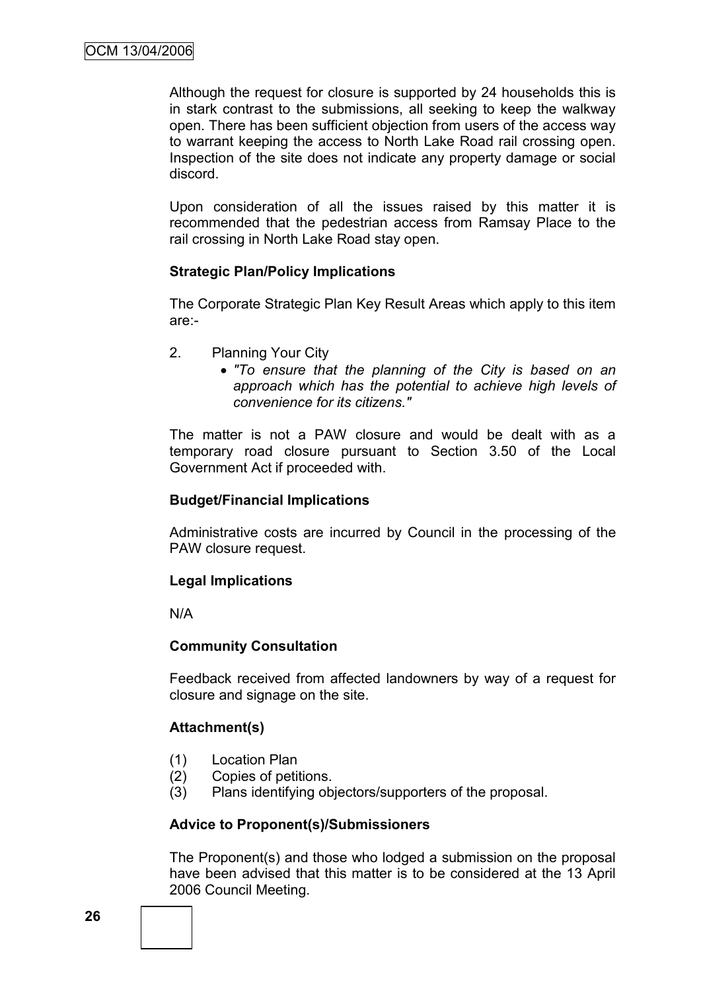Although the request for closure is supported by 24 households this is in stark contrast to the submissions, all seeking to keep the walkway open. There has been sufficient objection from users of the access way to warrant keeping the access to North Lake Road rail crossing open. Inspection of the site does not indicate any property damage or social discord.

Upon consideration of all the issues raised by this matter it is recommended that the pedestrian access from Ramsay Place to the rail crossing in North Lake Road stay open.

### **Strategic Plan/Policy Implications**

The Corporate Strategic Plan Key Result Areas which apply to this item are:-

- 2. Planning Your City
	- *"To ensure that the planning of the City is based on an approach which has the potential to achieve high levels of convenience for its citizens."*

The matter is not a PAW closure and would be dealt with as a temporary road closure pursuant to Section 3.50 of the Local Government Act if proceeded with.

### **Budget/Financial Implications**

Administrative costs are incurred by Council in the processing of the PAW closure request.

#### **Legal Implications**

N/A

### **Community Consultation**

Feedback received from affected landowners by way of a request for closure and signage on the site.

### **Attachment(s)**

- (1) Location Plan
- (2) Copies of petitions.
- (3) Plans identifying objectors/supporters of the proposal.

#### **Advice to Proponent(s)/Submissioners**

The Proponent(s) and those who lodged a submission on the proposal have been advised that this matter is to be considered at the 13 April 2006 Council Meeting.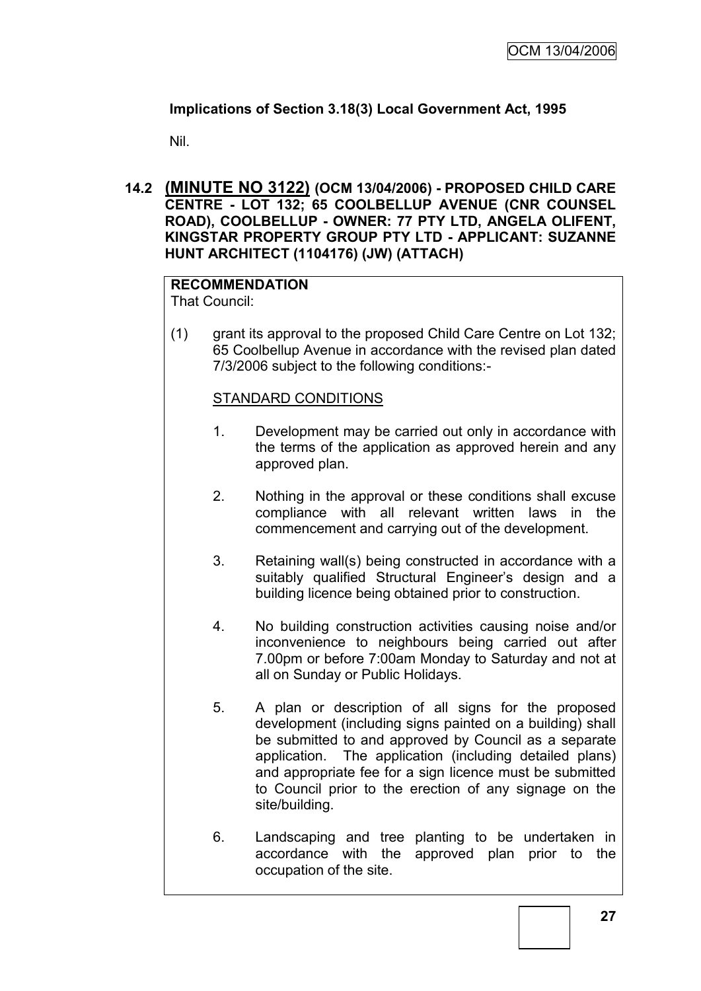### **Implications of Section 3.18(3) Local Government Act, 1995**

Nil.

### **14.2 (MINUTE NO 3122) (OCM 13/04/2006) - PROPOSED CHILD CARE CENTRE - LOT 132; 65 COOLBELLUP AVENUE (CNR COUNSEL ROAD), COOLBELLUP - OWNER: 77 PTY LTD, ANGELA OLIFENT, KINGSTAR PROPERTY GROUP PTY LTD - APPLICANT: SUZANNE HUNT ARCHITECT (1104176) (JW) (ATTACH)**

# **RECOMMENDATION**

That Council:

(1) grant its approval to the proposed Child Care Centre on Lot 132; 65 Coolbellup Avenue in accordance with the revised plan dated 7/3/2006 subject to the following conditions:-

### STANDARD CONDITIONS

- 1. Development may be carried out only in accordance with the terms of the application as approved herein and any approved plan.
- 2. Nothing in the approval or these conditions shall excuse compliance with all relevant written laws in the commencement and carrying out of the development.
- 3. Retaining wall(s) being constructed in accordance with a suitably qualified Structural Engineer's design and a building licence being obtained prior to construction.
- 4. No building construction activities causing noise and/or inconvenience to neighbours being carried out after 7.00pm or before 7:00am Monday to Saturday and not at all on Sunday or Public Holidays.
- 5. A plan or description of all signs for the proposed development (including signs painted on a building) shall be submitted to and approved by Council as a separate application. The application (including detailed plans) and appropriate fee for a sign licence must be submitted to Council prior to the erection of any signage on the site/building.
- 6. Landscaping and tree planting to be undertaken in accordance with the approved plan prior to the occupation of the site.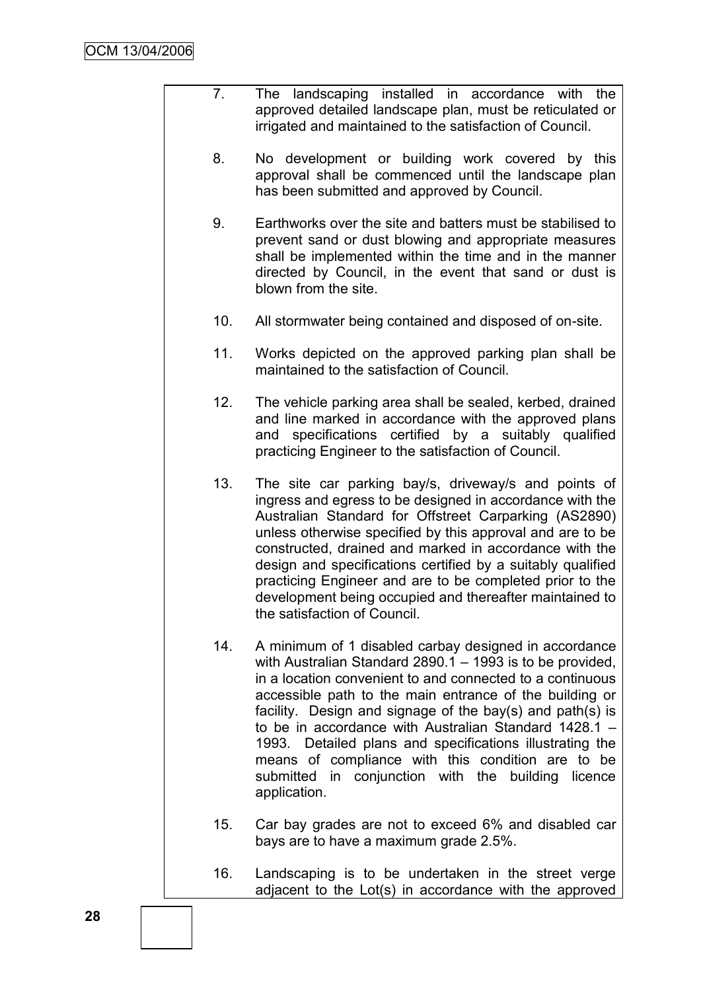- 7. The landscaping installed in accordance with the approved detailed landscape plan, must be reticulated or irrigated and maintained to the satisfaction of Council.
	- 8. No development or building work covered by this approval shall be commenced until the landscape plan has been submitted and approved by Council.
- 9. Earthworks over the site and batters must be stabilised to prevent sand or dust blowing and appropriate measures shall be implemented within the time and in the manner directed by Council, in the event that sand or dust is blown from the site.
- 10. All stormwater being contained and disposed of on-site.
- 11. Works depicted on the approved parking plan shall be maintained to the satisfaction of Council.
- 12. The vehicle parking area shall be sealed, kerbed, drained and line marked in accordance with the approved plans and specifications certified by a suitably qualified practicing Engineer to the satisfaction of Council.
- 13. The site car parking bay/s, driveway/s and points of ingress and egress to be designed in accordance with the Australian Standard for Offstreet Carparking (AS2890) unless otherwise specified by this approval and are to be constructed, drained and marked in accordance with the design and specifications certified by a suitably qualified practicing Engineer and are to be completed prior to the development being occupied and thereafter maintained to the satisfaction of Council.
- 14. A minimum of 1 disabled carbay designed in accordance with Australian Standard 2890.1 – 1993 is to be provided, in a location convenient to and connected to a continuous accessible path to the main entrance of the building or facility. Design and signage of the bay(s) and path(s) is to be in accordance with Australian Standard 1428.1 – 1993. Detailed plans and specifications illustrating the means of compliance with this condition are to be submitted in conjunction with the building licence application.
- 15. Car bay grades are not to exceed 6% and disabled car bays are to have a maximum grade 2.5%.
- 16. Landscaping is to be undertaken in the street verge adjacent to the Lot(s) in accordance with the approved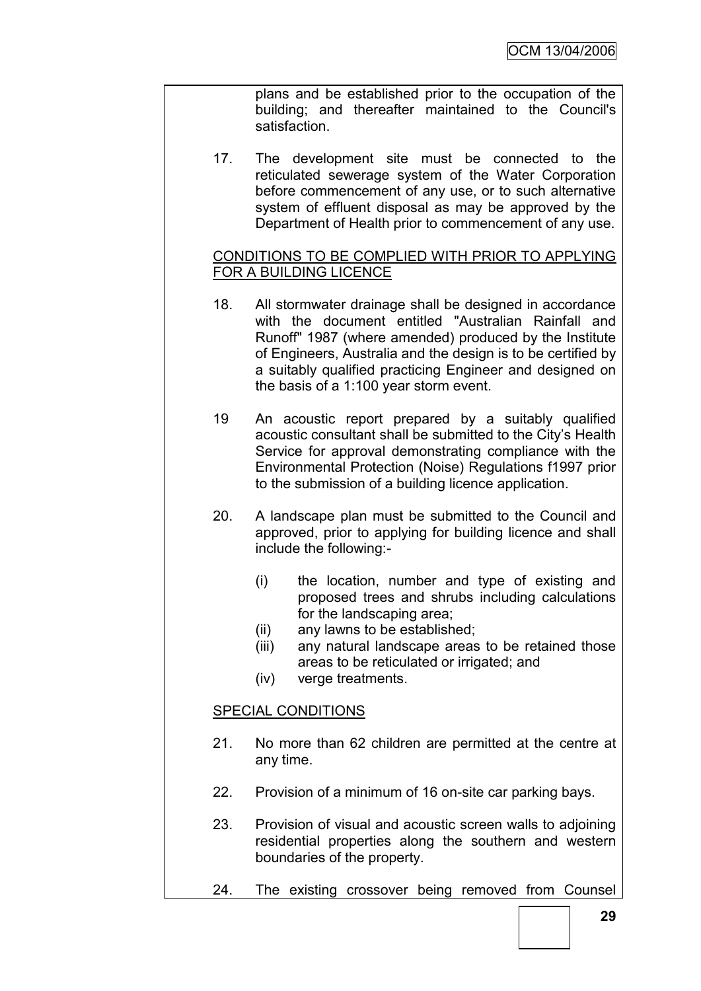plans and be established prior to the occupation of the building; and thereafter maintained to the Council's satisfaction.

17. The development site must be connected to the reticulated sewerage system of the Water Corporation before commencement of any use, or to such alternative system of effluent disposal as may be approved by the Department of Health prior to commencement of any use.

### CONDITIONS TO BE COMPLIED WITH PRIOR TO APPLYING FOR A BUILDING LICENCE

- 18. All stormwater drainage shall be designed in accordance with the document entitled "Australian Rainfall and Runoff" 1987 (where amended) produced by the Institute of Engineers, Australia and the design is to be certified by a suitably qualified practicing Engineer and designed on the basis of a 1:100 year storm event.
- 19 An acoustic report prepared by a suitably qualified acoustic consultant shall be submitted to the City"s Health Service for approval demonstrating compliance with the Environmental Protection (Noise) Regulations f1997 prior to the submission of a building licence application.
- 20. A landscape plan must be submitted to the Council and approved, prior to applying for building licence and shall include the following:-
	- (i) the location, number and type of existing and proposed trees and shrubs including calculations for the landscaping area;
	- (ii) any lawns to be established;
	- (iii) any natural landscape areas to be retained those areas to be reticulated or irrigated; and
	- (iv) verge treatments.

# SPECIAL CONDITIONS

- 21. No more than 62 children are permitted at the centre at any time.
- 22. Provision of a minimum of 16 on-site car parking bays.
- 23. Provision of visual and acoustic screen walls to adjoining residential properties along the southern and western boundaries of the property.
- 24. The existing crossover being removed from Counsel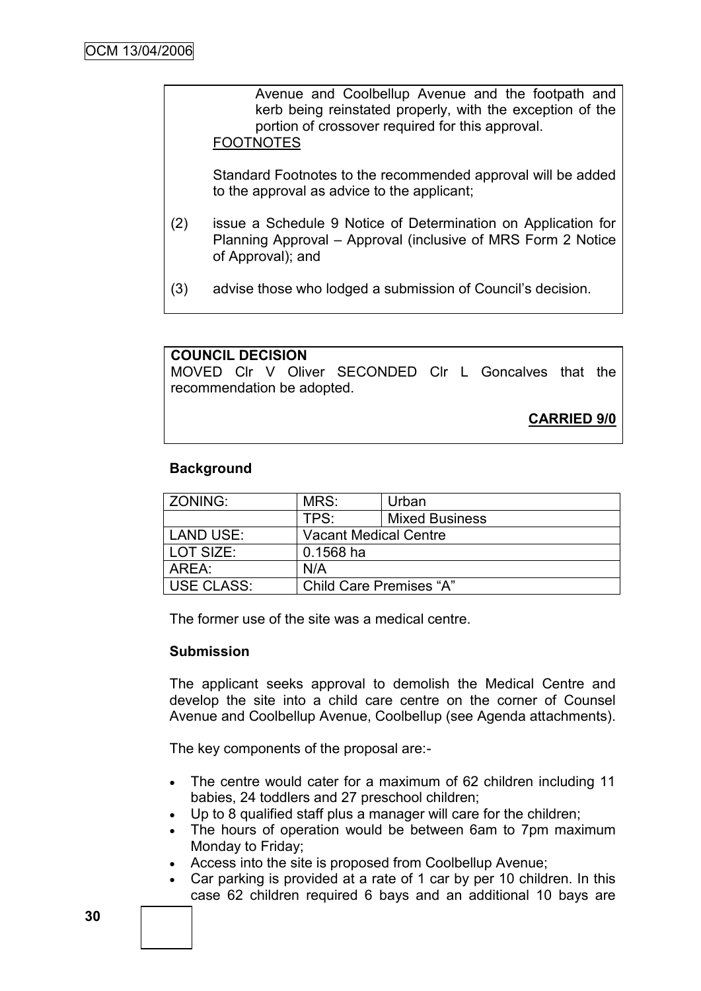Avenue and Coolbellup Avenue and the footpath and kerb being reinstated properly, with the exception of the portion of crossover required for this approval.

### FOOTNOTES

Standard Footnotes to the recommended approval will be added to the approval as advice to the applicant;

- (2) issue a Schedule 9 Notice of Determination on Application for Planning Approval – Approval (inclusive of MRS Form 2 Notice of Approval); and
- (3) advise those who lodged a submission of Council"s decision.

### **COUNCIL DECISION**

MOVED Clr V Oliver SECONDED Clr L Goncalves that the recommendation be adopted.

**CARRIED 9/0**

### **Background**

| ZONING:           | MRS:                         | Urban                 |  |
|-------------------|------------------------------|-----------------------|--|
|                   | TPS:                         | <b>Mixed Business</b> |  |
| LAND USE:         | <b>Vacant Medical Centre</b> |                       |  |
| l LOT SIZE:       | $0.1568$ ha                  |                       |  |
| AREA:             | N/A                          |                       |  |
| <b>USE CLASS:</b> | Child Care Premises "A"      |                       |  |

The former use of the site was a medical centre.

#### **Submission**

The applicant seeks approval to demolish the Medical Centre and develop the site into a child care centre on the corner of Counsel Avenue and Coolbellup Avenue, Coolbellup (see Agenda attachments).

The key components of the proposal are:-

- The centre would cater for a maximum of 62 children including 11 babies, 24 toddlers and 27 preschool children;
- Up to 8 qualified staff plus a manager will care for the children;
- The hours of operation would be between 6am to 7pm maximum Monday to Friday;
- Access into the site is proposed from Coolbellup Avenue;
- Car parking is provided at a rate of 1 car by per 10 children. In this case 62 children required 6 bays and an additional 10 bays are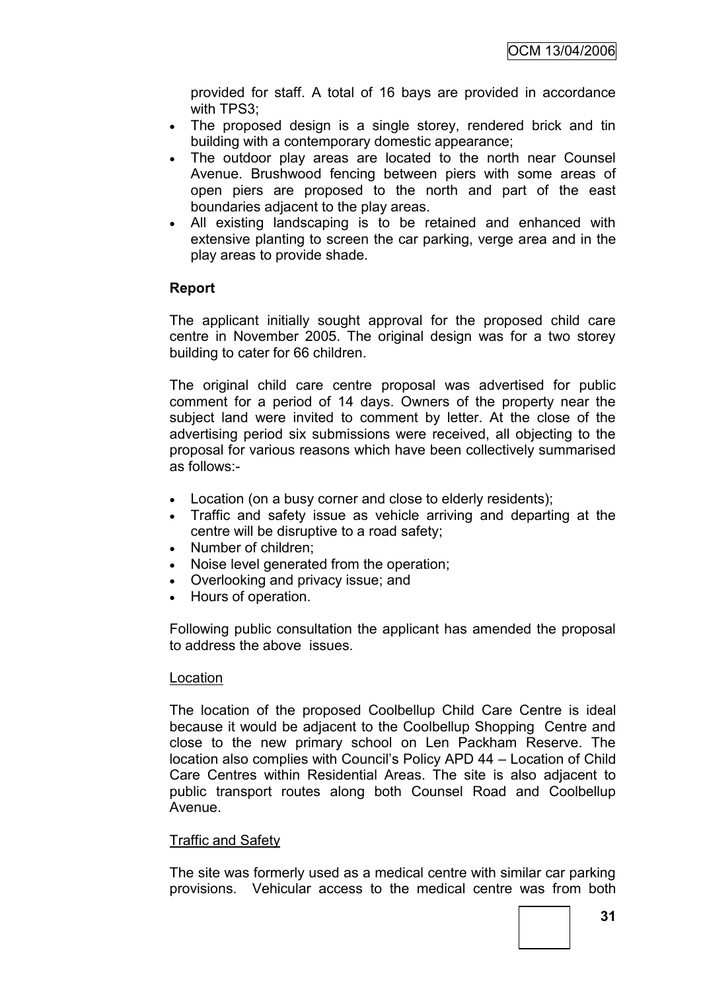provided for staff. A total of 16 bays are provided in accordance with TPS3;

- The proposed design is a single storey, rendered brick and tin building with a contemporary domestic appearance;
- The outdoor play areas are located to the north near Counsel Avenue. Brushwood fencing between piers with some areas of open piers are proposed to the north and part of the east boundaries adjacent to the play areas.
- All existing landscaping is to be retained and enhanced with extensive planting to screen the car parking, verge area and in the play areas to provide shade.

### **Report**

The applicant initially sought approval for the proposed child care centre in November 2005. The original design was for a two storey building to cater for 66 children.

The original child care centre proposal was advertised for public comment for a period of 14 days. Owners of the property near the subject land were invited to comment by letter. At the close of the advertising period six submissions were received, all objecting to the proposal for various reasons which have been collectively summarised as follows:-

- Location (on a busy corner and close to elderly residents);
- Traffic and safety issue as vehicle arriving and departing at the centre will be disruptive to a road safety;
- Number of children:
- Noise level generated from the operation;
- Overlooking and privacy issue; and
- Hours of operation.

Following public consultation the applicant has amended the proposal to address the above issues.

### Location

The location of the proposed Coolbellup Child Care Centre is ideal because it would be adjacent to the Coolbellup Shopping Centre and close to the new primary school on Len Packham Reserve. The location also complies with Council"s Policy APD 44 – Location of Child Care Centres within Residential Areas. The site is also adjacent to public transport routes along both Counsel Road and Coolbellup Avenue.

### **Traffic and Safety**

The site was formerly used as a medical centre with similar car parking provisions. Vehicular access to the medical centre was from both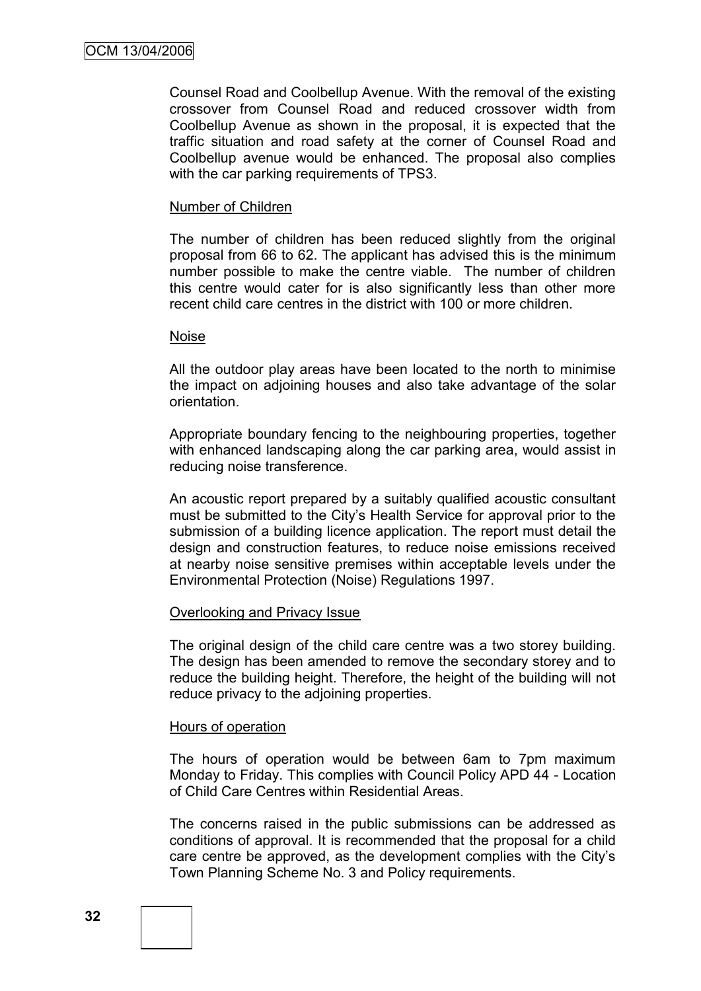Counsel Road and Coolbellup Avenue. With the removal of the existing crossover from Counsel Road and reduced crossover width from Coolbellup Avenue as shown in the proposal, it is expected that the traffic situation and road safety at the corner of Counsel Road and Coolbellup avenue would be enhanced. The proposal also complies with the car parking requirements of TPS3.

#### Number of Children

The number of children has been reduced slightly from the original proposal from 66 to 62. The applicant has advised this is the minimum number possible to make the centre viable. The number of children this centre would cater for is also significantly less than other more recent child care centres in the district with 100 or more children.

#### Noise

All the outdoor play areas have been located to the north to minimise the impact on adjoining houses and also take advantage of the solar orientation.

Appropriate boundary fencing to the neighbouring properties, together with enhanced landscaping along the car parking area, would assist in reducing noise transference.

An acoustic report prepared by a suitably qualified acoustic consultant must be submitted to the City"s Health Service for approval prior to the submission of a building licence application. The report must detail the design and construction features, to reduce noise emissions received at nearby noise sensitive premises within acceptable levels under the Environmental Protection (Noise) Regulations 1997.

#### Overlooking and Privacy Issue

The original design of the child care centre was a two storey building. The design has been amended to remove the secondary storey and to reduce the building height. Therefore, the height of the building will not reduce privacy to the adjoining properties.

#### Hours of operation

The hours of operation would be between 6am to 7pm maximum Monday to Friday. This complies with Council Policy APD 44 - Location of Child Care Centres within Residential Areas.

The concerns raised in the public submissions can be addressed as conditions of approval. It is recommended that the proposal for a child care centre be approved, as the development complies with the City"s Town Planning Scheme No. 3 and Policy requirements.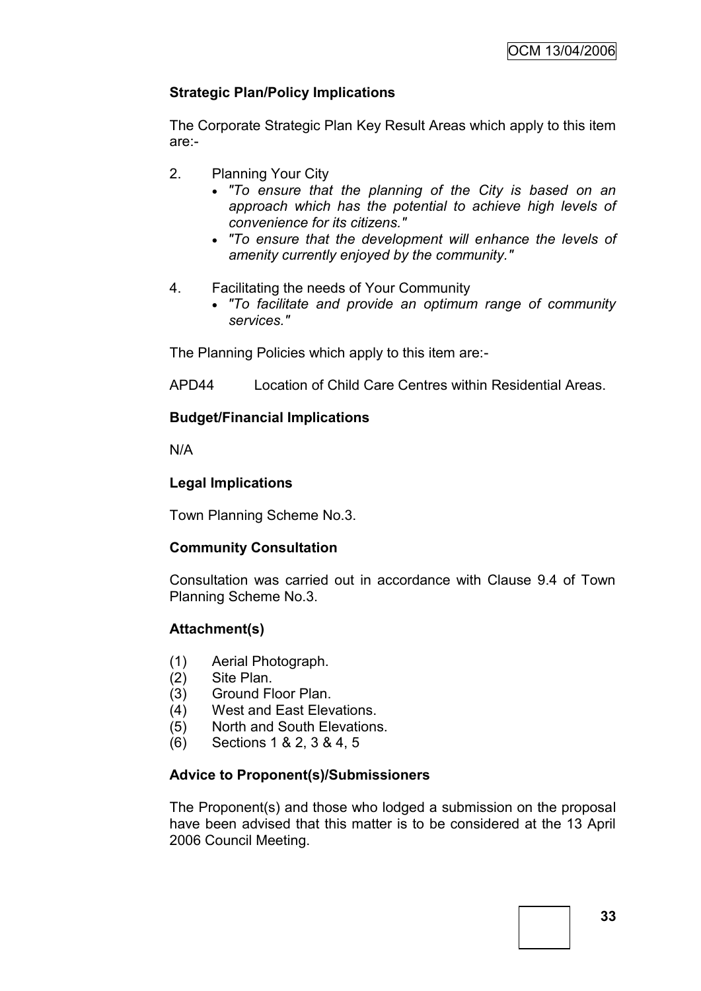# **Strategic Plan/Policy Implications**

The Corporate Strategic Plan Key Result Areas which apply to this item are:-

- 2. Planning Your City
	- *"To ensure that the planning of the City is based on an approach which has the potential to achieve high levels of convenience for its citizens."*
	- *"To ensure that the development will enhance the levels of amenity currently enjoyed by the community."*
- 4. Facilitating the needs of Your Community
	- *"To facilitate and provide an optimum range of community services."*

The Planning Policies which apply to this item are:-

APD44 Location of Child Care Centres within Residential Areas.

# **Budget/Financial Implications**

N/A

# **Legal Implications**

Town Planning Scheme No.3.

# **Community Consultation**

Consultation was carried out in accordance with Clause 9.4 of Town Planning Scheme No.3.

# **Attachment(s)**

- (1) Aerial Photograph.
- (2) Site Plan.
- (3) Ground Floor Plan.
- (4) West and East Elevations.
- (5) North and South Elevations.
- (6) Sections 1 & 2, 3 & 4, 5

# **Advice to Proponent(s)/Submissioners**

The Proponent(s) and those who lodged a submission on the proposal have been advised that this matter is to be considered at the 13 April 2006 Council Meeting.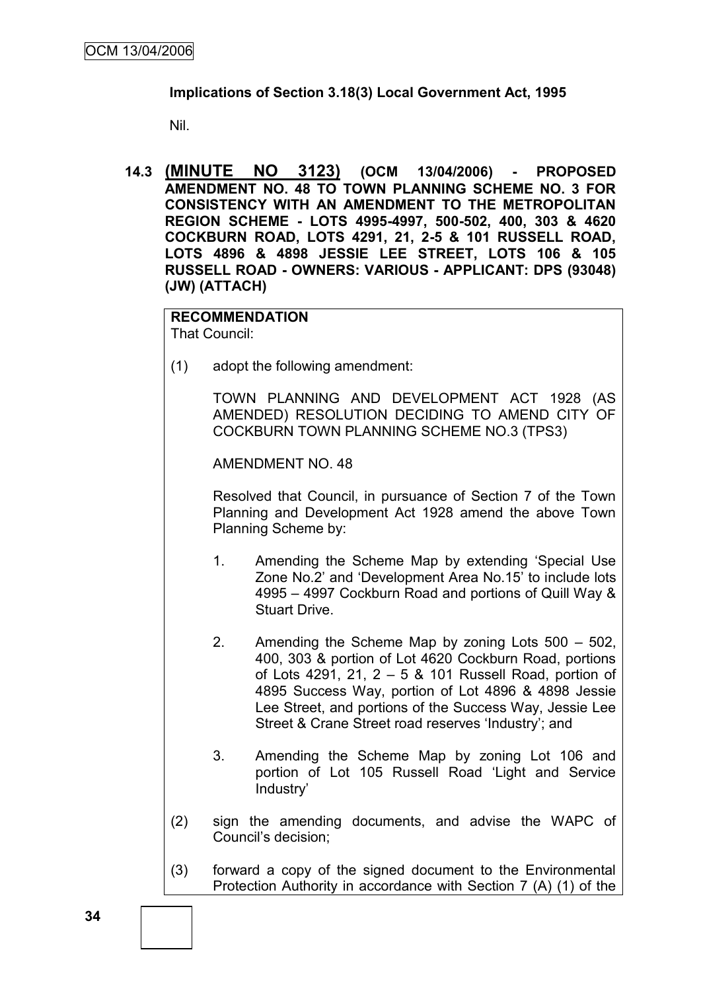# **Implications of Section 3.18(3) Local Government Act, 1995**

Nil.

**14.3 (MINUTE NO 3123) (OCM 13/04/2006) - PROPOSED AMENDMENT NO. 48 TO TOWN PLANNING SCHEME NO. 3 FOR CONSISTENCY WITH AN AMENDMENT TO THE METROPOLITAN REGION SCHEME - LOTS 4995-4997, 500-502, 400, 303 & 4620 COCKBURN ROAD, LOTS 4291, 21, 2-5 & 101 RUSSELL ROAD, LOTS 4896 & 4898 JESSIE LEE STREET, LOTS 106 & 105 RUSSELL ROAD - OWNERS: VARIOUS - APPLICANT: DPS (93048) (JW) (ATTACH)**

**RECOMMENDATION** That Council:

(1) adopt the following amendment:

TOWN PLANNING AND DEVELOPMENT ACT 1928 (AS AMENDED) RESOLUTION DECIDING TO AMEND CITY OF COCKBURN TOWN PLANNING SCHEME NO.3 (TPS3)

AMENDMENT NO. 48

Resolved that Council, in pursuance of Section 7 of the Town Planning and Development Act 1928 amend the above Town Planning Scheme by:

- 1. Amending the Scheme Map by extending "Special Use Zone No.2" and "Development Area No.15" to include lots 4995 – 4997 Cockburn Road and portions of Quill Way & Stuart Drive.
- 2. Amending the Scheme Map by zoning Lots 500 502, 400, 303 & portion of Lot 4620 Cockburn Road, portions of Lots 4291, 21, 2 – 5 & 101 Russell Road, portion of 4895 Success Way, portion of Lot 4896 & 4898 Jessie Lee Street, and portions of the Success Way, Jessie Lee Street & Crane Street road reserves "Industry"; and
- 3. Amending the Scheme Map by zoning Lot 106 and portion of Lot 105 Russell Road "Light and Service Industry"
- (2) sign the amending documents, and advise the WAPC of Council"s decision;
- (3) forward a copy of the signed document to the Environmental Protection Authority in accordance with Section 7 (A) (1) of the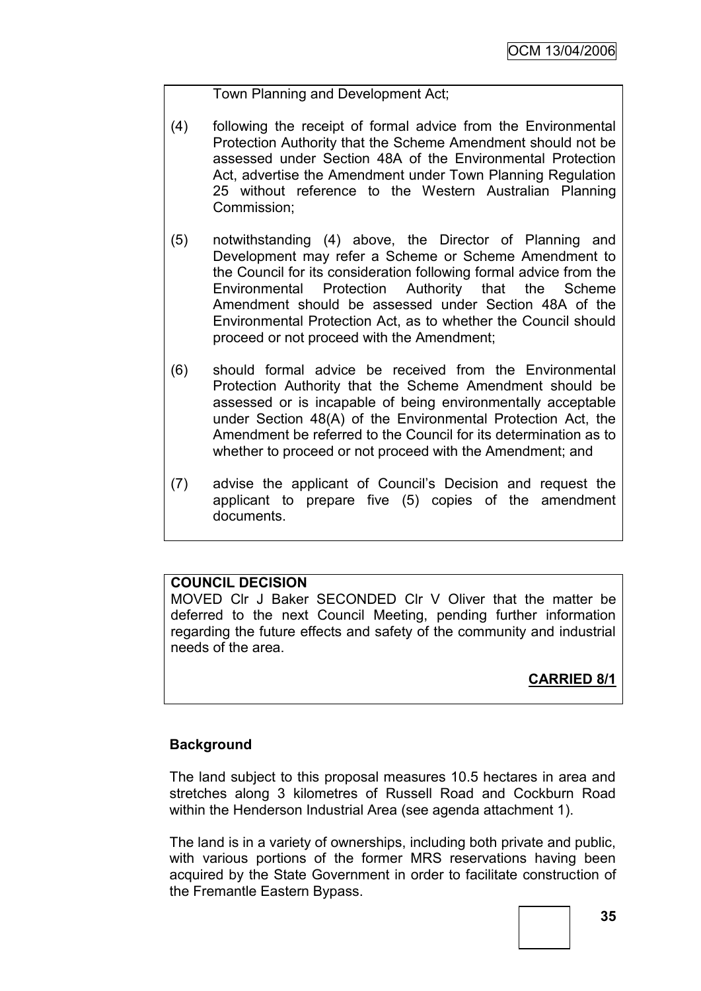Town Planning and Development Act;

- (4) following the receipt of formal advice from the Environmental Protection Authority that the Scheme Amendment should not be assessed under Section 48A of the Environmental Protection Act, advertise the Amendment under Town Planning Regulation 25 without reference to the Western Australian Planning Commission;
- (5) notwithstanding (4) above, the Director of Planning and Development may refer a Scheme or Scheme Amendment to the Council for its consideration following formal advice from the Environmental Protection Authority that the Scheme Amendment should be assessed under Section 48A of the Environmental Protection Act, as to whether the Council should proceed or not proceed with the Amendment;
- (6) should formal advice be received from the Environmental Protection Authority that the Scheme Amendment should be assessed or is incapable of being environmentally acceptable under Section 48(A) of the Environmental Protection Act, the Amendment be referred to the Council for its determination as to whether to proceed or not proceed with the Amendment; and
- (7) advise the applicant of Council"s Decision and request the applicant to prepare five (5) copies of the amendment documents.

# **COUNCIL DECISION**

MOVED Clr J Baker SECONDED Clr V Oliver that the matter be deferred to the next Council Meeting, pending further information regarding the future effects and safety of the community and industrial needs of the area.

# **CARRIED 8/1**

# **Background**

The land subject to this proposal measures 10.5 hectares in area and stretches along 3 kilometres of Russell Road and Cockburn Road within the Henderson Industrial Area (see agenda attachment 1).

The land is in a variety of ownerships, including both private and public, with various portions of the former MRS reservations having been acquired by the State Government in order to facilitate construction of the Fremantle Eastern Bypass.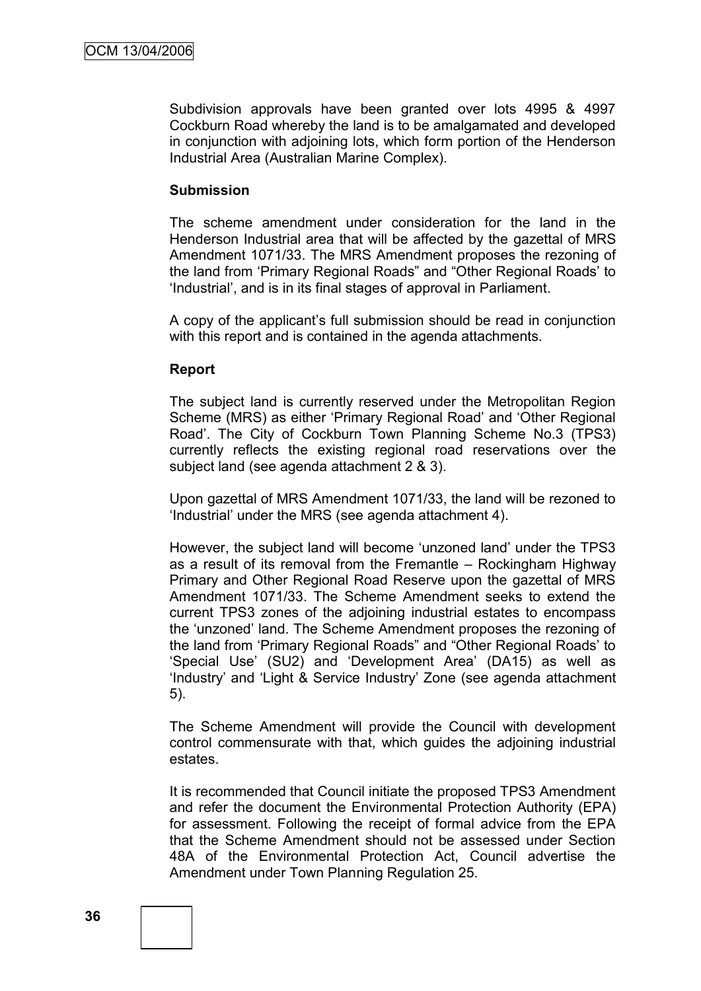Subdivision approvals have been granted over lots 4995 & 4997 Cockburn Road whereby the land is to be amalgamated and developed in conjunction with adjoining lots, which form portion of the Henderson Industrial Area (Australian Marine Complex).

## **Submission**

The scheme amendment under consideration for the land in the Henderson Industrial area that will be affected by the gazettal of MRS Amendment 1071/33. The MRS Amendment proposes the rezoning of the land from "Primary Regional Roads" and "Other Regional Roads" to "Industrial", and is in its final stages of approval in Parliament.

A copy of the applicant"s full submission should be read in conjunction with this report and is contained in the agenda attachments.

## **Report**

The subject land is currently reserved under the Metropolitan Region Scheme (MRS) as either "Primary Regional Road" and "Other Regional Road". The City of Cockburn Town Planning Scheme No.3 (TPS3) currently reflects the existing regional road reservations over the subject land (see agenda attachment 2 & 3).

Upon gazettal of MRS Amendment 1071/33, the land will be rezoned to "Industrial" under the MRS (see agenda attachment 4).

However, the subject land will become "unzoned land" under the TPS3 as a result of its removal from the Fremantle – Rockingham Highway Primary and Other Regional Road Reserve upon the gazettal of MRS Amendment 1071/33. The Scheme Amendment seeks to extend the current TPS3 zones of the adjoining industrial estates to encompass the "unzoned" land. The Scheme Amendment proposes the rezoning of the land from "Primary Regional Roads" and "Other Regional Roads" to 'Special Use' (SU2) and 'Development Area' (DA15) as well as "Industry" and "Light & Service Industry" Zone (see agenda attachment 5).

The Scheme Amendment will provide the Council with development control commensurate with that, which guides the adjoining industrial estates.

It is recommended that Council initiate the proposed TPS3 Amendment and refer the document the Environmental Protection Authority (EPA) for assessment. Following the receipt of formal advice from the EPA that the Scheme Amendment should not be assessed under Section 48A of the Environmental Protection Act, Council advertise the Amendment under Town Planning Regulation 25.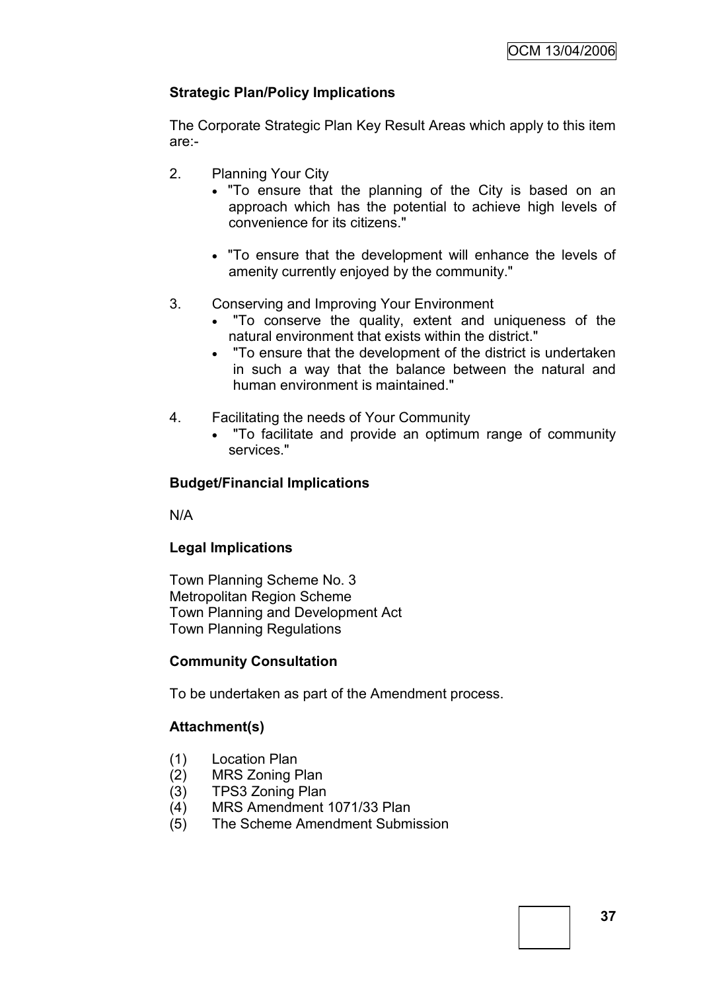# **Strategic Plan/Policy Implications**

The Corporate Strategic Plan Key Result Areas which apply to this item are:-

- 2. Planning Your City
	- "To ensure that the planning of the City is based on an approach which has the potential to achieve high levels of convenience for its citizens."
	- "To ensure that the development will enhance the levels of amenity currently enjoyed by the community."
- 3. Conserving and Improving Your Environment
	- "To conserve the quality, extent and uniqueness of the natural environment that exists within the district."
	- "To ensure that the development of the district is undertaken in such a way that the balance between the natural and human environment is maintained."
- 4. Facilitating the needs of Your Community
	- "To facilitate and provide an optimum range of community services."

# **Budget/Financial Implications**

N/A

# **Legal Implications**

Town Planning Scheme No. 3 Metropolitan Region Scheme Town Planning and Development Act Town Planning Regulations

# **Community Consultation**

To be undertaken as part of the Amendment process.

# **Attachment(s)**

- (1) Location Plan
- (2) MRS Zoning Plan
- (3) TPS3 Zoning Plan
- (4) MRS Amendment 1071/33 Plan
- (5) The Scheme Amendment Submission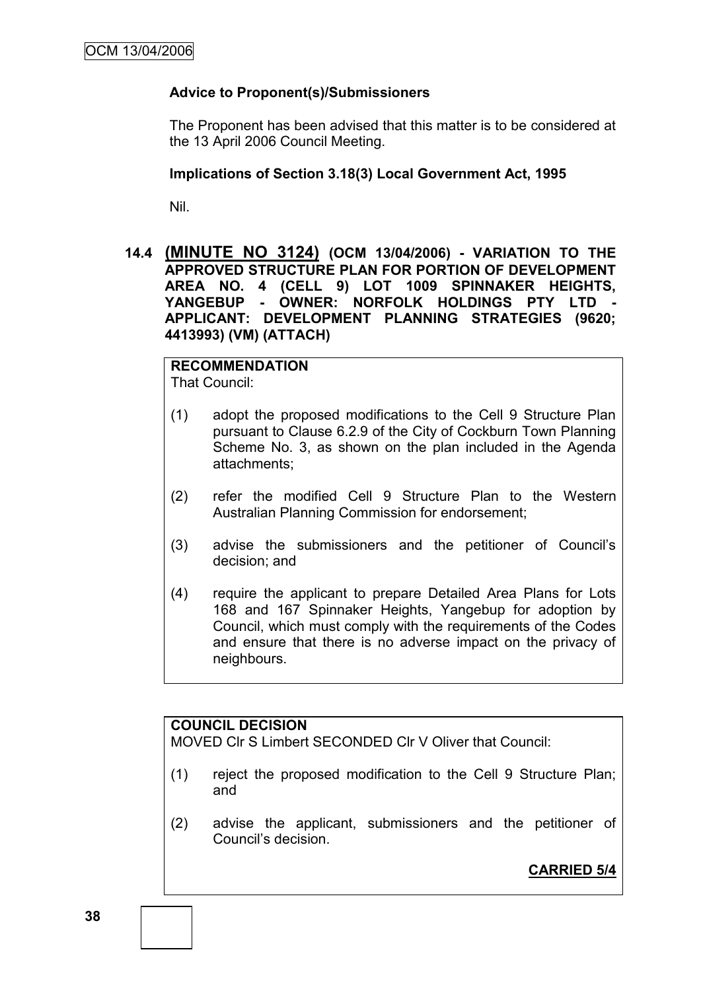# **Advice to Proponent(s)/Submissioners**

The Proponent has been advised that this matter is to be considered at the 13 April 2006 Council Meeting.

## **Implications of Section 3.18(3) Local Government Act, 1995**

Nil.

**14.4 (MINUTE NO 3124) (OCM 13/04/2006) - VARIATION TO THE APPROVED STRUCTURE PLAN FOR PORTION OF DEVELOPMENT AREA NO. 4 (CELL 9) LOT 1009 SPINNAKER HEIGHTS, YANGEBUP - OWNER: NORFOLK HOLDINGS PTY LTD - APPLICANT: DEVELOPMENT PLANNING STRATEGIES (9620; 4413993) (VM) (ATTACH)**

# **RECOMMENDATION**

That Council:

- (1) adopt the proposed modifications to the Cell 9 Structure Plan pursuant to Clause 6.2.9 of the City of Cockburn Town Planning Scheme No. 3, as shown on the plan included in the Agenda attachments;
- (2) refer the modified Cell 9 Structure Plan to the Western Australian Planning Commission for endorsement;
- (3) advise the submissioners and the petitioner of Council"s decision; and
- (4) require the applicant to prepare Detailed Area Plans for Lots 168 and 167 Spinnaker Heights, Yangebup for adoption by Council, which must comply with the requirements of the Codes and ensure that there is no adverse impact on the privacy of neighbours.

# **COUNCIL DECISION**

MOVED Clr S Limbert SECONDED Clr V Oliver that Council:

- (1) reject the proposed modification to the Cell 9 Structure Plan; and
- (2) advise the applicant, submissioners and the petitioner of Council"s decision.

**CARRIED 5/4**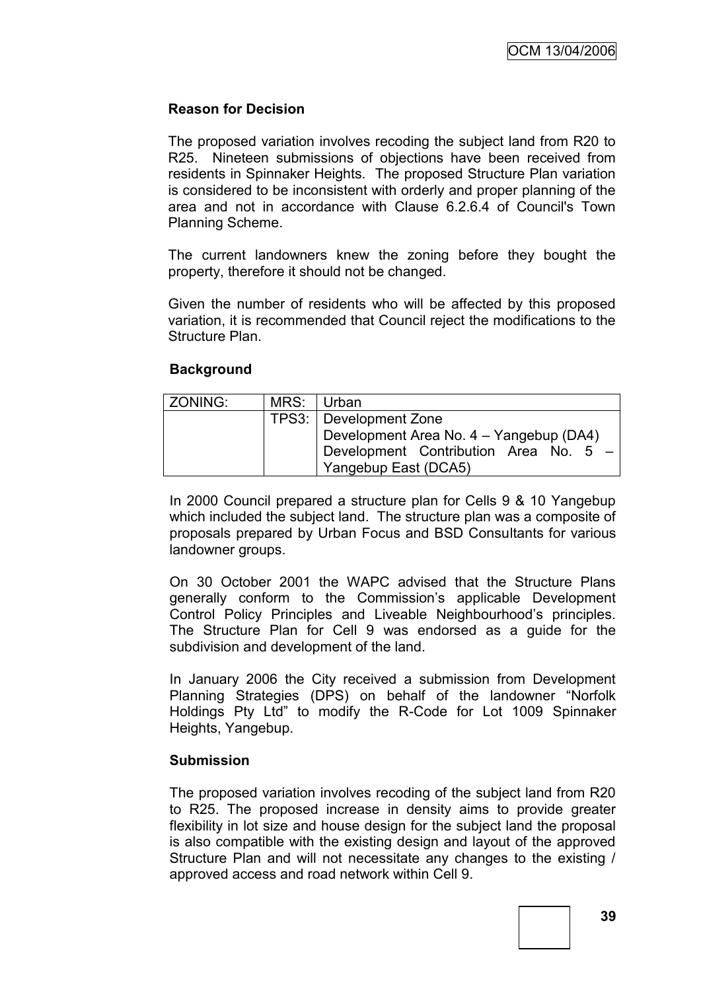# **Reason for Decision**

The proposed variation involves recoding the subject land from R20 to R25. Nineteen submissions of objections have been received from residents in Spinnaker Heights. The proposed Structure Plan variation is considered to be inconsistent with orderly and proper planning of the area and not in accordance with Clause 6.2.6.4 of Council's Town Planning Scheme.

The current landowners knew the zoning before they bought the property, therefore it should not be changed.

Given the number of residents who will be affected by this proposed variation, it is recommended that Council reject the modifications to the Structure Plan.

## **Background**

| ZONING: | MRS: Urban                              |  |  |
|---------|-----------------------------------------|--|--|
|         | TPS3:   Development Zone                |  |  |
|         | Development Area No. 4 - Yangebup (DA4) |  |  |
|         | Development Contribution Area No. 5 -   |  |  |
|         | Yangebup East (DCA5)                    |  |  |

In 2000 Council prepared a structure plan for Cells 9 & 10 Yangebup which included the subject land. The structure plan was a composite of proposals prepared by Urban Focus and BSD Consultants for various landowner groups.

On 30 October 2001 the WAPC advised that the Structure Plans generally conform to the Commission"s applicable Development Control Policy Principles and Liveable Neighbourhood"s principles. The Structure Plan for Cell 9 was endorsed as a guide for the subdivision and development of the land.

In January 2006 the City received a submission from Development Planning Strategies (DPS) on behalf of the landowner "Norfolk Holdings Pty Ltd" to modify the R-Code for Lot 1009 Spinnaker Heights, Yangebup.

#### **Submission**

The proposed variation involves recoding of the subject land from R20 to R25. The proposed increase in density aims to provide greater flexibility in lot size and house design for the subject land the proposal is also compatible with the existing design and layout of the approved Structure Plan and will not necessitate any changes to the existing / approved access and road network within Cell 9.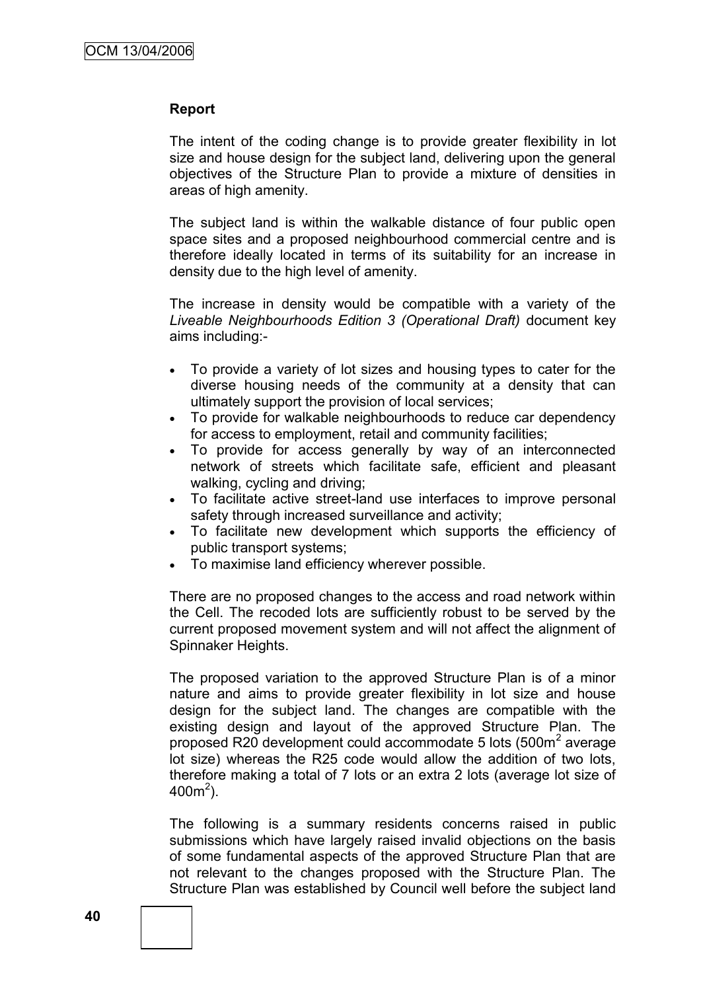## **Report**

The intent of the coding change is to provide greater flexibility in lot size and house design for the subject land, delivering upon the general objectives of the Structure Plan to provide a mixture of densities in areas of high amenity.

The subject land is within the walkable distance of four public open space sites and a proposed neighbourhood commercial centre and is therefore ideally located in terms of its suitability for an increase in density due to the high level of amenity.

The increase in density would be compatible with a variety of the *Liveable Neighbourhoods Edition 3 (Operational Draft)* document key aims including:-

- To provide a variety of lot sizes and housing types to cater for the diverse housing needs of the community at a density that can ultimately support the provision of local services;
- To provide for walkable neighbourhoods to reduce car dependency for access to employment, retail and community facilities;
- To provide for access generally by way of an interconnected network of streets which facilitate safe, efficient and pleasant walking, cycling and driving;
- To facilitate active street-land use interfaces to improve personal safety through increased surveillance and activity;
- To facilitate new development which supports the efficiency of public transport systems;
- To maximise land efficiency wherever possible.

There are no proposed changes to the access and road network within the Cell. The recoded lots are sufficiently robust to be served by the current proposed movement system and will not affect the alignment of Spinnaker Heights.

The proposed variation to the approved Structure Plan is of a minor nature and aims to provide greater flexibility in lot size and house design for the subject land. The changes are compatible with the existing design and layout of the approved Structure Plan. The proposed R20 development could accommodate 5 lots (500m<sup>2</sup> average lot size) whereas the R25 code would allow the addition of two lots, therefore making a total of 7 lots or an extra 2 lots (average lot size of  $400m^2$ ).

The following is a summary residents concerns raised in public submissions which have largely raised invalid objections on the basis of some fundamental aspects of the approved Structure Plan that are not relevant to the changes proposed with the Structure Plan. The Structure Plan was established by Council well before the subject land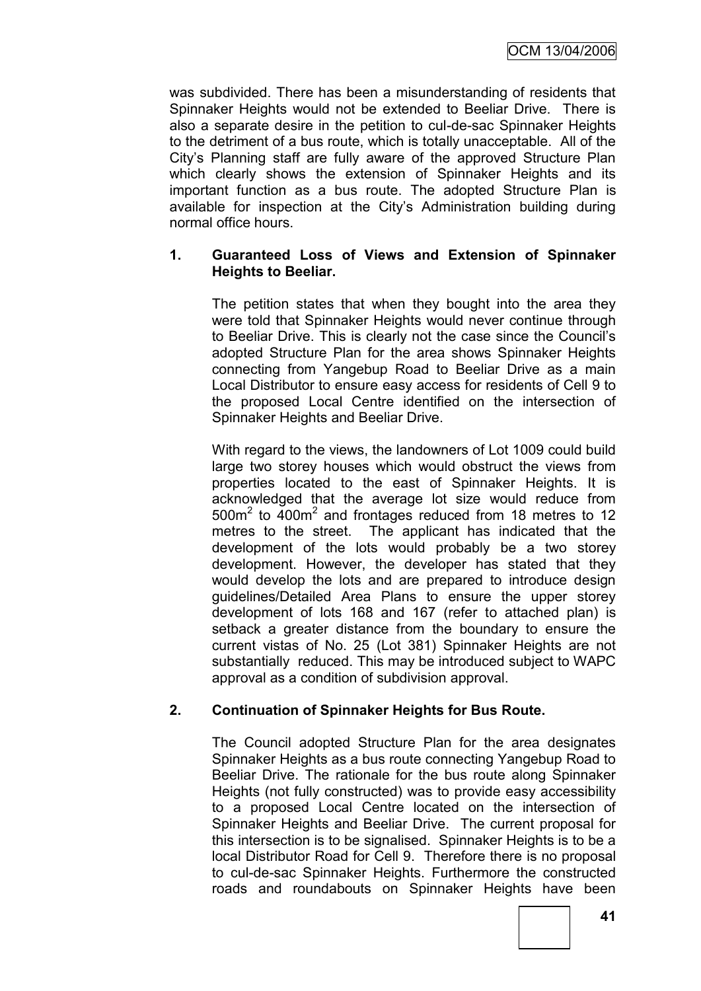was subdivided. There has been a misunderstanding of residents that Spinnaker Heights would not be extended to Beeliar Drive. There is also a separate desire in the petition to cul-de-sac Spinnaker Heights to the detriment of a bus route, which is totally unacceptable. All of the City"s Planning staff are fully aware of the approved Structure Plan which clearly shows the extension of Spinnaker Heights and its important function as a bus route. The adopted Structure Plan is available for inspection at the City's Administration building during normal office hours.

# **1. Guaranteed Loss of Views and Extension of Spinnaker Heights to Beeliar.**

The petition states that when they bought into the area they were told that Spinnaker Heights would never continue through to Beeliar Drive. This is clearly not the case since the Council"s adopted Structure Plan for the area shows Spinnaker Heights connecting from Yangebup Road to Beeliar Drive as a main Local Distributor to ensure easy access for residents of Cell 9 to the proposed Local Centre identified on the intersection of Spinnaker Heights and Beeliar Drive.

With regard to the views, the landowners of Lot 1009 could build large two storey houses which would obstruct the views from properties located to the east of Spinnaker Heights. It is acknowledged that the average lot size would reduce from 500m<sup>2</sup> to 400m<sup>2</sup> and frontages reduced from 18 metres to 12 metres to the street. The applicant has indicated that the development of the lots would probably be a two storey development. However, the developer has stated that they would develop the lots and are prepared to introduce design guidelines/Detailed Area Plans to ensure the upper storey development of lots 168 and 167 (refer to attached plan) is setback a greater distance from the boundary to ensure the current vistas of No. 25 (Lot 381) Spinnaker Heights are not substantially reduced. This may be introduced subject to WAPC approval as a condition of subdivision approval.

# **2. Continuation of Spinnaker Heights for Bus Route.**

The Council adopted Structure Plan for the area designates Spinnaker Heights as a bus route connecting Yangebup Road to Beeliar Drive. The rationale for the bus route along Spinnaker Heights (not fully constructed) was to provide easy accessibility to a proposed Local Centre located on the intersection of Spinnaker Heights and Beeliar Drive. The current proposal for this intersection is to be signalised. Spinnaker Heights is to be a local Distributor Road for Cell 9. Therefore there is no proposal to cul-de-sac Spinnaker Heights. Furthermore the constructed roads and roundabouts on Spinnaker Heights have been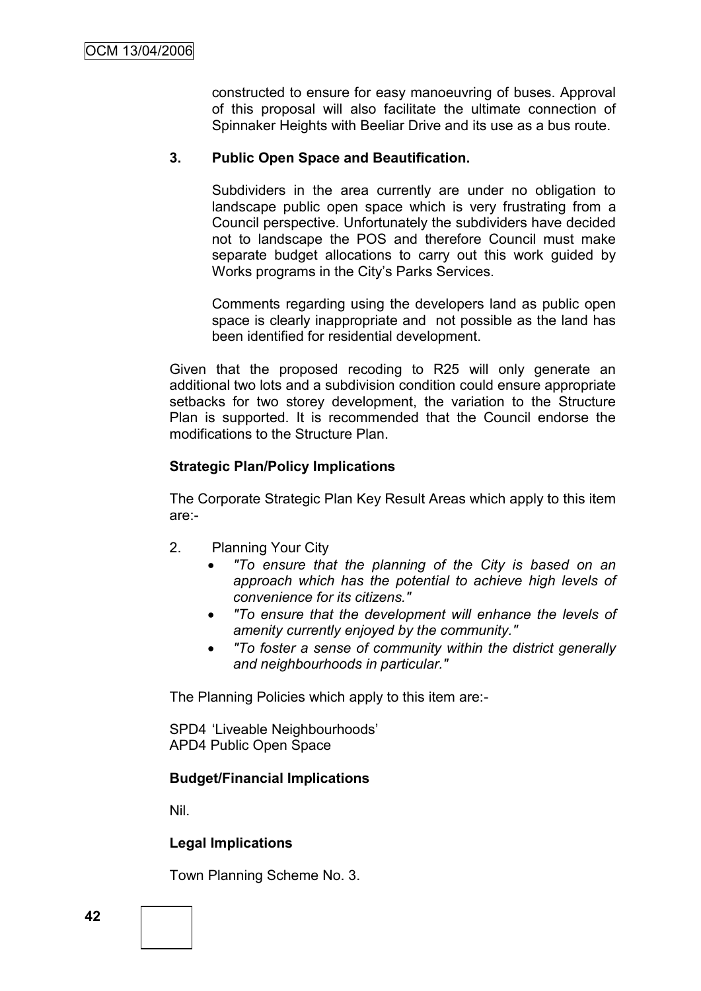constructed to ensure for easy manoeuvring of buses. Approval of this proposal will also facilitate the ultimate connection of Spinnaker Heights with Beeliar Drive and its use as a bus route.

# **3. Public Open Space and Beautification.**

Subdividers in the area currently are under no obligation to landscape public open space which is very frustrating from a Council perspective. Unfortunately the subdividers have decided not to landscape the POS and therefore Council must make separate budget allocations to carry out this work guided by Works programs in the City"s Parks Services.

Comments regarding using the developers land as public open space is clearly inappropriate and not possible as the land has been identified for residential development.

Given that the proposed recoding to R25 will only generate an additional two lots and a subdivision condition could ensure appropriate setbacks for two storey development, the variation to the Structure Plan is supported. It is recommended that the Council endorse the modifications to the Structure Plan.

# **Strategic Plan/Policy Implications**

The Corporate Strategic Plan Key Result Areas which apply to this item are:-

- 2. Planning Your City
	- *"To ensure that the planning of the City is based on an approach which has the potential to achieve high levels of convenience for its citizens."*
	- *"To ensure that the development will enhance the levels of amenity currently enjoyed by the community."*
	- *"To foster a sense of community within the district generally and neighbourhoods in particular."*

The Planning Policies which apply to this item are:-

SPD4 "Liveable Neighbourhoods" APD4 Public Open Space

# **Budget/Financial Implications**

Nil.

# **Legal Implications**

Town Planning Scheme No. 3.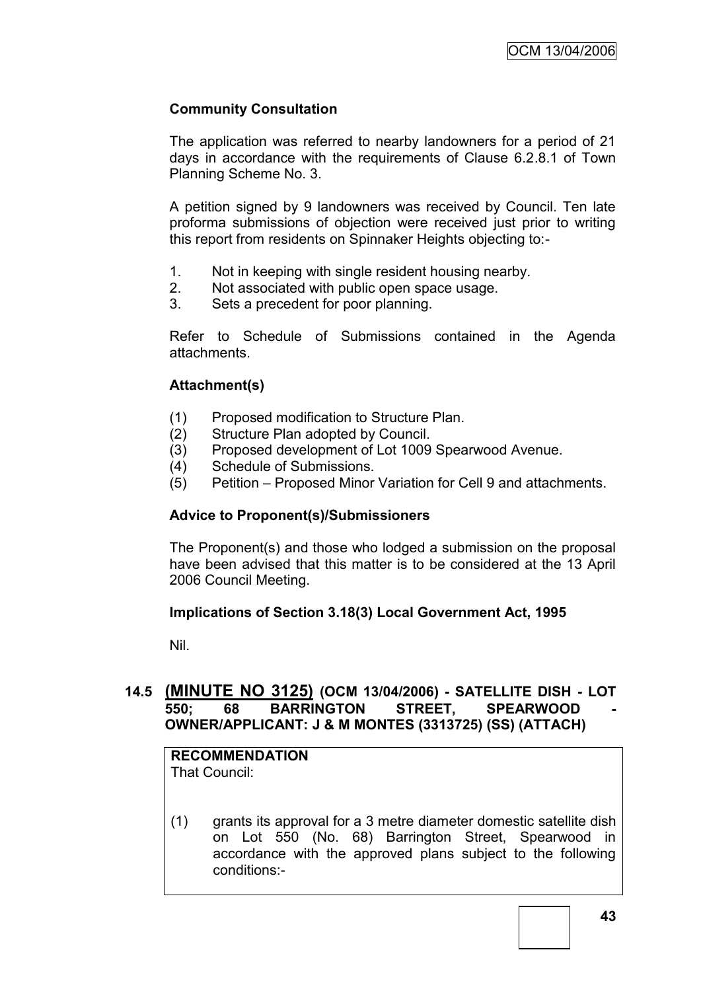# **Community Consultation**

The application was referred to nearby landowners for a period of 21 days in accordance with the requirements of Clause 6.2.8.1 of Town Planning Scheme No. 3.

A petition signed by 9 landowners was received by Council. Ten late proforma submissions of objection were received just prior to writing this report from residents on Spinnaker Heights objecting to:-

- 1. Not in keeping with single resident housing nearby.
- 2. Not associated with public open space usage.
- 3. Sets a precedent for poor planning.

Refer to Schedule of Submissions contained in the Agenda attachments.

# **Attachment(s)**

- (1) Proposed modification to Structure Plan.
- (2) Structure Plan adopted by Council.
- (3) Proposed development of Lot 1009 Spearwood Avenue.
- (4) Schedule of Submissions.
- (5) Petition Proposed Minor Variation for Cell 9 and attachments.

# **Advice to Proponent(s)/Submissioners**

The Proponent(s) and those who lodged a submission on the proposal have been advised that this matter is to be considered at the 13 April 2006 Council Meeting.

# **Implications of Section 3.18(3) Local Government Act, 1995**

Nil.

# **14.5 (MINUTE NO 3125) (OCM 13/04/2006) - SATELLITE DISH - LOT**  550; 68 BARRINGTON STREET, SPEARWOOD **OWNER/APPLICANT: J & M MONTES (3313725) (SS) (ATTACH)**

#### **RECOMMENDATION** That Council:

(1) grants its approval for a 3 metre diameter domestic satellite dish on Lot 550 (No. 68) Barrington Street, Spearwood in accordance with the approved plans subject to the following conditions:-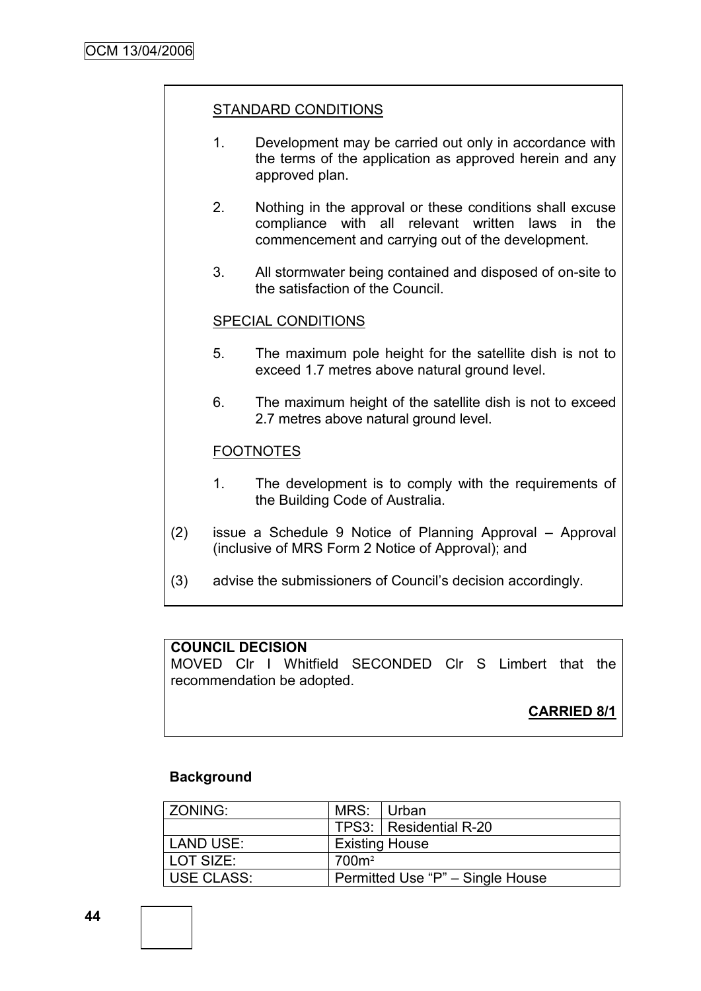# STANDARD CONDITIONS

- 1. Development may be carried out only in accordance with the terms of the application as approved herein and any approved plan.
- 2. Nothing in the approval or these conditions shall excuse compliance with all relevant written laws in the commencement and carrying out of the development.
- 3. All stormwater being contained and disposed of on-site to the satisfaction of the Council.

#### SPECIAL CONDITIONS

- 5. The maximum pole height for the satellite dish is not to exceed 1.7 metres above natural ground level.
- 6. The maximum height of the satellite dish is not to exceed 2.7 metres above natural ground level.

## FOOTNOTES

- 1. The development is to comply with the requirements of the Building Code of Australia.
- (2) issue a Schedule 9 Notice of Planning Approval Approval (inclusive of MRS Form 2 Notice of Approval); and
- (3) advise the submissioners of Council"s decision accordingly.

#### **COUNCIL DECISION**

MOVED Clr I Whitfield SECONDED Clr S Limbert that the recommendation be adopted.

# **CARRIED 8/1**

#### **Background**

| l ZONING:         | MRS: Urban        |                                  |
|-------------------|-------------------|----------------------------------|
|                   |                   | TPS3:   Residential R-20         |
| LAND USE:         |                   | <b>Existing House</b>            |
| l LOT SIZE:       | 700m <sup>2</sup> |                                  |
| <b>USE CLASS:</b> |                   | Permitted Use "P" - Single House |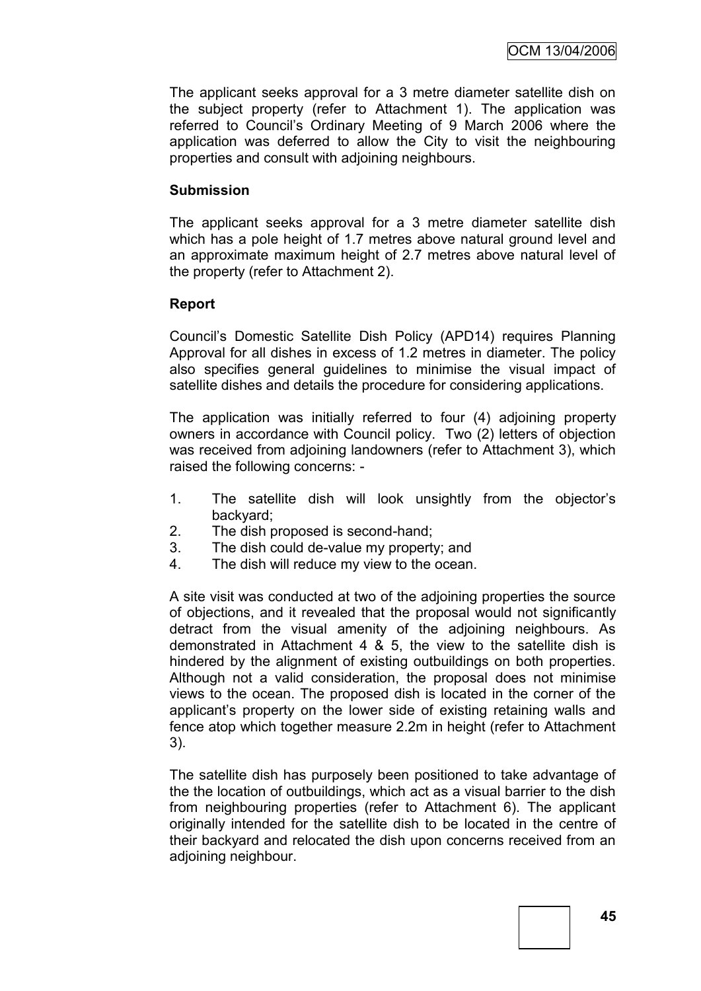The applicant seeks approval for a 3 metre diameter satellite dish on the subject property (refer to Attachment 1). The application was referred to Council"s Ordinary Meeting of 9 March 2006 where the application was deferred to allow the City to visit the neighbouring properties and consult with adjoining neighbours.

# **Submission**

The applicant seeks approval for a 3 metre diameter satellite dish which has a pole height of 1.7 metres above natural ground level and an approximate maximum height of 2.7 metres above natural level of the property (refer to Attachment 2).

# **Report**

Council"s Domestic Satellite Dish Policy (APD14) requires Planning Approval for all dishes in excess of 1.2 metres in diameter. The policy also specifies general guidelines to minimise the visual impact of satellite dishes and details the procedure for considering applications.

The application was initially referred to four (4) adjoining property owners in accordance with Council policy. Two (2) letters of objection was received from adjoining landowners (refer to Attachment 3), which raised the following concerns: -

- 1. The satellite dish will look unsightly from the objector"s backyard;
- 2. The dish proposed is second-hand;
- 3. The dish could de-value my property; and
- 4. The dish will reduce my view to the ocean.

A site visit was conducted at two of the adjoining properties the source of objections, and it revealed that the proposal would not significantly detract from the visual amenity of the adjoining neighbours. As demonstrated in Attachment 4 & 5, the view to the satellite dish is hindered by the alignment of existing outbuildings on both properties. Although not a valid consideration, the proposal does not minimise views to the ocean. The proposed dish is located in the corner of the applicant"s property on the lower side of existing retaining walls and fence atop which together measure 2.2m in height (refer to Attachment 3).

The satellite dish has purposely been positioned to take advantage of the the location of outbuildings, which act as a visual barrier to the dish from neighbouring properties (refer to Attachment 6). The applicant originally intended for the satellite dish to be located in the centre of their backyard and relocated the dish upon concerns received from an adjoining neighbour.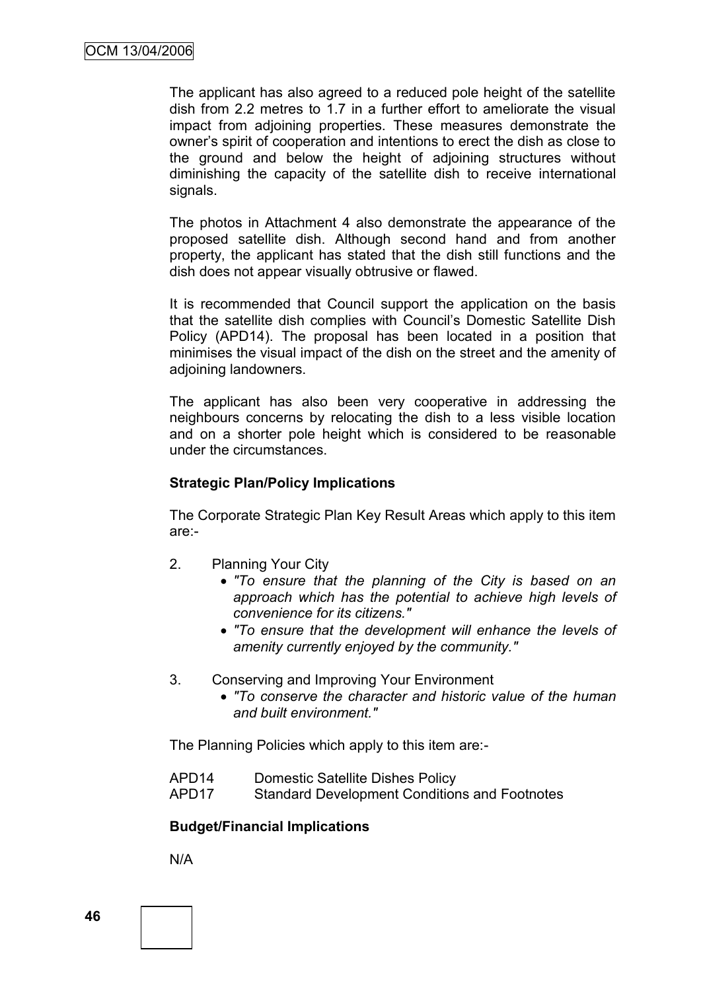The applicant has also agreed to a reduced pole height of the satellite dish from 2.2 metres to 1.7 in a further effort to ameliorate the visual impact from adjoining properties. These measures demonstrate the owner"s spirit of cooperation and intentions to erect the dish as close to the ground and below the height of adjoining structures without diminishing the capacity of the satellite dish to receive international signals.

The photos in Attachment 4 also demonstrate the appearance of the proposed satellite dish. Although second hand and from another property, the applicant has stated that the dish still functions and the dish does not appear visually obtrusive or flawed.

It is recommended that Council support the application on the basis that the satellite dish complies with Council"s Domestic Satellite Dish Policy (APD14). The proposal has been located in a position that minimises the visual impact of the dish on the street and the amenity of adjoining landowners.

The applicant has also been very cooperative in addressing the neighbours concerns by relocating the dish to a less visible location and on a shorter pole height which is considered to be reasonable under the circumstances.

# **Strategic Plan/Policy Implications**

The Corporate Strategic Plan Key Result Areas which apply to this item are:-

- 2. Planning Your City
	- *"To ensure that the planning of the City is based on an approach which has the potential to achieve high levels of convenience for its citizens."*
	- *"To ensure that the development will enhance the levels of amenity currently enjoyed by the community."*
- 3. Conserving and Improving Your Environment
	- *"To conserve the character and historic value of the human and built environment."*

The Planning Policies which apply to this item are:-

- APD14 Domestic Satellite Dishes Policy
- APD17 Standard Development Conditions and Footnotes

# **Budget/Financial Implications**

N/A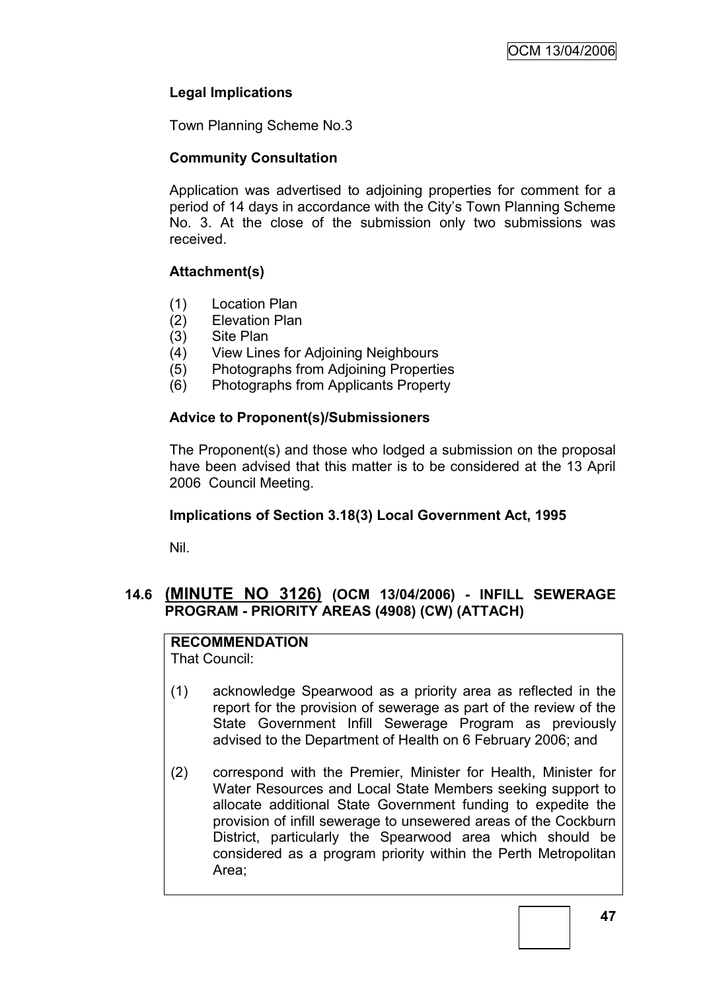# **Legal Implications**

Town Planning Scheme No.3

# **Community Consultation**

Application was advertised to adjoining properties for comment for a period of 14 days in accordance with the City"s Town Planning Scheme No. 3. At the close of the submission only two submissions was received.

# **Attachment(s)**

- (1) Location Plan
- (2) Elevation Plan
- (3) Site Plan
- (4) View Lines for Adjoining Neighbours
- (5) Photographs from Adjoining Properties
- (6) Photographs from Applicants Property

# **Advice to Proponent(s)/Submissioners**

The Proponent(s) and those who lodged a submission on the proposal have been advised that this matter is to be considered at the 13 April 2006 Council Meeting.

# **Implications of Section 3.18(3) Local Government Act, 1995**

Nil.

# **14.6 (MINUTE NO 3126) (OCM 13/04/2006) - INFILL SEWERAGE PROGRAM - PRIORITY AREAS (4908) (CW) (ATTACH)**

# **RECOMMENDATION**

That Council:

- (1) acknowledge Spearwood as a priority area as reflected in the report for the provision of sewerage as part of the review of the State Government Infill Sewerage Program as previously advised to the Department of Health on 6 February 2006; and
- (2) correspond with the Premier, Minister for Health, Minister for Water Resources and Local State Members seeking support to allocate additional State Government funding to expedite the provision of infill sewerage to unsewered areas of the Cockburn District, particularly the Spearwood area which should be considered as a program priority within the Perth Metropolitan Area;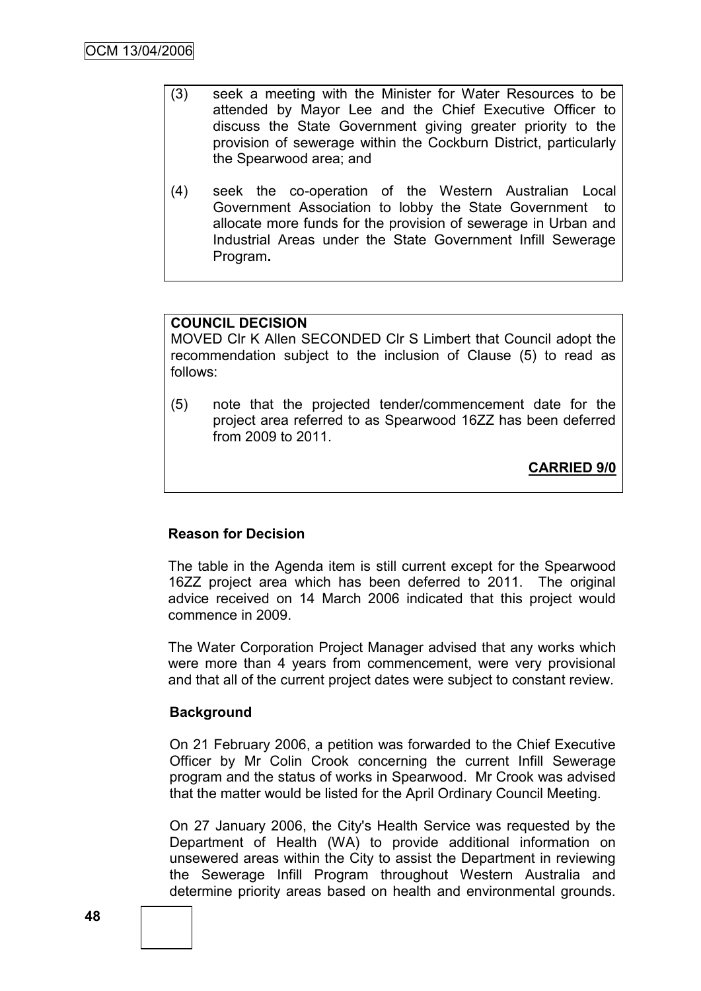- (3) seek a meeting with the Minister for Water Resources to be attended by Mayor Lee and the Chief Executive Officer to discuss the State Government giving greater priority to the provision of sewerage within the Cockburn District, particularly the Spearwood area; and
- (4) seek the co-operation of the Western Australian Local Government Association to lobby the State Government to allocate more funds for the provision of sewerage in Urban and Industrial Areas under the State Government Infill Sewerage Program**.**

# **COUNCIL DECISION**

MOVED Clr K Allen SECONDED Clr S Limbert that Council adopt the recommendation subject to the inclusion of Clause (5) to read as follows:

(5) note that the projected tender/commencement date for the project area referred to as Spearwood 16ZZ has been deferred from 2009 to 2011.

**CARRIED 9/0**

#### **Reason for Decision**

The table in the Agenda item is still current except for the Spearwood 16ZZ project area which has been deferred to 2011. The original advice received on 14 March 2006 indicated that this project would commence in 2009.

The Water Corporation Project Manager advised that any works which were more than 4 years from commencement, were very provisional and that all of the current project dates were subject to constant review.

#### **Background**

On 21 February 2006, a petition was forwarded to the Chief Executive Officer by Mr Colin Crook concerning the current Infill Sewerage program and the status of works in Spearwood. Mr Crook was advised that the matter would be listed for the April Ordinary Council Meeting.

On 27 January 2006, the City's Health Service was requested by the Department of Health (WA) to provide additional information on unsewered areas within the City to assist the Department in reviewing the Sewerage Infill Program throughout Western Australia and determine priority areas based on health and environmental grounds.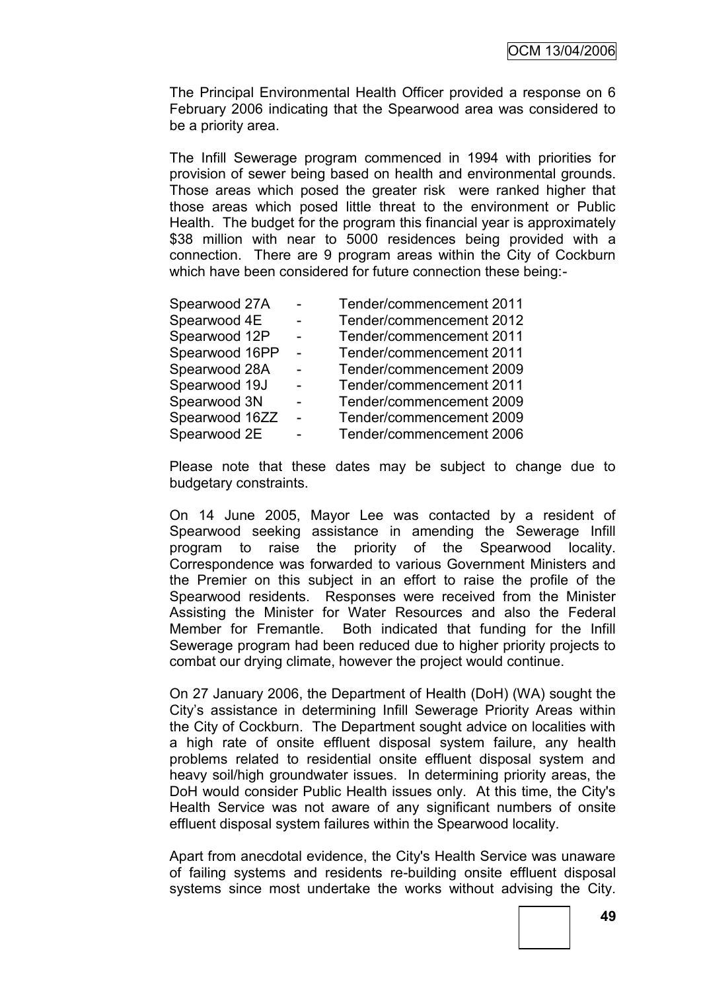The Principal Environmental Health Officer provided a response on 6 February 2006 indicating that the Spearwood area was considered to be a priority area.

The Infill Sewerage program commenced in 1994 with priorities for provision of sewer being based on health and environmental grounds. Those areas which posed the greater risk were ranked higher that those areas which posed little threat to the environment or Public Health. The budget for the program this financial year is approximately \$38 million with near to 5000 residences being provided with a connection. There are 9 program areas within the City of Cockburn which have been considered for future connection these being:-

|                | Tender/commencement 2011 |
|----------------|--------------------------|
| $\blacksquare$ | Tender/commencement 2012 |
|                | Tender/commencement 2011 |
|                | Tender/commencement 2011 |
| $\blacksquare$ | Tender/commencement 2009 |
|                | Tender/commencement 2011 |
|                | Tender/commencement 2009 |
| $\sim$         | Tender/commencement 2009 |
| -              | Tender/commencement 2006 |
|                |                          |

Please note that these dates may be subject to change due to budgetary constraints.

On 14 June 2005, Mayor Lee was contacted by a resident of Spearwood seeking assistance in amending the Sewerage Infill program to raise the priority of the Spearwood locality. Correspondence was forwarded to various Government Ministers and the Premier on this subject in an effort to raise the profile of the Spearwood residents. Responses were received from the Minister Assisting the Minister for Water Resources and also the Federal Member for Fremantle. Both indicated that funding for the Infill Sewerage program had been reduced due to higher priority projects to combat our drying climate, however the project would continue.

On 27 January 2006, the Department of Health (DoH) (WA) sought the City"s assistance in determining Infill Sewerage Priority Areas within the City of Cockburn. The Department sought advice on localities with a high rate of onsite effluent disposal system failure, any health problems related to residential onsite effluent disposal system and heavy soil/high groundwater issues. In determining priority areas, the DoH would consider Public Health issues only. At this time, the City's Health Service was not aware of any significant numbers of onsite effluent disposal system failures within the Spearwood locality.

Apart from anecdotal evidence, the City's Health Service was unaware of failing systems and residents re-building onsite effluent disposal systems since most undertake the works without advising the City.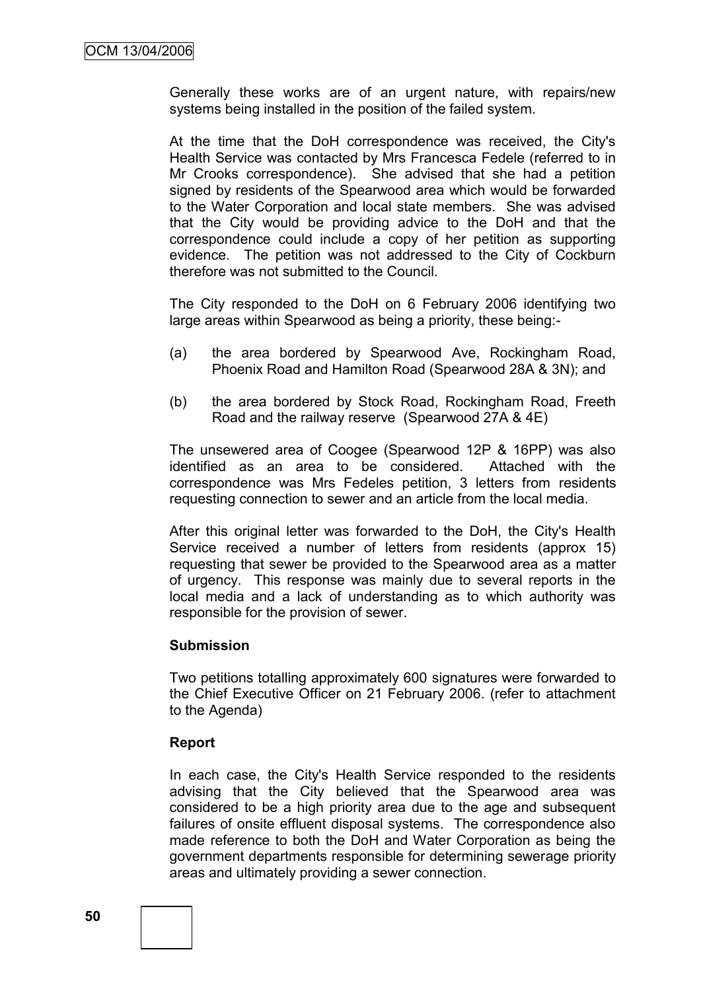Generally these works are of an urgent nature, with repairs/new systems being installed in the position of the failed system.

At the time that the DoH correspondence was received, the City's Health Service was contacted by Mrs Francesca Fedele (referred to in Mr Crooks correspondence). She advised that she had a petition signed by residents of the Spearwood area which would be forwarded to the Water Corporation and local state members. She was advised that the City would be providing advice to the DoH and that the correspondence could include a copy of her petition as supporting evidence. The petition was not addressed to the City of Cockburn therefore was not submitted to the Council.

The City responded to the DoH on 6 February 2006 identifying two large areas within Spearwood as being a priority, these being:-

- (a) the area bordered by Spearwood Ave, Rockingham Road, Phoenix Road and Hamilton Road (Spearwood 28A & 3N); and
- (b) the area bordered by Stock Road, Rockingham Road, Freeth Road and the railway reserve (Spearwood 27A & 4E)

The unsewered area of Coogee (Spearwood 12P & 16PP) was also identified as an area to be considered. Attached with the correspondence was Mrs Fedeles petition, 3 letters from residents requesting connection to sewer and an article from the local media.

After this original letter was forwarded to the DoH, the City's Health Service received a number of letters from residents (approx 15) requesting that sewer be provided to the Spearwood area as a matter of urgency. This response was mainly due to several reports in the local media and a lack of understanding as to which authority was responsible for the provision of sewer.

#### **Submission**

Two petitions totalling approximately 600 signatures were forwarded to the Chief Executive Officer on 21 February 2006. (refer to attachment to the Agenda)

#### **Report**

In each case, the City's Health Service responded to the residents advising that the City believed that the Spearwood area was considered to be a high priority area due to the age and subsequent failures of onsite effluent disposal systems. The correspondence also made reference to both the DoH and Water Corporation as being the government departments responsible for determining sewerage priority areas and ultimately providing a sewer connection.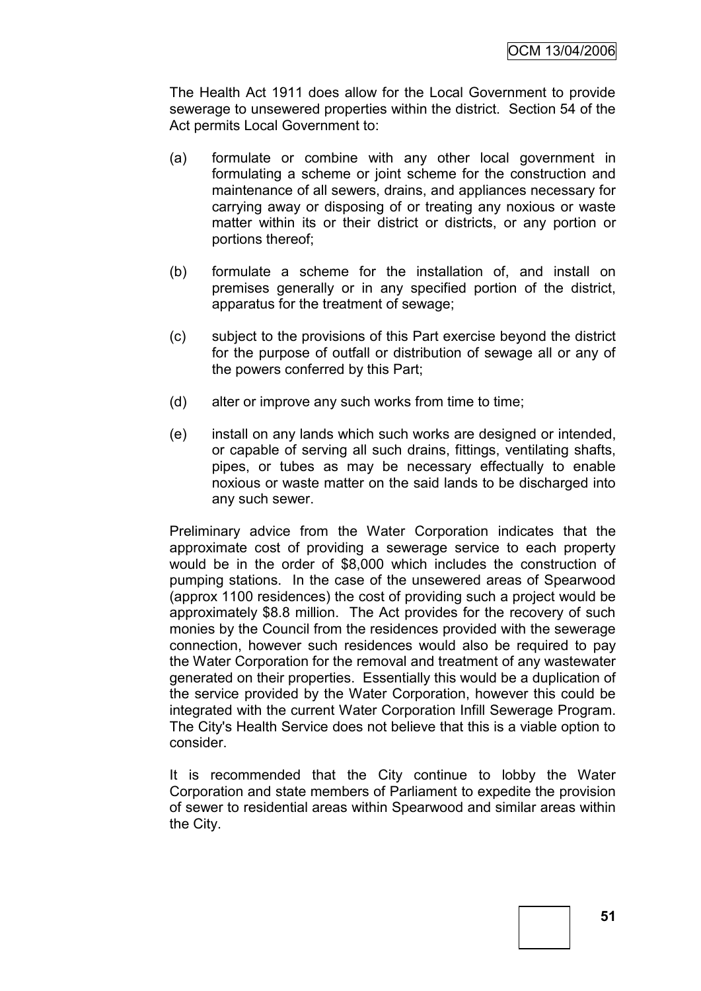The Health Act 1911 does allow for the Local Government to provide sewerage to unsewered properties within the district. Section 54 of the Act permits Local Government to:

- (a) formulate or combine with any other local government in formulating a scheme or joint scheme for the construction and maintenance of all sewers, drains, and appliances necessary for carrying away or disposing of or treating any noxious or waste matter within its or their district or districts, or any portion or portions thereof;
- (b) formulate a scheme for the installation of, and install on premises generally or in any specified portion of the district, apparatus for the treatment of sewage;
- (c) subject to the provisions of this Part exercise beyond the district for the purpose of outfall or distribution of sewage all or any of the powers conferred by this Part;
- (d) alter or improve any such works from time to time;
- (e) install on any lands which such works are designed or intended, or capable of serving all such drains, fittings, ventilating shafts, pipes, or tubes as may be necessary effectually to enable noxious or waste matter on the said lands to be discharged into any such sewer.

Preliminary advice from the Water Corporation indicates that the approximate cost of providing a sewerage service to each property would be in the order of \$8,000 which includes the construction of pumping stations. In the case of the unsewered areas of Spearwood (approx 1100 residences) the cost of providing such a project would be approximately \$8.8 million. The Act provides for the recovery of such monies by the Council from the residences provided with the sewerage connection, however such residences would also be required to pay the Water Corporation for the removal and treatment of any wastewater generated on their properties. Essentially this would be a duplication of the service provided by the Water Corporation, however this could be integrated with the current Water Corporation Infill Sewerage Program. The City's Health Service does not believe that this is a viable option to consider.

It is recommended that the City continue to lobby the Water Corporation and state members of Parliament to expedite the provision of sewer to residential areas within Spearwood and similar areas within the City.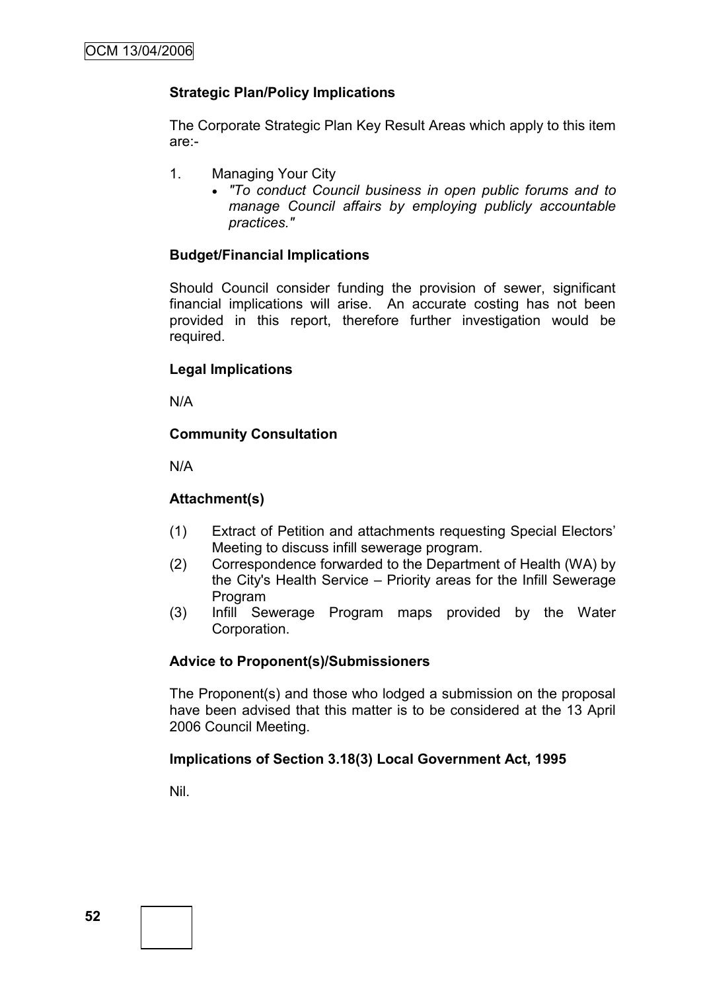# **Strategic Plan/Policy Implications**

The Corporate Strategic Plan Key Result Areas which apply to this item are:-

- 1. Managing Your City
	- *"To conduct Council business in open public forums and to manage Council affairs by employing publicly accountable practices."*

# **Budget/Financial Implications**

Should Council consider funding the provision of sewer, significant financial implications will arise. An accurate costing has not been provided in this report, therefore further investigation would be required.

# **Legal Implications**

N/A

# **Community Consultation**

N/A

# **Attachment(s)**

- (1) Extract of Petition and attachments requesting Special Electors" Meeting to discuss infill sewerage program.
- (2) Correspondence forwarded to the Department of Health (WA) by the City's Health Service – Priority areas for the Infill Sewerage Program
- (3) Infill Sewerage Program maps provided by the Water Corporation.

# **Advice to Proponent(s)/Submissioners**

The Proponent(s) and those who lodged a submission on the proposal have been advised that this matter is to be considered at the 13 April 2006 Council Meeting.

# **Implications of Section 3.18(3) Local Government Act, 1995**

Nil.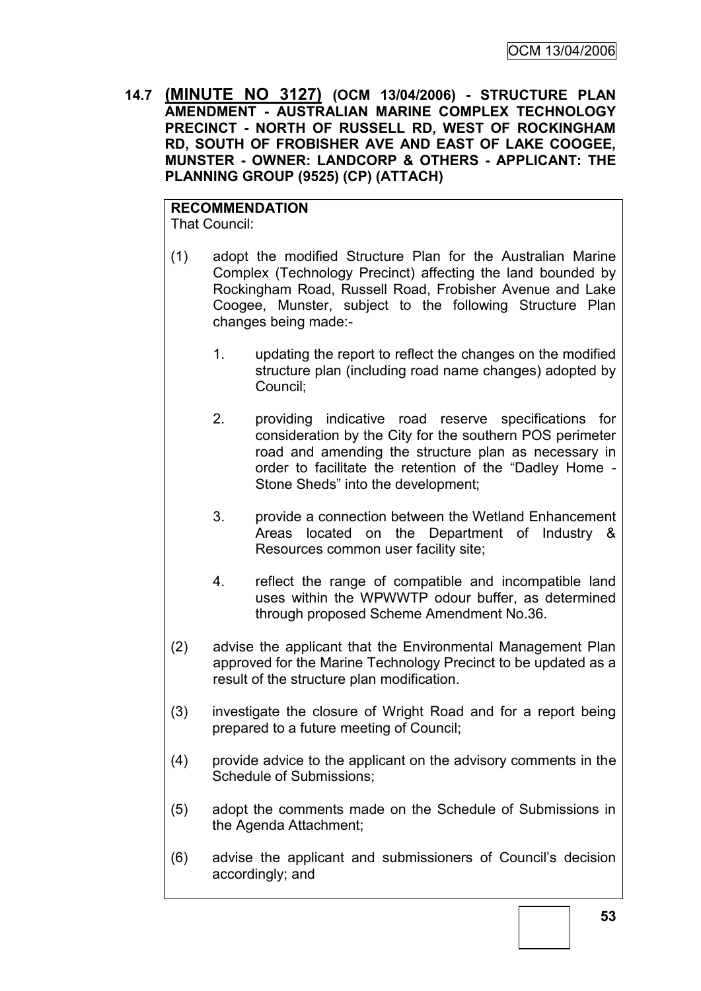**14.7 (MINUTE NO 3127) (OCM 13/04/2006) - STRUCTURE PLAN AMENDMENT - AUSTRALIAN MARINE COMPLEX TECHNOLOGY PRECINCT - NORTH OF RUSSELL RD, WEST OF ROCKINGHAM RD, SOUTH OF FROBISHER AVE AND EAST OF LAKE COOGEE, MUNSTER - OWNER: LANDCORP & OTHERS - APPLICANT: THE PLANNING GROUP (9525) (CP) (ATTACH)**

**RECOMMENDATION** That Council:

- (1) adopt the modified Structure Plan for the Australian Marine Complex (Technology Precinct) affecting the land bounded by Rockingham Road, Russell Road, Frobisher Avenue and Lake Coogee, Munster, subject to the following Structure Plan changes being made:-
	- 1. updating the report to reflect the changes on the modified structure plan (including road name changes) adopted by Council;
	- 2. providing indicative road reserve specifications for consideration by the City for the southern POS perimeter road and amending the structure plan as necessary in order to facilitate the retention of the "Dadley Home - Stone Sheds" into the development;
	- 3. provide a connection between the Wetland Enhancement Areas located on the Department of Industry & Resources common user facility site;
	- 4. reflect the range of compatible and incompatible land uses within the WPWWTP odour buffer, as determined through proposed Scheme Amendment No.36.
- (2) advise the applicant that the Environmental Management Plan approved for the Marine Technology Precinct to be updated as a result of the structure plan modification.
- (3) investigate the closure of Wright Road and for a report being prepared to a future meeting of Council;
- (4) provide advice to the applicant on the advisory comments in the Schedule of Submissions;
- (5) adopt the comments made on the Schedule of Submissions in the Agenda Attachment;
- (6) advise the applicant and submissioners of Council"s decision accordingly; and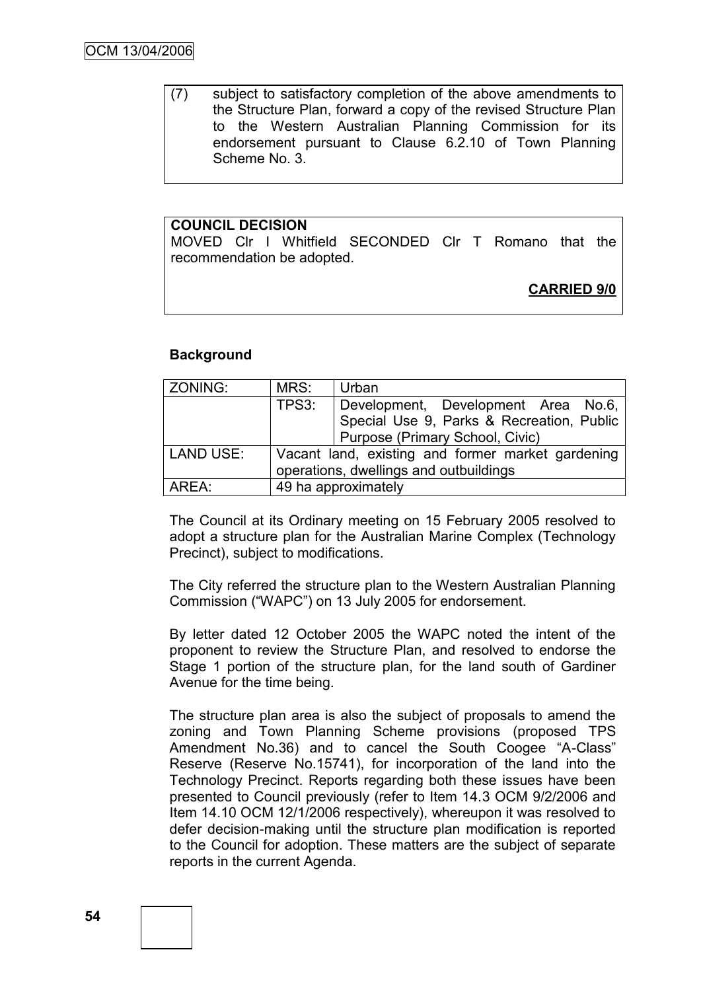(7) subject to satisfactory completion of the above amendments to the Structure Plan, forward a copy of the revised Structure Plan to the Western Australian Planning Commission for its endorsement pursuant to Clause 6.2.10 of Town Planning Scheme No. 3.

## **COUNCIL DECISION**

MOVED Clr I Whitfield SECONDED Clr T Romano that the recommendation be adopted.

**CARRIED 9/0**

## **Background**

| ZONING:          | MRS:                                              | Urban                                     |  |
|------------------|---------------------------------------------------|-------------------------------------------|--|
|                  | TPS3:                                             | Development, Development Area No.6,       |  |
|                  |                                                   | Special Use 9, Parks & Recreation, Public |  |
|                  |                                                   | Purpose (Primary School, Civic)           |  |
| <b>LAND USE:</b> | Vacant land, existing and former market gardening |                                           |  |
|                  | operations, dwellings and outbuildings            |                                           |  |
| AREA:            | 49 ha approximately                               |                                           |  |

The Council at its Ordinary meeting on 15 February 2005 resolved to adopt a structure plan for the Australian Marine Complex (Technology Precinct), subject to modifications.

The City referred the structure plan to the Western Australian Planning Commission ("WAPC") on 13 July 2005 for endorsement.

By letter dated 12 October 2005 the WAPC noted the intent of the proponent to review the Structure Plan, and resolved to endorse the Stage 1 portion of the structure plan, for the land south of Gardiner Avenue for the time being.

The structure plan area is also the subject of proposals to amend the zoning and Town Planning Scheme provisions (proposed TPS Amendment No.36) and to cancel the South Coogee "A-Class" Reserve (Reserve No.15741), for incorporation of the land into the Technology Precinct. Reports regarding both these issues have been presented to Council previously (refer to Item 14.3 OCM 9/2/2006 and Item 14.10 OCM 12/1/2006 respectively), whereupon it was resolved to defer decision-making until the structure plan modification is reported to the Council for adoption. These matters are the subject of separate reports in the current Agenda.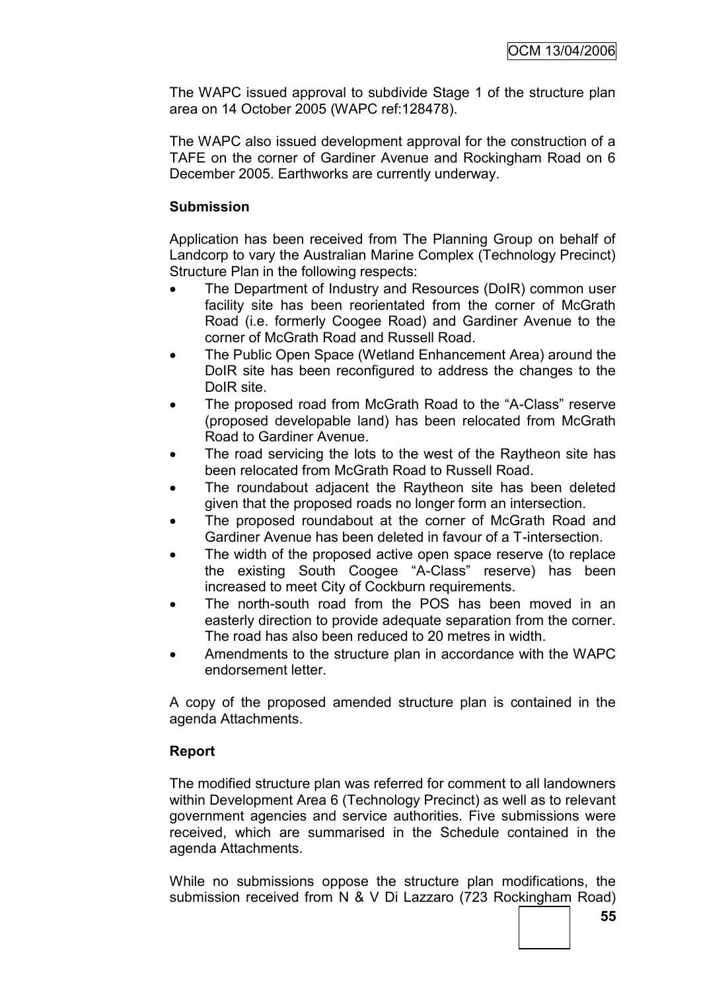The WAPC issued approval to subdivide Stage 1 of the structure plan area on 14 October 2005 (WAPC ref:128478).

The WAPC also issued development approval for the construction of a TAFE on the corner of Gardiner Avenue and Rockingham Road on 6 December 2005. Earthworks are currently underway.

# **Submission**

Application has been received from The Planning Group on behalf of Landcorp to vary the Australian Marine Complex (Technology Precinct) Structure Plan in the following respects:

- The Department of Industry and Resources (DoIR) common user facility site has been reorientated from the corner of McGrath Road (i.e. formerly Coogee Road) and Gardiner Avenue to the corner of McGrath Road and Russell Road.
- The Public Open Space (Wetland Enhancement Area) around the DoIR site has been reconfigured to address the changes to the DoIR site.
- The proposed road from McGrath Road to the "A-Class" reserve (proposed developable land) has been relocated from McGrath Road to Gardiner Avenue.
- The road servicing the lots to the west of the Raytheon site has been relocated from McGrath Road to Russell Road.
- The roundabout adjacent the Raytheon site has been deleted given that the proposed roads no longer form an intersection.
- The proposed roundabout at the corner of McGrath Road and Gardiner Avenue has been deleted in favour of a T-intersection.
- The width of the proposed active open space reserve (to replace the existing South Coogee "A-Class" reserve) has been increased to meet City of Cockburn requirements.
- The north-south road from the POS has been moved in an easterly direction to provide adequate separation from the corner. The road has also been reduced to 20 metres in width.
- Amendments to the structure plan in accordance with the WAPC endorsement letter.

A copy of the proposed amended structure plan is contained in the agenda Attachments.

# **Report**

The modified structure plan was referred for comment to all landowners within Development Area 6 (Technology Precinct) as well as to relevant government agencies and service authorities. Five submissions were received, which are summarised in the Schedule contained in the agenda Attachments.

While no submissions oppose the structure plan modifications, the submission received from N & V Di Lazzaro (723 Rockingham Road)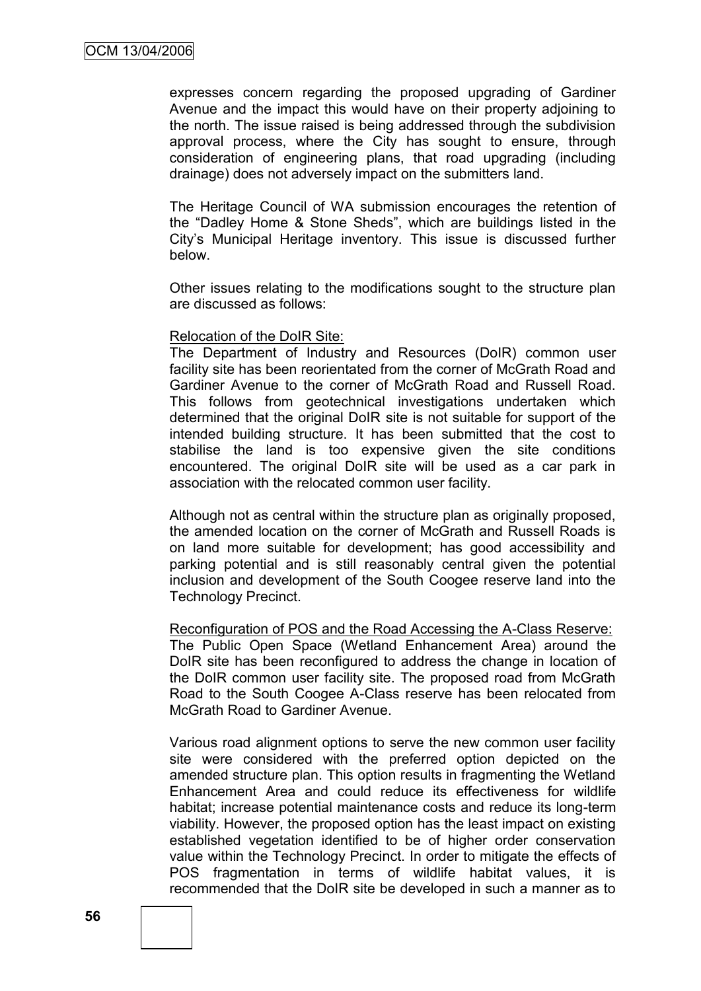expresses concern regarding the proposed upgrading of Gardiner Avenue and the impact this would have on their property adjoining to the north. The issue raised is being addressed through the subdivision approval process, where the City has sought to ensure, through consideration of engineering plans, that road upgrading (including drainage) does not adversely impact on the submitters land.

The Heritage Council of WA submission encourages the retention of the "Dadley Home & Stone Sheds", which are buildings listed in the City"s Municipal Heritage inventory. This issue is discussed further below.

Other issues relating to the modifications sought to the structure plan are discussed as follows:

#### Relocation of the DoIR Site:

The Department of Industry and Resources (DoIR) common user facility site has been reorientated from the corner of McGrath Road and Gardiner Avenue to the corner of McGrath Road and Russell Road. This follows from geotechnical investigations undertaken which determined that the original DoIR site is not suitable for support of the intended building structure. It has been submitted that the cost to stabilise the land is too expensive given the site conditions encountered. The original DoIR site will be used as a car park in association with the relocated common user facility.

Although not as central within the structure plan as originally proposed. the amended location on the corner of McGrath and Russell Roads is on land more suitable for development; has good accessibility and parking potential and is still reasonably central given the potential inclusion and development of the South Coogee reserve land into the Technology Precinct.

Reconfiguration of POS and the Road Accessing the A-Class Reserve: The Public Open Space (Wetland Enhancement Area) around the DoIR site has been reconfigured to address the change in location of the DoIR common user facility site. The proposed road from McGrath Road to the South Coogee A-Class reserve has been relocated from McGrath Road to Gardiner Avenue.

Various road alignment options to serve the new common user facility site were considered with the preferred option depicted on the amended structure plan. This option results in fragmenting the Wetland Enhancement Area and could reduce its effectiveness for wildlife habitat; increase potential maintenance costs and reduce its long-term viability. However, the proposed option has the least impact on existing established vegetation identified to be of higher order conservation value within the Technology Precinct. In order to mitigate the effects of POS fragmentation in terms of wildlife habitat values, it is recommended that the DoIR site be developed in such a manner as to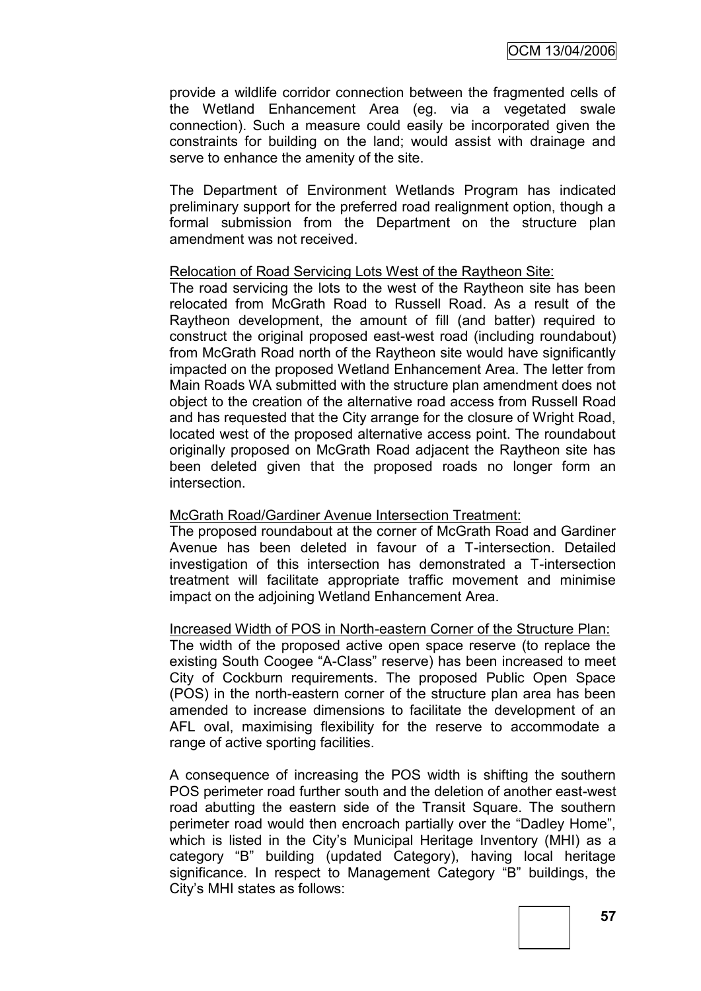provide a wildlife corridor connection between the fragmented cells of the Wetland Enhancement Area (eg. via a vegetated swale connection). Such a measure could easily be incorporated given the constraints for building on the land; would assist with drainage and serve to enhance the amenity of the site.

The Department of Environment Wetlands Program has indicated preliminary support for the preferred road realignment option, though a formal submission from the Department on the structure plan amendment was not received.

## Relocation of Road Servicing Lots West of the Raytheon Site:

The road servicing the lots to the west of the Raytheon site has been relocated from McGrath Road to Russell Road. As a result of the Raytheon development, the amount of fill (and batter) required to construct the original proposed east-west road (including roundabout) from McGrath Road north of the Raytheon site would have significantly impacted on the proposed Wetland Enhancement Area. The letter from Main Roads WA submitted with the structure plan amendment does not object to the creation of the alternative road access from Russell Road and has requested that the City arrange for the closure of Wright Road, located west of the proposed alternative access point. The roundabout originally proposed on McGrath Road adjacent the Raytheon site has been deleted given that the proposed roads no longer form an intersection.

# McGrath Road/Gardiner Avenue Intersection Treatment:

The proposed roundabout at the corner of McGrath Road and Gardiner Avenue has been deleted in favour of a T-intersection. Detailed investigation of this intersection has demonstrated a T-intersection treatment will facilitate appropriate traffic movement and minimise impact on the adjoining Wetland Enhancement Area.

#### Increased Width of POS in North-eastern Corner of the Structure Plan:

The width of the proposed active open space reserve (to replace the existing South Coogee "A-Class" reserve) has been increased to meet City of Cockburn requirements. The proposed Public Open Space (POS) in the north-eastern corner of the structure plan area has been amended to increase dimensions to facilitate the development of an AFL oval, maximising flexibility for the reserve to accommodate a range of active sporting facilities.

A consequence of increasing the POS width is shifting the southern POS perimeter road further south and the deletion of another east-west road abutting the eastern side of the Transit Square. The southern perimeter road would then encroach partially over the "Dadley Home", which is listed in the City's Municipal Heritage Inventory (MHI) as a category "B" building (updated Category), having local heritage significance. In respect to Management Category "B" buildings, the City"s MHI states as follows: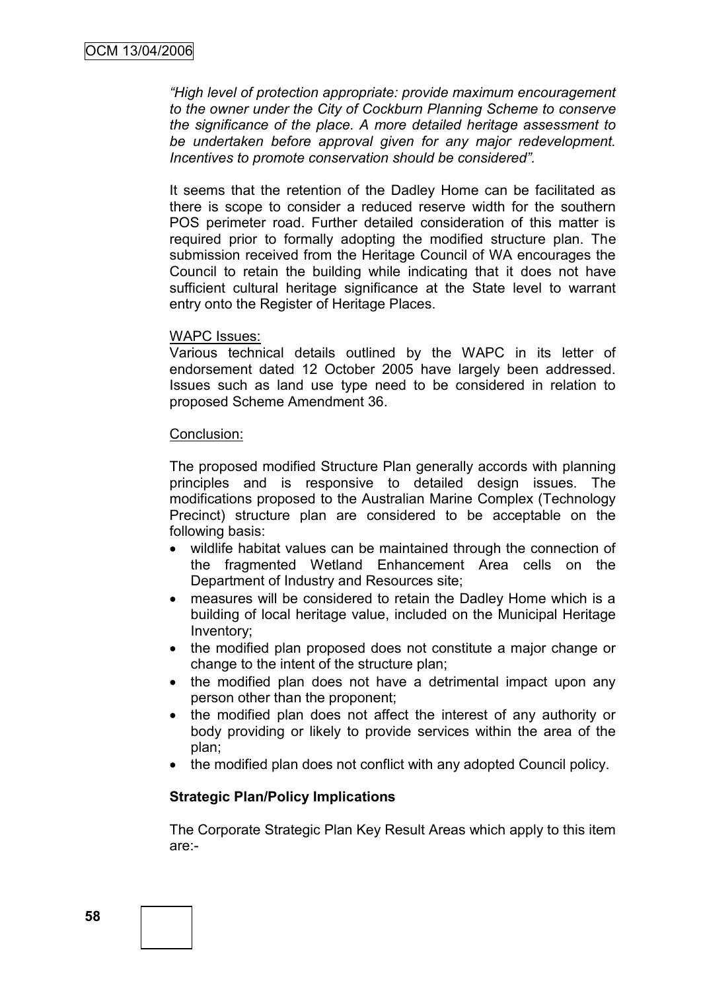*"High level of protection appropriate: provide maximum encouragement to the owner under the City of Cockburn Planning Scheme to conserve the significance of the place. A more detailed heritage assessment to be undertaken before approval given for any major redevelopment. Incentives to promote conservation should be considered".*

It seems that the retention of the Dadley Home can be facilitated as there is scope to consider a reduced reserve width for the southern POS perimeter road. Further detailed consideration of this matter is required prior to formally adopting the modified structure plan. The submission received from the Heritage Council of WA encourages the Council to retain the building while indicating that it does not have sufficient cultural heritage significance at the State level to warrant entry onto the Register of Heritage Places.

#### WAPC Issues:

Various technical details outlined by the WAPC in its letter of endorsement dated 12 October 2005 have largely been addressed. Issues such as land use type need to be considered in relation to proposed Scheme Amendment 36.

#### Conclusion:

The proposed modified Structure Plan generally accords with planning principles and is responsive to detailed design issues. The modifications proposed to the Australian Marine Complex (Technology Precinct) structure plan are considered to be acceptable on the following basis:

- wildlife habitat values can be maintained through the connection of the fragmented Wetland Enhancement Area cells on the Department of Industry and Resources site;
- measures will be considered to retain the Dadley Home which is a building of local heritage value, included on the Municipal Heritage Inventory;
- the modified plan proposed does not constitute a major change or change to the intent of the structure plan;
- the modified plan does not have a detrimental impact upon any person other than the proponent;
- the modified plan does not affect the interest of any authority or body providing or likely to provide services within the area of the plan;
- the modified plan does not conflict with any adopted Council policy.

#### **Strategic Plan/Policy Implications**

The Corporate Strategic Plan Key Result Areas which apply to this item are:-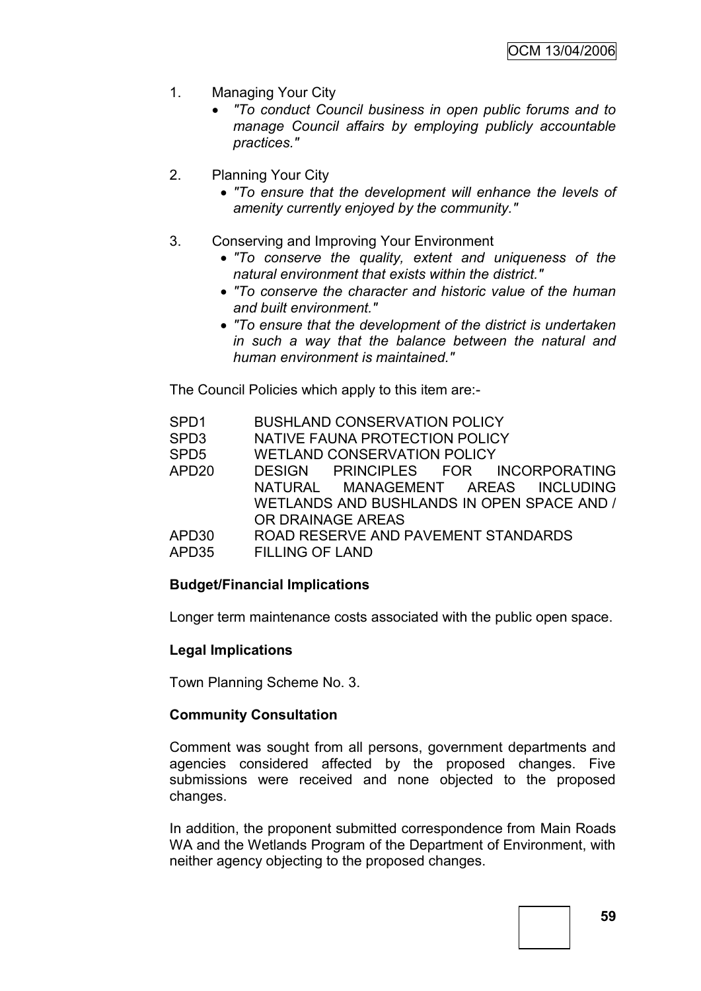- 1. Managing Your City
	- *"To conduct Council business in open public forums and to manage Council affairs by employing publicly accountable practices."*
- 2. Planning Your City
	- *"To ensure that the development will enhance the levels of amenity currently enjoyed by the community."*
- 3. Conserving and Improving Your Environment
	- *"To conserve the quality, extent and uniqueness of the natural environment that exists within the district."*
	- *"To conserve the character and historic value of the human and built environment."*
	- *"To ensure that the development of the district is undertaken in such a way that the balance between the natural and human environment is maintained."*

The Council Policies which apply to this item are:-

| <b>BUSHLAND CONSERVATION POLICY</b>        |
|--------------------------------------------|
| NATIVE FAUNA PROTECTION POLICY             |
| <b>WETLAND CONSERVATION POLICY</b>         |
| DESIGN PRINCIPLES FOR INCORPORATING        |
| NATURAL MANAGEMENT AREAS INCLUDING         |
| WETLANDS AND BUSHLANDS IN OPEN SPACE AND / |
| OR DRAINAGE AREAS                          |
| ROAD RESERVE AND PAVEMENT STANDARDS        |
| <b>FILLING OF LAND</b>                     |
|                                            |

# **Budget/Financial Implications**

Longer term maintenance costs associated with the public open space.

# **Legal Implications**

Town Planning Scheme No. 3.

# **Community Consultation**

Comment was sought from all persons, government departments and agencies considered affected by the proposed changes. Five submissions were received and none objected to the proposed changes.

In addition, the proponent submitted correspondence from Main Roads WA and the Wetlands Program of the Department of Environment, with neither agency objecting to the proposed changes.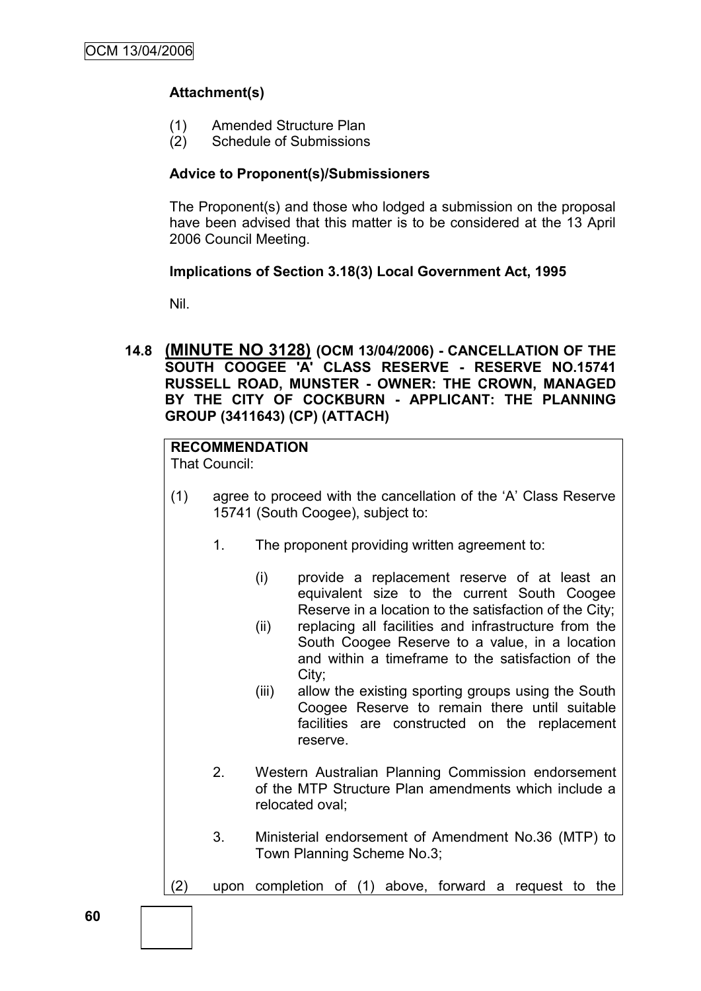# **Attachment(s)**

- (1) Amended Structure Plan
- (2) Schedule of Submissions

# **Advice to Proponent(s)/Submissioners**

The Proponent(s) and those who lodged a submission on the proposal have been advised that this matter is to be considered at the 13 April 2006 Council Meeting.

# **Implications of Section 3.18(3) Local Government Act, 1995**

Nil.

**14.8 (MINUTE NO 3128) (OCM 13/04/2006) - CANCELLATION OF THE SOUTH COOGEE 'A' CLASS RESERVE - RESERVE NO.15741 RUSSELL ROAD, MUNSTER - OWNER: THE CROWN, MANAGED BY THE CITY OF COCKBURN - APPLICANT: THE PLANNING GROUP (3411643) (CP) (ATTACH)**

# **RECOMMENDATION**

That Council:

- (1) agree to proceed with the cancellation of the "A" Class Reserve 15741 (South Coogee), subject to:
	- 1. The proponent providing written agreement to:
		- (i) provide a replacement reserve of at least an equivalent size to the current South Coogee Reserve in a location to the satisfaction of the City;
		- (ii) replacing all facilities and infrastructure from the South Coogee Reserve to a value, in a location and within a timeframe to the satisfaction of the City;
		- (iii) allow the existing sporting groups using the South Coogee Reserve to remain there until suitable facilities are constructed on the replacement reserve.
	- 2. Western Australian Planning Commission endorsement of the MTP Structure Plan amendments which include a relocated oval;
	- 3. Ministerial endorsement of Amendment No.36 (MTP) to Town Planning Scheme No.3;
- (2) upon completion of (1) above, forward a request to the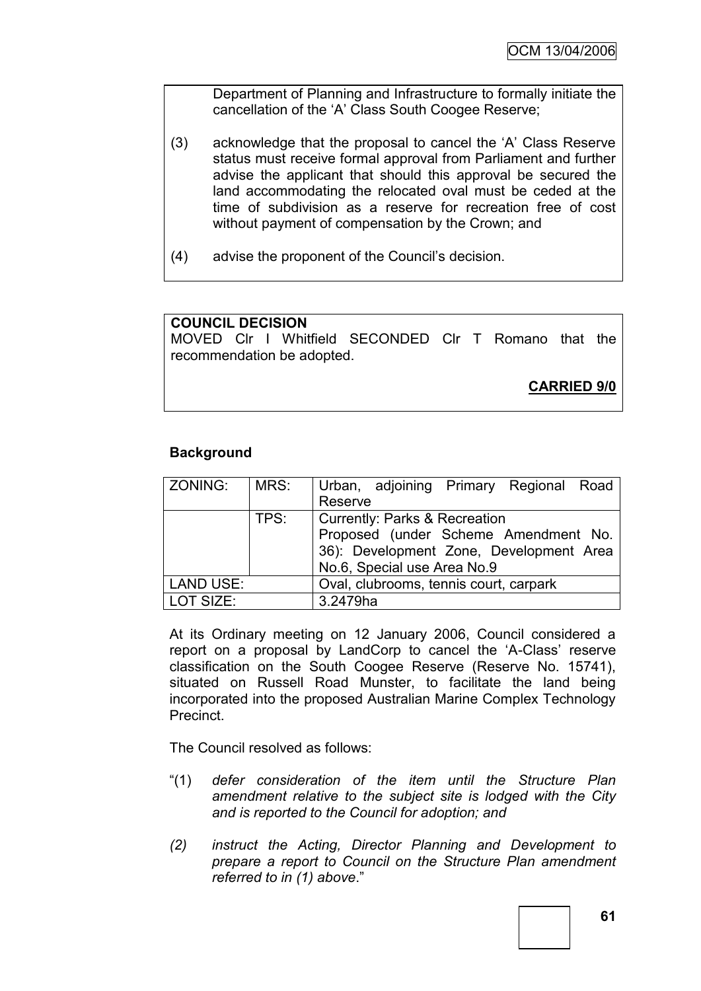Department of Planning and Infrastructure to formally initiate the cancellation of the "A" Class South Coogee Reserve;

- (3) acknowledge that the proposal to cancel the "A" Class Reserve status must receive formal approval from Parliament and further advise the applicant that should this approval be secured the land accommodating the relocated oval must be ceded at the time of subdivision as a reserve for recreation free of cost without payment of compensation by the Crown; and
- (4) advise the proponent of the Council"s decision.

# **COUNCIL DECISION**

MOVED Clr I Whitfield SECONDED Clr T Romano that the recommendation be adopted.

**CARRIED 9/0**

# **Background**

| ZONING:          | MRS: | Urban, adjoining Primary Regional Road   |
|------------------|------|------------------------------------------|
|                  |      | Reserve                                  |
|                  | TPS: | <b>Currently: Parks &amp; Recreation</b> |
|                  |      | Proposed (under Scheme Amendment No.     |
|                  |      | 36): Development Zone, Development Area  |
|                  |      | No.6, Special use Area No.9              |
| <b>LAND USE:</b> |      | Oval, clubrooms, tennis court, carpark   |
| LOT SIZE:        |      | 3.2479ha                                 |

At its Ordinary meeting on 12 January 2006, Council considered a report on a proposal by LandCorp to cancel the 'A-Class' reserve classification on the South Coogee Reserve (Reserve No. 15741), situated on Russell Road Munster, to facilitate the land being incorporated into the proposed Australian Marine Complex Technology Precinct.

The Council resolved as follows:

- "(1) *defer consideration of the item until the Structure Plan amendment relative to the subject site is lodged with the City and is reported to the Council for adoption; and*
- *(2) instruct the Acting, Director Planning and Development to prepare a report to Council on the Structure Plan amendment referred to in (1) above*."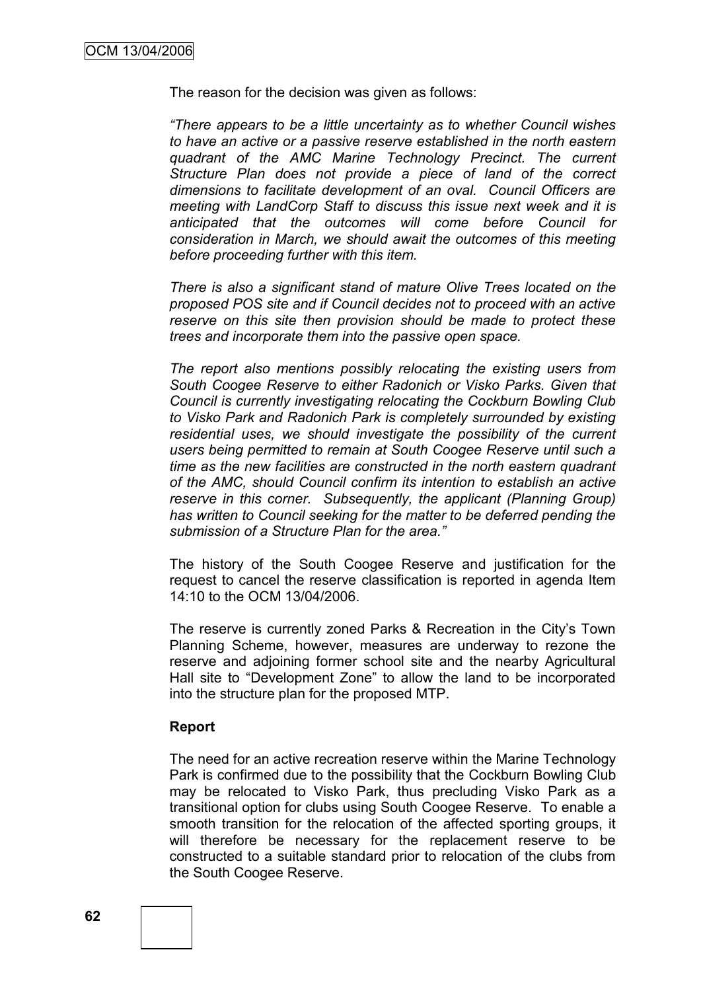The reason for the decision was given as follows:

*"There appears to be a little uncertainty as to whether Council wishes to have an active or a passive reserve established in the north eastern quadrant of the AMC Marine Technology Precinct. The current Structure Plan does not provide a piece of land of the correct dimensions to facilitate development of an oval. Council Officers are meeting with LandCorp Staff to discuss this issue next week and it is anticipated that the outcomes will come before Council for consideration in March, we should await the outcomes of this meeting before proceeding further with this item.*

*There is also a significant stand of mature Olive Trees located on the proposed POS site and if Council decides not to proceed with an active reserve on this site then provision should be made to protect these trees and incorporate them into the passive open space.*

*The report also mentions possibly relocating the existing users from South Coogee Reserve to either Radonich or Visko Parks. Given that Council is currently investigating relocating the Cockburn Bowling Club to Visko Park and Radonich Park is completely surrounded by existing residential uses, we should investigate the possibility of the current users being permitted to remain at South Coogee Reserve until such a time as the new facilities are constructed in the north eastern quadrant of the AMC, should Council confirm its intention to establish an active reserve in this corner. Subsequently, the applicant (Planning Group) has written to Council seeking for the matter to be deferred pending the submission of a Structure Plan for the area."*

The history of the South Coogee Reserve and justification for the request to cancel the reserve classification is reported in agenda Item 14:10 to the OCM 13/04/2006.

The reserve is currently zoned Parks & Recreation in the City"s Town Planning Scheme, however, measures are underway to rezone the reserve and adjoining former school site and the nearby Agricultural Hall site to "Development Zone" to allow the land to be incorporated into the structure plan for the proposed MTP.

#### **Report**

The need for an active recreation reserve within the Marine Technology Park is confirmed due to the possibility that the Cockburn Bowling Club may be relocated to Visko Park, thus precluding Visko Park as a transitional option for clubs using South Coogee Reserve. To enable a smooth transition for the relocation of the affected sporting groups, it will therefore be necessary for the replacement reserve to be constructed to a suitable standard prior to relocation of the clubs from the South Coogee Reserve.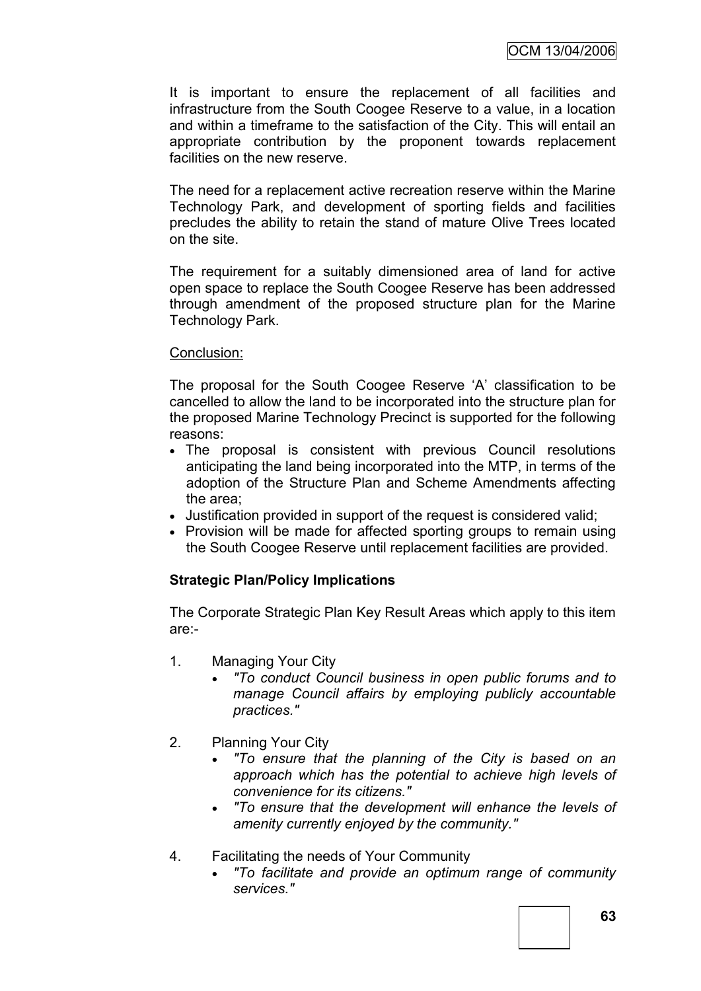It is important to ensure the replacement of all facilities and infrastructure from the South Coogee Reserve to a value, in a location and within a timeframe to the satisfaction of the City. This will entail an appropriate contribution by the proponent towards replacement facilities on the new reserve.

The need for a replacement active recreation reserve within the Marine Technology Park, and development of sporting fields and facilities precludes the ability to retain the stand of mature Olive Trees located on the site.

The requirement for a suitably dimensioned area of land for active open space to replace the South Coogee Reserve has been addressed through amendment of the proposed structure plan for the Marine Technology Park.

## Conclusion:

The proposal for the South Coogee Reserve "A" classification to be cancelled to allow the land to be incorporated into the structure plan for the proposed Marine Technology Precinct is supported for the following reasons:

- The proposal is consistent with previous Council resolutions anticipating the land being incorporated into the MTP, in terms of the adoption of the Structure Plan and Scheme Amendments affecting the area;
- Justification provided in support of the request is considered valid;
- Provision will be made for affected sporting groups to remain using the South Coogee Reserve until replacement facilities are provided.

# **Strategic Plan/Policy Implications**

The Corporate Strategic Plan Key Result Areas which apply to this item are:-

- 1. Managing Your City
	- *"To conduct Council business in open public forums and to manage Council affairs by employing publicly accountable practices."*
- 2. Planning Your City
	- *"To ensure that the planning of the City is based on an approach which has the potential to achieve high levels of convenience for its citizens."*
	- *"To ensure that the development will enhance the levels of amenity currently enjoyed by the community."*
- 4. Facilitating the needs of Your Community
	- *"To facilitate and provide an optimum range of community services."*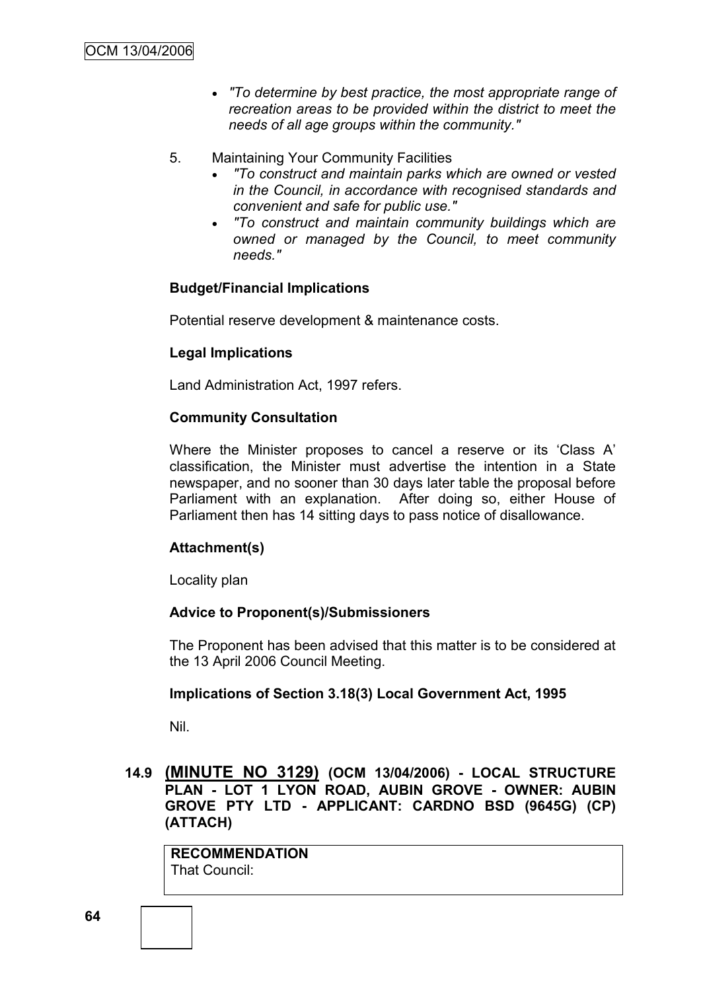- *"To determine by best practice, the most appropriate range of recreation areas to be provided within the district to meet the needs of all age groups within the community."*
- 5. Maintaining Your Community Facilities
	- *"To construct and maintain parks which are owned or vested in the Council, in accordance with recognised standards and convenient and safe for public use."*
	- *"To construct and maintain community buildings which are owned or managed by the Council, to meet community needs."*

# **Budget/Financial Implications**

Potential reserve development & maintenance costs.

# **Legal Implications**

Land Administration Act, 1997 refers.

# **Community Consultation**

Where the Minister proposes to cancel a reserve or its "Class A" classification, the Minister must advertise the intention in a State newspaper, and no sooner than 30 days later table the proposal before Parliament with an explanation. After doing so, either House of Parliament then has 14 sitting days to pass notice of disallowance.

# **Attachment(s)**

Locality plan

# **Advice to Proponent(s)/Submissioners**

The Proponent has been advised that this matter is to be considered at the 13 April 2006 Council Meeting.

# **Implications of Section 3.18(3) Local Government Act, 1995**

Nil.

# **14.9 (MINUTE NO 3129) (OCM 13/04/2006) - LOCAL STRUCTURE PLAN - LOT 1 LYON ROAD, AUBIN GROVE - OWNER: AUBIN GROVE PTY LTD - APPLICANT: CARDNO BSD (9645G) (CP) (ATTACH)**

**RECOMMENDATION** That Council: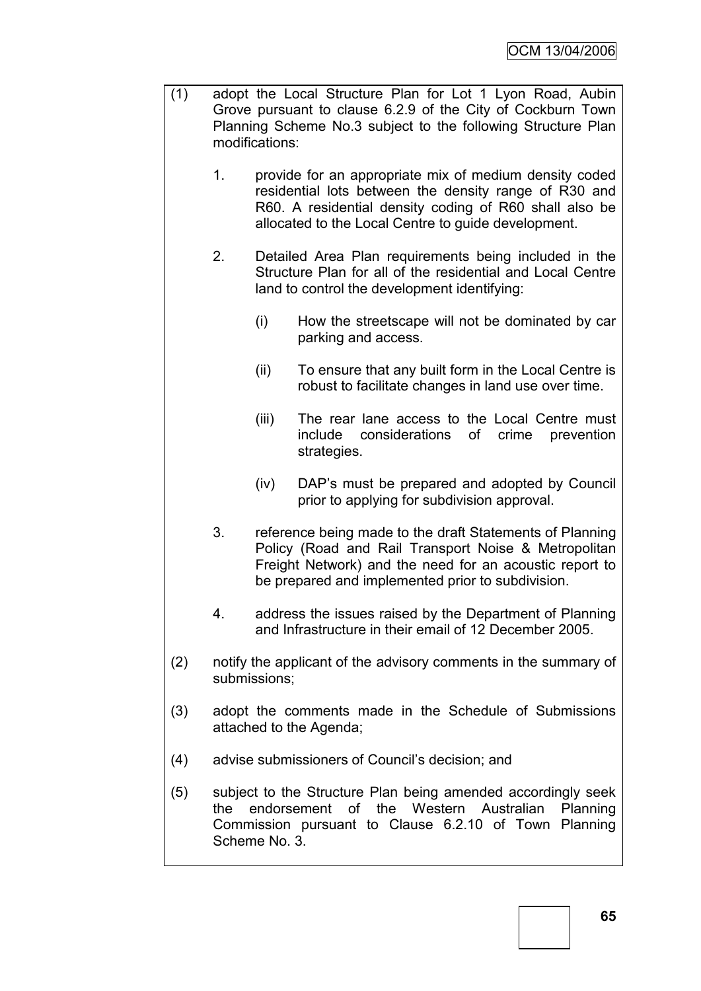- (1) adopt the Local Structure Plan for Lot 1 Lyon Road, Aubin Grove pursuant to clause 6.2.9 of the City of Cockburn Town Planning Scheme No.3 subject to the following Structure Plan modifications:
	- 1. provide for an appropriate mix of medium density coded residential lots between the density range of R30 and R60. A residential density coding of R60 shall also be allocated to the Local Centre to guide development.
	- 2. Detailed Area Plan requirements being included in the Structure Plan for all of the residential and Local Centre land to control the development identifying:
		- (i) How the streetscape will not be dominated by car parking and access.
		- (ii) To ensure that any built form in the Local Centre is robust to facilitate changes in land use over time.
		- (iii) The rear lane access to the Local Centre must include considerations of crime prevention strategies.
		- (iv) DAP"s must be prepared and adopted by Council prior to applying for subdivision approval.
	- 3. reference being made to the draft Statements of Planning Policy (Road and Rail Transport Noise & Metropolitan Freight Network) and the need for an acoustic report to be prepared and implemented prior to subdivision.
	- 4. address the issues raised by the Department of Planning and Infrastructure in their email of 12 December 2005.
- (2) notify the applicant of the advisory comments in the summary of submissions;
- (3) adopt the comments made in the Schedule of Submissions attached to the Agenda;
- (4) advise submissioners of Council"s decision; and
- (5) subject to the Structure Plan being amended accordingly seek the endorsement of the Western Australian Planning Commission pursuant to Clause 6.2.10 of Town Planning Scheme No. 3.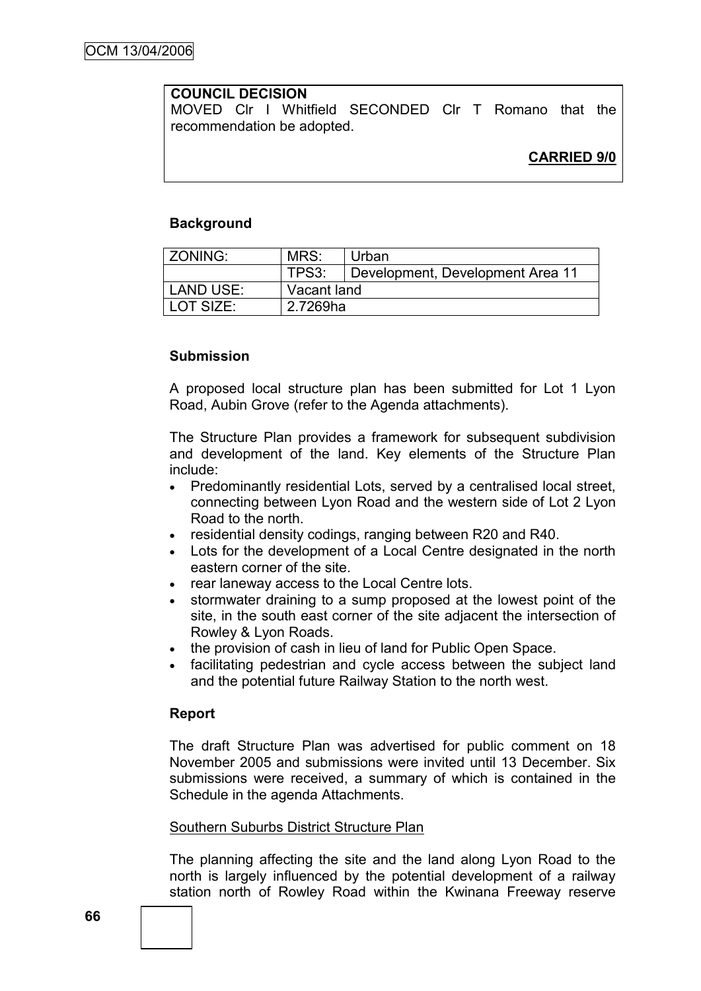# **COUNCIL DECISION**

MOVED Clr I Whitfield SECONDED Clr T Romano that the recommendation be adopted.

## **Background**

| l ZONING: | MRS:        | Urban                            |  |
|-----------|-------------|----------------------------------|--|
|           | TPS3:       | Development, Development Area 11 |  |
| LAND USE: | Vacant land |                                  |  |
| LOT SIZE: | 2.7269ha    |                                  |  |

## **Submission**

A proposed local structure plan has been submitted for Lot 1 Lyon Road, Aubin Grove (refer to the Agenda attachments).

The Structure Plan provides a framework for subsequent subdivision and development of the land. Key elements of the Structure Plan include:

- Predominantly residential Lots, served by a centralised local street, connecting between Lyon Road and the western side of Lot 2 Lyon Road to the north.
- residential density codings, ranging between R20 and R40.
- Lots for the development of a Local Centre designated in the north eastern corner of the site.
- rear laneway access to the Local Centre lots.
- stormwater draining to a sump proposed at the lowest point of the site, in the south east corner of the site adjacent the intersection of Rowley & Lyon Roads.
- the provision of cash in lieu of land for Public Open Space.
- facilitating pedestrian and cycle access between the subject land and the potential future Railway Station to the north west.

#### **Report**

The draft Structure Plan was advertised for public comment on 18 November 2005 and submissions were invited until 13 December. Six submissions were received, a summary of which is contained in the Schedule in the agenda Attachments.

#### Southern Suburbs District Structure Plan

The planning affecting the site and the land along Lyon Road to the north is largely influenced by the potential development of a railway station north of Rowley Road within the Kwinana Freeway reserve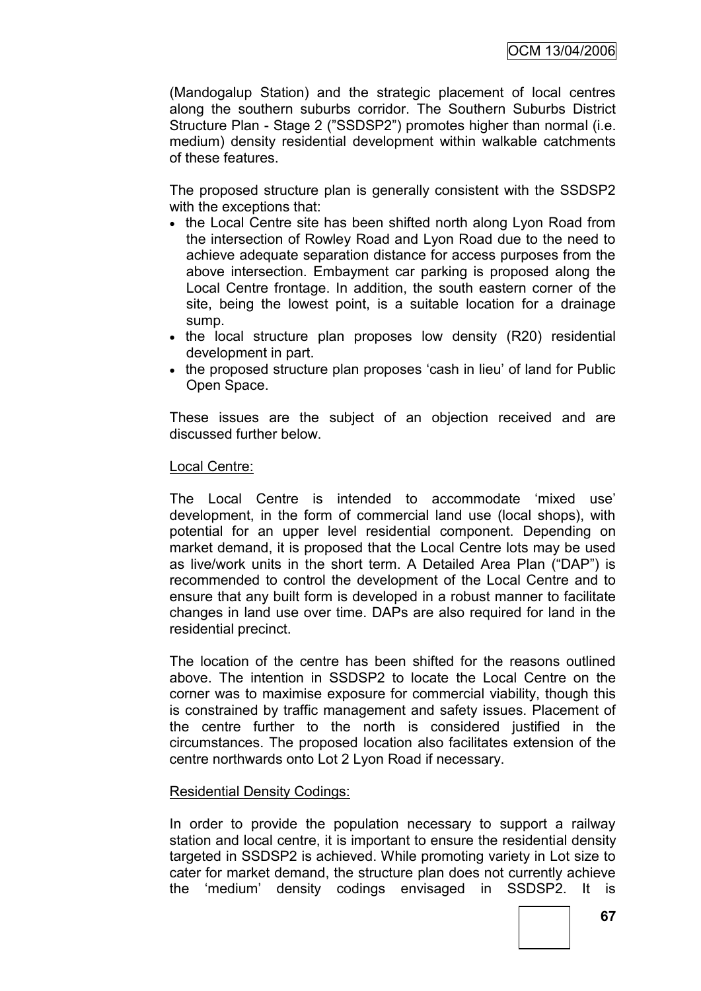(Mandogalup Station) and the strategic placement of local centres along the southern suburbs corridor. The Southern Suburbs District Structure Plan - Stage 2 ("SSDSP2") promotes higher than normal (i.e. medium) density residential development within walkable catchments of these features.

The proposed structure plan is generally consistent with the SSDSP2 with the exceptions that:

- the Local Centre site has been shifted north along Lyon Road from the intersection of Rowley Road and Lyon Road due to the need to achieve adequate separation distance for access purposes from the above intersection. Embayment car parking is proposed along the Local Centre frontage. In addition, the south eastern corner of the site, being the lowest point, is a suitable location for a drainage sump.
- the local structure plan proposes low density (R20) residential development in part.
- the proposed structure plan proposes 'cash in lieu' of land for Public Open Space.

These issues are the subject of an objection received and are discussed further below.

#### Local Centre:

The Local Centre is intended to accommodate "mixed use" development, in the form of commercial land use (local shops), with potential for an upper level residential component. Depending on market demand, it is proposed that the Local Centre lots may be used as live/work units in the short term. A Detailed Area Plan ("DAP") is recommended to control the development of the Local Centre and to ensure that any built form is developed in a robust manner to facilitate changes in land use over time. DAPs are also required for land in the residential precinct.

The location of the centre has been shifted for the reasons outlined above. The intention in SSDSP2 to locate the Local Centre on the corner was to maximise exposure for commercial viability, though this is constrained by traffic management and safety issues. Placement of the centre further to the north is considered justified in the circumstances. The proposed location also facilitates extension of the centre northwards onto Lot 2 Lyon Road if necessary.

#### Residential Density Codings:

In order to provide the population necessary to support a railway station and local centre, it is important to ensure the residential density targeted in SSDSP2 is achieved. While promoting variety in Lot size to cater for market demand, the structure plan does not currently achieve the "medium" density codings envisaged in SSDSP2. It is

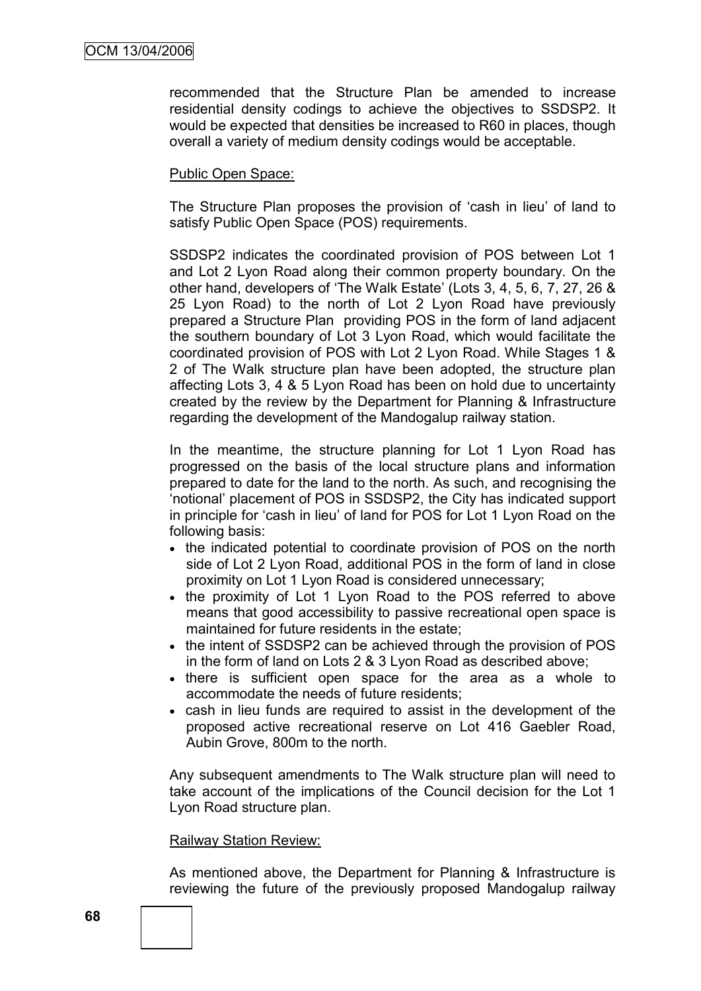recommended that the Structure Plan be amended to increase residential density codings to achieve the objectives to SSDSP2. It would be expected that densities be increased to R60 in places, though overall a variety of medium density codings would be acceptable.

## Public Open Space:

The Structure Plan proposes the provision of "cash in lieu" of land to satisfy Public Open Space (POS) requirements.

SSDSP2 indicates the coordinated provision of POS between Lot 1 and Lot 2 Lyon Road along their common property boundary. On the other hand, developers of "The Walk Estate" (Lots 3, 4, 5, 6, 7, 27, 26 & 25 Lyon Road) to the north of Lot 2 Lyon Road have previously prepared a Structure Plan providing POS in the form of land adjacent the southern boundary of Lot 3 Lyon Road, which would facilitate the coordinated provision of POS with Lot 2 Lyon Road. While Stages 1 & 2 of The Walk structure plan have been adopted, the structure plan affecting Lots 3, 4 & 5 Lyon Road has been on hold due to uncertainty created by the review by the Department for Planning & Infrastructure regarding the development of the Mandogalup railway station.

In the meantime, the structure planning for Lot 1 Lyon Road has progressed on the basis of the local structure plans and information prepared to date for the land to the north. As such, and recognising the "notional" placement of POS in SSDSP2, the City has indicated support in principle for "cash in lieu" of land for POS for Lot 1 Lyon Road on the following basis:

- the indicated potential to coordinate provision of POS on the north side of Lot 2 Lyon Road, additional POS in the form of land in close proximity on Lot 1 Lyon Road is considered unnecessary;
- the proximity of Lot 1 Lyon Road to the POS referred to above means that good accessibility to passive recreational open space is maintained for future residents in the estate;
- the intent of SSDSP2 can be achieved through the provision of POS in the form of land on Lots 2 & 3 Lyon Road as described above;
- there is sufficient open space for the area as a whole to accommodate the needs of future residents;
- cash in lieu funds are required to assist in the development of the proposed active recreational reserve on Lot 416 Gaebler Road, Aubin Grove, 800m to the north.

Any subsequent amendments to The Walk structure plan will need to take account of the implications of the Council decision for the Lot 1 Lyon Road structure plan.

#### Railway Station Review:

As mentioned above, the Department for Planning & Infrastructure is reviewing the future of the previously proposed Mandogalup railway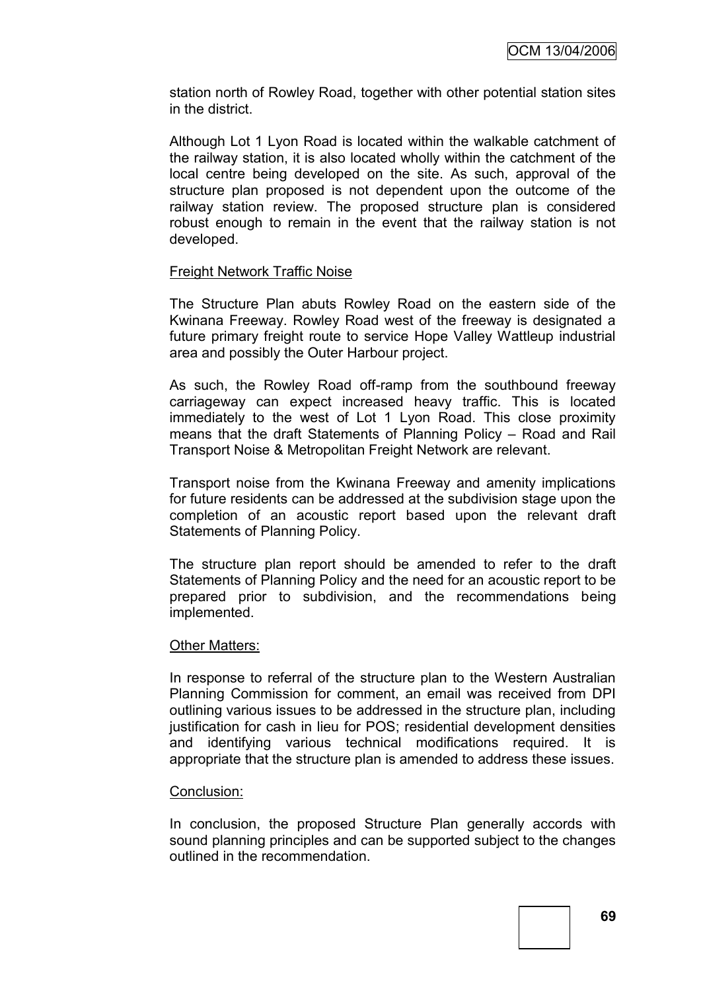station north of Rowley Road, together with other potential station sites in the district.

Although Lot 1 Lyon Road is located within the walkable catchment of the railway station, it is also located wholly within the catchment of the local centre being developed on the site. As such, approval of the structure plan proposed is not dependent upon the outcome of the railway station review. The proposed structure plan is considered robust enough to remain in the event that the railway station is not developed.

#### Freight Network Traffic Noise

The Structure Plan abuts Rowley Road on the eastern side of the Kwinana Freeway. Rowley Road west of the freeway is designated a future primary freight route to service Hope Valley Wattleup industrial area and possibly the Outer Harbour project.

As such, the Rowley Road off-ramp from the southbound freeway carriageway can expect increased heavy traffic. This is located immediately to the west of Lot 1 Lyon Road. This close proximity means that the draft Statements of Planning Policy – Road and Rail Transport Noise & Metropolitan Freight Network are relevant.

Transport noise from the Kwinana Freeway and amenity implications for future residents can be addressed at the subdivision stage upon the completion of an acoustic report based upon the relevant draft Statements of Planning Policy.

The structure plan report should be amended to refer to the draft Statements of Planning Policy and the need for an acoustic report to be prepared prior to subdivision, and the recommendations being implemented.

#### Other Matters:

In response to referral of the structure plan to the Western Australian Planning Commission for comment, an email was received from DPI outlining various issues to be addressed in the structure plan, including justification for cash in lieu for POS; residential development densities and identifying various technical modifications required. It is appropriate that the structure plan is amended to address these issues.

#### Conclusion:

In conclusion, the proposed Structure Plan generally accords with sound planning principles and can be supported subject to the changes outlined in the recommendation.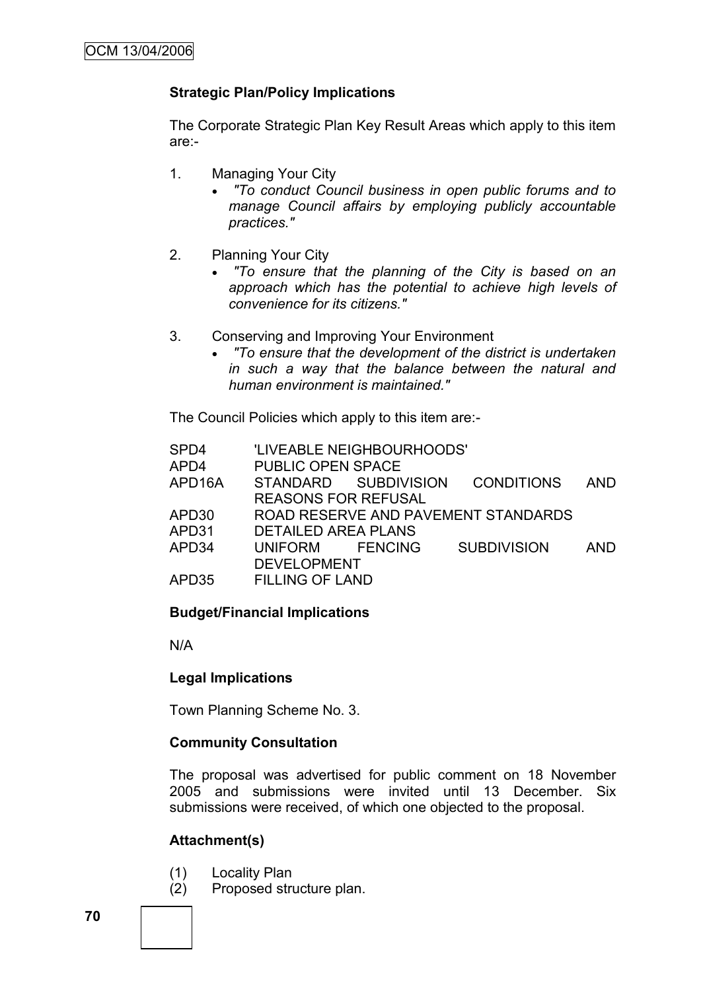# **Strategic Plan/Policy Implications**

The Corporate Strategic Plan Key Result Areas which apply to this item are:-

- 1. Managing Your City
	- *"To conduct Council business in open public forums and to manage Council affairs by employing publicly accountable practices."*
- 2. Planning Your City
	- *"To ensure that the planning of the City is based on an approach which has the potential to achieve high levels of convenience for its citizens."*
- 3. Conserving and Improving Your Environment
	- *"To ensure that the development of the district is undertaken in such a way that the balance between the natural and human environment is maintained."*

The Council Policies which apply to this item are:-

| SPD4              |                            | 'LIVEABLE NEIGHBOURHOODS' |                                     |            |
|-------------------|----------------------------|---------------------------|-------------------------------------|------------|
| APD4              | <b>PUBLIC OPEN SPACE</b>   |                           |                                     |            |
| APD16A            |                            | STANDARD SUBDIVISION      | <b>CONDITIONS</b>                   | <b>AND</b> |
|                   | <b>REASONS FOR REFUSAL</b> |                           |                                     |            |
| APD <sub>30</sub> |                            |                           | ROAD RESERVE AND PAVEMENT STANDARDS |            |
| APD31             | <b>DETAILED AREA PLANS</b> |                           |                                     |            |
| APD34             | UNIFORM FENCING            |                           | <b>SUBDIVISION</b>                  | <b>AND</b> |
|                   | <b>DEVELOPMENT</b>         |                           |                                     |            |
| APD35             | <b>FILLING OF LAND</b>     |                           |                                     |            |
|                   |                            |                           |                                     |            |

## **Budget/Financial Implications**

N/A

## **Legal Implications**

Town Planning Scheme No. 3.

## **Community Consultation**

The proposal was advertised for public comment on 18 November 2005 and submissions were invited until 13 December. Six submissions were received, of which one objected to the proposal.

## **Attachment(s)**

- (1) Locality Plan
- (2) Proposed structure plan.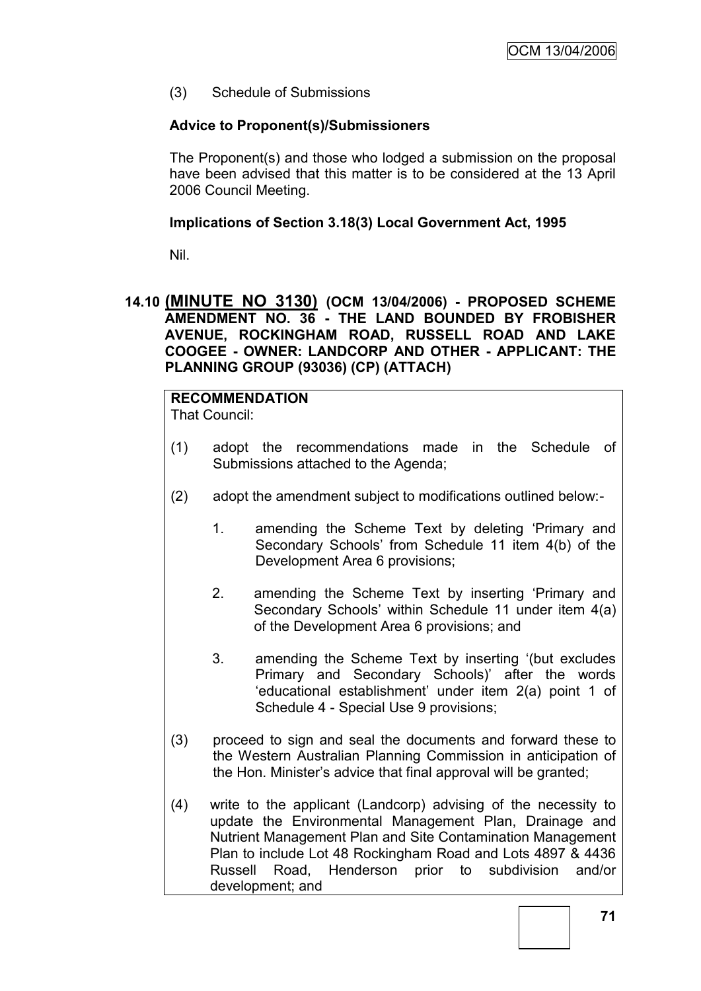(3) Schedule of Submissions

## **Advice to Proponent(s)/Submissioners**

The Proponent(s) and those who lodged a submission on the proposal have been advised that this matter is to be considered at the 13 April 2006 Council Meeting.

## **Implications of Section 3.18(3) Local Government Act, 1995**

Nil.

## **14.10 (MINUTE NO 3130) (OCM 13/04/2006) - PROPOSED SCHEME AMENDMENT NO. 36 - THE LAND BOUNDED BY FROBISHER AVENUE, ROCKINGHAM ROAD, RUSSELL ROAD AND LAKE COOGEE - OWNER: LANDCORP AND OTHER - APPLICANT: THE PLANNING GROUP (93036) (CP) (ATTACH)**

# **RECOMMENDATION**

That Council:

- (1) adopt the recommendations made in the Schedule of Submissions attached to the Agenda;
- (2) adopt the amendment subject to modifications outlined below:-
	- 1. amending the Scheme Text by deleting "Primary and Secondary Schools" from Schedule 11 item 4(b) of the Development Area 6 provisions;
	- 2. amending the Scheme Text by inserting "Primary and Secondary Schools" within Schedule 11 under item 4(a) of the Development Area 6 provisions; and
	- 3. amending the Scheme Text by inserting "(but excludes Primary and Secondary Schools)" after the words "educational establishment" under item 2(a) point 1 of Schedule 4 - Special Use 9 provisions;
- (3) proceed to sign and seal the documents and forward these to the Western Australian Planning Commission in anticipation of the Hon. Minister"s advice that final approval will be granted;
- (4) write to the applicant (Landcorp) advising of the necessity to update the Environmental Management Plan, Drainage and Nutrient Management Plan and Site Contamination Management Plan to include Lot 48 Rockingham Road and Lots 4897 & 4436 Russell Road, Henderson prior to subdivision and/or development; and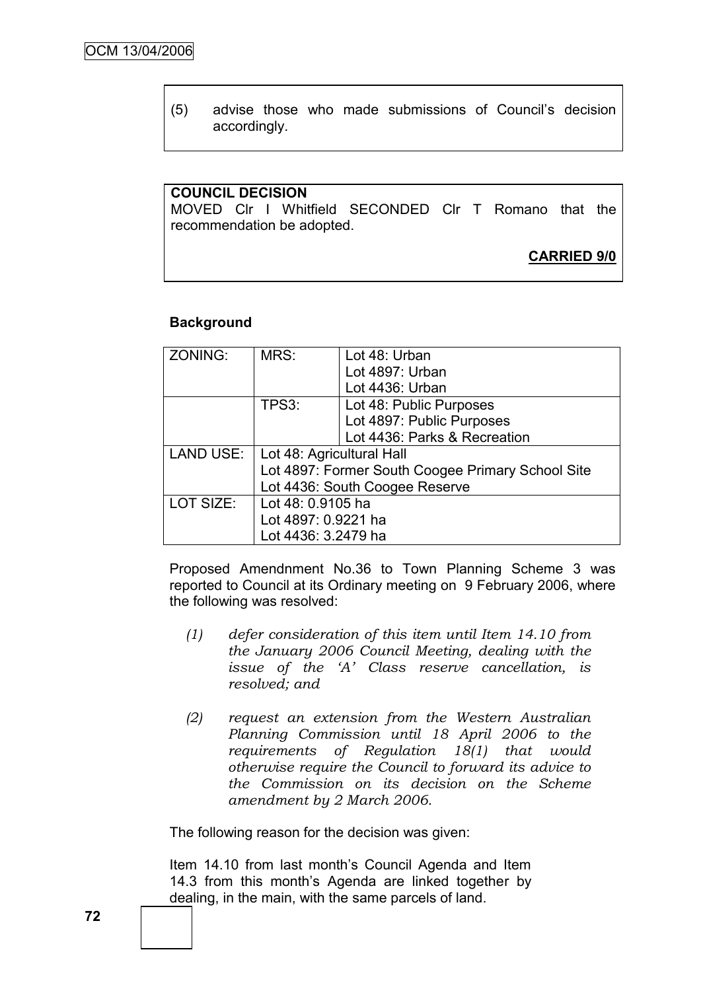(5) advise those who made submissions of Council"s decision accordingly.

# **COUNCIL DECISION**

MOVED Clr I Whitfield SECONDED Clr T Romano that the recommendation be adopted.

# **CARRIED 9/0**

#### **Background**

| ZONING:   | MRS:                                              | Lot 48: Urban                |
|-----------|---------------------------------------------------|------------------------------|
|           |                                                   | Lot 4897: Urban              |
|           |                                                   | Lot 4436: Urban              |
|           | TPS3:                                             | Lot 48: Public Purposes      |
|           |                                                   | Lot 4897: Public Purposes    |
|           |                                                   | Lot 4436: Parks & Recreation |
| LAND USE: | Lot 48: Agricultural Hall                         |                              |
|           | Lot 4897: Former South Coogee Primary School Site |                              |
|           | Lot 4436: South Coogee Reserve                    |                              |
| LOT SIZE: | Lot 48: 0.9105 ha                                 |                              |
|           | Lot 4897: 0.9221 ha                               |                              |
|           | Lot 4436: 3.2479 ha                               |                              |

Proposed Amendnment No.36 to Town Planning Scheme 3 was reported to Council at its Ordinary meeting on 9 February 2006, where the following was resolved:

- *(1) defer consideration of this item until Item 14.10 from the January 2006 Council Meeting, dealing with the issue of the 'A' Class reserve cancellation, is resolved; and*
- *(2) request an extension from the Western Australian Planning Commission until 18 April 2006 to the requirements of Regulation 18(1) that would otherwise require the Council to forward its advice to the Commission on its decision on the Scheme amendment by 2 March 2006.*

The following reason for the decision was given:

Item 14.10 from last month"s Council Agenda and Item 14.3 from this month"s Agenda are linked together by dealing, in the main, with the same parcels of land.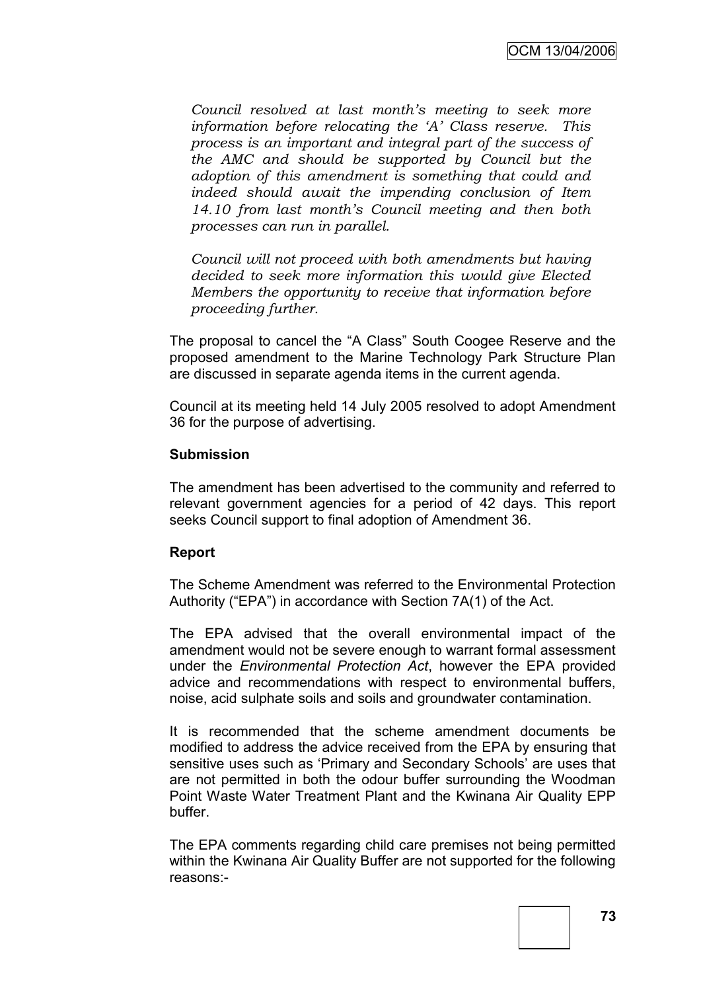*Council resolved at last month's meeting to seek more information before relocating the 'A' Class reserve. This process is an important and integral part of the success of the AMC and should be supported by Council but the adoption of this amendment is something that could and indeed should await the impending conclusion of Item 14.10 from last month's Council meeting and then both processes can run in parallel.*

*Council will not proceed with both amendments but having decided to seek more information this would give Elected Members the opportunity to receive that information before proceeding further.*

The proposal to cancel the "A Class" South Coogee Reserve and the proposed amendment to the Marine Technology Park Structure Plan are discussed in separate agenda items in the current agenda.

Council at its meeting held 14 July 2005 resolved to adopt Amendment 36 for the purpose of advertising.

#### **Submission**

The amendment has been advertised to the community and referred to relevant government agencies for a period of 42 days. This report seeks Council support to final adoption of Amendment 36.

## **Report**

The Scheme Amendment was referred to the Environmental Protection Authority ("EPA") in accordance with Section 7A(1) of the Act.

The EPA advised that the overall environmental impact of the amendment would not be severe enough to warrant formal assessment under the *Environmental Protection Act*, however the EPA provided advice and recommendations with respect to environmental buffers, noise, acid sulphate soils and soils and groundwater contamination.

It is recommended that the scheme amendment documents be modified to address the advice received from the EPA by ensuring that sensitive uses such as 'Primary and Secondary Schools' are uses that are not permitted in both the odour buffer surrounding the Woodman Point Waste Water Treatment Plant and the Kwinana Air Quality EPP buffer.

The EPA comments regarding child care premises not being permitted within the Kwinana Air Quality Buffer are not supported for the following reasons:-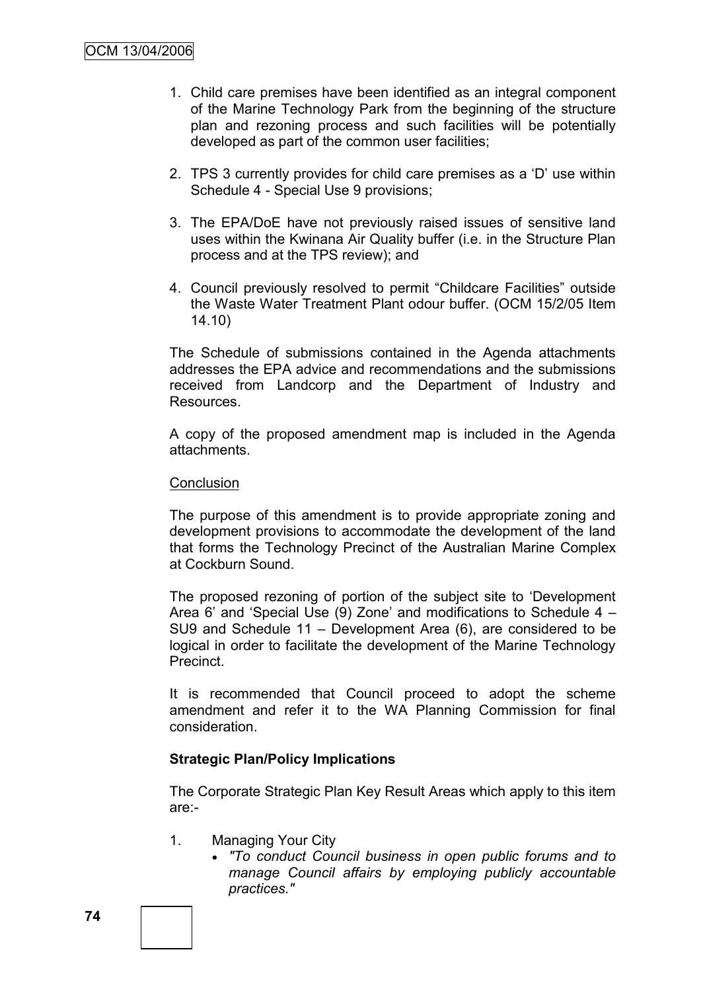- 1. Child care premises have been identified as an integral component of the Marine Technology Park from the beginning of the structure plan and rezoning process and such facilities will be potentially developed as part of the common user facilities;
- 2. TPS 3 currently provides for child care premises as a "D" use within Schedule 4 - Special Use 9 provisions;
- 3. The EPA/DoE have not previously raised issues of sensitive land uses within the Kwinana Air Quality buffer (i.e. in the Structure Plan process and at the TPS review); and
- 4. Council previously resolved to permit "Childcare Facilities" outside the Waste Water Treatment Plant odour buffer. (OCM 15/2/05 Item 14.10)

The Schedule of submissions contained in the Agenda attachments addresses the EPA advice and recommendations and the submissions received from Landcorp and the Department of Industry and Resources.

A copy of the proposed amendment map is included in the Agenda attachments.

#### **Conclusion**

The purpose of this amendment is to provide appropriate zoning and development provisions to accommodate the development of the land that forms the Technology Precinct of the Australian Marine Complex at Cockburn Sound.

The proposed rezoning of portion of the subject site to "Development Area 6" and "Special Use (9) Zone" and modifications to Schedule 4 – SU9 and Schedule 11 – Development Area (6), are considered to be logical in order to facilitate the development of the Marine Technology **Precinct** 

It is recommended that Council proceed to adopt the scheme amendment and refer it to the WA Planning Commission for final consideration.

## **Strategic Plan/Policy Implications**

The Corporate Strategic Plan Key Result Areas which apply to this item are:-

- 1. Managing Your City
	- *"To conduct Council business in open public forums and to manage Council affairs by employing publicly accountable practices."*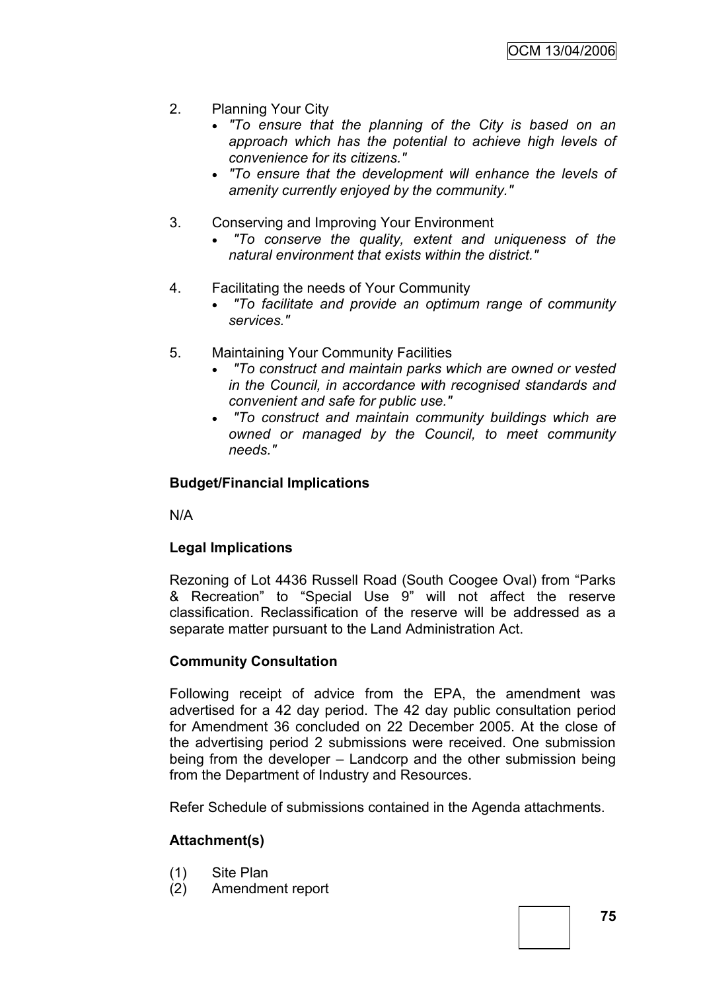- 2. Planning Your City
	- *"To ensure that the planning of the City is based on an approach which has the potential to achieve high levels of convenience for its citizens."*
	- *"To ensure that the development will enhance the levels of amenity currently enjoyed by the community."*
- 3. Conserving and Improving Your Environment
	- *"To conserve the quality, extent and uniqueness of the natural environment that exists within the district."*
- 4. Facilitating the needs of Your Community
	- *"To facilitate and provide an optimum range of community services."*
- 5. Maintaining Your Community Facilities
	- *"To construct and maintain parks which are owned or vested in the Council, in accordance with recognised standards and convenient and safe for public use."*
	- *"To construct and maintain community buildings which are owned or managed by the Council, to meet community needs."*

# **Budget/Financial Implications**

N/A

# **Legal Implications**

Rezoning of Lot 4436 Russell Road (South Coogee Oval) from "Parks & Recreation" to "Special Use 9" will not affect the reserve classification. Reclassification of the reserve will be addressed as a separate matter pursuant to the Land Administration Act.

## **Community Consultation**

Following receipt of advice from the EPA, the amendment was advertised for a 42 day period. The 42 day public consultation period for Amendment 36 concluded on 22 December 2005. At the close of the advertising period 2 submissions were received. One submission being from the developer – Landcorp and the other submission being from the Department of Industry and Resources.

Refer Schedule of submissions contained in the Agenda attachments.

# **Attachment(s)**

- (1) Site Plan
- (2) Amendment report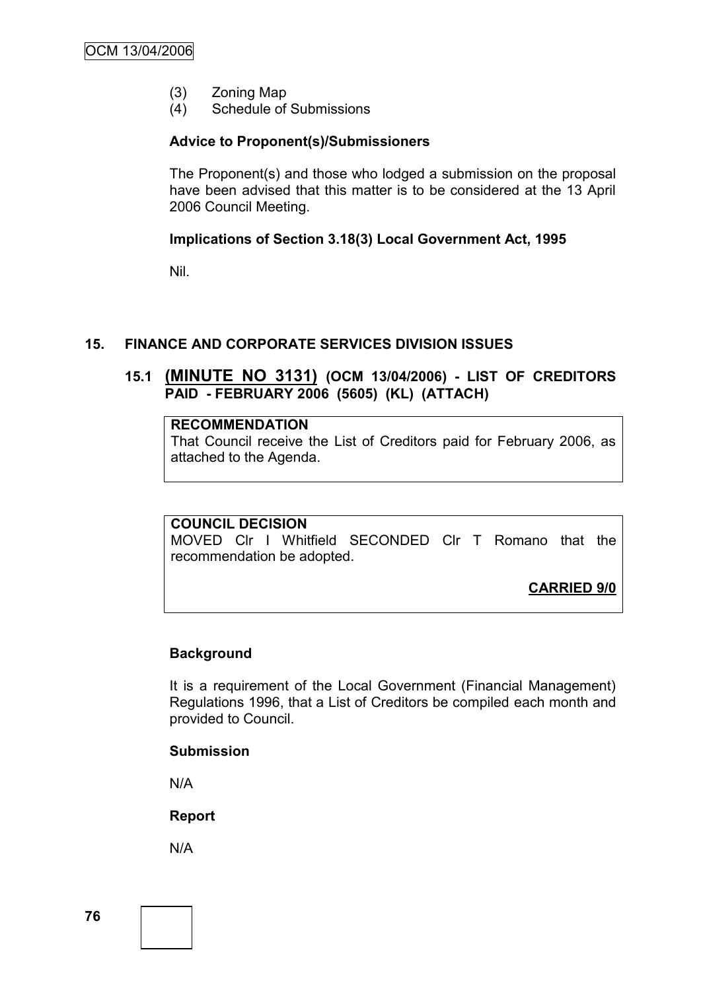- (3) Zoning Map
- (4) Schedule of Submissions

#### **Advice to Proponent(s)/Submissioners**

The Proponent(s) and those who lodged a submission on the proposal have been advised that this matter is to be considered at the 13 April 2006 Council Meeting.

#### **Implications of Section 3.18(3) Local Government Act, 1995**

Nil.

#### **15. FINANCE AND CORPORATE SERVICES DIVISION ISSUES**

# **15.1 (MINUTE NO 3131) (OCM 13/04/2006) - LIST OF CREDITORS PAID - FEBRUARY 2006 (5605) (KL) (ATTACH)**

#### **RECOMMENDATION**

That Council receive the List of Creditors paid for February 2006, as attached to the Agenda.

#### **COUNCIL DECISION**

MOVED Clr I Whitfield SECONDED Clr T Romano that the recommendation be adopted.

**CARRIED 9/0**

#### **Background**

It is a requirement of the Local Government (Financial Management) Regulations 1996, that a List of Creditors be compiled each month and provided to Council.

#### **Submission**

N/A

**Report**

N/A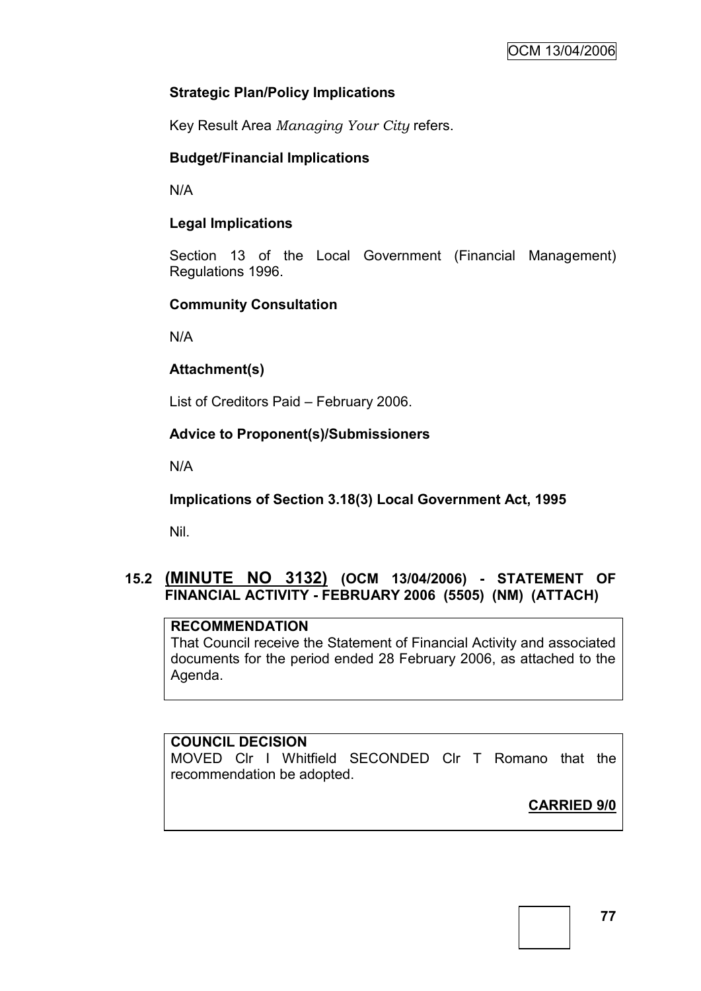# **Strategic Plan/Policy Implications**

Key Result Area *Managing Your City* refers.

# **Budget/Financial Implications**

N/A

# **Legal Implications**

Section 13 of the Local Government (Financial Management) Regulations 1996.

# **Community Consultation**

N/A

# **Attachment(s)**

List of Creditors Paid – February 2006.

# **Advice to Proponent(s)/Submissioners**

N/A

**Implications of Section 3.18(3) Local Government Act, 1995**

Nil.

# **15.2 (MINUTE NO 3132) (OCM 13/04/2006) - STATEMENT OF FINANCIAL ACTIVITY - FEBRUARY 2006 (5505) (NM) (ATTACH)**

## **RECOMMENDATION**

That Council receive the Statement of Financial Activity and associated documents for the period ended 28 February 2006, as attached to the Agenda.

## **COUNCIL DECISION**

MOVED Clr I Whitfield SECONDED Clr T Romano that the recommendation be adopted.

**CARRIED 9/0**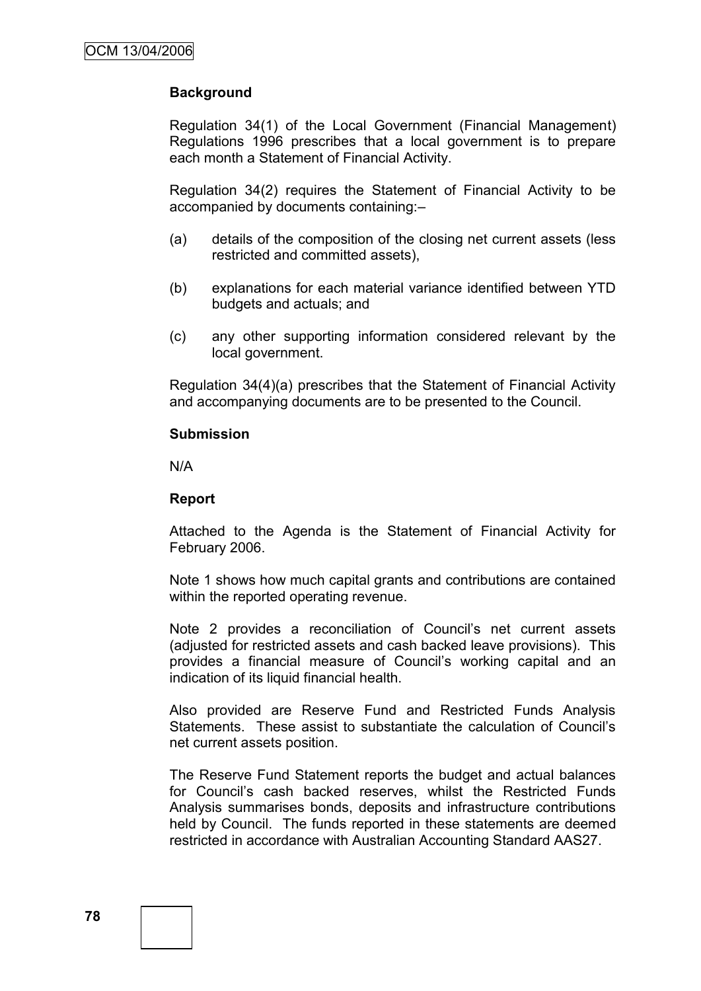# **Background**

Regulation 34(1) of the Local Government (Financial Management) Regulations 1996 prescribes that a local government is to prepare each month a Statement of Financial Activity.

Regulation 34(2) requires the Statement of Financial Activity to be accompanied by documents containing:–

- (a) details of the composition of the closing net current assets (less restricted and committed assets),
- (b) explanations for each material variance identified between YTD budgets and actuals; and
- (c) any other supporting information considered relevant by the local government.

Regulation 34(4)(a) prescribes that the Statement of Financial Activity and accompanying documents are to be presented to the Council.

#### **Submission**

N/A

#### **Report**

Attached to the Agenda is the Statement of Financial Activity for February 2006.

Note 1 shows how much capital grants and contributions are contained within the reported operating revenue.

Note 2 provides a reconciliation of Council's net current assets (adjusted for restricted assets and cash backed leave provisions). This provides a financial measure of Council"s working capital and an indication of its liquid financial health.

Also provided are Reserve Fund and Restricted Funds Analysis Statements. These assist to substantiate the calculation of Council"s net current assets position.

The Reserve Fund Statement reports the budget and actual balances for Council"s cash backed reserves, whilst the Restricted Funds Analysis summarises bonds, deposits and infrastructure contributions held by Council. The funds reported in these statements are deemed restricted in accordance with Australian Accounting Standard AAS27.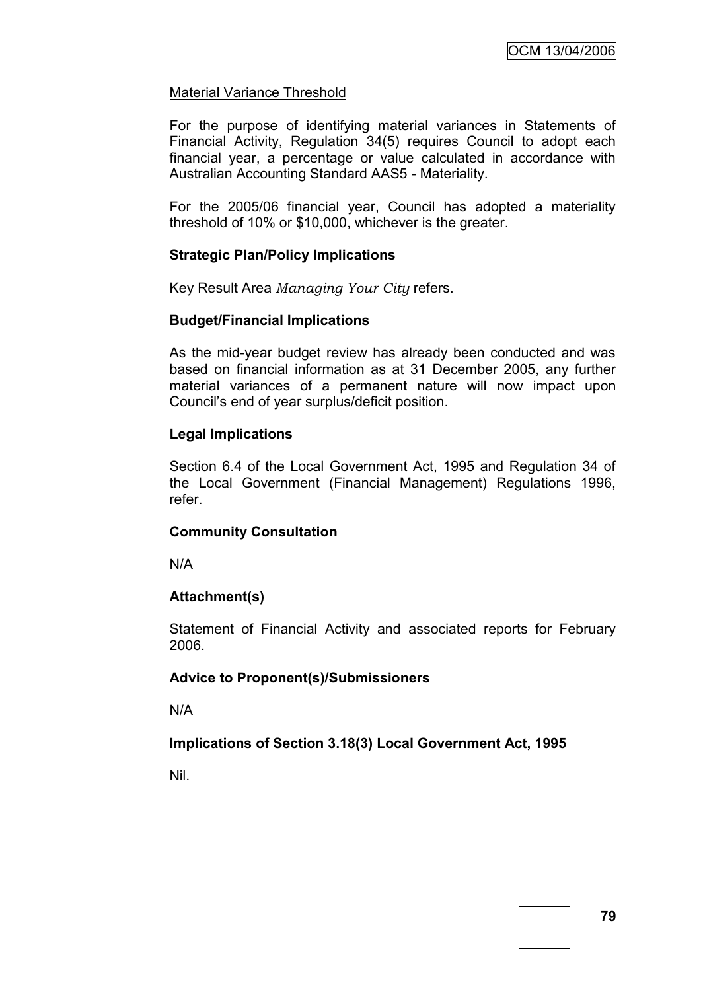#### Material Variance Threshold

For the purpose of identifying material variances in Statements of Financial Activity, Regulation 34(5) requires Council to adopt each financial year, a percentage or value calculated in accordance with Australian Accounting Standard AAS5 - Materiality.

For the 2005/06 financial year, Council has adopted a materiality threshold of 10% or \$10,000, whichever is the greater.

#### **Strategic Plan/Policy Implications**

Key Result Area *Managing Your City* refers.

#### **Budget/Financial Implications**

As the mid-year budget review has already been conducted and was based on financial information as at 31 December 2005, any further material variances of a permanent nature will now impact upon Council"s end of year surplus/deficit position.

## **Legal Implications**

Section 6.4 of the Local Government Act, 1995 and Regulation 34 of the Local Government (Financial Management) Regulations 1996, refer.

## **Community Consultation**

N/A

## **Attachment(s)**

Statement of Financial Activity and associated reports for February 2006.

#### **Advice to Proponent(s)/Submissioners**

N/A

## **Implications of Section 3.18(3) Local Government Act, 1995**

Nil.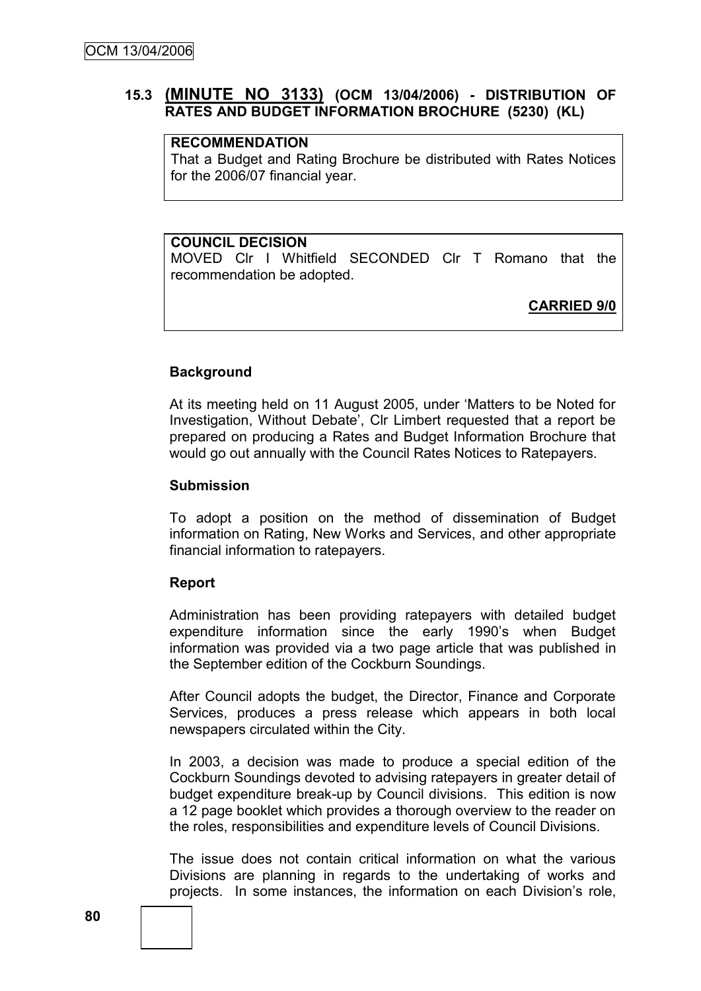## **15.3 (MINUTE NO 3133) (OCM 13/04/2006) - DISTRIBUTION OF RATES AND BUDGET INFORMATION BROCHURE (5230) (KL)**

# **RECOMMENDATION**

That a Budget and Rating Brochure be distributed with Rates Notices for the 2006/07 financial year.

#### **COUNCIL DECISION**

MOVED Clr I Whitfield SECONDED Clr T Romano that the recommendation be adopted.

**CARRIED 9/0**

#### **Background**

At its meeting held on 11 August 2005, under "Matters to be Noted for Investigation, Without Debate", Clr Limbert requested that a report be prepared on producing a Rates and Budget Information Brochure that would go out annually with the Council Rates Notices to Ratepayers.

#### **Submission**

To adopt a position on the method of dissemination of Budget information on Rating, New Works and Services, and other appropriate financial information to ratepayers.

#### **Report**

Administration has been providing ratepayers with detailed budget expenditure information since the early 1990"s when Budget information was provided via a two page article that was published in the September edition of the Cockburn Soundings.

After Council adopts the budget, the Director, Finance and Corporate Services, produces a press release which appears in both local newspapers circulated within the City.

In 2003, a decision was made to produce a special edition of the Cockburn Soundings devoted to advising ratepayers in greater detail of budget expenditure break-up by Council divisions. This edition is now a 12 page booklet which provides a thorough overview to the reader on the roles, responsibilities and expenditure levels of Council Divisions.

The issue does not contain critical information on what the various Divisions are planning in regards to the undertaking of works and projects. In some instances, the information on each Division"s role,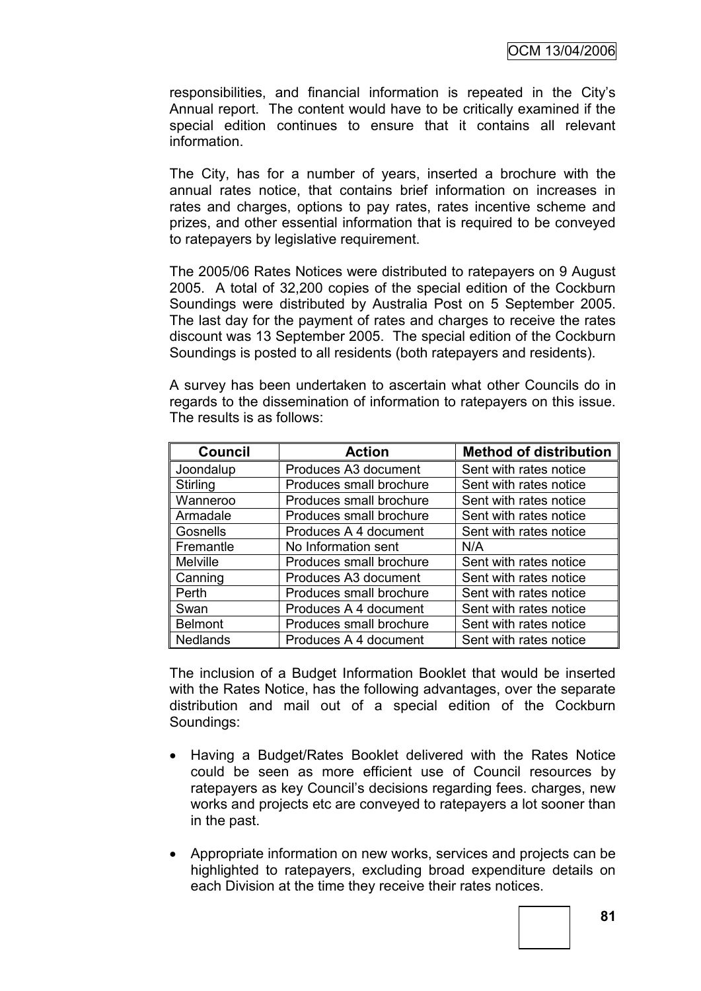responsibilities, and financial information is repeated in the City"s Annual report. The content would have to be critically examined if the special edition continues to ensure that it contains all relevant information.

The City, has for a number of years, inserted a brochure with the annual rates notice, that contains brief information on increases in rates and charges, options to pay rates, rates incentive scheme and prizes, and other essential information that is required to be conveyed to ratepayers by legislative requirement.

The 2005/06 Rates Notices were distributed to ratepayers on 9 August 2005. A total of 32,200 copies of the special edition of the Cockburn Soundings were distributed by Australia Post on 5 September 2005. The last day for the payment of rates and charges to receive the rates discount was 13 September 2005. The special edition of the Cockburn Soundings is posted to all residents (both ratepayers and residents).

A survey has been undertaken to ascertain what other Councils do in regards to the dissemination of information to ratepayers on this issue. The results is as follows:

| <b>Council</b>  | <b>Action</b>           | <b>Method of distribution</b> |
|-----------------|-------------------------|-------------------------------|
| Joondalup       | Produces A3 document    | Sent with rates notice        |
| Stirling        | Produces small brochure | Sent with rates notice        |
| Wanneroo        | Produces small brochure | Sent with rates notice        |
| Armadale        | Produces small brochure | Sent with rates notice        |
| Gosnells        | Produces A 4 document   | Sent with rates notice        |
| Fremantle       | No Information sent     | N/A                           |
| <b>Melville</b> | Produces small brochure | Sent with rates notice        |
| Canning         | Produces A3 document    | Sent with rates notice        |
| Perth           | Produces small brochure | Sent with rates notice        |
| Swan            | Produces A 4 document   | Sent with rates notice        |
| <b>Belmont</b>  | Produces small brochure | Sent with rates notice        |
| <b>Nedlands</b> | Produces A 4 document   | Sent with rates notice        |

The inclusion of a Budget Information Booklet that would be inserted with the Rates Notice, has the following advantages, over the separate distribution and mail out of a special edition of the Cockburn Soundings:

- Having a Budget/Rates Booklet delivered with the Rates Notice could be seen as more efficient use of Council resources by ratepayers as key Council's decisions regarding fees. charges, new works and projects etc are conveyed to ratepayers a lot sooner than in the past.
- Appropriate information on new works, services and projects can be highlighted to ratepayers, excluding broad expenditure details on each Division at the time they receive their rates notices.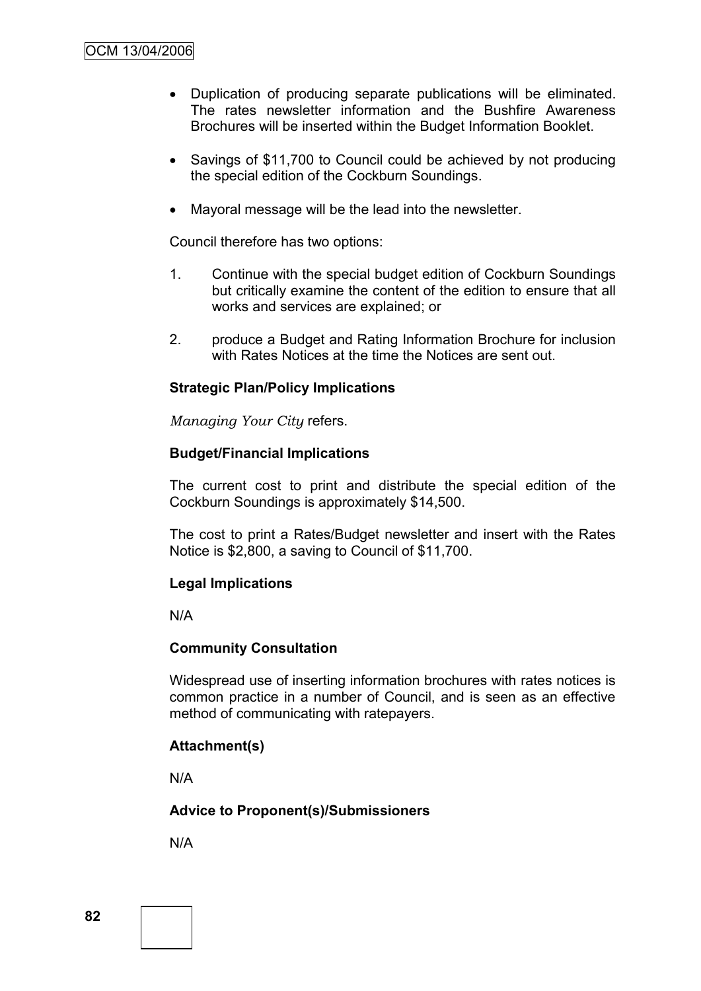- Duplication of producing separate publications will be eliminated. The rates newsletter information and the Bushfire Awareness Brochures will be inserted within the Budget Information Booklet.
- Savings of \$11,700 to Council could be achieved by not producing the special edition of the Cockburn Soundings.
- Mayoral message will be the lead into the newsletter.

Council therefore has two options:

- 1. Continue with the special budget edition of Cockburn Soundings but critically examine the content of the edition to ensure that all works and services are explained; or
- 2. produce a Budget and Rating Information Brochure for inclusion with Rates Notices at the time the Notices are sent out.

# **Strategic Plan/Policy Implications**

*Managing Your City* refers.

## **Budget/Financial Implications**

The current cost to print and distribute the special edition of the Cockburn Soundings is approximately \$14,500.

The cost to print a Rates/Budget newsletter and insert with the Rates Notice is \$2,800, a saving to Council of \$11,700.

## **Legal Implications**

N/A

## **Community Consultation**

Widespread use of inserting information brochures with rates notices is common practice in a number of Council, and is seen as an effective method of communicating with ratepayers.

#### **Attachment(s)**

N/A

## **Advice to Proponent(s)/Submissioners**

N/A

**82**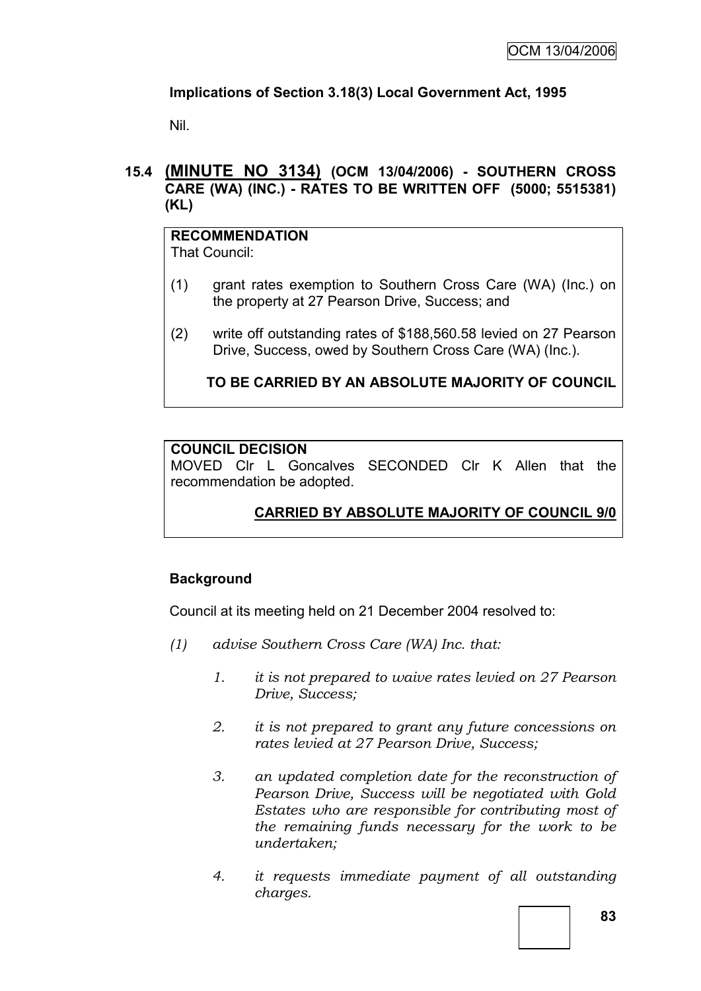# **Implications of Section 3.18(3) Local Government Act, 1995**

Nil.

## **15.4 (MINUTE NO 3134) (OCM 13/04/2006) - SOUTHERN CROSS CARE (WA) (INC.) - RATES TO BE WRITTEN OFF (5000; 5515381) (KL)**

**RECOMMENDATION** That Council:

- (1) grant rates exemption to Southern Cross Care (WA) (Inc.) on the property at 27 Pearson Drive, Success; and
- (2) write off outstanding rates of \$188,560.58 levied on 27 Pearson Drive, Success, owed by Southern Cross Care (WA) (Inc.).

**TO BE CARRIED BY AN ABSOLUTE MAJORITY OF COUNCIL**

# **COUNCIL DECISION**

MOVED Clr L Goncalves SECONDED Clr K Allen that the recommendation be adopted.

# **CARRIED BY ABSOLUTE MAJORITY OF COUNCIL 9/0**

## **Background**

Council at its meeting held on 21 December 2004 resolved to:

- *(1) advise Southern Cross Care (WA) Inc. that:*
	- *1. it is not prepared to waive rates levied on 27 Pearson Drive, Success;*
	- *2. it is not prepared to grant any future concessions on rates levied at 27 Pearson Drive, Success;*
	- *3. an updated completion date for the reconstruction of Pearson Drive, Success will be negotiated with Gold Estates who are responsible for contributing most of the remaining funds necessary for the work to be undertaken;*
	- *4. it requests immediate payment of all outstanding charges.*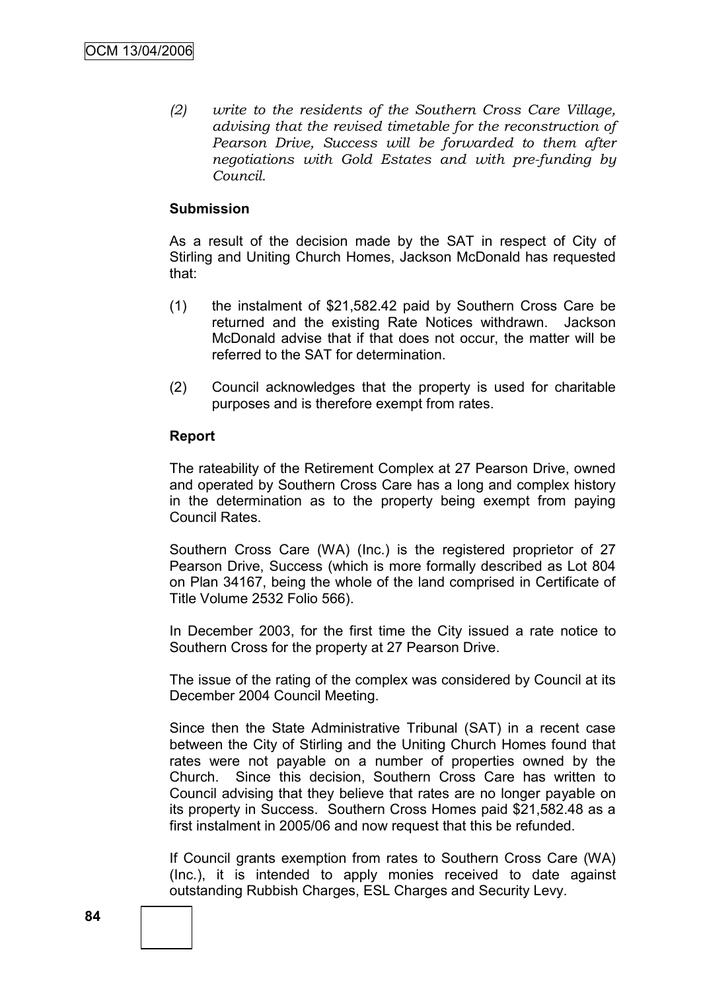*(2) write to the residents of the Southern Cross Care Village, advising that the revised timetable for the reconstruction of Pearson Drive, Success will be forwarded to them after negotiations with Gold Estates and with pre-funding by Council.*

#### **Submission**

As a result of the decision made by the SAT in respect of City of Stirling and Uniting Church Homes, Jackson McDonald has requested that:

- (1) the instalment of \$21,582.42 paid by Southern Cross Care be returned and the existing Rate Notices withdrawn. Jackson McDonald advise that if that does not occur, the matter will be referred to the SAT for determination.
- (2) Council acknowledges that the property is used for charitable purposes and is therefore exempt from rates.

#### **Report**

The rateability of the Retirement Complex at 27 Pearson Drive, owned and operated by Southern Cross Care has a long and complex history in the determination as to the property being exempt from paying Council Rates.

Southern Cross Care (WA) (Inc.) is the registered proprietor of 27 Pearson Drive, Success (which is more formally described as Lot 804 on Plan 34167, being the whole of the land comprised in Certificate of Title Volume 2532 Folio 566).

In December 2003, for the first time the City issued a rate notice to Southern Cross for the property at 27 Pearson Drive.

The issue of the rating of the complex was considered by Council at its December 2004 Council Meeting.

Since then the State Administrative Tribunal (SAT) in a recent case between the City of Stirling and the Uniting Church Homes found that rates were not payable on a number of properties owned by the Church. Since this decision, Southern Cross Care has written to Council advising that they believe that rates are no longer payable on its property in Success. Southern Cross Homes paid \$21,582.48 as a first instalment in 2005/06 and now request that this be refunded.

If Council grants exemption from rates to Southern Cross Care (WA) (Inc.), it is intended to apply monies received to date against outstanding Rubbish Charges, ESL Charges and Security Levy.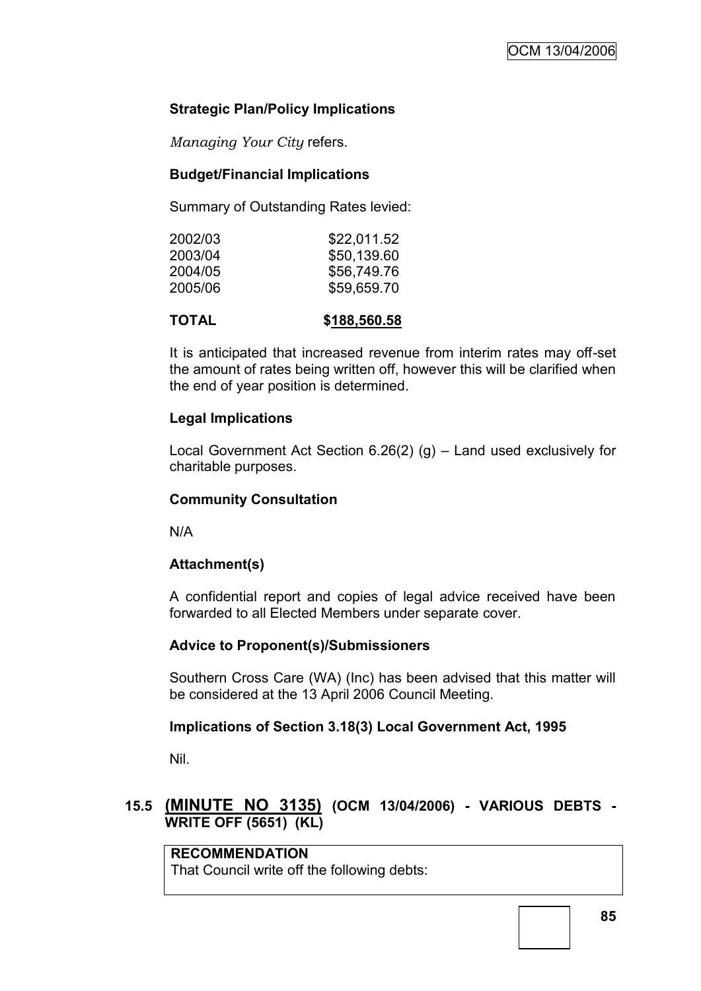# **Strategic Plan/Policy Implications**

*Managing Your City* refers.

# **Budget/Financial Implications**

Summary of Outstanding Rates levied:

| 2002/03 | \$22,011.52 |
|---------|-------------|
| 2003/04 | \$50,139.60 |
| 2004/05 | \$56,749.76 |
| 2005/06 | \$59,659.70 |
|         |             |

**TOTAL \$188,560.58**

It is anticipated that increased revenue from interim rates may off-set the amount of rates being written off, however this will be clarified when the end of year position is determined.

# **Legal Implications**

Local Government Act Section 6.26(2) (g) – Land used exclusively for charitable purposes.

## **Community Consultation**

N/A

## **Attachment(s)**

A confidential report and copies of legal advice received have been forwarded to all Elected Members under separate cover.

## **Advice to Proponent(s)/Submissioners**

Southern Cross Care (WA) (Inc) has been advised that this matter will be considered at the 13 April 2006 Council Meeting.

## **Implications of Section 3.18(3) Local Government Act, 1995**

Nil.

# **15.5 (MINUTE NO 3135) (OCM 13/04/2006) - VARIOUS DEBTS - WRITE OFF (5651) (KL)**

**RECOMMENDATION** That Council write off the following debts: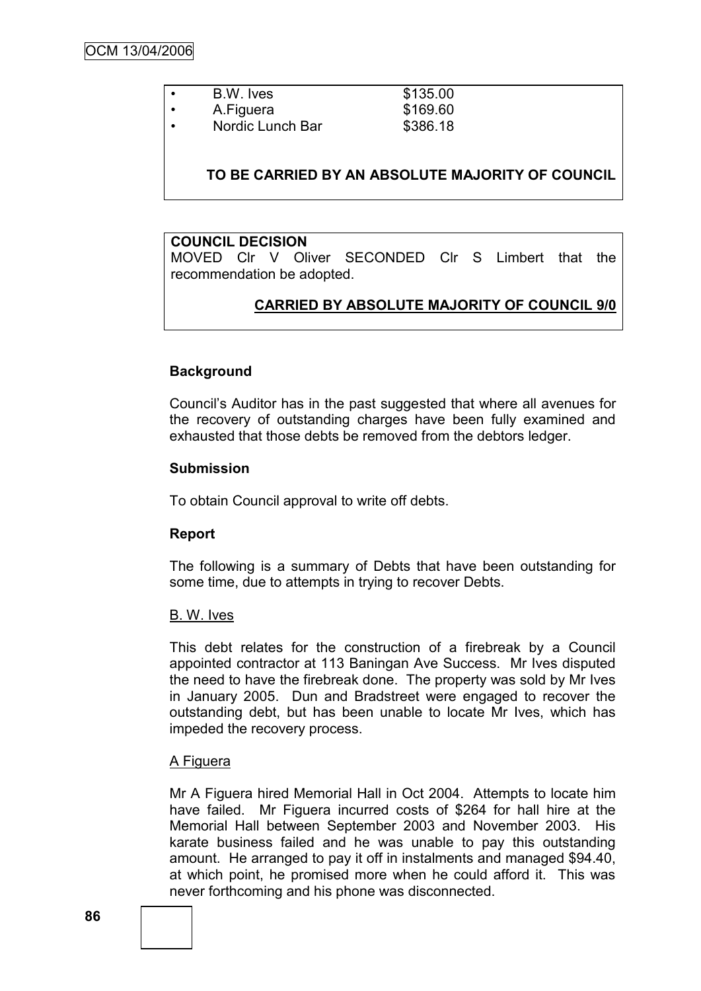| ٠ | B.W. Ives        | \$135.00 |
|---|------------------|----------|
| ٠ | A.Figuera        | \$169.60 |
| ٠ | Nordic Lunch Bar | \$386.18 |

#### **TO BE CARRIED BY AN ABSOLUTE MAJORITY OF COUNCIL**

#### **COUNCIL DECISION**

MOVED Clr V Oliver SECONDED Clr S Limbert that the recommendation be adopted.

#### **CARRIED BY ABSOLUTE MAJORITY OF COUNCIL 9/0**

#### **Background**

Council"s Auditor has in the past suggested that where all avenues for the recovery of outstanding charges have been fully examined and exhausted that those debts be removed from the debtors ledger.

#### **Submission**

To obtain Council approval to write off debts.

#### **Report**

The following is a summary of Debts that have been outstanding for some time, due to attempts in trying to recover Debts.

#### B. W. Ives

This debt relates for the construction of a firebreak by a Council appointed contractor at 113 Baningan Ave Success. Mr Ives disputed the need to have the firebreak done. The property was sold by Mr Ives in January 2005. Dun and Bradstreet were engaged to recover the outstanding debt, but has been unable to locate Mr Ives, which has impeded the recovery process.

#### A Figuera

Mr A Figuera hired Memorial Hall in Oct 2004. Attempts to locate him have failed. Mr Figuera incurred costs of \$264 for hall hire at the Memorial Hall between September 2003 and November 2003. His karate business failed and he was unable to pay this outstanding amount. He arranged to pay it off in instalments and managed \$94.40, at which point, he promised more when he could afford it. This was never forthcoming and his phone was disconnected.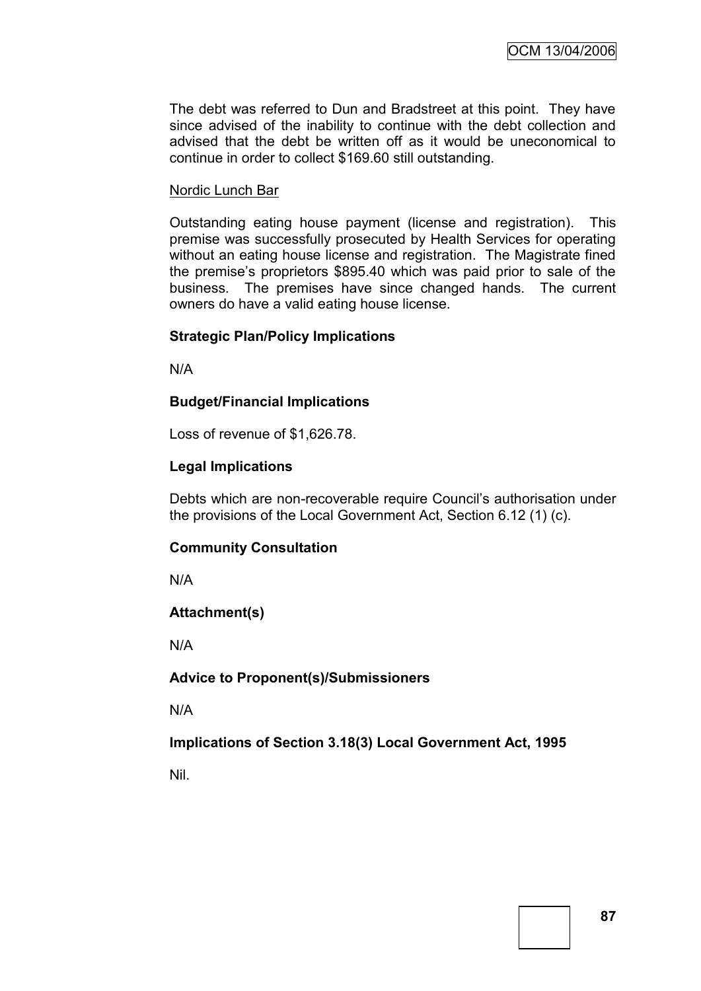The debt was referred to Dun and Bradstreet at this point. They have since advised of the inability to continue with the debt collection and advised that the debt be written off as it would be uneconomical to continue in order to collect \$169.60 still outstanding.

#### Nordic Lunch Bar

Outstanding eating house payment (license and registration). This premise was successfully prosecuted by Health Services for operating without an eating house license and registration. The Magistrate fined the premise's proprietors \$895.40 which was paid prior to sale of the business. The premises have since changed hands. The current owners do have a valid eating house license.

#### **Strategic Plan/Policy Implications**

N/A

#### **Budget/Financial Implications**

Loss of revenue of \$1,626.78.

#### **Legal Implications**

Debts which are non-recoverable require Council's authorisation under the provisions of the Local Government Act, Section 6.12 (1) (c).

#### **Community Consultation**

N/A

#### **Attachment(s)**

N/A

#### **Advice to Proponent(s)/Submissioners**

N/A

## **Implications of Section 3.18(3) Local Government Act, 1995**

Nil.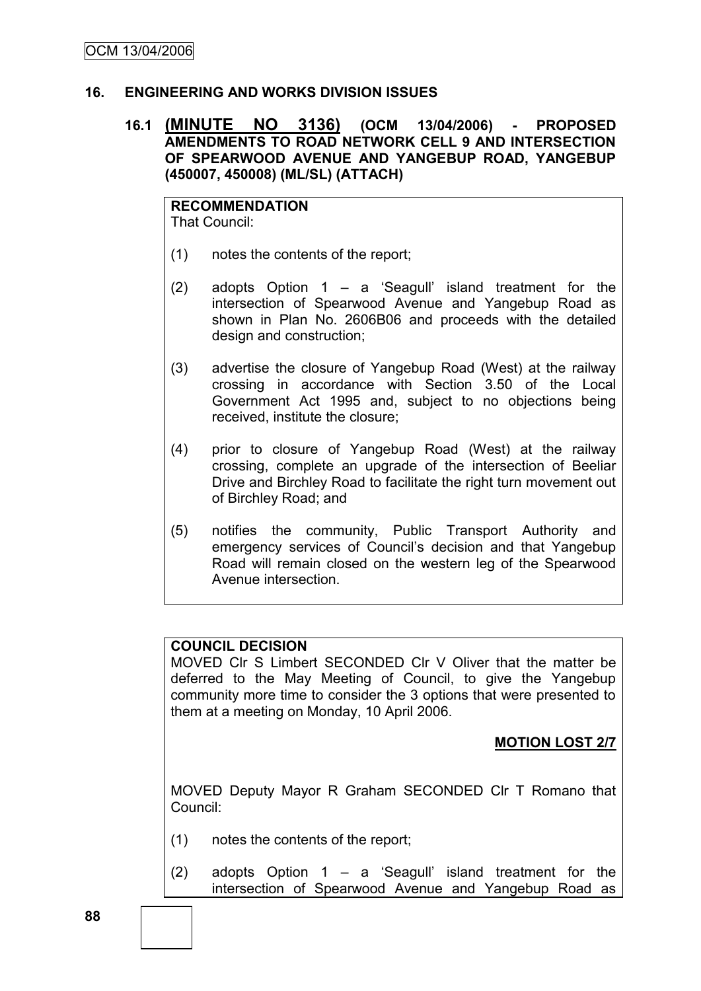## **16. ENGINEERING AND WORKS DIVISION ISSUES**

## **16.1 (MINUTE NO 3136) (OCM 13/04/2006) - PROPOSED AMENDMENTS TO ROAD NETWORK CELL 9 AND INTERSECTION OF SPEARWOOD AVENUE AND YANGEBUP ROAD, YANGEBUP (450007, 450008) (ML/SL) (ATTACH)**

**RECOMMENDATION** That Council:

- (1) notes the contents of the report;
- (2) adopts Option  $1 a$  'Seagull' island treatment for the intersection of Spearwood Avenue and Yangebup Road as shown in Plan No. 2606B06 and proceeds with the detailed design and construction;
- (3) advertise the closure of Yangebup Road (West) at the railway crossing in accordance with Section 3.50 of the Local Government Act 1995 and, subject to no objections being received, institute the closure;
- (4) prior to closure of Yangebup Road (West) at the railway crossing, complete an upgrade of the intersection of Beeliar Drive and Birchley Road to facilitate the right turn movement out of Birchley Road; and
- (5) notifies the community, Public Transport Authority and emergency services of Council"s decision and that Yangebup Road will remain closed on the western leg of the Spearwood Avenue intersection.

## **COUNCIL DECISION**

MOVED Clr S Limbert SECONDED Clr V Oliver that the matter be deferred to the May Meeting of Council, to give the Yangebup community more time to consider the 3 options that were presented to them at a meeting on Monday, 10 April 2006.

## **MOTION LOST 2/7**

MOVED Deputy Mayor R Graham SECONDED Clr T Romano that Council:

- (1) notes the contents of the report;
- (2) adopts Option  $1 a$  'Seagull' island treatment for the intersection of Spearwood Avenue and Yangebup Road as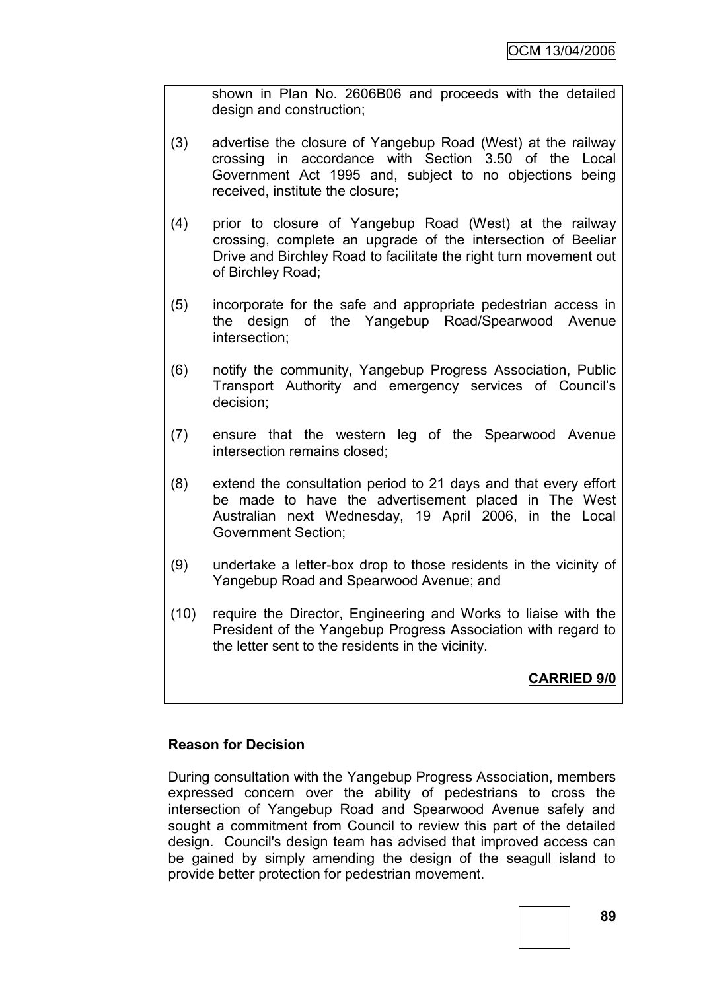shown in Plan No. 2606B06 and proceeds with the detailed design and construction;

- (3) advertise the closure of Yangebup Road (West) at the railway crossing in accordance with Section 3.50 of the Local Government Act 1995 and, subject to no objections being received, institute the closure;
- (4) prior to closure of Yangebup Road (West) at the railway crossing, complete an upgrade of the intersection of Beeliar Drive and Birchley Road to facilitate the right turn movement out of Birchley Road;
- (5) incorporate for the safe and appropriate pedestrian access in the design of the Yangebup Road/Spearwood Avenue intersection;
- (6) notify the community, Yangebup Progress Association, Public Transport Authority and emergency services of Council"s decision;
- (7) ensure that the western leg of the Spearwood Avenue intersection remains closed;
- (8) extend the consultation period to 21 days and that every effort be made to have the advertisement placed in The West Australian next Wednesday, 19 April 2006, in the Local Government Section;
- (9) undertake a letter-box drop to those residents in the vicinity of Yangebup Road and Spearwood Avenue; and
- (10) require the Director, Engineering and Works to liaise with the President of the Yangebup Progress Association with regard to the letter sent to the residents in the vicinity.

# **CARRIED 9/0**

# **Reason for Decision**

During consultation with the Yangebup Progress Association, members expressed concern over the ability of pedestrians to cross the intersection of Yangebup Road and Spearwood Avenue safely and sought a commitment from Council to review this part of the detailed design. Council's design team has advised that improved access can be gained by simply amending the design of the seagull island to provide better protection for pedestrian movement.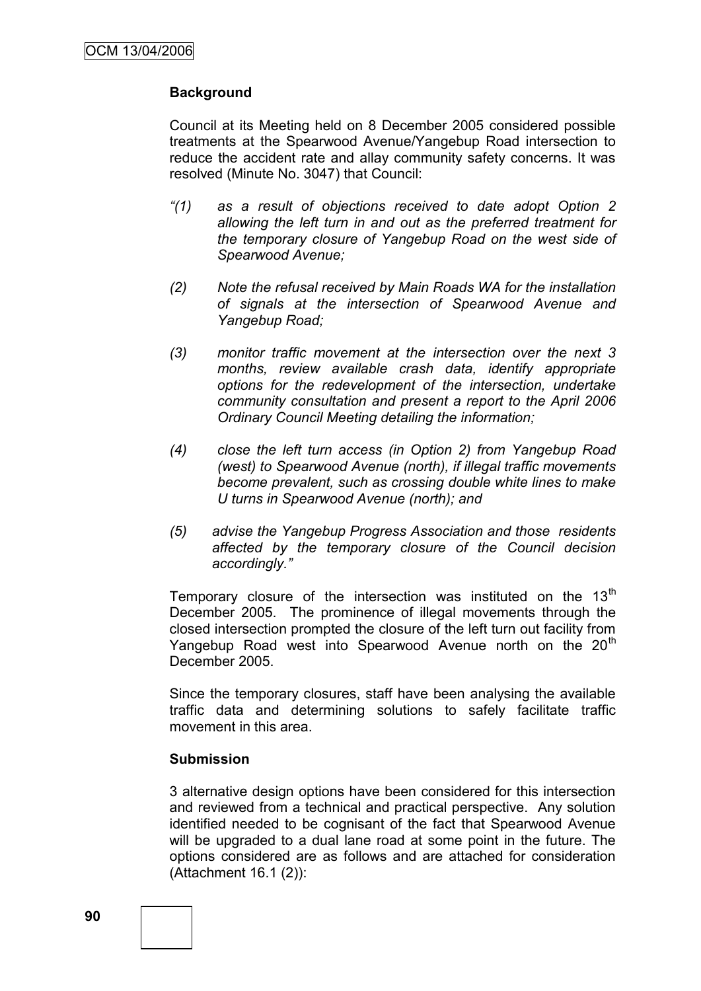## **Background**

Council at its Meeting held on 8 December 2005 considered possible treatments at the Spearwood Avenue/Yangebup Road intersection to reduce the accident rate and allay community safety concerns. It was resolved (Minute No. 3047) that Council:

- *"(1) as a result of objections received to date adopt Option 2 allowing the left turn in and out as the preferred treatment for the temporary closure of Yangebup Road on the west side of Spearwood Avenue;*
- *(2) Note the refusal received by Main Roads WA for the installation of signals at the intersection of Spearwood Avenue and Yangebup Road;*
- *(3) monitor traffic movement at the intersection over the next 3 months, review available crash data, identify appropriate options for the redevelopment of the intersection, undertake community consultation and present a report to the April 2006 Ordinary Council Meeting detailing the information;*
- *(4) close the left turn access (in Option 2) from Yangebup Road (west) to Spearwood Avenue (north), if illegal traffic movements become prevalent, such as crossing double white lines to make U turns in Spearwood Avenue (north); and*
- *(5) advise the Yangebup Progress Association and those residents affected by the temporary closure of the Council decision accordingly."*

Temporary closure of the intersection was instituted on the  $13<sup>th</sup>$ December 2005. The prominence of illegal movements through the closed intersection prompted the closure of the left turn out facility from Yangebup Road west into Spearwood Avenue north on the 20<sup>th</sup> December 2005.

Since the temporary closures, staff have been analysing the available traffic data and determining solutions to safely facilitate traffic movement in this area.

#### **Submission**

3 alternative design options have been considered for this intersection and reviewed from a technical and practical perspective. Any solution identified needed to be cognisant of the fact that Spearwood Avenue will be upgraded to a dual lane road at some point in the future. The options considered are as follows and are attached for consideration (Attachment 16.1 (2)):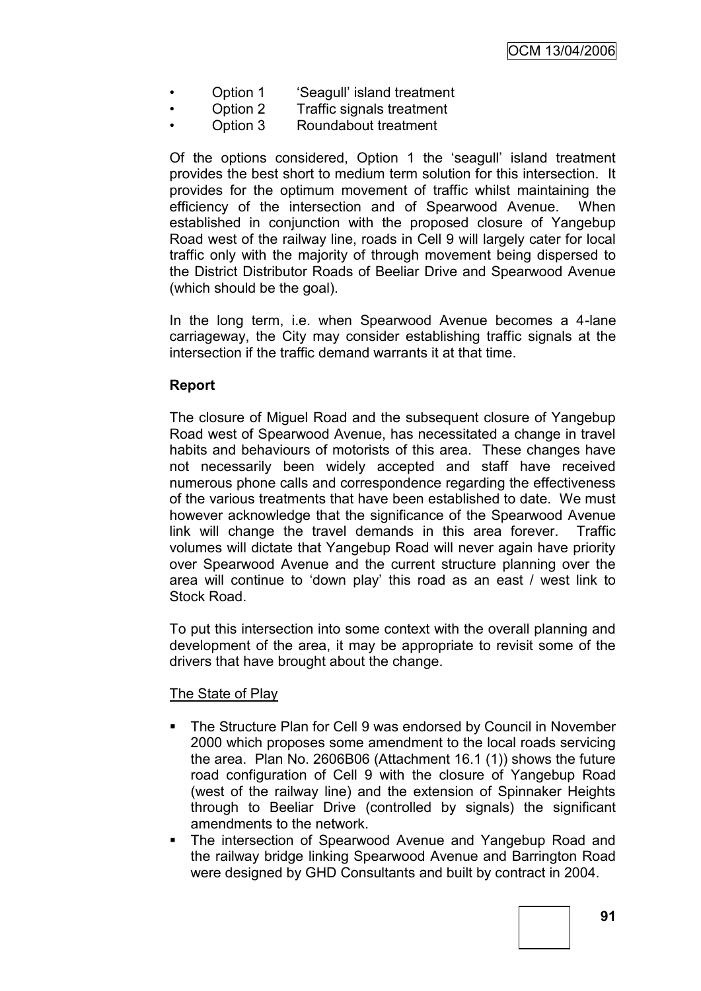- Option 1 'Seagull' island treatment
- Option 2 Traffic signals treatment
- Option 3 Roundabout treatment

Of the options considered, Option 1 the "seagull" island treatment provides the best short to medium term solution for this intersection. It provides for the optimum movement of traffic whilst maintaining the efficiency of the intersection and of Spearwood Avenue. When established in conjunction with the proposed closure of Yangebup Road west of the railway line, roads in Cell 9 will largely cater for local traffic only with the majority of through movement being dispersed to the District Distributor Roads of Beeliar Drive and Spearwood Avenue (which should be the goal).

In the long term, i.e. when Spearwood Avenue becomes a 4-lane carriageway, the City may consider establishing traffic signals at the intersection if the traffic demand warrants it at that time.

# **Report**

The closure of Miguel Road and the subsequent closure of Yangebup Road west of Spearwood Avenue, has necessitated a change in travel habits and behaviours of motorists of this area. These changes have not necessarily been widely accepted and staff have received numerous phone calls and correspondence regarding the effectiveness of the various treatments that have been established to date. We must however acknowledge that the significance of the Spearwood Avenue link will change the travel demands in this area forever. Traffic volumes will dictate that Yangebup Road will never again have priority over Spearwood Avenue and the current structure planning over the area will continue to "down play" this road as an east / west link to Stock Road.

To put this intersection into some context with the overall planning and development of the area, it may be appropriate to revisit some of the drivers that have brought about the change.

## The State of Play

- **The Structure Plan for Cell 9 was endorsed by Council in November** 2000 which proposes some amendment to the local roads servicing the area. Plan No. 2606B06 (Attachment 16.1 (1)) shows the future road configuration of Cell 9 with the closure of Yangebup Road (west of the railway line) and the extension of Spinnaker Heights through to Beeliar Drive (controlled by signals) the significant amendments to the network.
- **The intersection of Spearwood Avenue and Yangebup Road and** the railway bridge linking Spearwood Avenue and Barrington Road were designed by GHD Consultants and built by contract in 2004.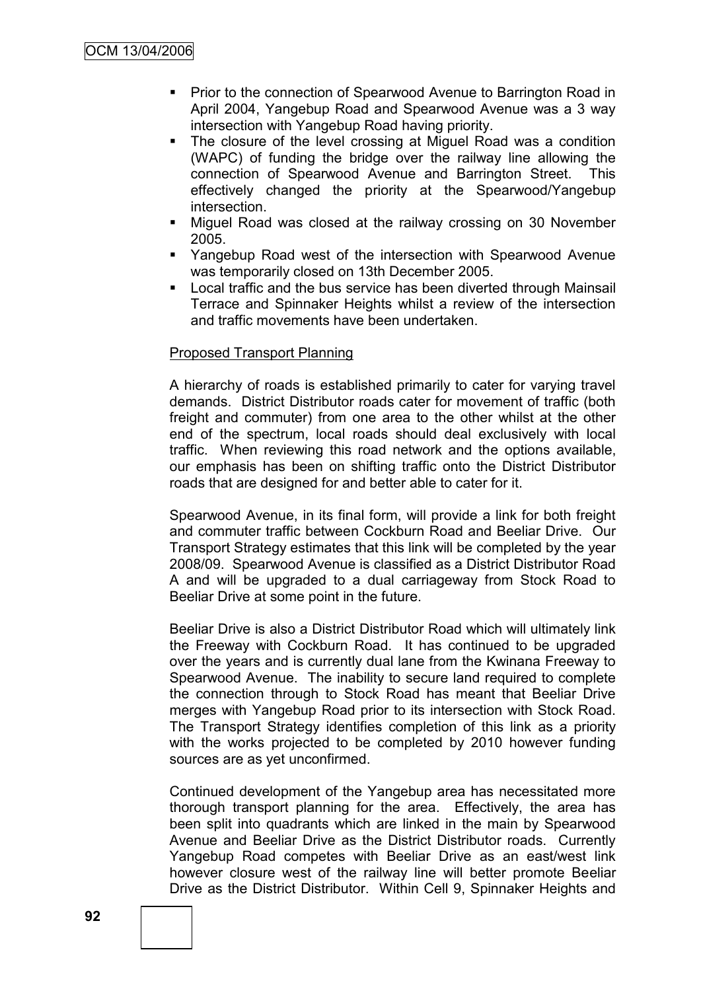- **Prior to the connection of Spearwood Avenue to Barrington Road in** April 2004, Yangebup Road and Spearwood Avenue was a 3 way intersection with Yangebup Road having priority.
- The closure of the level crossing at Miguel Road was a condition (WAPC) of funding the bridge over the railway line allowing the connection of Spearwood Avenue and Barrington Street. This effectively changed the priority at the Spearwood/Yangebup intersection.
- Miguel Road was closed at the railway crossing on 30 November 2005.
- Yangebup Road west of the intersection with Spearwood Avenue was temporarily closed on 13th December 2005.
- **Local traffic and the bus service has been diverted through Mainsail** Terrace and Spinnaker Heights whilst a review of the intersection and traffic movements have been undertaken.

#### Proposed Transport Planning

A hierarchy of roads is established primarily to cater for varying travel demands. District Distributor roads cater for movement of traffic (both freight and commuter) from one area to the other whilst at the other end of the spectrum, local roads should deal exclusively with local traffic. When reviewing this road network and the options available, our emphasis has been on shifting traffic onto the District Distributor roads that are designed for and better able to cater for it.

Spearwood Avenue, in its final form, will provide a link for both freight and commuter traffic between Cockburn Road and Beeliar Drive. Our Transport Strategy estimates that this link will be completed by the year 2008/09. Spearwood Avenue is classified as a District Distributor Road A and will be upgraded to a dual carriageway from Stock Road to Beeliar Drive at some point in the future.

Beeliar Drive is also a District Distributor Road which will ultimately link the Freeway with Cockburn Road. It has continued to be upgraded over the years and is currently dual lane from the Kwinana Freeway to Spearwood Avenue. The inability to secure land required to complete the connection through to Stock Road has meant that Beeliar Drive merges with Yangebup Road prior to its intersection with Stock Road. The Transport Strategy identifies completion of this link as a priority with the works projected to be completed by 2010 however funding sources are as yet unconfirmed.

Continued development of the Yangebup area has necessitated more thorough transport planning for the area. Effectively, the area has been split into quadrants which are linked in the main by Spearwood Avenue and Beeliar Drive as the District Distributor roads. Currently Yangebup Road competes with Beeliar Drive as an east/west link however closure west of the railway line will better promote Beeliar Drive as the District Distributor. Within Cell 9, Spinnaker Heights and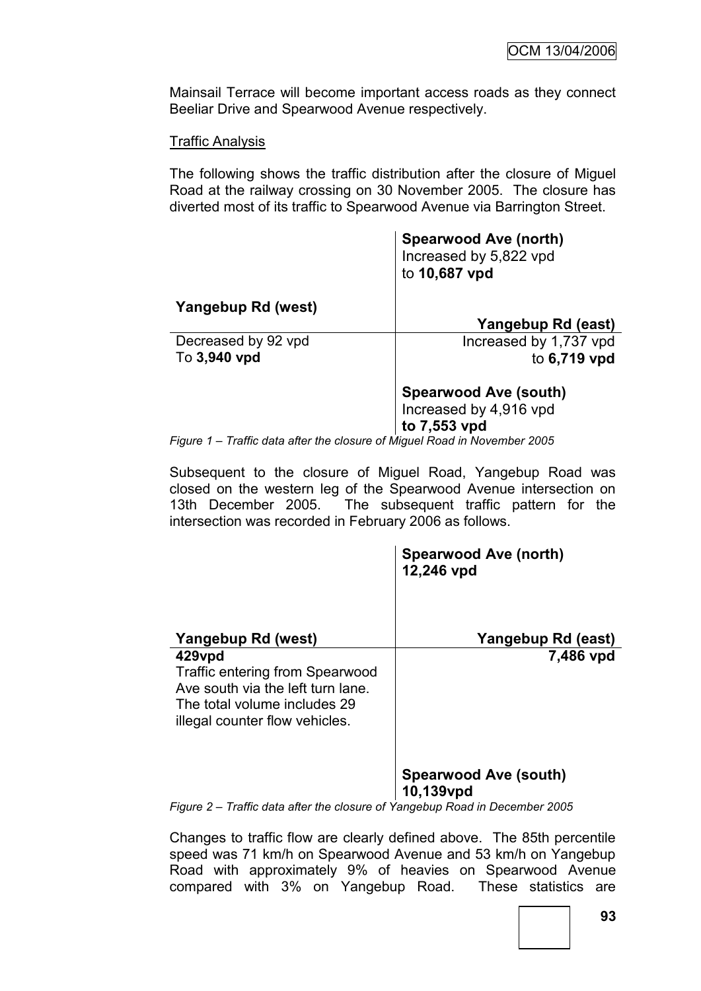Mainsail Terrace will become important access roads as they connect Beeliar Drive and Spearwood Avenue respectively.

#### Traffic Analysis

The following shows the traffic distribution after the closure of Miguel Road at the railway crossing on 30 November 2005. The closure has diverted most of its traffic to Spearwood Avenue via Barrington Street.

|                     | <b>Spearwood Ave (north)</b><br>Increased by 5,822 vpd<br>to 10,687 vpd |
|---------------------|-------------------------------------------------------------------------|
| Yangebup Rd (west)  |                                                                         |
|                     | Yangebup Rd (east)                                                      |
| Decreased by 92 vpd | Increased by 1,737 vpd                                                  |
| To 3,940 vpd        | to 6,719 vpd                                                            |
|                     | <b>Spearwood Ave (south)</b>                                            |
|                     | Increased by 4,916 vpd                                                  |
|                     | to 7,553 vpd                                                            |

*Figure 1 – Traffic data after the closure of Miguel Road in November 2005*

Subsequent to the closure of Miguel Road, Yangebup Road was closed on the western leg of the Spearwood Avenue intersection on 13th December 2005. The subsequent traffic pattern for the intersection was recorded in February 2006 as follows.

|                                                                                                                                                         | <b>Spearwood Ave (north)</b><br>12,246 vpd |
|---------------------------------------------------------------------------------------------------------------------------------------------------------|--------------------------------------------|
| Yangebup Rd (west)                                                                                                                                      | Yangebup Rd (east)                         |
| 429vpd<br><b>Traffic entering from Spearwood</b><br>Ave south via the left turn lane.<br>The total volume includes 29<br>illegal counter flow vehicles. | 7,486 vpd                                  |
|                                                                                                                                                         | <b>Spearwood Ave (south)</b><br>10,139vpd  |

*Figure 2 – Traffic data after the closure of Yangebup Road in December 2005*

Changes to traffic flow are clearly defined above. The 85th percentile speed was 71 km/h on Spearwood Avenue and 53 km/h on Yangebup Road with approximately 9% of heavies on Spearwood Avenue compared with 3% on Yangebup Road. These statistics are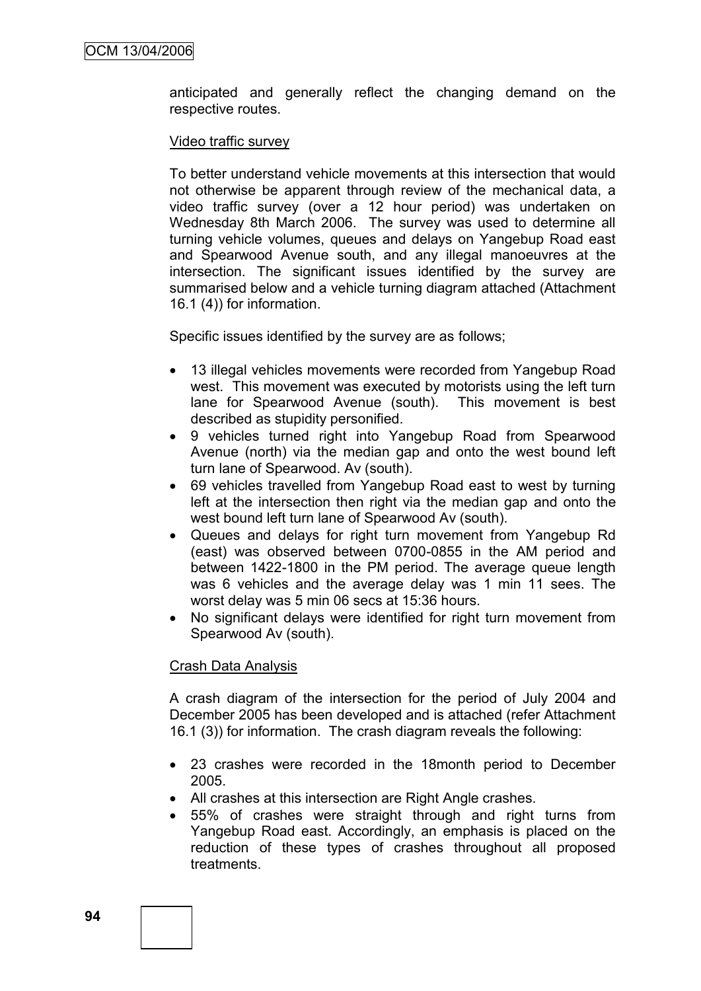anticipated and generally reflect the changing demand on the respective routes.

#### Video traffic survey

To better understand vehicle movements at this intersection that would not otherwise be apparent through review of the mechanical data, a video traffic survey (over a 12 hour period) was undertaken on Wednesday 8th March 2006. The survey was used to determine all turning vehicle volumes, queues and delays on Yangebup Road east and Spearwood Avenue south, and any illegal manoeuvres at the intersection. The significant issues identified by the survey are summarised below and a vehicle turning diagram attached (Attachment 16.1 (4)) for information.

Specific issues identified by the survey are as follows;

- 13 illegal vehicles movements were recorded from Yangebup Road west. This movement was executed by motorists using the left turn lane for Spearwood Avenue (south). This movement is best described as stupidity personified.
- 9 vehicles turned right into Yangebup Road from Spearwood Avenue (north) via the median gap and onto the west bound left turn lane of Spearwood. Av (south).
- 69 vehicles travelled from Yangebup Road east to west by turning left at the intersection then right via the median gap and onto the west bound left turn lane of Spearwood Av (south).
- Queues and delays for right turn movement from Yangebup Rd (east) was observed between 0700-0855 in the AM period and between 1422-1800 in the PM period. The average queue length was 6 vehicles and the average delay was 1 min 11 sees. The worst delay was 5 min 06 secs at 15:36 hours.
- No significant delays were identified for right turn movement from Spearwood Av (south).

## Crash Data Analysis

A crash diagram of the intersection for the period of July 2004 and December 2005 has been developed and is attached (refer Attachment 16.1 (3)) for information. The crash diagram reveals the following:

- 23 crashes were recorded in the 18month period to December 2005.
- All crashes at this intersection are Right Angle crashes.
- 55% of crashes were straight through and right turns from Yangebup Road east. Accordingly, an emphasis is placed on the reduction of these types of crashes throughout all proposed treatments.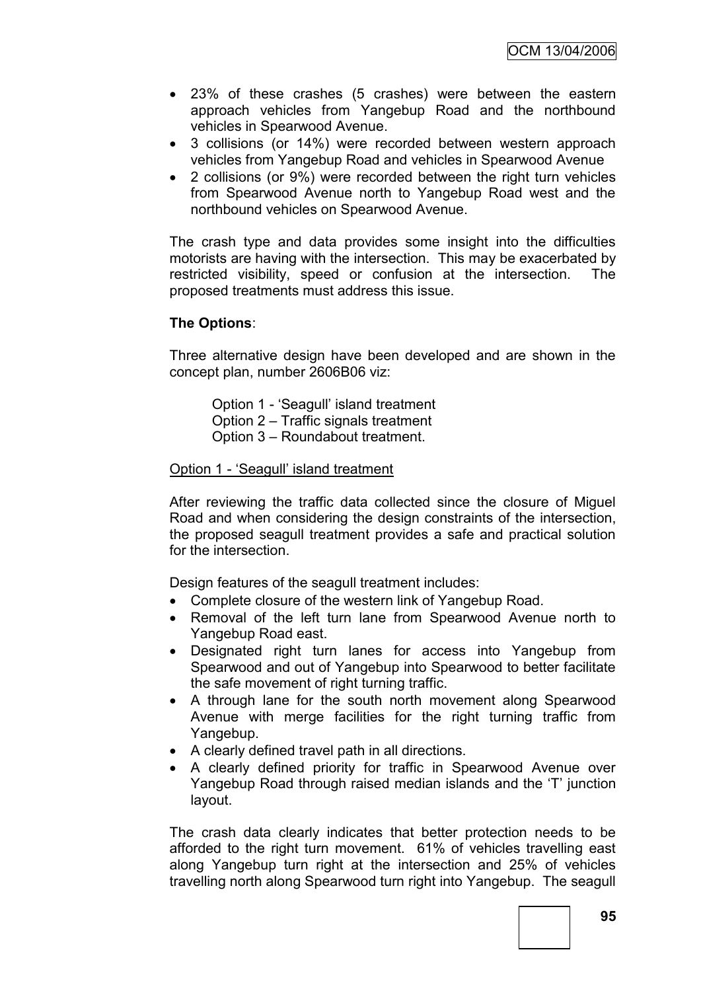- 23% of these crashes (5 crashes) were between the eastern approach vehicles from Yangebup Road and the northbound vehicles in Spearwood Avenue.
- 3 collisions (or 14%) were recorded between western approach vehicles from Yangebup Road and vehicles in Spearwood Avenue
- 2 collisions (or 9%) were recorded between the right turn vehicles from Spearwood Avenue north to Yangebup Road west and the northbound vehicles on Spearwood Avenue.

The crash type and data provides some insight into the difficulties motorists are having with the intersection. This may be exacerbated by restricted visibility, speed or confusion at the intersection. The proposed treatments must address this issue.

## **The Options**:

Three alternative design have been developed and are shown in the concept plan, number 2606B06 viz:

Option 1 - "Seagull" island treatment Option 2 – Traffic signals treatment Option 3 – Roundabout treatment.

#### Option 1 - 'Seagull' island treatment

After reviewing the traffic data collected since the closure of Miguel Road and when considering the design constraints of the intersection, the proposed seagull treatment provides a safe and practical solution for the intersection.

Design features of the seagull treatment includes:

- Complete closure of the western link of Yangebup Road.
- Removal of the left turn lane from Spearwood Avenue north to Yangebup Road east.
- Designated right turn lanes for access into Yangebup from Spearwood and out of Yangebup into Spearwood to better facilitate the safe movement of right turning traffic.
- A through lane for the south north movement along Spearwood Avenue with merge facilities for the right turning traffic from Yangebup.
- A clearly defined travel path in all directions.
- A clearly defined priority for traffic in Spearwood Avenue over Yangebup Road through raised median islands and the "T" junction layout.

The crash data clearly indicates that better protection needs to be afforded to the right turn movement. 61% of vehicles travelling east along Yangebup turn right at the intersection and 25% of vehicles travelling north along Spearwood turn right into Yangebup. The seagull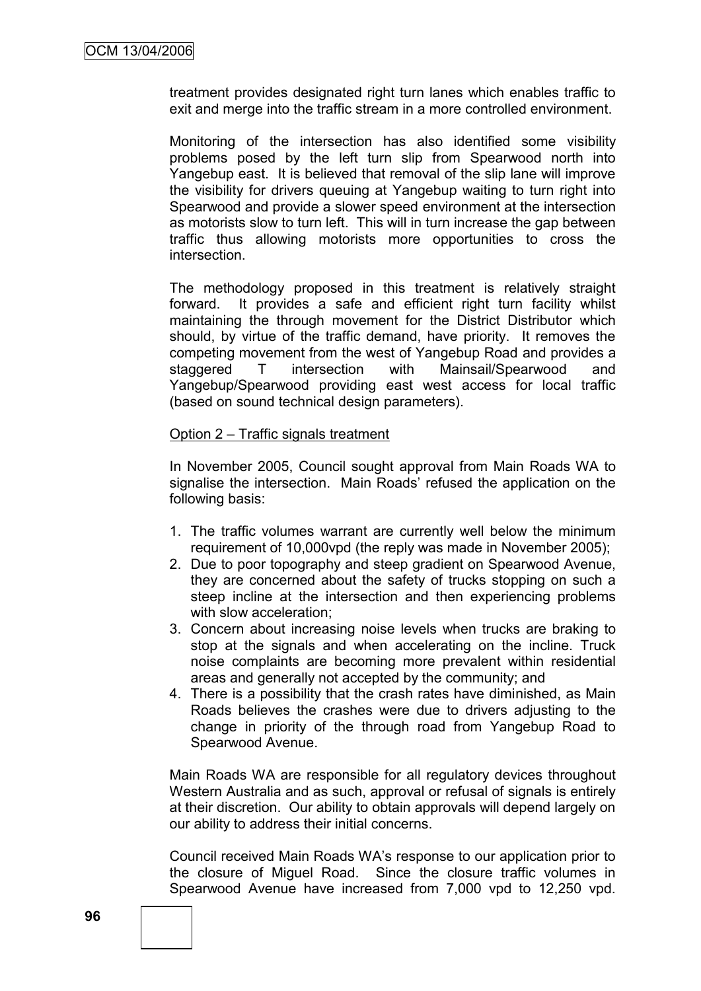treatment provides designated right turn lanes which enables traffic to exit and merge into the traffic stream in a more controlled environment.

Monitoring of the intersection has also identified some visibility problems posed by the left turn slip from Spearwood north into Yangebup east. It is believed that removal of the slip lane will improve the visibility for drivers queuing at Yangebup waiting to turn right into Spearwood and provide a slower speed environment at the intersection as motorists slow to turn left. This will in turn increase the gap between traffic thus allowing motorists more opportunities to cross the intersection.

The methodology proposed in this treatment is relatively straight forward. It provides a safe and efficient right turn facility whilst maintaining the through movement for the District Distributor which should, by virtue of the traffic demand, have priority. It removes the competing movement from the west of Yangebup Road and provides a staggered T intersection with Mainsail/Spearwood and Yangebup/Spearwood providing east west access for local traffic (based on sound technical design parameters).

#### Option 2 – Traffic signals treatment

In November 2005, Council sought approval from Main Roads WA to signalise the intersection. Main Roads' refused the application on the following basis:

- 1. The traffic volumes warrant are currently well below the minimum requirement of 10,000vpd (the reply was made in November 2005);
- 2. Due to poor topography and steep gradient on Spearwood Avenue, they are concerned about the safety of trucks stopping on such a steep incline at the intersection and then experiencing problems with slow acceleration;
- 3. Concern about increasing noise levels when trucks are braking to stop at the signals and when accelerating on the incline. Truck noise complaints are becoming more prevalent within residential areas and generally not accepted by the community; and
- 4. There is a possibility that the crash rates have diminished, as Main Roads believes the crashes were due to drivers adjusting to the change in priority of the through road from Yangebup Road to Spearwood Avenue.

Main Roads WA are responsible for all regulatory devices throughout Western Australia and as such, approval or refusal of signals is entirely at their discretion. Our ability to obtain approvals will depend largely on our ability to address their initial concerns.

Council received Main Roads WA"s response to our application prior to the closure of Miguel Road. Since the closure traffic volumes in Spearwood Avenue have increased from 7,000 vpd to 12,250 vpd.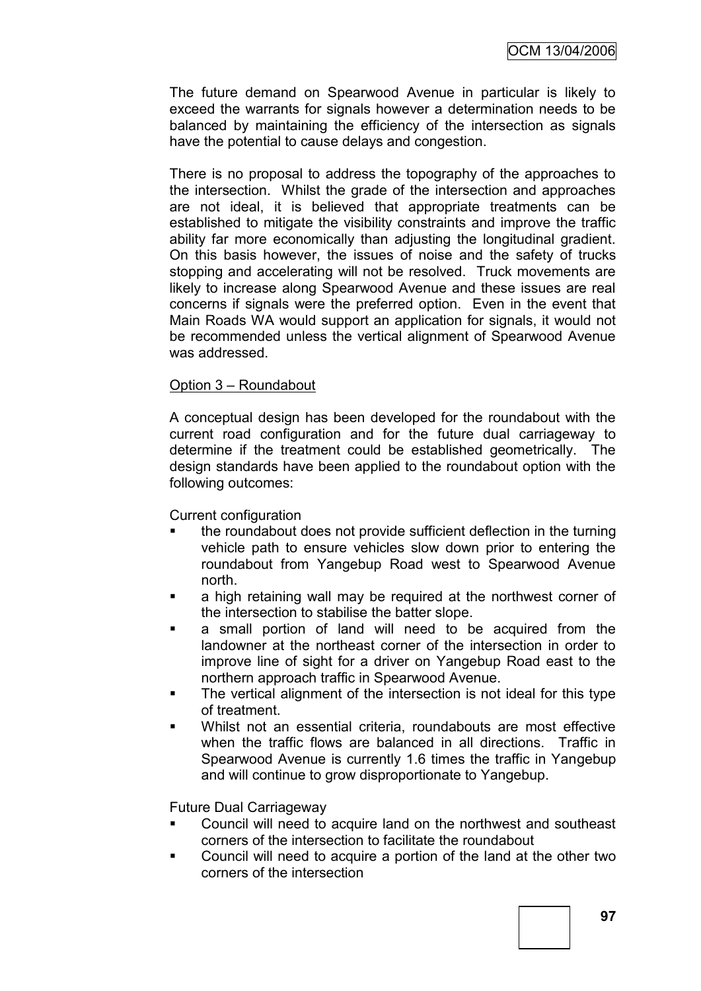The future demand on Spearwood Avenue in particular is likely to exceed the warrants for signals however a determination needs to be balanced by maintaining the efficiency of the intersection as signals have the potential to cause delays and congestion.

There is no proposal to address the topography of the approaches to the intersection. Whilst the grade of the intersection and approaches are not ideal, it is believed that appropriate treatments can be established to mitigate the visibility constraints and improve the traffic ability far more economically than adjusting the longitudinal gradient. On this basis however, the issues of noise and the safety of trucks stopping and accelerating will not be resolved. Truck movements are likely to increase along Spearwood Avenue and these issues are real concerns if signals were the preferred option. Even in the event that Main Roads WA would support an application for signals, it would not be recommended unless the vertical alignment of Spearwood Avenue was addressed.

#### Option 3 – Roundabout

A conceptual design has been developed for the roundabout with the current road configuration and for the future dual carriageway to determine if the treatment could be established geometrically. The design standards have been applied to the roundabout option with the following outcomes:

Current configuration

- the roundabout does not provide sufficient deflection in the turning vehicle path to ensure vehicles slow down prior to entering the roundabout from Yangebup Road west to Spearwood Avenue north.
- a high retaining wall may be required at the northwest corner of the intersection to stabilise the batter slope.
- a small portion of land will need to be acquired from the landowner at the northeast corner of the intersection in order to improve line of sight for a driver on Yangebup Road east to the northern approach traffic in Spearwood Avenue.
- The vertical alignment of the intersection is not ideal for this type of treatment.
- Whilst not an essential criteria, roundabouts are most effective when the traffic flows are balanced in all directions. Traffic in Spearwood Avenue is currently 1.6 times the traffic in Yangebup and will continue to grow disproportionate to Yangebup.

Future Dual Carriageway

- Council will need to acquire land on the northwest and southeast corners of the intersection to facilitate the roundabout
- Council will need to acquire a portion of the land at the other two corners of the intersection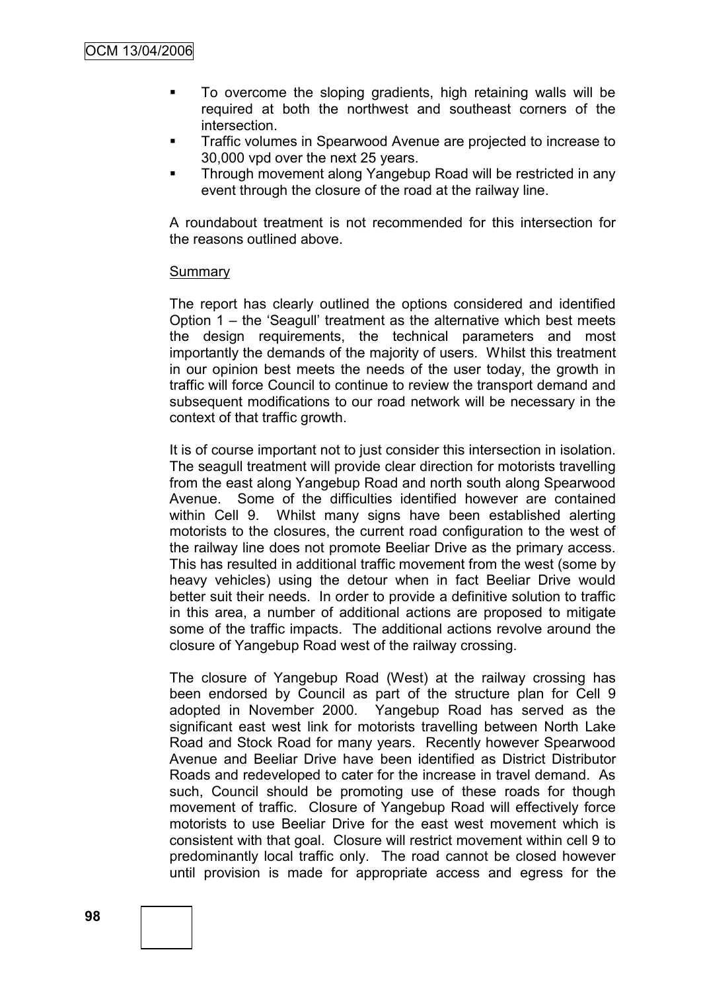- To overcome the sloping gradients, high retaining walls will be required at both the northwest and southeast corners of the intersection.
- **Traffic volumes in Spearwood Avenue are projected to increase to** 30,000 vpd over the next 25 years.
- **Through movement along Yangebup Road will be restricted in any** event through the closure of the road at the railway line.

A roundabout treatment is not recommended for this intersection for the reasons outlined above.

#### Summary

The report has clearly outlined the options considered and identified Option 1 – the "Seagull" treatment as the alternative which best meets the design requirements, the technical parameters and most importantly the demands of the majority of users. Whilst this treatment in our opinion best meets the needs of the user today, the growth in traffic will force Council to continue to review the transport demand and subsequent modifications to our road network will be necessary in the context of that traffic growth.

It is of course important not to just consider this intersection in isolation. The seagull treatment will provide clear direction for motorists travelling from the east along Yangebup Road and north south along Spearwood Avenue. Some of the difficulties identified however are contained within Cell 9. Whilst many signs have been established alerting motorists to the closures, the current road configuration to the west of the railway line does not promote Beeliar Drive as the primary access. This has resulted in additional traffic movement from the west (some by heavy vehicles) using the detour when in fact Beeliar Drive would better suit their needs. In order to provide a definitive solution to traffic in this area, a number of additional actions are proposed to mitigate some of the traffic impacts. The additional actions revolve around the closure of Yangebup Road west of the railway crossing.

The closure of Yangebup Road (West) at the railway crossing has been endorsed by Council as part of the structure plan for Cell 9 adopted in November 2000. Yangebup Road has served as the significant east west link for motorists travelling between North Lake Road and Stock Road for many years. Recently however Spearwood Avenue and Beeliar Drive have been identified as District Distributor Roads and redeveloped to cater for the increase in travel demand. As such, Council should be promoting use of these roads for though movement of traffic. Closure of Yangebup Road will effectively force motorists to use Beeliar Drive for the east west movement which is consistent with that goal. Closure will restrict movement within cell 9 to predominantly local traffic only. The road cannot be closed however until provision is made for appropriate access and egress for the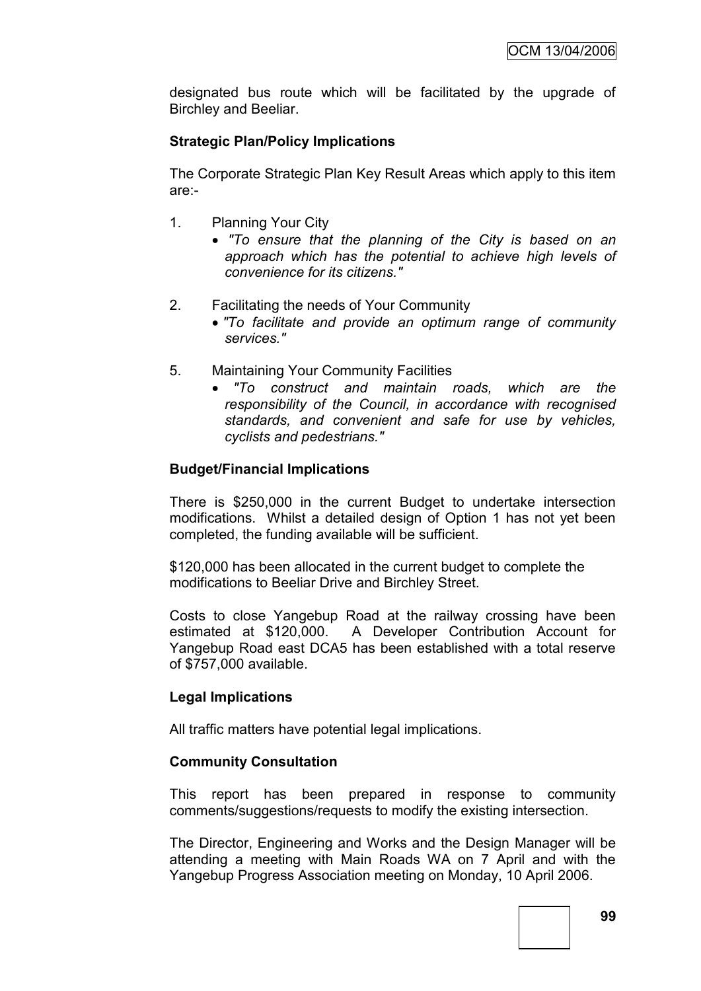designated bus route which will be facilitated by the upgrade of Birchley and Beeliar.

# **Strategic Plan/Policy Implications**

The Corporate Strategic Plan Key Result Areas which apply to this item are:-

- 1. Planning Your City
	- *"To ensure that the planning of the City is based on an approach which has the potential to achieve high levels of convenience for its citizens."*
- 2. Facilitating the needs of Your Community
	- *"To facilitate and provide an optimum range of community services."*
- 5. Maintaining Your Community Facilities
	- *"To construct and maintain roads, which are the responsibility of the Council, in accordance with recognised standards, and convenient and safe for use by vehicles, cyclists and pedestrians."*

# **Budget/Financial Implications**

There is \$250,000 in the current Budget to undertake intersection modifications. Whilst a detailed design of Option 1 has not yet been completed, the funding available will be sufficient.

\$120,000 has been allocated in the current budget to complete the modifications to Beeliar Drive and Birchley Street.

Costs to close Yangebup Road at the railway crossing have been estimated at \$120,000. A Developer Contribution Account for Yangebup Road east DCA5 has been established with a total reserve of \$757,000 available.

# **Legal Implications**

All traffic matters have potential legal implications.

## **Community Consultation**

This report has been prepared in response to community comments/suggestions/requests to modify the existing intersection.

The Director, Engineering and Works and the Design Manager will be attending a meeting with Main Roads WA on 7 April and with the Yangebup Progress Association meeting on Monday, 10 April 2006.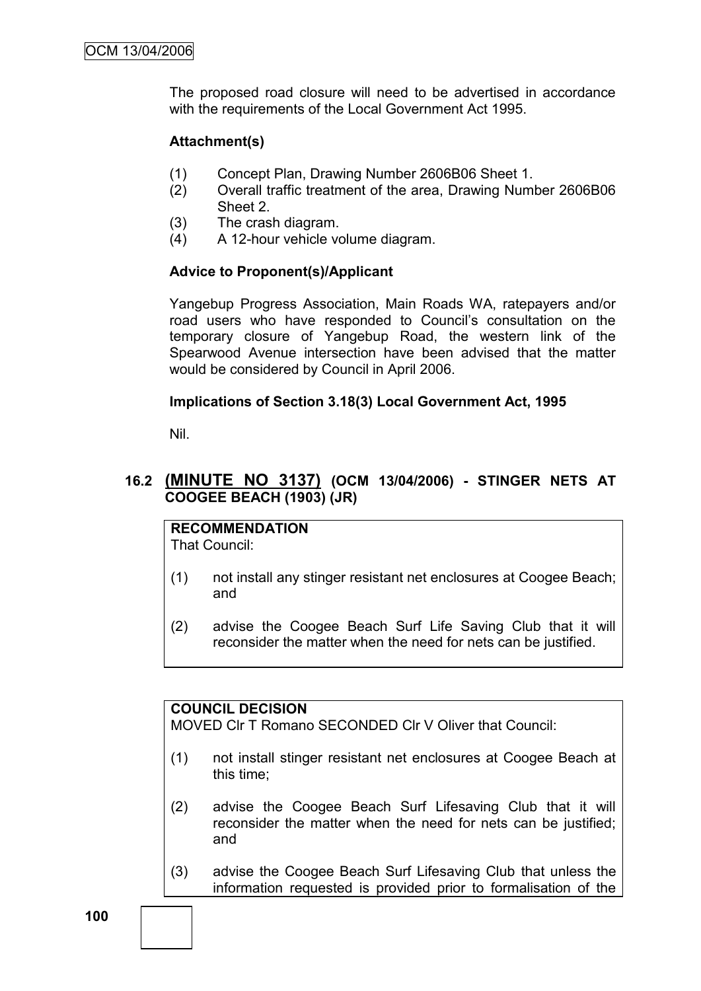The proposed road closure will need to be advertised in accordance with the requirements of the Local Government Act 1995.

# **Attachment(s)**

- (1) Concept Plan, Drawing Number 2606B06 Sheet 1.
- (2) Overall traffic treatment of the area, Drawing Number 2606B06 Sheet 2.
- (3) The crash diagram.
- (4) A 12-hour vehicle volume diagram.

# **Advice to Proponent(s)/Applicant**

Yangebup Progress Association, Main Roads WA, ratepayers and/or road users who have responded to Council"s consultation on the temporary closure of Yangebup Road, the western link of the Spearwood Avenue intersection have been advised that the matter would be considered by Council in April 2006.

## **Implications of Section 3.18(3) Local Government Act, 1995**

Nil.

# **16.2 (MINUTE NO 3137) (OCM 13/04/2006) - STINGER NETS AT COOGEE BEACH (1903) (JR)**

# **RECOMMENDATION**

That Council:

- (1) not install any stinger resistant net enclosures at Coogee Beach; and
- (2) advise the Coogee Beach Surf Life Saving Club that it will reconsider the matter when the need for nets can be justified.

## **COUNCIL DECISION**

MOVED Clr T Romano SECONDED Clr V Oliver that Council:

- (1) not install stinger resistant net enclosures at Coogee Beach at this time;
- (2) advise the Coogee Beach Surf Lifesaving Club that it will reconsider the matter when the need for nets can be justified; and
- (3) advise the Coogee Beach Surf Lifesaving Club that unless the information requested is provided prior to formalisation of the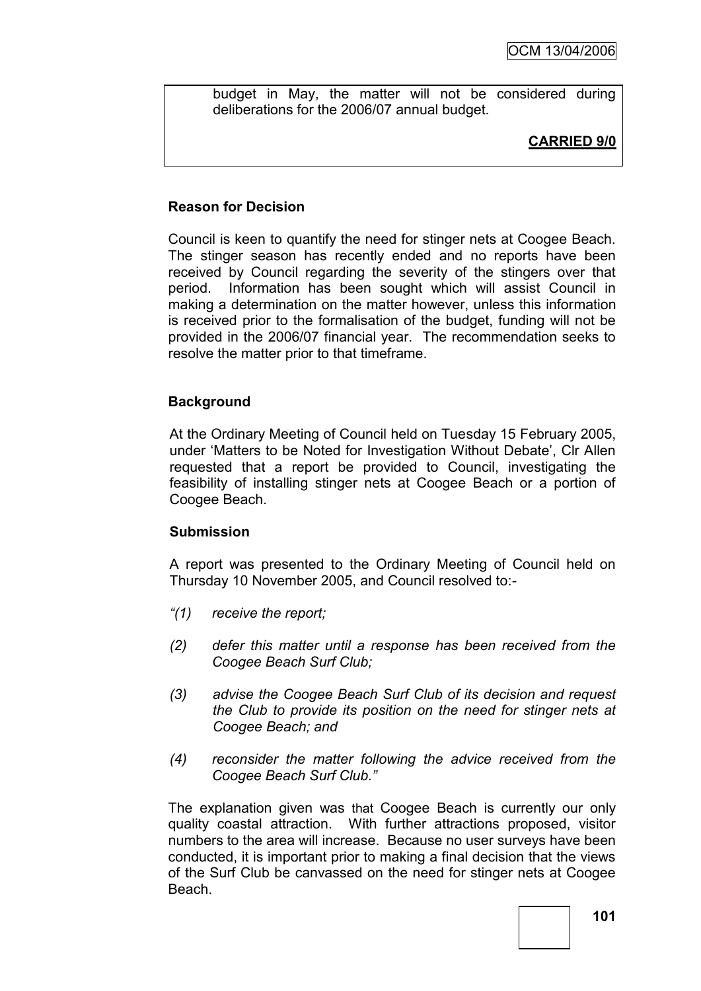budget in May, the matter will not be considered during deliberations for the 2006/07 annual budget.

# **CARRIED 9/0**

# **Reason for Decision**

Council is keen to quantify the need for stinger nets at Coogee Beach. The stinger season has recently ended and no reports have been received by Council regarding the severity of the stingers over that period. Information has been sought which will assist Council in making a determination on the matter however, unless this information is received prior to the formalisation of the budget, funding will not be provided in the 2006/07 financial year. The recommendation seeks to resolve the matter prior to that timeframe.

## **Background**

At the Ordinary Meeting of Council held on Tuesday 15 February 2005, under "Matters to be Noted for Investigation Without Debate", Clr Allen requested that a report be provided to Council, investigating the feasibility of installing stinger nets at Coogee Beach or a portion of Coogee Beach.

## **Submission**

A report was presented to the Ordinary Meeting of Council held on Thursday 10 November 2005, and Council resolved to:-

- *"(1) receive the report;*
- *(2) defer this matter until a response has been received from the Coogee Beach Surf Club;*
- *(3) advise the Coogee Beach Surf Club of its decision and request the Club to provide its position on the need for stinger nets at Coogee Beach; and*
- *(4) reconsider the matter following the advice received from the Coogee Beach Surf Club."*

The explanation given was that Coogee Beach is currently our only quality coastal attraction. With further attractions proposed, visitor numbers to the area will increase. Because no user surveys have been conducted, it is important prior to making a final decision that the views of the Surf Club be canvassed on the need for stinger nets at Coogee **Beach**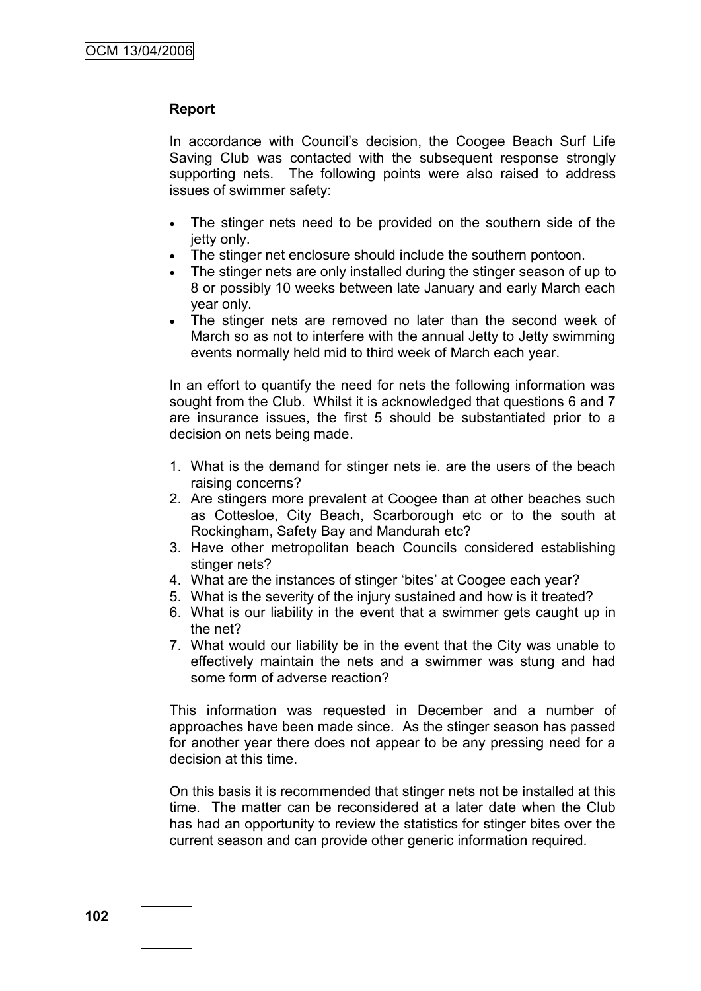#### **Report**

In accordance with Council"s decision, the Coogee Beach Surf Life Saving Club was contacted with the subsequent response strongly supporting nets. The following points were also raised to address issues of swimmer safety:

- The stinger nets need to be provided on the southern side of the jetty only.
- The stinger net enclosure should include the southern pontoon.
- The stinger nets are only installed during the stinger season of up to 8 or possibly 10 weeks between late January and early March each year only.
- The stinger nets are removed no later than the second week of March so as not to interfere with the annual Jetty to Jetty swimming events normally held mid to third week of March each year.

In an effort to quantify the need for nets the following information was sought from the Club. Whilst it is acknowledged that questions 6 and 7 are insurance issues, the first 5 should be substantiated prior to a decision on nets being made.

- 1. What is the demand for stinger nets ie. are the users of the beach raising concerns?
- 2. Are stingers more prevalent at Coogee than at other beaches such as Cottesloe, City Beach, Scarborough etc or to the south at Rockingham, Safety Bay and Mandurah etc?
- 3. Have other metropolitan beach Councils considered establishing stinger nets?
- 4. What are the instances of stinger "bites" at Coogee each year?
- 5. What is the severity of the injury sustained and how is it treated?
- 6. What is our liability in the event that a swimmer gets caught up in the net?
- 7. What would our liability be in the event that the City was unable to effectively maintain the nets and a swimmer was stung and had some form of adverse reaction?

This information was requested in December and a number of approaches have been made since. As the stinger season has passed for another year there does not appear to be any pressing need for a decision at this time.

On this basis it is recommended that stinger nets not be installed at this time. The matter can be reconsidered at a later date when the Club has had an opportunity to review the statistics for stinger bites over the current season and can provide other generic information required.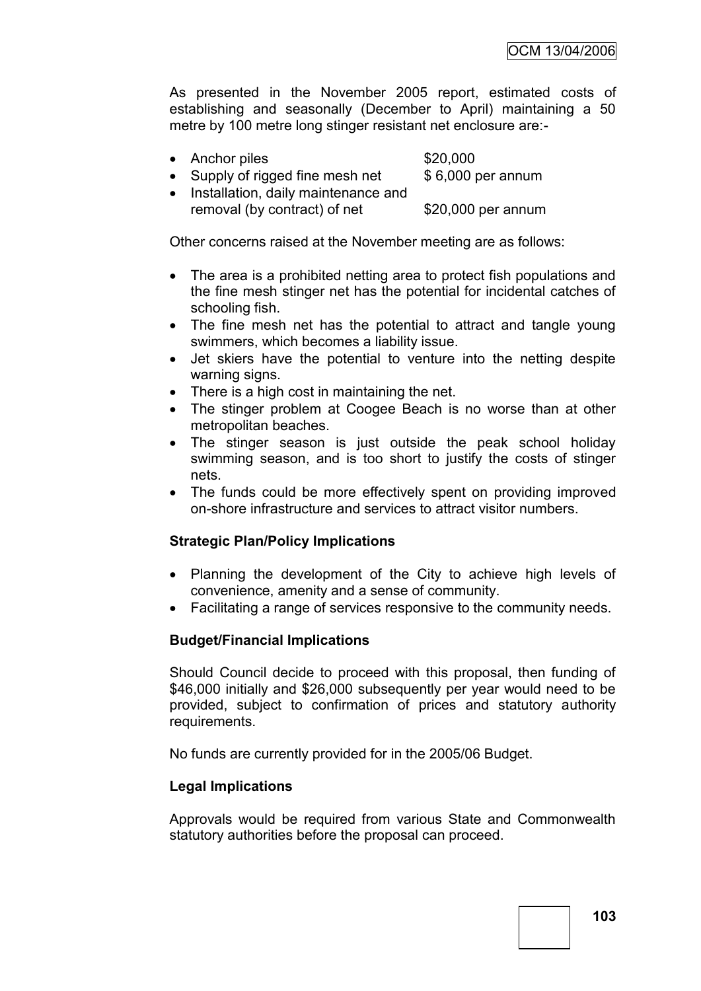As presented in the November 2005 report, estimated costs of establishing and seasonally (December to April) maintaining a 50 metre by 100 metre long stinger resistant net enclosure are:-

- Anchor piles \$20,000
- Supply of rigged fine mesh net \$ 6,000 per annum
- Installation, daily maintenance and removal (by contract) of net \$20,000 per annum

Other concerns raised at the November meeting are as follows:

- The area is a prohibited netting area to protect fish populations and the fine mesh stinger net has the potential for incidental catches of schooling fish.
- The fine mesh net has the potential to attract and tangle young swimmers, which becomes a liability issue.
- Jet skiers have the potential to venture into the netting despite warning signs.
- There is a high cost in maintaining the net.
- The stinger problem at Coogee Beach is no worse than at other metropolitan beaches.
- The stinger season is just outside the peak school holiday swimming season, and is too short to justify the costs of stinger nets.
- The funds could be more effectively spent on providing improved on-shore infrastructure and services to attract visitor numbers.

# **Strategic Plan/Policy Implications**

- Planning the development of the City to achieve high levels of convenience, amenity and a sense of community.
- Facilitating a range of services responsive to the community needs.

## **Budget/Financial Implications**

Should Council decide to proceed with this proposal, then funding of \$46,000 initially and \$26,000 subsequently per year would need to be provided, subject to confirmation of prices and statutory authority requirements.

No funds are currently provided for in the 2005/06 Budget.

## **Legal Implications**

Approvals would be required from various State and Commonwealth statutory authorities before the proposal can proceed.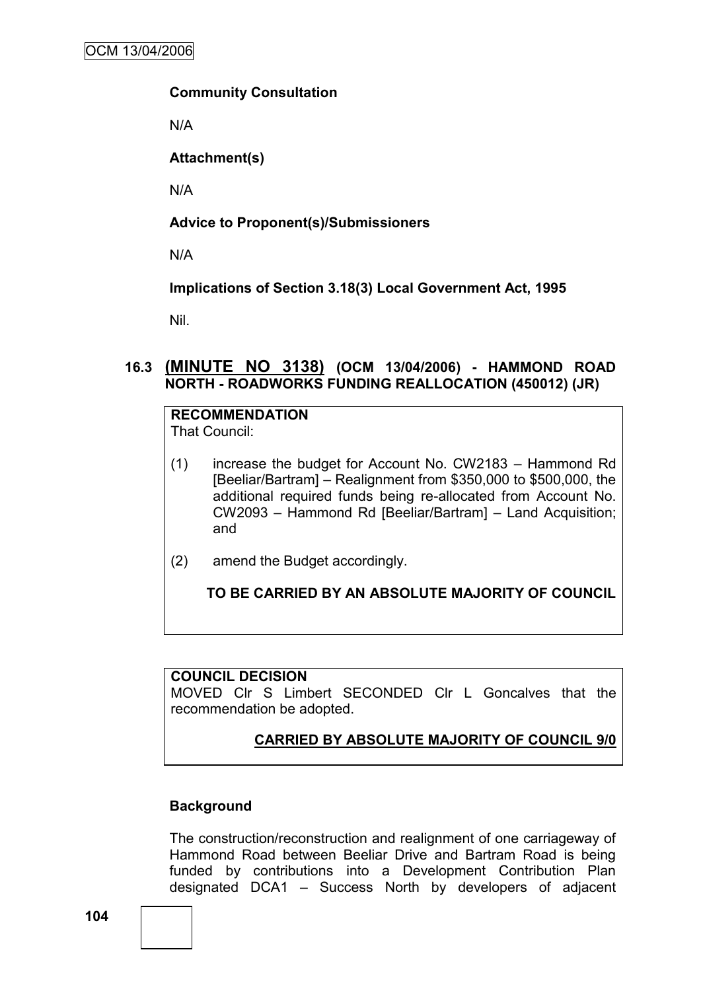#### **Community Consultation**

N/A

**Attachment(s)**

N/A

# **Advice to Proponent(s)/Submissioners**

N/A

**Implications of Section 3.18(3) Local Government Act, 1995**

Nil.

## **16.3 (MINUTE NO 3138) (OCM 13/04/2006) - HAMMOND ROAD NORTH - ROADWORKS FUNDING REALLOCATION (450012) (JR)**

#### **RECOMMENDATION** That Council:

- (1) increase the budget for Account No. CW2183 Hammond Rd [Beeliar/Bartram] – Realignment from \$350,000 to \$500,000, the additional required funds being re-allocated from Account No. CW2093 – Hammond Rd [Beeliar/Bartram] – Land Acquisition; and
- (2) amend the Budget accordingly.

# **TO BE CARRIED BY AN ABSOLUTE MAJORITY OF COUNCIL**

## **COUNCIL DECISION**

MOVED Clr S Limbert SECONDED Clr L Goncalves that the recommendation be adopted.

# **CARRIED BY ABSOLUTE MAJORITY OF COUNCIL 9/0**

## **Background**

The construction/reconstruction and realignment of one carriageway of Hammond Road between Beeliar Drive and Bartram Road is being funded by contributions into a Development Contribution Plan designated DCA1 – Success North by developers of adjacent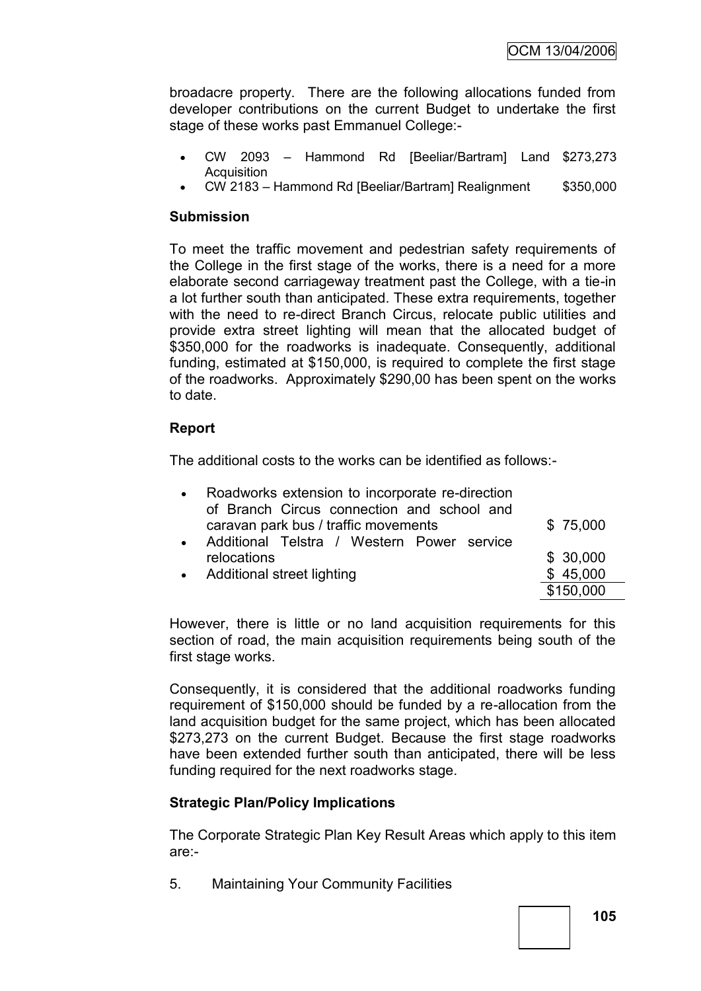broadacre property. There are the following allocations funded from developer contributions on the current Budget to undertake the first stage of these works past Emmanuel College:-

- CW 2093 Hammond Rd [Beeliar/Bartram] Land \$273,273 **Acquisition**
- CW 2183 Hammond Rd [Beeliar/Bartram] Realignment \$350,000

## **Submission**

To meet the traffic movement and pedestrian safety requirements of the College in the first stage of the works, there is a need for a more elaborate second carriageway treatment past the College, with a tie-in a lot further south than anticipated. These extra requirements, together with the need to re-direct Branch Circus, relocate public utilities and provide extra street lighting will mean that the allocated budget of \$350,000 for the roadworks is inadequate. Consequently, additional funding, estimated at \$150,000, is required to complete the first stage of the roadworks. Approximately \$290,00 has been spent on the works to date.

## **Report**

The additional costs to the works can be identified as follows:-

| Roadworks extension to incorporate re-direction |           |
|-------------------------------------------------|-----------|
| of Branch Circus connection and school and      |           |
| caravan park bus / traffic movements            | \$75,000  |
| Additional Telstra / Western Power service      |           |
| relocations                                     | \$30,000  |
| • Additional street lighting                    | \$45,000  |
|                                                 | \$150,000 |

However, there is little or no land acquisition requirements for this section of road, the main acquisition requirements being south of the first stage works.

Consequently, it is considered that the additional roadworks funding requirement of \$150,000 should be funded by a re-allocation from the land acquisition budget for the same project, which has been allocated \$273,273 on the current Budget. Because the first stage roadworks have been extended further south than anticipated, there will be less funding required for the next roadworks stage.

# **Strategic Plan/Policy Implications**

The Corporate Strategic Plan Key Result Areas which apply to this item are:-

5. Maintaining Your Community Facilities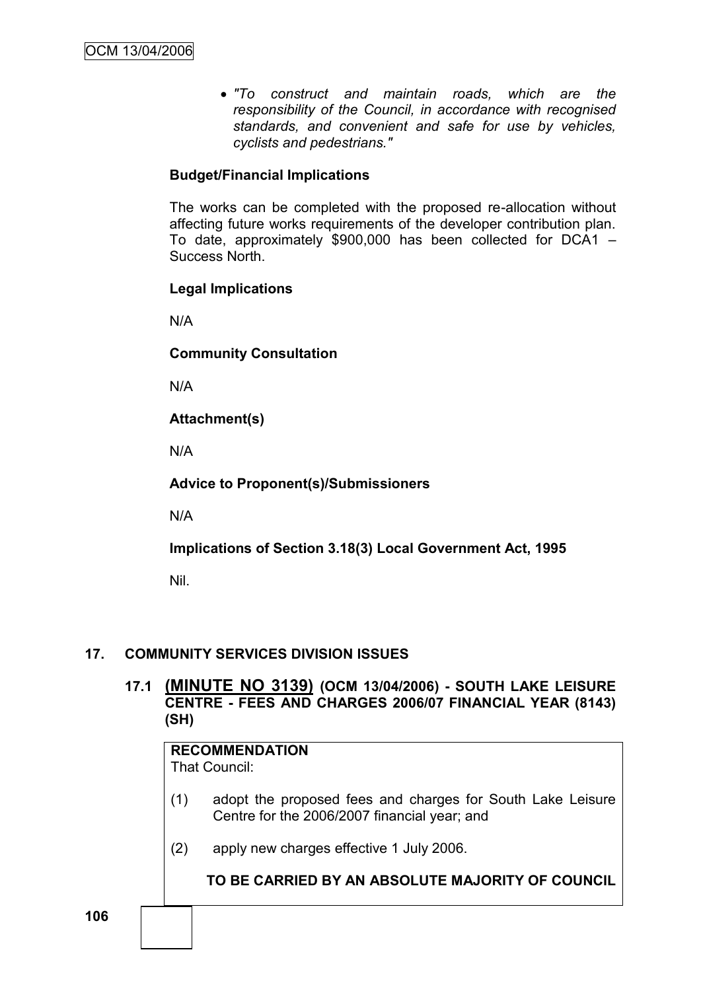*"To construct and maintain roads, which are the responsibility of the Council, in accordance with recognised standards, and convenient and safe for use by vehicles, cyclists and pedestrians."*

# **Budget/Financial Implications**

The works can be completed with the proposed re-allocation without affecting future works requirements of the developer contribution plan. To date, approximately \$900,000 has been collected for DCA1 – Success North.

### **Legal Implications**

N/A

**Community Consultation**

N/A

**Attachment(s)**

N/A

## **Advice to Proponent(s)/Submissioners**

N/A

**Implications of Section 3.18(3) Local Government Act, 1995**

Nil.

### **17. COMMUNITY SERVICES DIVISION ISSUES**

**17.1 (MINUTE NO 3139) (OCM 13/04/2006) - SOUTH LAKE LEISURE CENTRE - FEES AND CHARGES 2006/07 FINANCIAL YEAR (8143) (SH)**

# **RECOMMENDATION**

That Council:

- (1) adopt the proposed fees and charges for South Lake Leisure Centre for the 2006/2007 financial year; and
- (2) apply new charges effective 1 July 2006.

### **TO BE CARRIED BY AN ABSOLUTE MAJORITY OF COUNCIL**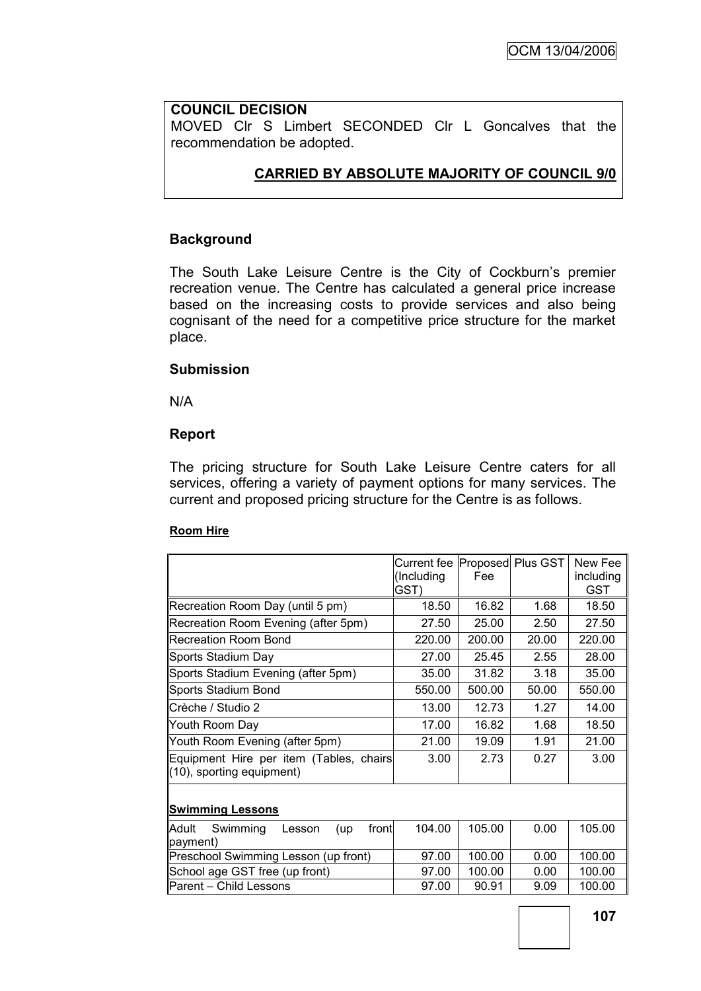### **COUNCIL DECISION**

MOVED Clr S Limbert SECONDED Clr L Goncalves that the recommendation be adopted.

### **CARRIED BY ABSOLUTE MAJORITY OF COUNCIL 9/0**

#### **Background**

The South Lake Leisure Centre is the City of Cockburn's premier recreation venue. The Centre has calculated a general price increase based on the increasing costs to provide services and also being cognisant of the need for a competitive price structure for the market place.

## **Submission**

N/A

#### **Report**

The pricing structure for South Lake Leisure Centre caters for all services, offering a variety of payment options for many services. The current and proposed pricing structure for the Centre is as follows.

#### **Room Hire**

|                                             | Current fee Proposed Plus GST |        |       | New Fee    |
|---------------------------------------------|-------------------------------|--------|-------|------------|
|                                             | (Including                    | Fee    |       | including  |
|                                             | GST)                          |        |       | <b>GST</b> |
| Recreation Room Day (until 5 pm)            | 18.50                         | 16.82  | 1.68  | 18.50      |
| Recreation Room Evening (after 5pm)         | 27.50                         | 25.00  | 2.50  | 27.50      |
| <b>Recreation Room Bond</b>                 | 220.00                        | 200.00 | 20.00 | 220.00     |
| Sports Stadium Day                          | 27.00                         | 25.45  | 2.55  | 28.00      |
| Sports Stadium Evening (after 5pm)          | 35.00                         | 31.82  | 3.18  | 35.00      |
| Sports Stadium Bond                         | 550.00                        | 500.00 | 50.00 | 550.00     |
| Crèche / Studio 2                           | 13.00                         | 12.73  | 1.27  | 14.00      |
| Youth Room Day                              | 17.00                         | 16.82  | 1.68  | 18.50      |
| Youth Room Evening (after 5pm)              | 21.00                         | 19.09  | 1.91  | 21.00      |
| Equipment Hire per item (Tables, chairs     | 3.00                          | 2.73   | 0.27  | 3.00       |
| (10), sporting equipment)                   |                               |        |       |            |
|                                             |                               |        |       |            |
| <b>Swimming Lessons</b>                     |                               |        |       |            |
| Swimming<br>Adult<br>front<br>Lesson<br>(up | 104.00                        | 105.00 | 0.00  | 105.00     |
| (payment                                    |                               |        |       |            |
| Preschool Swimming Lesson (up front)        | 97.00                         | 100.00 | 0.00  | 100.00     |
| School age GST free (up front)              | 97.00                         | 100.00 | 0.00  | 100.00     |
| Parent - Child Lessons                      | 97.00                         | 90.91  | 9.09  | 100.00     |
|                                             |                               |        |       |            |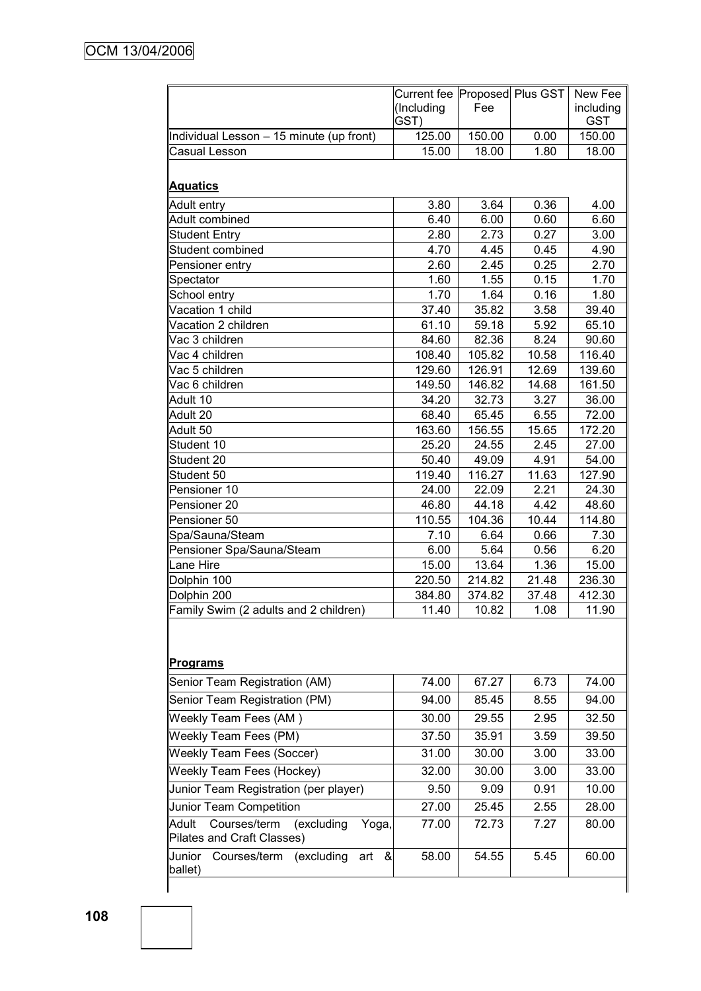|                                                                            | Current fee  Proposed  Plus GST |                |              | New Fee                 |
|----------------------------------------------------------------------------|---------------------------------|----------------|--------------|-------------------------|
|                                                                            | (Including<br>GST)              | Fee            |              | including<br><b>GST</b> |
| Individual Lesson - 15 minute (up front)                                   | 125.00                          | 150.00         | 0.00         | 150.00                  |
| Casual Lesson                                                              | 15.00                           | 18.00          | 1.80         | 18.00                   |
| <b>Aquatics</b>                                                            |                                 |                |              |                         |
| Adult entry                                                                | 3.80                            | 3.64           | 0.36         | 4.00                    |
| Adult combined                                                             | 6.40                            | 6.00           | 0.60         | 6.60                    |
| <b>Student Entry</b>                                                       | 2.80                            | 2.73           | 0.27         | 3.00                    |
| Student combined                                                           | 4.70                            | 4.45           | 0.45         | 4.90                    |
| Pensioner entry                                                            | 2.60                            | 2.45           | 0.25         | 2.70                    |
| Spectator                                                                  | 1.60                            | 1.55           | 0.15         | 1.70                    |
| School entry                                                               | 1.70                            | 1.64           | 0.16         | 1.80                    |
| Vacation 1 child                                                           | 37.40                           | 35.82          | 3.58         | 39.40                   |
| Vacation 2 children                                                        | 61.10                           | 59.18          | 5.92         | 65.10                   |
| Vac 3 children                                                             | 84.60                           | 82.36          | 8.24         | 90.60                   |
| Vac 4 children                                                             | 108.40                          | 105.82         | 10.58        | 116.40                  |
| Vac 5 children                                                             | 129.60                          | 126.91         | 12.69        | 139.60                  |
| Vac 6 children                                                             | 149.50                          | 146.82         | 14.68        | 161.50                  |
| Adult 10                                                                   | 34.20                           | 32.73          | 3.27         | 36.00                   |
| Adult 20                                                                   | 68.40                           | 65.45          | 6.55         | 72.00                   |
| Adult 50                                                                   | 163.60                          | 156.55         | 15.65        | 172.20                  |
| Student 10                                                                 | 25.20                           | 24.55          | 2.45         | 27.00                   |
| Student 20                                                                 | 50.40                           | 49.09          | 4.91         | 54.00                   |
| Student 50                                                                 | 119.40                          | 116.27         | 11.63        | 127.90                  |
| Pensioner 10                                                               | 24.00                           | 22.09<br>44.18 | 2.21<br>4.42 | 24.30                   |
| Pensioner 20<br>Pensioner 50                                               | 46.80<br>110.55                 | 104.36         | 10.44        | 48.60<br>114.80         |
| Spa/Sauna/Steam                                                            | 7.10                            | 6.64           | 0.66         | 7.30                    |
| Pensioner Spa/Sauna/Steam                                                  | 6.00                            | 5.64           | 0.56         | 6.20                    |
| Lane Hire                                                                  | 15.00                           | 13.64          | 1.36         | 15.00                   |
| Dolphin 100                                                                | 220.50                          | 214.82         | 21.48        | 236.30                  |
| Dolphin 200                                                                | 384.80                          | 374.82         | 37.48        | 412.30                  |
| Family Swim (2 adults and 2 children)                                      | 11.40                           | 10.82          | 1.08         | 11.90                   |
| <b>Programs</b>                                                            |                                 |                |              |                         |
| Senior Team Registration (AM)                                              | 74.00                           | 67.27          | 6.73         | 74.00                   |
| Senior Team Registration (PM)                                              | 94.00                           | 85.45          | 8.55         | 94.00                   |
| Weekly Team Fees (AM)                                                      | 30.00                           | 29.55          | 2.95         | 32.50                   |
| Weekly Team Fees (PM)                                                      | 37.50                           | 35.91          | 3.59         | 39.50                   |
| <b>Weekly Team Fees (Soccer)</b>                                           | 31.00                           | 30.00          | 3.00         | 33.00                   |
| <b>Weekly Team Fees (Hockey)</b>                                           | 32.00                           | 30.00          | 3.00         | 33.00                   |
| Junior Team Registration (per player)                                      | 9.50                            | 9.09           | 0.91         | 10.00                   |
| <b>Junior Team Competition</b>                                             | 27.00                           | 25.45          | 2.55         | 28.00                   |
| Courses/term<br>(excluding<br>Adult<br>Yoga,<br>Pilates and Craft Classes) | 77.00                           | 72.73          | 7.27         | 80.00                   |
| Junior<br>&<br>Courses/term<br>(excluding<br>art<br>ballet)                | 58.00                           | 54.55          | 5.45         | 60.00                   |
|                                                                            |                                 |                |              |                         |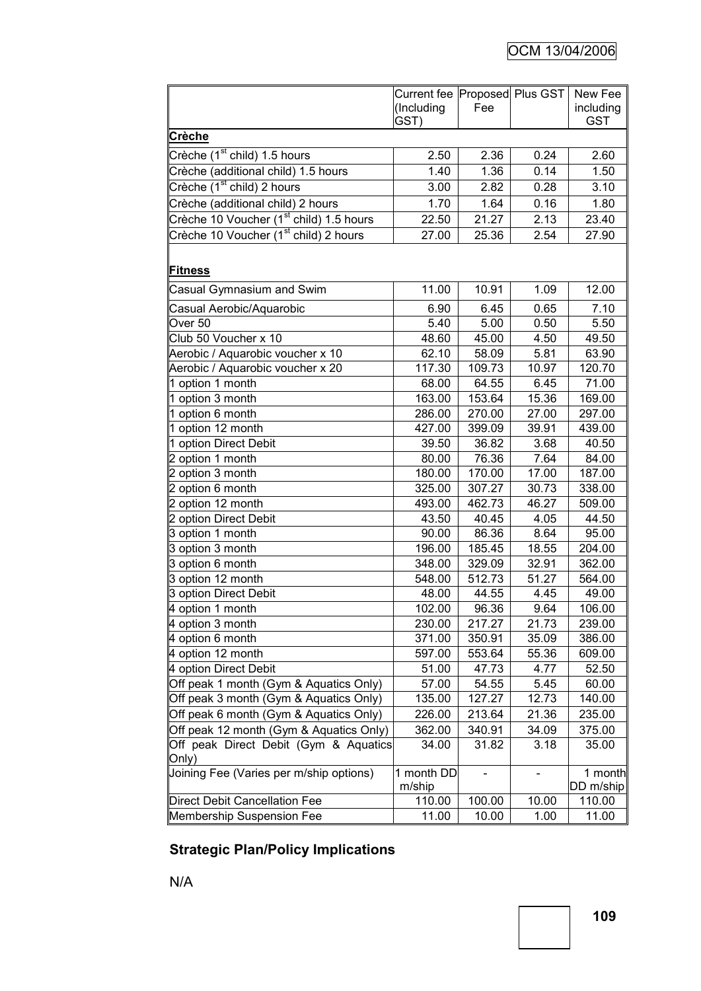|                                                     | Current fee Proposed Plus GST<br>(Including | Fee    |       | New Fee<br>including |
|-----------------------------------------------------|---------------------------------------------|--------|-------|----------------------|
|                                                     | GST)                                        |        |       | <b>GST</b>           |
| Crèche                                              |                                             |        |       |                      |
| Crèche (1 <sup>st</sup> child) 1.5 hours            | 2.50                                        | 2.36   | 0.24  | 2.60                 |
| Crèche (additional child) 1.5 hours                 | 1.40                                        | 1.36   | 0.14  | 1.50                 |
| Crèche (1 <sup>st</sup> child) 2 hours              | 3.00                                        | 2.82   | 0.28  | 3.10                 |
| Crèche (additional child) 2 hours                   | 1.70                                        | 1.64   | 0.16  | 1.80                 |
| Crèche 10 Voucher (1 <sup>st</sup> child) 1.5 hours | 22.50                                       | 21.27  | 2.13  | 23.40                |
| Crèche 10 Voucher (1 <sup>st</sup> child) 2 hours   | 27.00                                       | 25.36  | 2.54  | 27.90                |
| <b>Fitness</b>                                      |                                             |        |       |                      |
| Casual Gymnasium and Swim                           | 11.00                                       | 10.91  | 1.09  | 12.00                |
| Casual Aerobic/Aquarobic                            | 6.90                                        | 6.45   | 0.65  | 7.10                 |
| Over <sub>50</sub>                                  | 5.40                                        | 5.00   | 0.50  | 5.50                 |
| Club 50 Voucher x 10                                | 48.60                                       | 45.00  | 4.50  | 49.50                |
| Aerobic / Aquarobic voucher x 10                    | 62.10                                       | 58.09  | 5.81  | 63.90                |
| Aerobic / Aquarobic voucher x 20                    | 117.30                                      | 109.73 | 10.97 | 120.70               |
| 1 option 1 month                                    | 68.00                                       | 64.55  | 6.45  | 71.00                |
| $\sqrt{1}$ option 3 month                           | 163.00                                      | 153.64 | 15.36 | 169.00               |
| 1 option 6 month                                    | 286.00                                      | 270.00 | 27.00 | 297.00               |
| 1 option 12 month                                   | 427.00                                      | 399.09 | 39.91 | 439.00               |
| 1 option Direct Debit                               | 39.50                                       | 36.82  | 3.68  | 40.50                |
| 2 option 1 month                                    | 80.00                                       | 76.36  | 7.64  | 84.00                |
| 2 option 3 month                                    | 180.00                                      | 170.00 | 17.00 | 187.00               |
| 2 option 6 month                                    | 325.00                                      | 307.27 | 30.73 | 338.00               |
| 2 option 12 month                                   | 493.00                                      | 462.73 | 46.27 | 509.00               |
| 2 option Direct Debit                               | 43.50                                       | 40.45  | 4.05  | 44.50                |
| 3 option 1 month                                    | 90.00                                       | 86.36  | 8.64  | 95.00                |
| 3 option 3 month                                    | 196.00                                      | 185.45 | 18.55 | 204.00               |
| 3 option 6 month                                    | 348.00                                      | 329.09 | 32.91 | 362.00               |
| 3 option 12 month                                   | 548.00                                      | 512.73 | 51.27 | 564.00               |
| 3 option Direct Debit                               | 48.00                                       | 44.55  | 4.45  | 49.00                |
| 4 option 1 month                                    | 102.00                                      | 96.36  | 9.64  | 106.00               |
| 4 option 3 month                                    | 230.00                                      | 217.27 | 21.73 | 239.00               |
| 4 option 6 month                                    | 371.00                                      | 350.91 | 35.09 | 386.00               |
| 4 option 12 month                                   | 597.00                                      | 553.64 | 55.36 | 609.00               |
| 4 option Direct Debit                               | 51.00                                       | 47.73  | 4.77  | 52.50                |
| Off peak 1 month (Gym & Aquatics Only)              | 57.00                                       | 54.55  | 5.45  | 60.00                |
| Off peak 3 month (Gym & Aquatics Only)              | 135.00                                      | 127.27 | 12.73 | 140.00               |
| Off peak 6 month (Gym & Aquatics Only)              | 226.00                                      | 213.64 | 21.36 | 235.00               |
| Off peak 12 month (Gym & Aquatics Only)             | 362.00                                      | 340.91 | 34.09 | 375.00               |
| Off peak Direct Debit (Gym & Aquatics<br>Only)      | 34.00                                       | 31.82  | 3.18  | 35.00                |
| Joining Fee (Varies per m/ship options)             | 1 month DD<br>m/ship                        |        |       | 1 month<br>DD m/ship |
| Direct Debit Cancellation Fee                       | 110.00                                      | 100.00 | 10.00 | 110.00               |
| Membership Suspension Fee                           | 11.00                                       | 10.00  | 1.00  | 11.00                |

# **Strategic Plan/Policy Implications**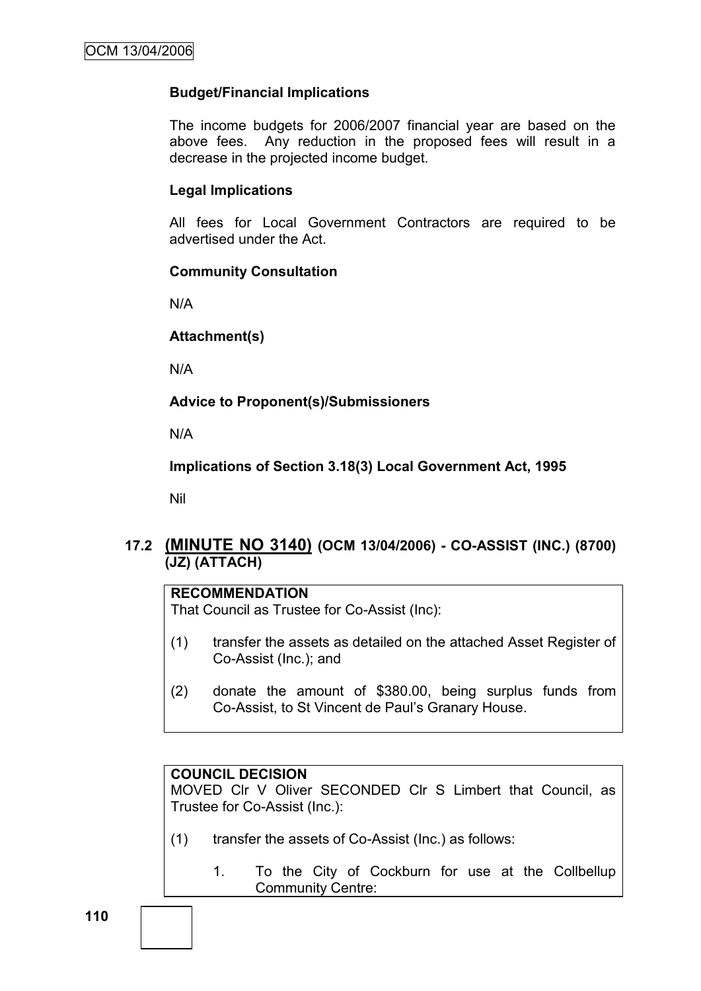### **Budget/Financial Implications**

The income budgets for 2006/2007 financial year are based on the above fees. Any reduction in the proposed fees will result in a decrease in the projected income budget.

#### **Legal Implications**

All fees for Local Government Contractors are required to be advertised under the Act.

#### **Community Consultation**

N/A

#### **Attachment(s)**

N/A

**Advice to Proponent(s)/Submissioners**

N/A

**Implications of Section 3.18(3) Local Government Act, 1995**

Nil

# **17.2 (MINUTE NO 3140) (OCM 13/04/2006) - CO-ASSIST (INC.) (8700) (JZ) (ATTACH)**

# **RECOMMENDATION**

That Council as Trustee for Co-Assist (Inc):

- (1) transfer the assets as detailed on the attached Asset Register of Co-Assist (Inc.); and
- (2) donate the amount of \$380.00, being surplus funds from Co-Assist, to St Vincent de Paul"s Granary House.

#### **COUNCIL DECISION**

MOVED Clr V Oliver SECONDED Clr S Limbert that Council, as Trustee for Co-Assist (Inc.):

- (1) transfer the assets of Co-Assist (Inc.) as follows:
	- 1. To the City of Cockburn for use at the Collbellup Community Centre: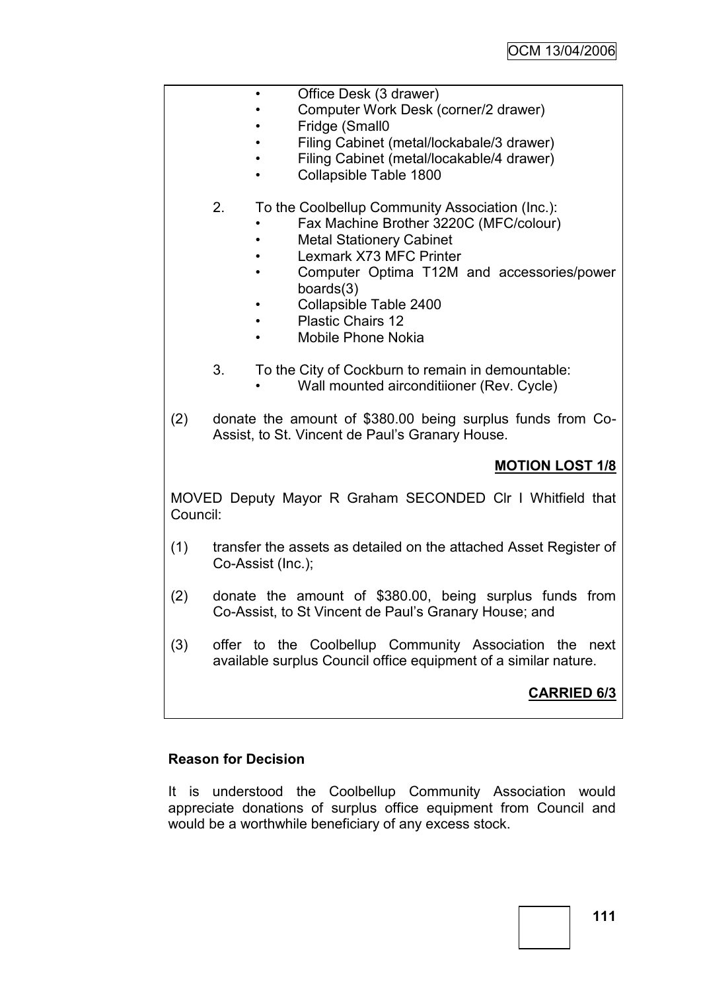|          | Office Desk (3 drawer)<br>Computer Work Desk (corner/2 drawer)<br>Fridge (Small0<br>Filing Cabinet (metal/lockabale/3 drawer)<br>Filing Cabinet (metal/locakable/4 drawer)<br>Collapsible Table 1800<br>$\bullet$                                                                                              |
|----------|----------------------------------------------------------------------------------------------------------------------------------------------------------------------------------------------------------------------------------------------------------------------------------------------------------------|
|          | To the Coolbellup Community Association (Inc.):<br>2.<br>Fax Machine Brother 3220C (MFC/colour)<br><b>Metal Stationery Cabinet</b><br>Lexmark X73 MFC Printer<br>Computer Optima T12M and accessories/power<br>boards $(3)$<br>Collapsible Table 2400<br><b>Plastic Chairs 12</b><br><b>Mobile Phone Nokia</b> |
|          | 3.<br>To the City of Cockburn to remain in demountable:<br>Wall mounted airconditiioner (Rev. Cycle)                                                                                                                                                                                                           |
| (2)      | donate the amount of \$380.00 being surplus funds from Co-<br>Assist, to St. Vincent de Paul's Granary House.                                                                                                                                                                                                  |
|          | <b>MOTION LOST 1/8</b>                                                                                                                                                                                                                                                                                         |
| Council: | MOVED Deputy Mayor R Graham SECONDED CIr I Whitfield that                                                                                                                                                                                                                                                      |
| (1)      | transfer the assets as detailed on the attached Asset Register of<br>Co-Assist (Inc.);                                                                                                                                                                                                                         |
| (2)      | donate the amount of \$380.00, being surplus funds from<br>Co-Assist, to St Vincent de Paul's Granary House; and                                                                                                                                                                                               |
| (3)      | offer to the Coolbellup Community Association the<br>next<br>available surplus Council office equipment of a similar nature.                                                                                                                                                                                   |
|          | <b>CARRIED 6/3</b>                                                                                                                                                                                                                                                                                             |

# **Reason for Decision**

It is understood the Coolbellup Community Association would appreciate donations of surplus office equipment from Council and would be a worthwhile beneficiary of any excess stock.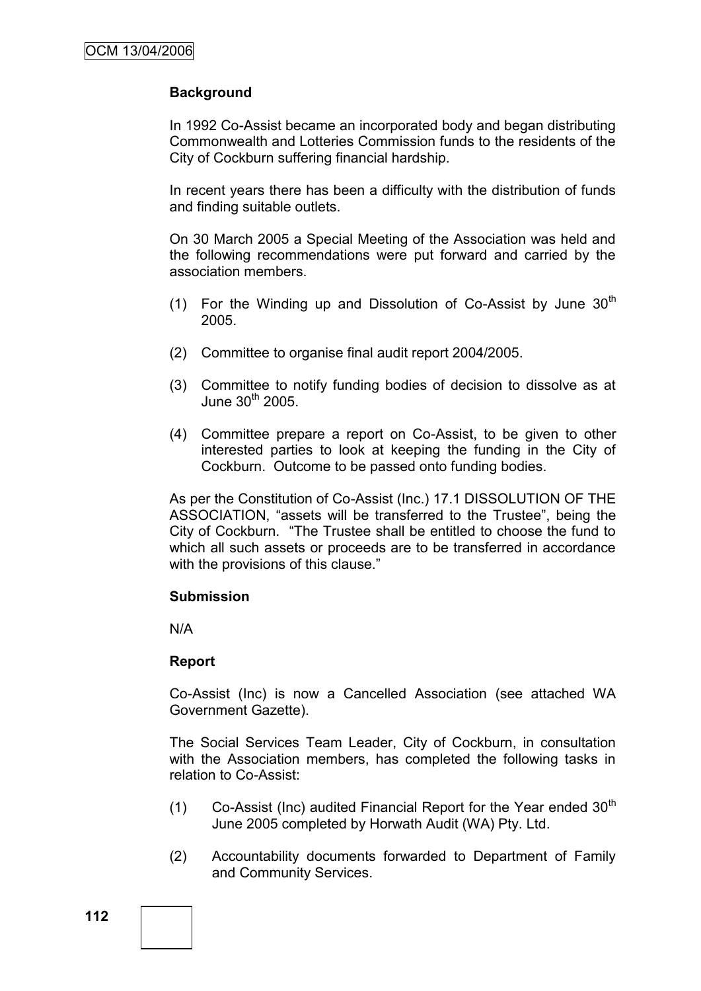## **Background**

In 1992 Co-Assist became an incorporated body and began distributing Commonwealth and Lotteries Commission funds to the residents of the City of Cockburn suffering financial hardship.

In recent years there has been a difficulty with the distribution of funds and finding suitable outlets.

On 30 March 2005 a Special Meeting of the Association was held and the following recommendations were put forward and carried by the association members.

- (1) For the Winding up and Dissolution of Co-Assist by June  $30<sup>th</sup>$ 2005.
- (2) Committee to organise final audit report 2004/2005.
- (3) Committee to notify funding bodies of decision to dissolve as at June  $30<sup>th</sup>$  2005.
- (4) Committee prepare a report on Co-Assist, to be given to other interested parties to look at keeping the funding in the City of Cockburn. Outcome to be passed onto funding bodies.

As per the Constitution of Co-Assist (Inc.) 17.1 DISSOLUTION OF THE ASSOCIATION, "assets will be transferred to the Trustee", being the City of Cockburn. "The Trustee shall be entitled to choose the fund to which all such assets or proceeds are to be transferred in accordance with the provisions of this clause."

#### **Submission**

N/A

### **Report**

Co-Assist (Inc) is now a Cancelled Association (see attached WA Government Gazette).

The Social Services Team Leader, City of Cockburn, in consultation with the Association members, has completed the following tasks in relation to Co-Assist:

- (1) Co-Assist (Inc) audited Financial Report for the Year ended  $30<sup>th</sup>$ June 2005 completed by Horwath Audit (WA) Pty. Ltd.
- (2) Accountability documents forwarded to Department of Family and Community Services.

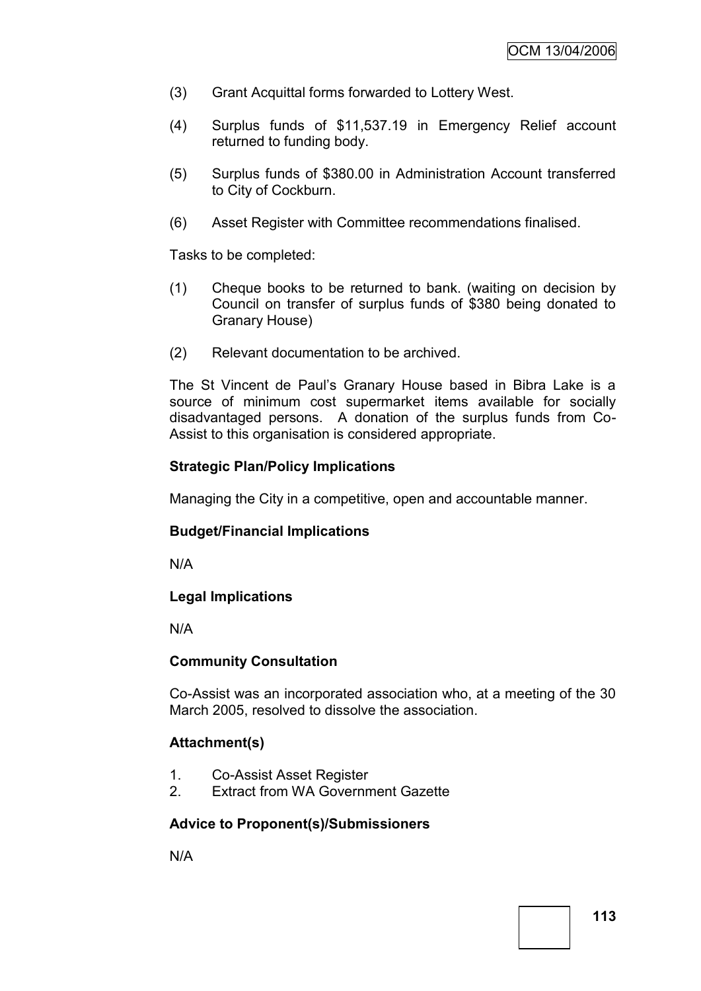- (3) Grant Acquittal forms forwarded to Lottery West.
- (4) Surplus funds of \$11,537.19 in Emergency Relief account returned to funding body.
- (5) Surplus funds of \$380.00 in Administration Account transferred to City of Cockburn.
- (6) Asset Register with Committee recommendations finalised.

Tasks to be completed:

- (1) Cheque books to be returned to bank. (waiting on decision by Council on transfer of surplus funds of \$380 being donated to Granary House)
- (2) Relevant documentation to be archived.

The St Vincent de Paul"s Granary House based in Bibra Lake is a source of minimum cost supermarket items available for socially disadvantaged persons. A donation of the surplus funds from Co-Assist to this organisation is considered appropriate.

### **Strategic Plan/Policy Implications**

Managing the City in a competitive, open and accountable manner.

### **Budget/Financial Implications**

N/A

### **Legal Implications**

N/A

#### **Community Consultation**

Co-Assist was an incorporated association who, at a meeting of the 30 March 2005, resolved to dissolve the association.

### **Attachment(s)**

- 1. Co-Assist Asset Register
- 2. Extract from WA Government Gazette

### **Advice to Proponent(s)/Submissioners**

N/A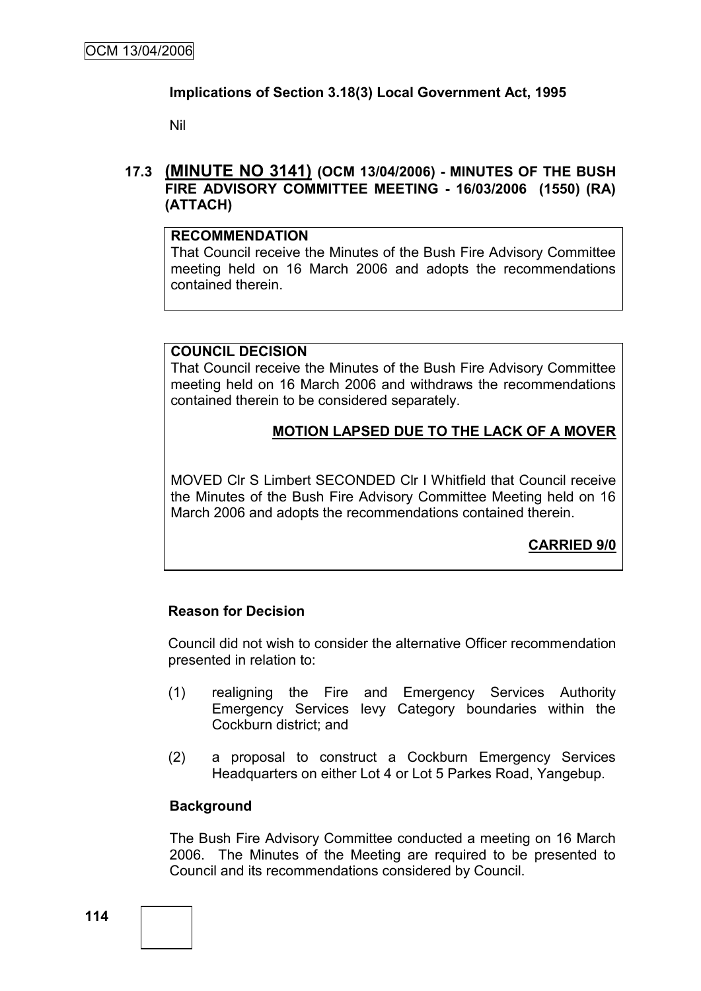### **Implications of Section 3.18(3) Local Government Act, 1995**

Nil

### **17.3 (MINUTE NO 3141) (OCM 13/04/2006) - MINUTES OF THE BUSH FIRE ADVISORY COMMITTEE MEETING - 16/03/2006 (1550) (RA) (ATTACH)**

#### **RECOMMENDATION**

That Council receive the Minutes of the Bush Fire Advisory Committee meeting held on 16 March 2006 and adopts the recommendations contained therein.

### **COUNCIL DECISION**

That Council receive the Minutes of the Bush Fire Advisory Committee meeting held on 16 March 2006 and withdraws the recommendations contained therein to be considered separately.

## **MOTION LAPSED DUE TO THE LACK OF A MOVER**

MOVED Clr S Limbert SECONDED Clr I Whitfield that Council receive the Minutes of the Bush Fire Advisory Committee Meeting held on 16 March 2006 and adopts the recommendations contained therein.

# **CARRIED 9/0**

### **Reason for Decision**

Council did not wish to consider the alternative Officer recommendation presented in relation to:

- (1) realigning the Fire and Emergency Services Authority Emergency Services levy Category boundaries within the Cockburn district; and
- (2) a proposal to construct a Cockburn Emergency Services Headquarters on either Lot 4 or Lot 5 Parkes Road, Yangebup.

### **Background**

The Bush Fire Advisory Committee conducted a meeting on 16 March 2006. The Minutes of the Meeting are required to be presented to Council and its recommendations considered by Council.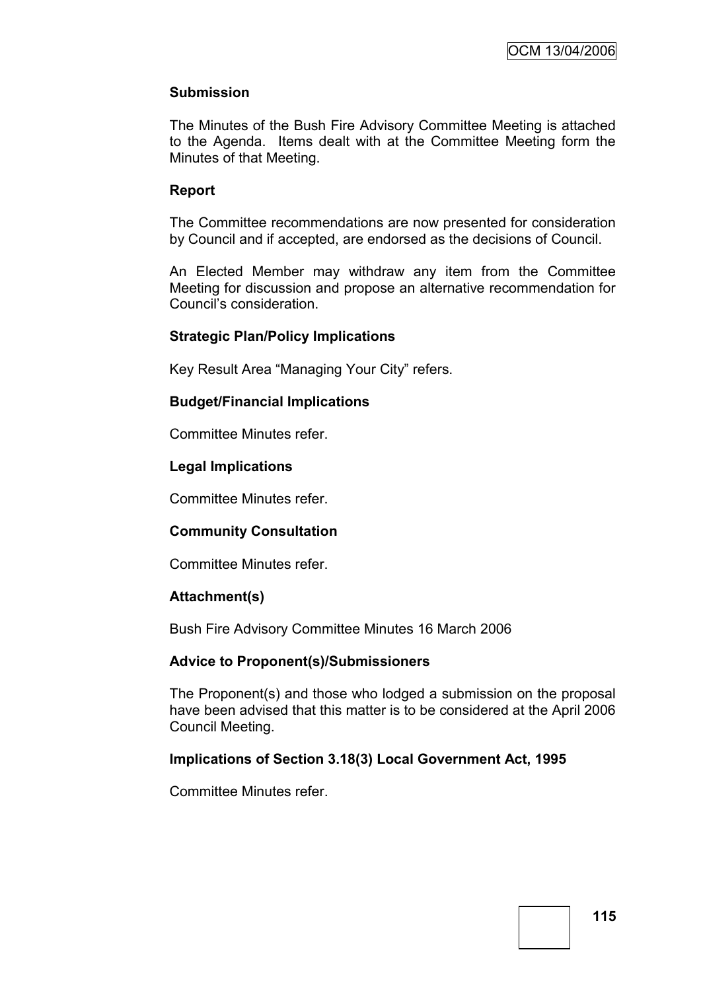# **Submission**

The Minutes of the Bush Fire Advisory Committee Meeting is attached to the Agenda. Items dealt with at the Committee Meeting form the Minutes of that Meeting.

### **Report**

The Committee recommendations are now presented for consideration by Council and if accepted, are endorsed as the decisions of Council.

An Elected Member may withdraw any item from the Committee Meeting for discussion and propose an alternative recommendation for Council"s consideration.

### **Strategic Plan/Policy Implications**

Key Result Area "Managing Your City" refers.

### **Budget/Financial Implications**

Committee Minutes refer.

### **Legal Implications**

Committee Minutes refer.

### **Community Consultation**

Committee Minutes refer.

### **Attachment(s)**

Bush Fire Advisory Committee Minutes 16 March 2006

### **Advice to Proponent(s)/Submissioners**

The Proponent(s) and those who lodged a submission on the proposal have been advised that this matter is to be considered at the April 2006 Council Meeting.

### **Implications of Section 3.18(3) Local Government Act, 1995**

Committee Minutes refer.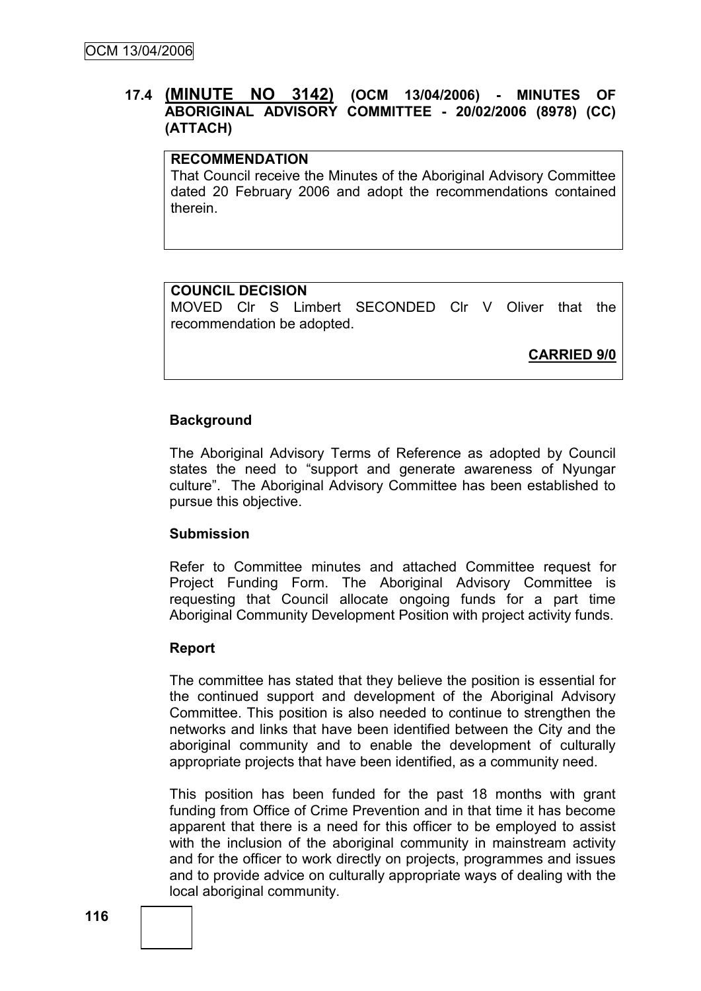# **17.4 (MINUTE NO 3142) (OCM 13/04/2006) - MINUTES OF ABORIGINAL ADVISORY COMMITTEE - 20/02/2006 (8978) (CC) (ATTACH)**

### **RECOMMENDATION**

That Council receive the Minutes of the Aboriginal Advisory Committee dated 20 February 2006 and adopt the recommendations contained therein.

### **COUNCIL DECISION**

MOVED Clr S Limbert SECONDED Clr V Oliver that the recommendation be adopted.

**CARRIED 9/0**

### **Background**

The Aboriginal Advisory Terms of Reference as adopted by Council states the need to "support and generate awareness of Nyungar culture". The Aboriginal Advisory Committee has been established to pursue this objective.

### **Submission**

Refer to Committee minutes and attached Committee request for Project Funding Form. The Aboriginal Advisory Committee is requesting that Council allocate ongoing funds for a part time Aboriginal Community Development Position with project activity funds.

### **Report**

The committee has stated that they believe the position is essential for the continued support and development of the Aboriginal Advisory Committee. This position is also needed to continue to strengthen the networks and links that have been identified between the City and the aboriginal community and to enable the development of culturally appropriate projects that have been identified, as a community need.

This position has been funded for the past 18 months with grant funding from Office of Crime Prevention and in that time it has become apparent that there is a need for this officer to be employed to assist with the inclusion of the aboriginal community in mainstream activity and for the officer to work directly on projects, programmes and issues and to provide advice on culturally appropriate ways of dealing with the local aboriginal community.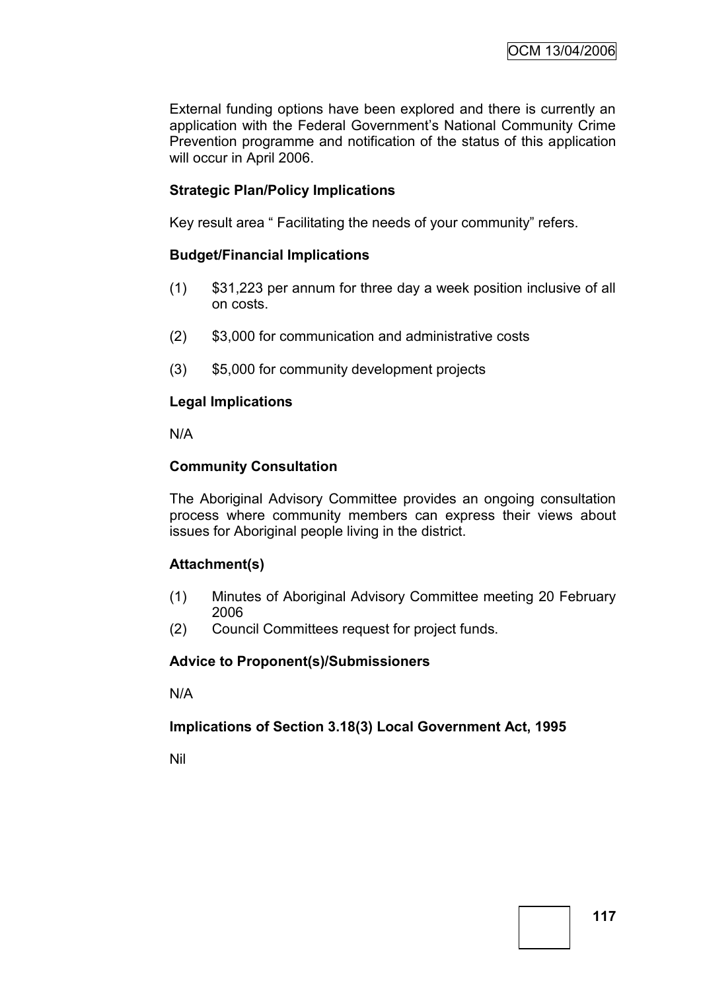External funding options have been explored and there is currently an application with the Federal Government"s National Community Crime Prevention programme and notification of the status of this application will occur in April 2006.

# **Strategic Plan/Policy Implications**

Key result area " Facilitating the needs of your community" refers.

### **Budget/Financial Implications**

- (1) \$31,223 per annum for three day a week position inclusive of all on costs.
- (2) \$3,000 for communication and administrative costs
- (3) \$5,000 for community development projects

### **Legal Implications**

N/A

### **Community Consultation**

The Aboriginal Advisory Committee provides an ongoing consultation process where community members can express their views about issues for Aboriginal people living in the district.

### **Attachment(s)**

- (1) Minutes of Aboriginal Advisory Committee meeting 20 February 2006
- (2) Council Committees request for project funds.

### **Advice to Proponent(s)/Submissioners**

N/A

### **Implications of Section 3.18(3) Local Government Act, 1995**

Nil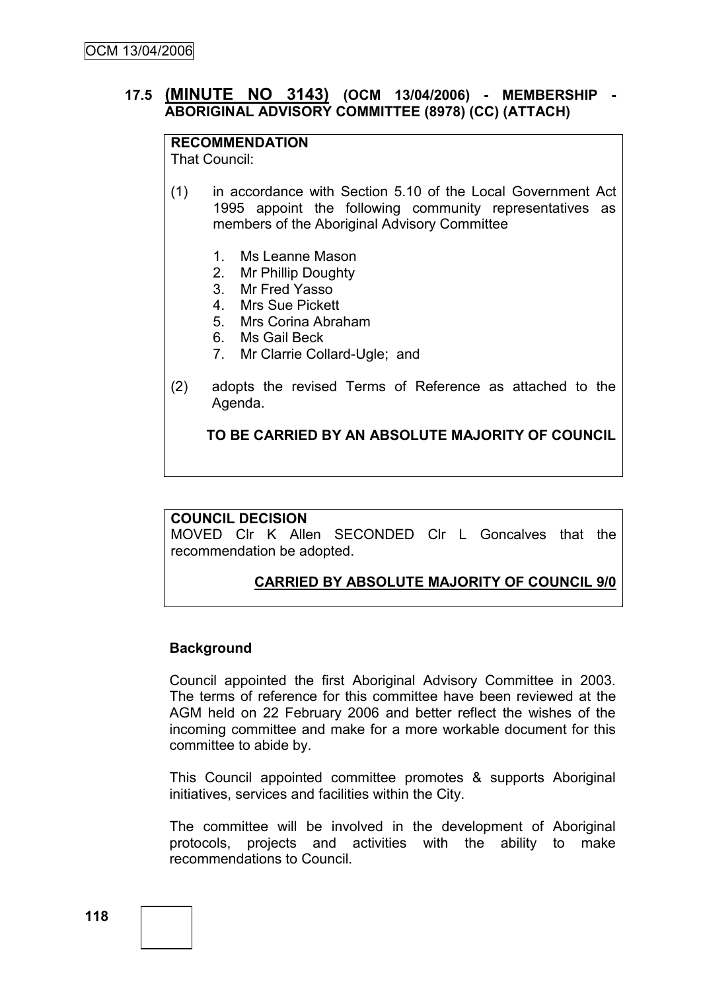## **17.5 (MINUTE NO 3143) (OCM 13/04/2006) - MEMBERSHIP - ABORIGINAL ADVISORY COMMITTEE (8978) (CC) (ATTACH)**

### **RECOMMENDATION**

That Council:

- (1) in accordance with Section 5.10 of the Local Government Act 1995 appoint the following community representatives as members of the Aboriginal Advisory Committee
	- 1. Ms Leanne Mason
	- 2. Mr Phillip Doughty
	- 3. Mr Fred Yasso
	- 4. Mrs Sue Pickett
	- 5. Mrs Corina Abraham
	- 6. Ms Gail Beck
	- 7. Mr Clarrie Collard-Ugle; and
- (2) adopts the revised Terms of Reference as attached to the Agenda.

### **TO BE CARRIED BY AN ABSOLUTE MAJORITY OF COUNCIL**

#### **COUNCIL DECISION**

MOVED Clr K Allen SECONDED Clr L Goncalves that the recommendation be adopted.

### **CARRIED BY ABSOLUTE MAJORITY OF COUNCIL 9/0**

#### **Background**

Council appointed the first Aboriginal Advisory Committee in 2003. The terms of reference for this committee have been reviewed at the AGM held on 22 February 2006 and better reflect the wishes of the incoming committee and make for a more workable document for this committee to abide by.

This Council appointed committee promotes & supports Aboriginal initiatives, services and facilities within the City.

The committee will be involved in the development of Aboriginal protocols, projects and activities with the ability to make recommendations to Council.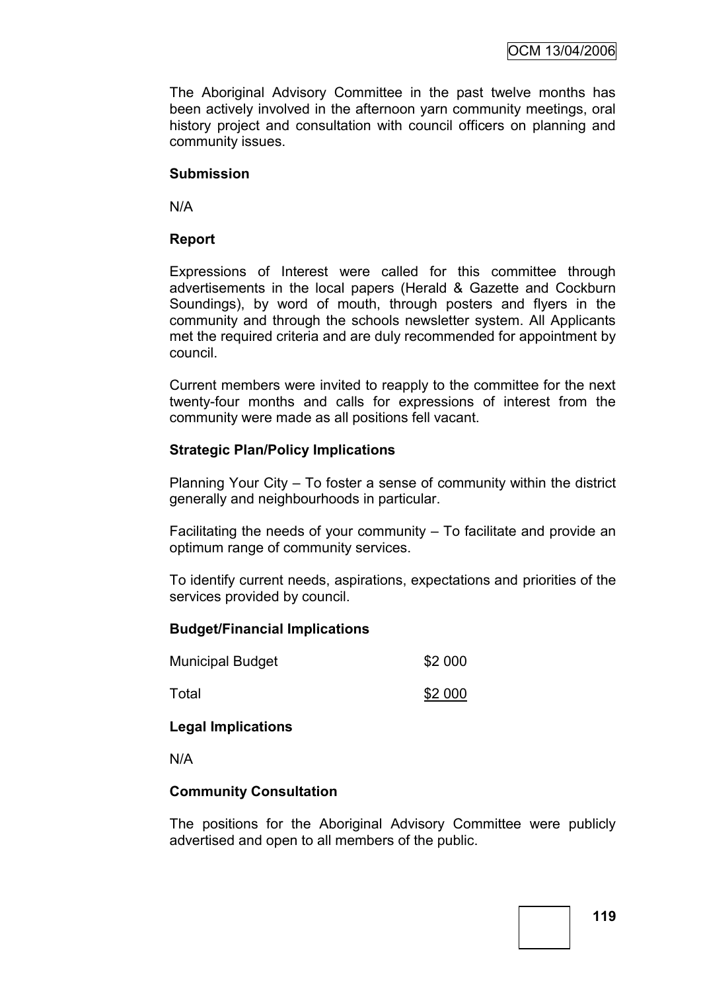The Aboriginal Advisory Committee in the past twelve months has been actively involved in the afternoon yarn community meetings, oral history project and consultation with council officers on planning and community issues.

### **Submission**

N/A

### **Report**

Expressions of Interest were called for this committee through advertisements in the local papers (Herald & Gazette and Cockburn Soundings), by word of mouth, through posters and flyers in the community and through the schools newsletter system. All Applicants met the required criteria and are duly recommended for appointment by council.

Current members were invited to reapply to the committee for the next twenty-four months and calls for expressions of interest from the community were made as all positions fell vacant.

### **Strategic Plan/Policy Implications**

Planning Your City – To foster a sense of community within the district generally and neighbourhoods in particular.

Facilitating the needs of your community  $-$  To facilitate and provide an optimum range of community services.

To identify current needs, aspirations, expectations and priorities of the services provided by council.

### **Budget/Financial Implications**

| <b>Municipal Budget</b> | \$2 000 |
|-------------------------|---------|
| Total                   | \$2 000 |

### **Legal Implications**

N/A

### **Community Consultation**

The positions for the Aboriginal Advisory Committee were publicly advertised and open to all members of the public.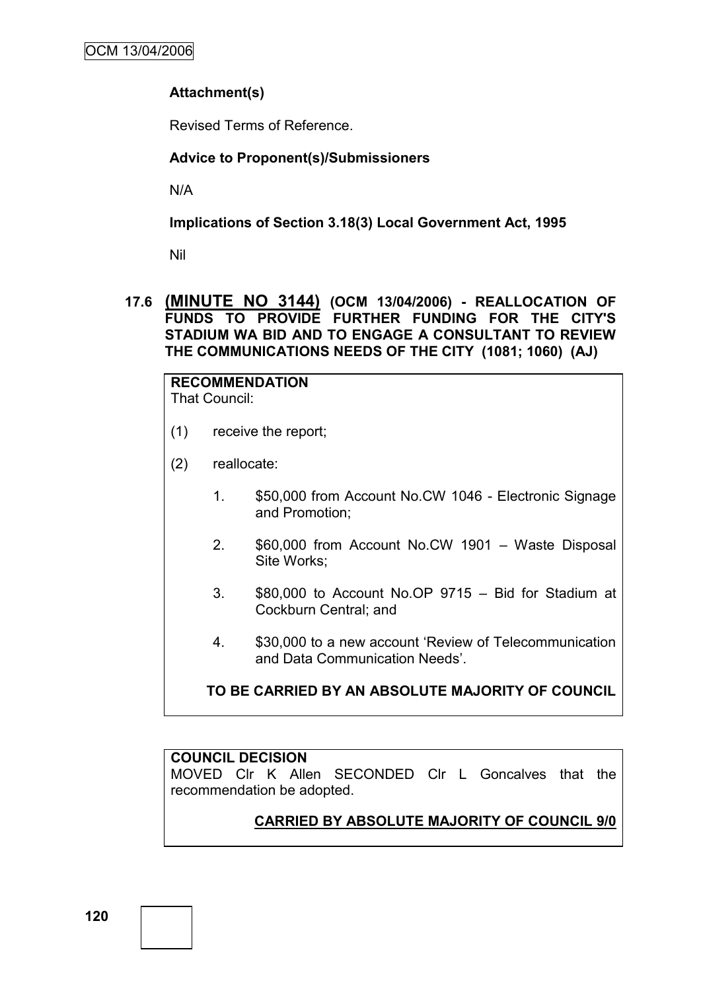# **Attachment(s)**

Revised Terms of Reference.

### **Advice to Proponent(s)/Submissioners**

N/A

**Implications of Section 3.18(3) Local Government Act, 1995**

Nil

**17.6 (MINUTE NO 3144) (OCM 13/04/2006) - REALLOCATION OF FUNDS TO PROVIDE FURTHER FUNDING FOR THE CITY'S STADIUM WA BID AND TO ENGAGE A CONSULTANT TO REVIEW THE COMMUNICATIONS NEEDS OF THE CITY (1081; 1060) (AJ)**

**RECOMMENDATION** That Council:

- (1) receive the report;
- (2) reallocate:
	- 1. \$50,000 from Account No.CW 1046 Electronic Signage and Promotion;
	- 2. \$60,000 from Account No.CW 1901 Waste Disposal Site Works;
	- 3. \$80,000 to Account No.OP 9715 Bid for Stadium at Cockburn Central; and
	- 4. \$30,000 to a new account "Review of Telecommunication and Data Communication Needs".

**TO BE CARRIED BY AN ABSOLUTE MAJORITY OF COUNCIL**

### **COUNCIL DECISION**

MOVED Clr K Allen SECONDED Clr L Goncalves that the recommendation be adopted.

# **CARRIED BY ABSOLUTE MAJORITY OF COUNCIL 9/0**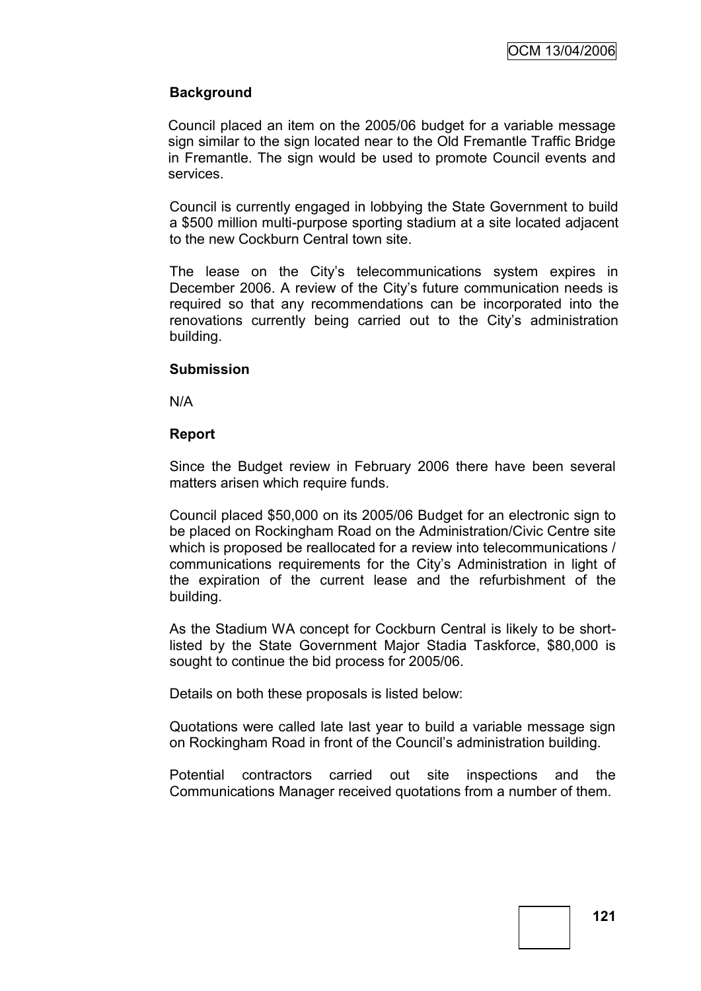# **Background**

Council placed an item on the 2005/06 budget for a variable message sign similar to the sign located near to the Old Fremantle Traffic Bridge in Fremantle. The sign would be used to promote Council events and services.

Council is currently engaged in lobbying the State Government to build a \$500 million multi-purpose sporting stadium at a site located adjacent to the new Cockburn Central town site.

The lease on the City"s telecommunications system expires in December 2006. A review of the City"s future communication needs is required so that any recommendations can be incorporated into the renovations currently being carried out to the City"s administration building.

#### **Submission**

N/A

### **Report**

Since the Budget review in February 2006 there have been several matters arisen which require funds.

Council placed \$50,000 on its 2005/06 Budget for an electronic sign to be placed on Rockingham Road on the Administration/Civic Centre site which is proposed be reallocated for a review into telecommunications / communications requirements for the City"s Administration in light of the expiration of the current lease and the refurbishment of the building.

As the Stadium WA concept for Cockburn Central is likely to be shortlisted by the State Government Major Stadia Taskforce, \$80,000 is sought to continue the bid process for 2005/06.

Details on both these proposals is listed below:

Quotations were called late last year to build a variable message sign on Rockingham Road in front of the Council"s administration building.

Potential contractors carried out site inspections and the Communications Manager received quotations from a number of them.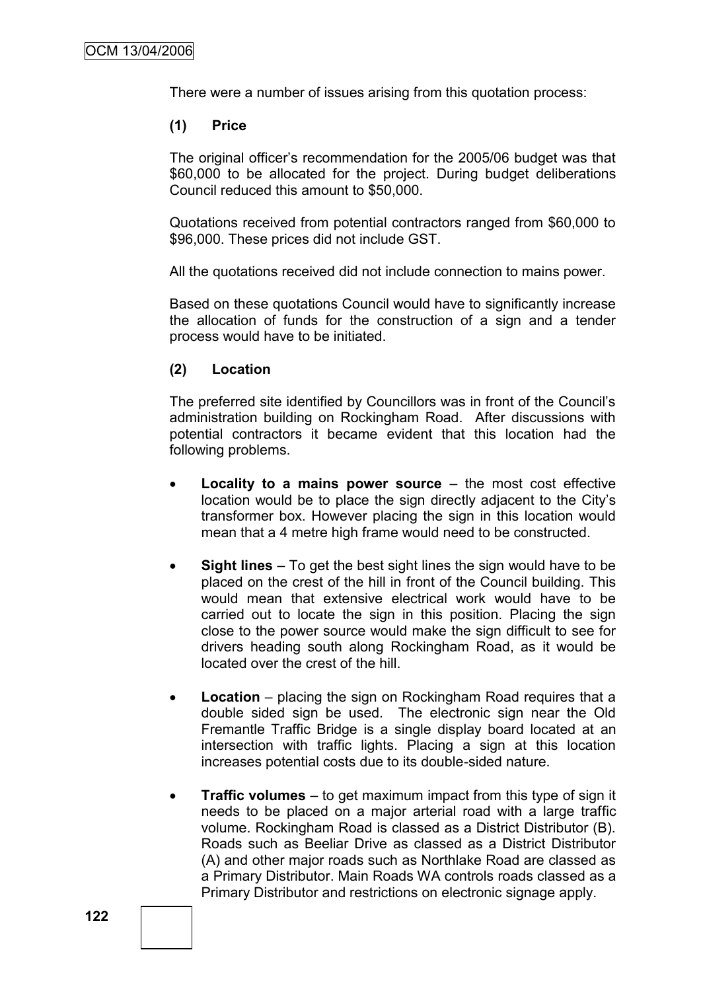There were a number of issues arising from this quotation process:

#### **(1) Price**

The original officer"s recommendation for the 2005/06 budget was that \$60,000 to be allocated for the project. During budget deliberations Council reduced this amount to \$50,000.

Quotations received from potential contractors ranged from \$60,000 to \$96,000. These prices did not include GST.

All the quotations received did not include connection to mains power.

Based on these quotations Council would have to significantly increase the allocation of funds for the construction of a sign and a tender process would have to be initiated.

### **(2) Location**

The preferred site identified by Councillors was in front of the Council"s administration building on Rockingham Road. After discussions with potential contractors it became evident that this location had the following problems.

- **Locality to a mains power source**  the most cost effective location would be to place the sign directly adjacent to the City"s transformer box. However placing the sign in this location would mean that a 4 metre high frame would need to be constructed.
- **Sight lines**  To get the best sight lines the sign would have to be placed on the crest of the hill in front of the Council building. This would mean that extensive electrical work would have to be carried out to locate the sign in this position. Placing the sign close to the power source would make the sign difficult to see for drivers heading south along Rockingham Road, as it would be located over the crest of the hill.
- Location placing the sign on Rockingham Road requires that a double sided sign be used. The electronic sign near the Old Fremantle Traffic Bridge is a single display board located at an intersection with traffic lights. Placing a sign at this location increases potential costs due to its double-sided nature.
- **Traffic volumes**  to get maximum impact from this type of sign it needs to be placed on a major arterial road with a large traffic volume. Rockingham Road is classed as a District Distributor (B). Roads such as Beeliar Drive as classed as a District Distributor (A) and other major roads such as Northlake Road are classed as a Primary Distributor. Main Roads WA controls roads classed as a Primary Distributor and restrictions on electronic signage apply.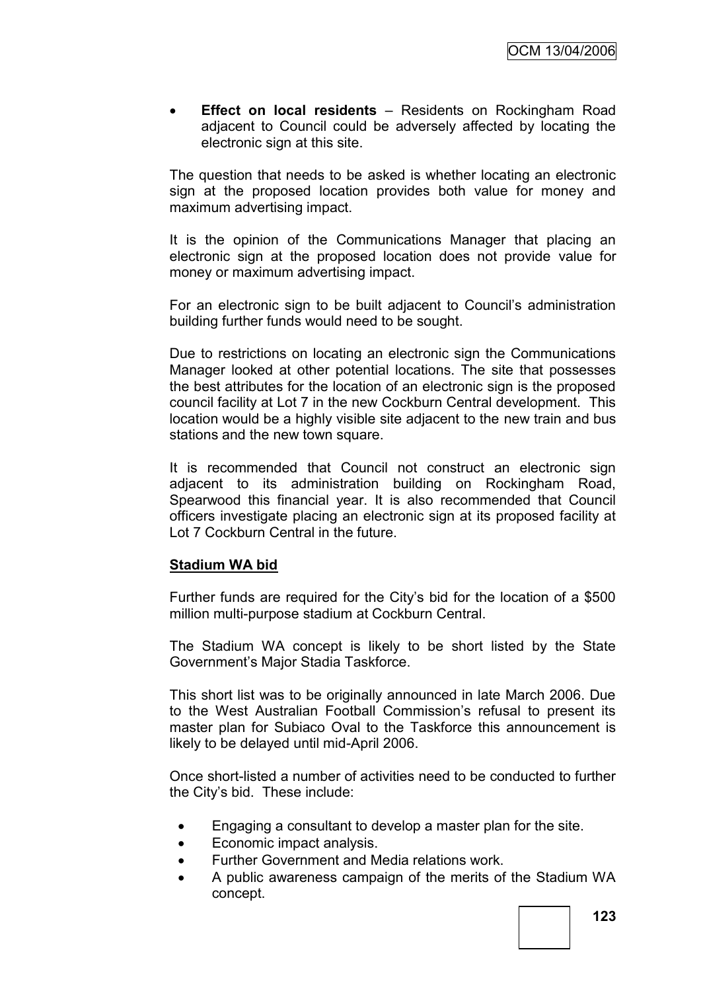**Effect on local residents** – Residents on Rockingham Road adjacent to Council could be adversely affected by locating the electronic sign at this site.

The question that needs to be asked is whether locating an electronic sign at the proposed location provides both value for money and maximum advertising impact.

It is the opinion of the Communications Manager that placing an electronic sign at the proposed location does not provide value for money or maximum advertising impact.

For an electronic sign to be built adjacent to Council"s administration building further funds would need to be sought.

Due to restrictions on locating an electronic sign the Communications Manager looked at other potential locations. The site that possesses the best attributes for the location of an electronic sign is the proposed council facility at Lot 7 in the new Cockburn Central development. This location would be a highly visible site adjacent to the new train and bus stations and the new town square.

It is recommended that Council not construct an electronic sign adjacent to its administration building on Rockingham Road, Spearwood this financial year. It is also recommended that Council officers investigate placing an electronic sign at its proposed facility at Lot 7 Cockburn Central in the future.

### **Stadium WA bid**

Further funds are required for the City"s bid for the location of a \$500 million multi-purpose stadium at Cockburn Central.

The Stadium WA concept is likely to be short listed by the State Government"s Major Stadia Taskforce.

This short list was to be originally announced in late March 2006. Due to the West Australian Football Commission"s refusal to present its master plan for Subiaco Oval to the Taskforce this announcement is likely to be delayed until mid-April 2006.

Once short-listed a number of activities need to be conducted to further the City"s bid. These include:

- Engaging a consultant to develop a master plan for the site.
- Economic impact analysis.
- Further Government and Media relations work.
- A public awareness campaign of the merits of the Stadium WA concept.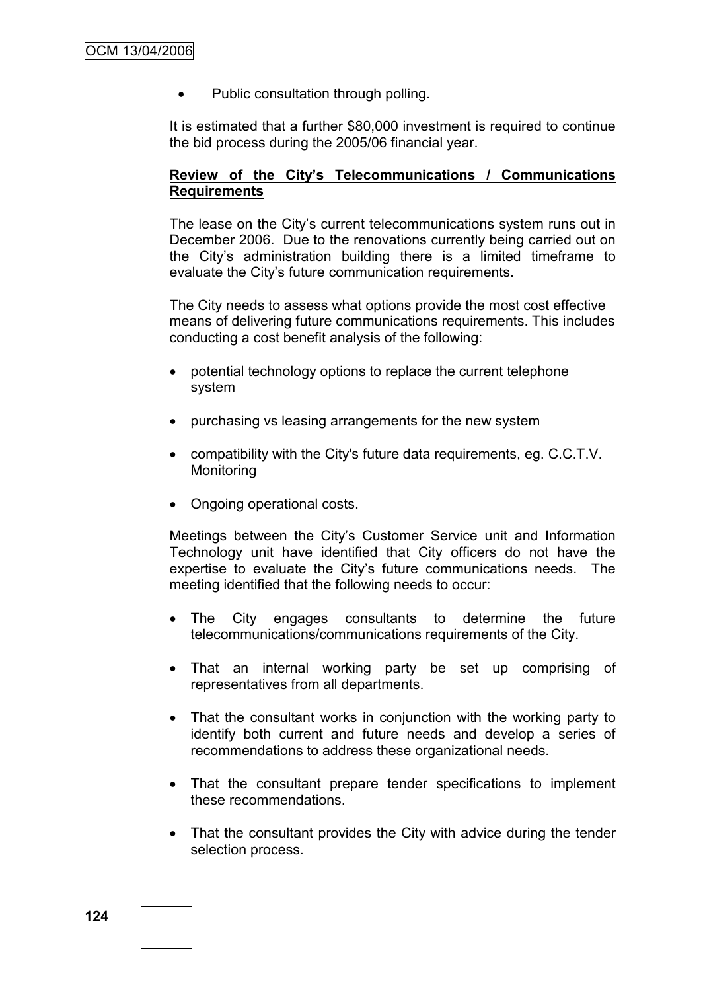Public consultation through polling.

It is estimated that a further \$80,000 investment is required to continue the bid process during the 2005/06 financial year.

### **Review of the City's Telecommunications / Communications Requirements**

The lease on the City"s current telecommunications system runs out in December 2006. Due to the renovations currently being carried out on the City"s administration building there is a limited timeframe to evaluate the City"s future communication requirements.

The City needs to assess what options provide the most cost effective means of delivering future communications requirements. This includes conducting a cost benefit analysis of the following:

- potential technology options to replace the current telephone system
- purchasing vs leasing arrangements for the new system
- compatibility with the City's future data requirements, eg. C.C.T.V. Monitoring
- Ongoing operational costs.

Meetings between the City"s Customer Service unit and Information Technology unit have identified that City officers do not have the expertise to evaluate the City"s future communications needs. The meeting identified that the following needs to occur:

- The City engages consultants to determine the future telecommunications/communications requirements of the City.
- That an internal working party be set up comprising of representatives from all departments.
- That the consultant works in conjunction with the working party to identify both current and future needs and develop a series of recommendations to address these organizational needs.
- That the consultant prepare tender specifications to implement these recommendations.
- That the consultant provides the City with advice during the tender selection process.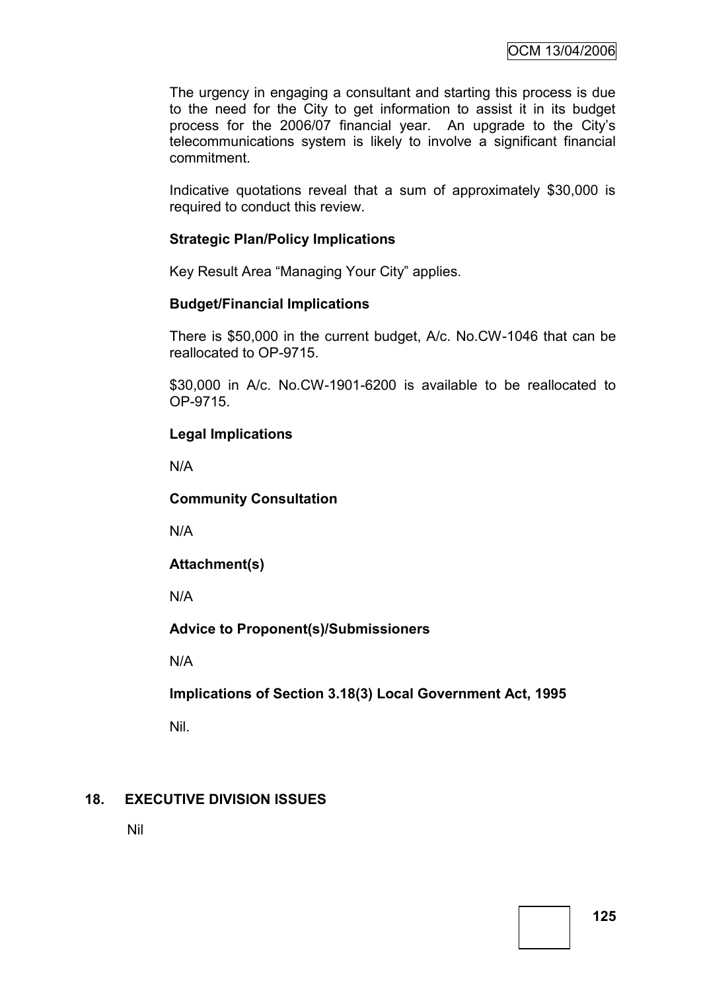The urgency in engaging a consultant and starting this process is due to the need for the City to get information to assist it in its budget process for the 2006/07 financial year. An upgrade to the City"s telecommunications system is likely to involve a significant financial commitment.

Indicative quotations reveal that a sum of approximately \$30,000 is required to conduct this review.

## **Strategic Plan/Policy Implications**

Key Result Area "Managing Your City" applies.

#### **Budget/Financial Implications**

There is \$50,000 in the current budget, A/c. No.CW-1046 that can be reallocated to OP-9715.

\$30,000 in A/c. No.CW-1901-6200 is available to be reallocated to OP-9715.

### **Legal Implications**

N/A

**Community Consultation**

N/A

**Attachment(s)**

N/A

**Advice to Proponent(s)/Submissioners**

N/A

**Implications of Section 3.18(3) Local Government Act, 1995**

Nil.

# **18. EXECUTIVE DIVISION ISSUES**

Nil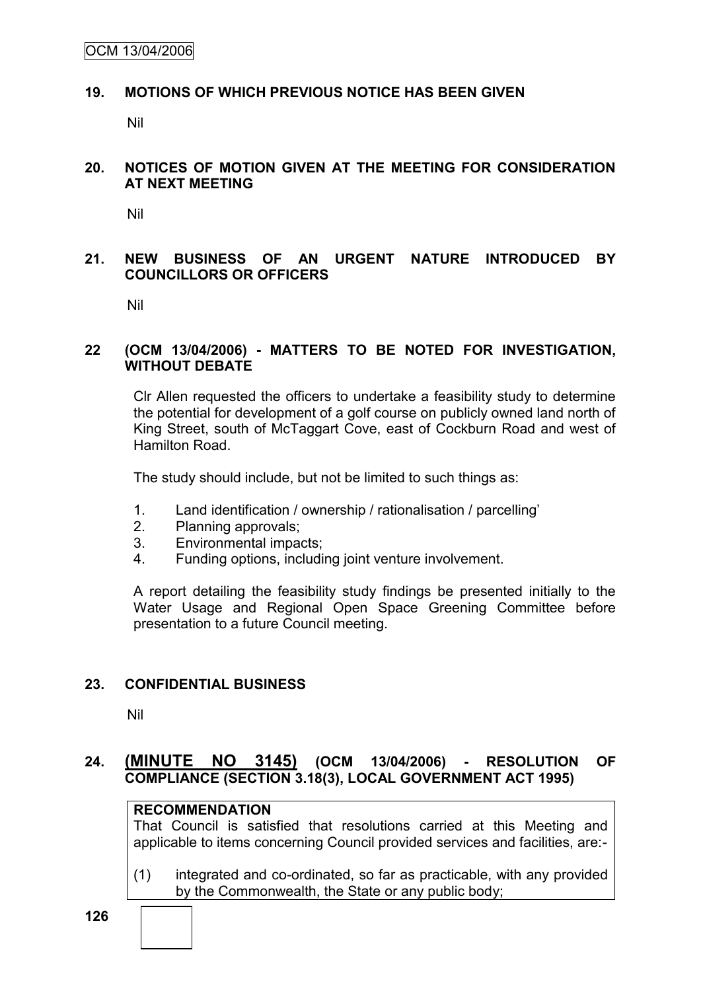### **19. MOTIONS OF WHICH PREVIOUS NOTICE HAS BEEN GIVEN**

Nil

#### **20. NOTICES OF MOTION GIVEN AT THE MEETING FOR CONSIDERATION AT NEXT MEETING**

Nil

### **21. NEW BUSINESS OF AN URGENT NATURE INTRODUCED BY COUNCILLORS OR OFFICERS**

Nil

#### **22 (OCM 13/04/2006) - MATTERS TO BE NOTED FOR INVESTIGATION, WITHOUT DEBATE**

Clr Allen requested the officers to undertake a feasibility study to determine the potential for development of a golf course on publicly owned land north of King Street, south of McTaggart Cove, east of Cockburn Road and west of Hamilton Road.

The study should include, but not be limited to such things as:

- 1. Land identification / ownership / rationalisation / parcelling"
- 2. Planning approvals;
- 3. Environmental impacts;
- 4. Funding options, including joint venture involvement.

A report detailing the feasibility study findings be presented initially to the Water Usage and Regional Open Space Greening Committee before presentation to a future Council meeting.

### **23. CONFIDENTIAL BUSINESS**

Nil

## **24. (MINUTE NO 3145) (OCM 13/04/2006) - RESOLUTION OF COMPLIANCE (SECTION 3.18(3), LOCAL GOVERNMENT ACT 1995)**

# **RECOMMENDATION**

That Council is satisfied that resolutions carried at this Meeting and applicable to items concerning Council provided services and facilities, are:-

(1) integrated and co-ordinated, so far as practicable, with any provided by the Commonwealth, the State or any public body;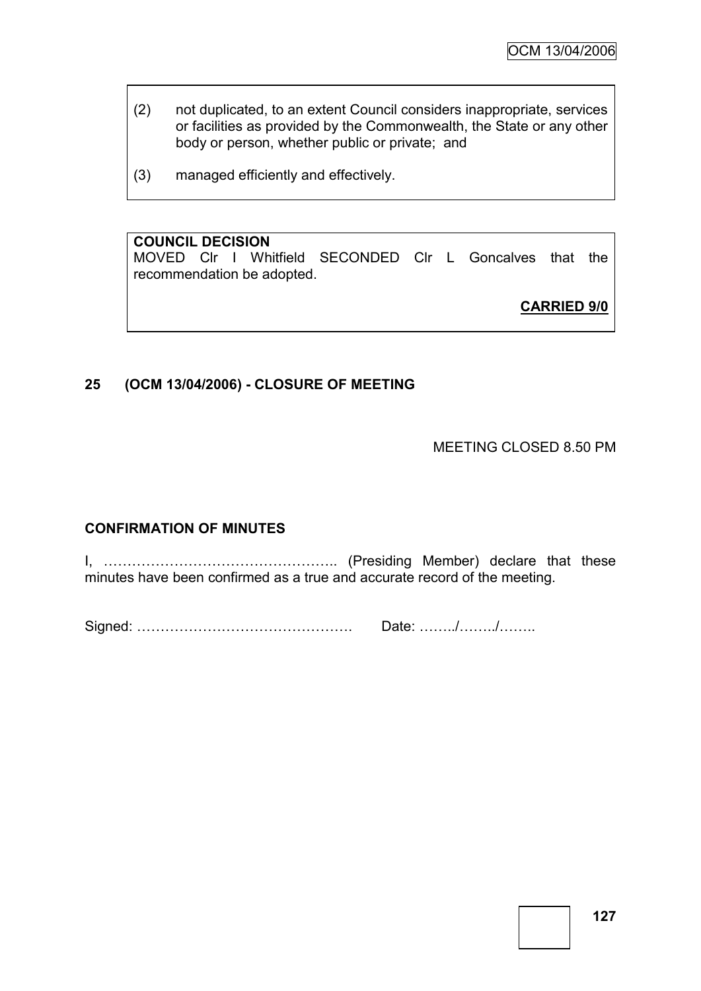- (2) not duplicated, to an extent Council considers inappropriate, services or facilities as provided by the Commonwealth, the State or any other body or person, whether public or private; and
- (3) managed efficiently and effectively.

# **COUNCIL DECISION**

MOVED Clr I Whitfield SECONDED Clr L Goncalves that the recommendation be adopted.

**CARRIED 9/0**

# **25 (OCM 13/04/2006) - CLOSURE OF MEETING**

MEETING CLOSED 8.50 PM

# **CONFIRMATION OF MINUTES**

I, ………………………………………….. (Presiding Member) declare that these minutes have been confirmed as a true and accurate record of the meeting.

Signed: ………………………………………. Date: ……../……../……..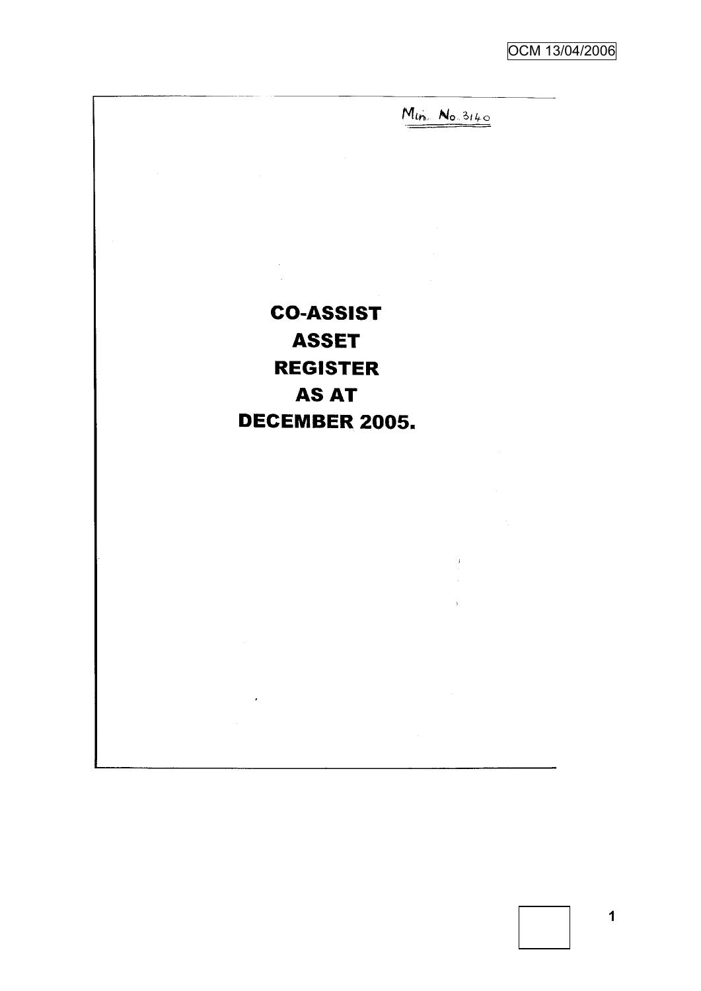$M_{lin.}$   $N_{0.3140}$ 

 $\hat{t}$ 

**CO-ASSIST ASSET REGISTER AS AT DECEMBER 2005.** 

 $\hat{\mathcal{A}}$  $\sim$